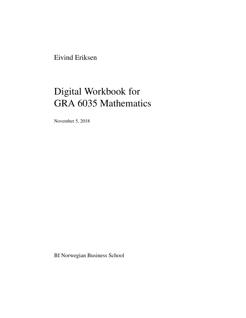Eivind Eriksen

# Digital Workbook for GRA 6035 Mathematics

November 5, 2018

BI Norwegian Business School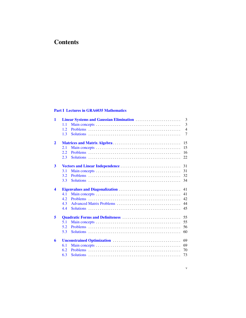# <span id="page-2-0"></span>**Contents**

# [Part I Lectures in GRA6035 Mathematics](#page-4-0)

| $\mathbf{1}$         |      | 3              |
|----------------------|------|----------------|
|                      | 1.1  | $\overline{3}$ |
|                      | 1.2  | $\overline{4}$ |
|                      | 1.3  | $\tau$         |
| $\mathbf{2}$         |      | 15             |
|                      | 2.1  | 15             |
|                      | 2.2. | 16             |
|                      | 2.3  | 22             |
| 3                    |      | 31             |
|                      | 3.1  | 31             |
|                      | 3.2  | 32             |
|                      | 3.3  | 34             |
| $\blacktriangleleft$ |      | 41             |
|                      | 4.1  | 41             |
|                      | 4.2. | 42             |
|                      | 4.3  | 44             |
|                      | 4.4  | 45             |
| 5                    |      | 55             |
|                      | 5.1  | 55             |
|                      | 5.2  | 56             |
|                      | 5.3  | 60             |
| 6                    |      | 69             |
|                      | 6.1  | 69             |
|                      | 6.2  | 70             |
|                      | 6.3  | 73             |
|                      |      |                |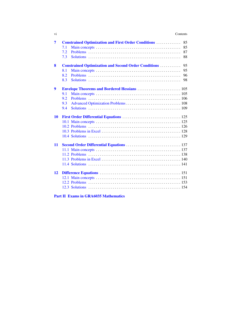#### vi Contents

| 7       | <b>Constrained Optimization and First Order Conditions </b><br>85<br>85<br>7.1<br>87<br>7.2<br>7.3<br>88  |
|---------|-----------------------------------------------------------------------------------------------------------|
| 8       | 95<br><b>Constrained Optimization and Second Order Conditions </b><br>95<br>8.1<br>8.2<br>96<br>8.3<br>98 |
| 9<br>10 | 9.1<br>9.2<br>9.3<br>9.4                                                                                  |
| 11      |                                                                                                           |
| 12      |                                                                                                           |

# [Part II Exams in GRA6035 Mathematics](#page-162-0)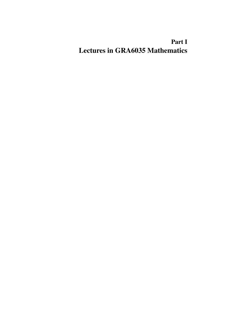# <span id="page-4-0"></span>Part I Lectures in GRA6035 Mathematics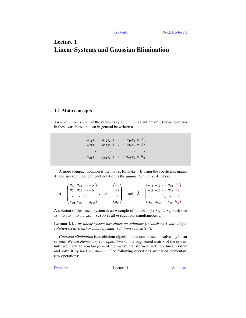# <span id="page-6-0"></span>Lecture 1 Linear Systems and Gaussian Elimination

# <span id="page-6-1"></span>1.1 Main concepts

An  $m \times n$  linear system in the variables  $x_1, x_2, \ldots, x_n$  is a system of *m* linear equations in these variables, and can in general be written as

> $a_{11}x_1 + a_{12}x_2 + \ldots + a_{1n}x_n = b_1$  $a_{21}x_1 + a_{22}x_2 + \ldots + a_{2n}x_n = b_2$ . . . . . . . . . . . .  $a_{m1}x_1 + a_{m2}x_2 + \ldots + a_{mn}x_n = b_m$

A more compact notation is the matrix form  $A\mathbf{x} = \mathbf{b}$  using the coefficient matrix *A*, and an even more compact notation is the *augmented matrix*  $\hat{A}$ , where

|  | $a_{11}$ $a_{12}$ $a_{1n}$<br>$a_{22}$<br>$a_{2}$<br>$\ldots a_{2n}$<br>$\langle a_{m1} a_{m2} \dots a_{mn} \rangle$ |  |  | ∸<br>$\nu_m$ |  |  | $a_{21}$ | $a_{11} a_{12} \ldots a_{1n}   b_1$<br>$a_{22} \ldots a_{2n}$<br>$\langle a_{m1} a_{m2} \dots a_{mn}  $ |  | b <sub>2</sub> |  |
|--|----------------------------------------------------------------------------------------------------------------------|--|--|--------------|--|--|----------|---------------------------------------------------------------------------------------------------------|--|----------------|--|
|--|----------------------------------------------------------------------------------------------------------------------|--|--|--------------|--|--|----------|---------------------------------------------------------------------------------------------------------|--|----------------|--|

A solution of this linear system is an *n*-couple of numbers  $(s_1, s_2, \ldots, s_n)$  such that  $x_1 = s_1, x_2 = s_2, \ldots, x_n = s_n$  solves all *m* equations simultaneously.

Lemma 1.1. *Any linear system has either no solutions (inconsistent), one unique solution (consistent) or infinitely many solutions (consistent).*

*Gaussian elimination* is an efficient algorithm that can be used to solve any linear system. We use *elementary row operations* on the augmented matrix of the system until we reach an *echelon form* of the matrix, transform it back to a linear system and solve it by *back substitution*. The following operations are called elementary row operations:

[Problems](#page-7-0) Lecture 1 [Solutions](#page-10-0)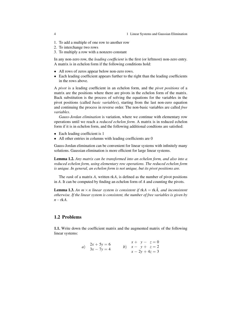- 1. To add a multiple of one row to another row
- 2. To interchange two rows
- 3. To multiply a row with a nonzero constant

In any non-zero row, the *leading coefficient* is the first (or leftmost) non-zero entry. A matrix is in echelon form if the following conditions hold:

- All rows of zeros appear below non-zero rows.
- Each leading coefficient appears further to the right than the leading coefficients in the rows above.

A *pivot* is a leading coefficient in an echelon form, and the *pivot positions* of a matrix are the positions where there are pivots in the echelon form of the matrix. Back substitution is the process of solving the equations for the variables in the pivot positions (called *basic variables*), starting from the last non-zero equation and continuing the process in reverse order. The non-basic variables are called *free variables*.

*Gauss-Jordan elimination* is variation, where we continue with elementary row operations until we reach a *reduced echelon form*. A matrix is in reduced echelon form if it is in echelon form, and the following additional condtions are satisfied:

- Each leading coefficient is 1
- All other entries in columns with leading coefficients are 0

Gauss-Jordan elimination can be convenient for linear systems with infinitely many solutions. Gaussian elimination is more efficient for large linear systems.

Lemma 1.2. *Any matrix can be transformed into an echelon form, and also into a reduced echelon form, using elementary row operations. The reduced echelon form is unique. In general, an echelon form is not unique, but its pivot positions are.*

The *rank* of a matrix *A*, written rk*A*, is defined as the number of pivot positions in *A*. It can be computed by finding an echelon form of *A* and counting the pivots.

**Lemma 1.3.** An  $m \times n$  linear system is consistent if  $rkA = rk\hat{A}$ , and inconsistent *otherwise. If the linear system is consistent, the number of free variables is given by n*−rk*A.*

#### <span id="page-7-0"></span>1.2 Problems

<span id="page-7-2"></span><span id="page-7-1"></span>1.1. Write down the coefficient matrix and the augmented matrix of the following linear systems:

a) 
$$
2x + 5y = 6 \n3x - 7y = 4
$$
  
b) 
$$
x + y - z = 0 \n x - y + z = 2 \n x - 2y + 4z = 3
$$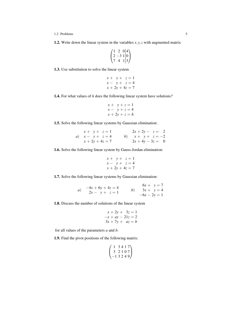1.2 Problems 5

1.2. Write down the linear system in the variables  $x, y, z$  with augmented matrix

$$
\begin{pmatrix} 1 & 2 & 0 & | & 4 \\ 2 & -3 & 1 & | & 0 \\ 7 & 4 & 1 & | & 3 \end{pmatrix}
$$

<span id="page-8-0"></span>1.3. Use substitution to solve the linear system

$$
x + y + z = 1
$$
  
\n
$$
x - y + z = 4
$$
  
\n
$$
x + 2y + 4z = 7
$$

<span id="page-8-1"></span>1.4. For what values of *h* does the following linear system have solutions?

$$
x + y + z = 1
$$
  

$$
x - y + z = 4
$$
  

$$
x + 2y + z = h
$$

<span id="page-8-2"></span>1.5. Solve the following linear systems by Gaussian elimination:

| $x + y + z = 1$    | $2x + 2y - z = 2$   |  |
|--------------------|---------------------|--|
| a) $x - y + z = 4$ | b) $x + y + z = -2$ |  |
| $x + 2y + 4z = 7$  | $2x + 4y - 3z = 0$  |  |

<span id="page-8-3"></span>1.6. Solve the following linear system by Gauss-Jordan elimination:

$$
x + y + z = 1
$$
  
\n
$$
x - y + z = 4
$$
  
\n
$$
x + 2y + 4z = 7
$$

<span id="page-8-4"></span>1.7. Solve the following linear systems by Gaussian elimination:

a) 
$$
-4x + 6y + 4z = 4 \n2x - y + z = 1
$$
  
b) 
$$
6x + y = 7 \n3x + y = 4 \n-6x - 2y = 1
$$

<span id="page-8-5"></span>1.8. Discuss the number of solutions of the linear system

$$
x + 2y + 3z = 1
$$
  

$$
-x + ay - 21z = 2
$$
  

$$
3x + 7y + az = b
$$

for all values of the parameters *a* and *b*.

<span id="page-8-7"></span><span id="page-8-6"></span>1.9. Find the pivot positions of the following matrix:

$$
\begin{pmatrix} 1 & 3 & 4 & 1 & 7 \\ 3 & 2 & 1 & 0 & 7 \\ -1 & 3 & 2 & 4 & 9 \end{pmatrix}
$$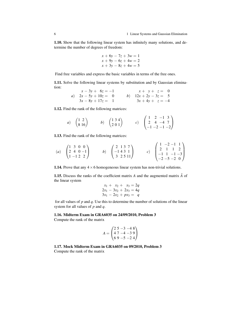1.10. Show that the following linear system has infinitely many solutions, and determine the number of degrees of freedom:

$$
x + 6y - 7z + 3w = 1
$$
  

$$
x + 9y - 6z + 4w = 2
$$
  

$$
x + 3y - 8z + 4w = 5
$$

Find free variables and express the basic variables in terms of the free ones.

<span id="page-9-0"></span>1.11. Solve the following linear systems by substitution and by Gaussian elimination:

| $x - 3y + 6z = -1$     | $x + y + z = 0$        |
|------------------------|------------------------|
| a) $2x - 5y + 10z = 0$ | b) $12x + 2y - 3z = 5$ |
| $3x - 8y + 17z = 1$    | $3x + 4y + z = -4$     |

<span id="page-9-1"></span>1.12. Find the rank of the following matrices:

a) 
$$
\begin{pmatrix} 1 & 2 \\ 8 & 16 \end{pmatrix}
$$
 b)  $\begin{pmatrix} 1 & 3 & 4 \\ 2 & 0 & 1 \end{pmatrix}$  c)  $\begin{pmatrix} 1 & 2 & -1 & 3 \\ 2 & 4 & -4 & 7 \\ -1 & -2 & -1 & -2 \end{pmatrix}$ 

<span id="page-9-2"></span>1.13. Find the rank of the following matrices:

(a) 
$$
\begin{pmatrix} 1 & 3 & 0 & 0 \\ 2 & 4 & 0 & -1 \\ 1 & -1 & 2 & 2 \end{pmatrix}
$$
 (b)  $\begin{pmatrix} 2 & 1 & 3 & 7 \\ -1 & 4 & 3 & 1 \\ 3 & 2 & 5 & 11 \end{pmatrix}$  (c)  $\begin{pmatrix} 1 & -2 & -1 & 1 \\ 2 & 1 & 1 & 2 \\ -1 & 1 & -1 & -3 \\ -2 & -5 & -2 & 0 \end{pmatrix}$ 

<span id="page-9-3"></span>**1.14.** Prove that any  $4 \times 6$  homogeneous linear system has non-trivial solutions.

<span id="page-9-4"></span>**1.15.** Discuss the ranks of the coefficient matrix  $\vec{A}$  and the augmented matrix  $\hat{A}$  of the linear system

$$
x_1 + x_2 + x_3 = 2q
$$
  
\n
$$
2x_1 - 3x_2 + 2x_3 = 4q
$$
  
\n
$$
3x_1 - 2x_2 + px_3 = q
$$

for all values of *p* and *q*. Use this to determine the number of solutions of the linear system for all values of *p* and *q*.

<span id="page-9-5"></span>1.16. Midterm Exam in GRA6035 on 24/09/2010, Problem 3

Compute the rank of the matrix

$$
A = \begin{pmatrix} 2 & 5 & -3 & -4 & 8 \\ 4 & 7 & -4 & -3 & 9 \\ 6 & 9 & -5 & -2 & 4 \end{pmatrix}
$$

<span id="page-9-6"></span>1.17. Mock Midterm Exam in GRA6035 on 09/2010, Problem 3 Compute the rank of the matrix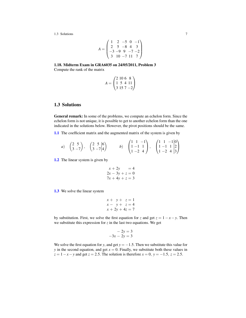$$
A = \begin{pmatrix} 1 & 2 & -5 & 0 & -1 \\ 2 & 5 & -8 & 4 & 3 \\ -3 & -9 & 9 & -7 & -2 \\ 3 & 10 & -7 & 11 & 7 \end{pmatrix}
$$

<span id="page-10-1"></span>1.18. Midterm Exam in GRA6035 on 24/05/2011, Problem 3 Compute the rank of the matrix

$$
A = \begin{pmatrix} 2 & 10 & 6 & 8 \\ 1 & 5 & 4 & 11 \\ 3 & 15 & 7 & -2 \end{pmatrix}
$$

# <span id="page-10-0"></span>1.3 Solutions

General remark: In some of the problems, we compute an echelon form. Since the echelon form is not unique, it is possible to get to another echelon form than the one indicated in the solutions below. However, the pivot positions should be the same.

[1.1](#page-7-1) The coefficient matrix and the augmented matrix of the system is given by

a) 
$$
\begin{pmatrix} 2 & 5 \\ 3 & -7 \end{pmatrix}
$$
,  $\begin{pmatrix} 2 & 5 & |6 \\ 3 & -7 & |4 \end{pmatrix}$  b)  $\begin{pmatrix} 1 & 1 & -1 \\ 1 & -1 & 1 \\ 1 & -2 & 4 \end{pmatrix}$ ,  $\begin{pmatrix} 1 & 1 & -1 & |0 \\ 1 & -1 & 1 & |2 \\ 1 & -2 & 4 & |3 \end{pmatrix}$ 

[1.2](#page-7-2) The linear system is given by

$$
x + 2y = 4
$$
  
\n
$$
2x - 3y + z = 0
$$
  
\n
$$
7x + 4y + z = 3
$$

[1.3](#page-8-0) We solve the linear system

$$
x + y + z = 1
$$
  

$$
x - y + z = 4
$$
  

$$
x + 2y + 4z = 7
$$

by substitution. First, we solve the first equation for *z* and get  $z = 1 - x - y$ . Then we substitute this expression for  $z$  in the last two equations. We get

$$
-2y = 3
$$
  

$$
-3x - 2y = 3
$$

We solve the first equation for *y*, and get  $y = -1.5$ . Then we substitute this value for *y* in the second equation, and get  $x = 0$ . Finally, we substitute both these values in  $z = 1 - x - y$  and get  $z = 2.5$ . The solution is therefore  $x = 0$ ,  $y = -1.5$ ,  $z = 2.5$ .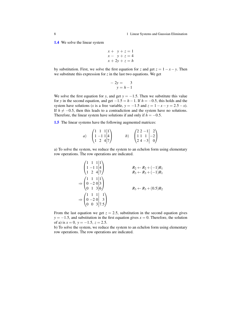[1.4](#page-8-1) We solve the linear system

$$
x + y + z = 1
$$
  
\n
$$
x - y + z = 4
$$
  
\n
$$
x + 2y + z = h
$$

by substitution. First, we solve the first equation for *z* and get  $z = 1 - x - y$ . Then we substitute this expression for  $z$  in the last two equations. We get

$$
-2y = 3
$$
  

$$
y = h - 1
$$

We solve the first equation for *y*, and get  $y = -1.5$ . Then we substitute this value for *y* in the second equation, and get  $-1.5 = h - 1$ . If  $h = -0.5$ , this holds and the system have solutions (*x* is a free variable,  $y = -1.5$  and  $z = 1 - x - y = 2.5 - x$ ). If  $h \neq -0.5$ , then this leads to a contradiction and the system have no solutions. Therefore, the linear system have solutions if and only if  $h = -0.5$ .

[1.5](#page-8-2) The linear systems have the following augmented matrices:

|    |                                                                                  | $(2\ 2\ -1)$ 2)                                |  |
|----|----------------------------------------------------------------------------------|------------------------------------------------|--|
| a) |                                                                                  | $\begin{pmatrix} 1 & 1 & 1 & -2 \end{pmatrix}$ |  |
|    | $\begin{pmatrix} 1 & 1 & 1 & 1 \\ 1 & -1 & 1 & 4 \\ 1 & 2 & 4 & 7 \end{pmatrix}$ | $\begin{bmatrix} 2 & 4 & -3 & 0 \end{bmatrix}$ |  |

a) To solve the system, we reduce the system to an echelon form using elementary row operations. The row operations are indicated.

$$
\begin{pmatrix}\n1 & 1 & 1 & 1 \\
1 & -1 & 1 & 4 \\
1 & 2 & 4 & 7\n\end{pmatrix}
$$
\n
$$
\Rightarrow\n\begin{pmatrix}\n1 & 1 & 1 & 1 \\
0 & -2 & 0 & 3 \\
0 & 1 & 3 & 6\n\end{pmatrix}
$$
\n
$$
\Rightarrow\n\begin{pmatrix}\n1 & 1 & 1 & 1 \\
0 & -2 & 0 & 3 \\
0 & 0 & 3 & 7.5\n\end{pmatrix}
$$
\n
$$
R_3 \leftarrow R_3 + (0.5)R_2
$$

From the last equation we get  $z = 2.5$ , substitution in the second equation gives  $y = -1.5$ , and substitution in the first equation gives  $x = 0$ . Therefore, the solution of a) is  $x = 0$ ,  $y = -1.5$ ,  $z = 2.5$ .

b) To solve the system, we reduce the system to an echelon form using elementary row operations. The row operations are indicated.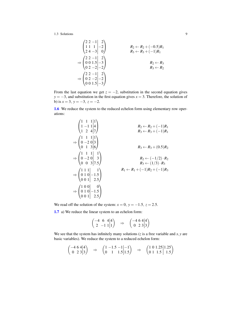$$
\begin{pmatrix}\n2 & 2 & -1 & 2 \\
1 & 1 & 1 & -2 \\
2 & 4 & -3 & 0\n\end{pmatrix}
$$
\n
$$
R_2 \leftarrow R_2 + (-0.5)R_1
$$
\n
$$
\Rightarrow \begin{pmatrix}\n2 & 2 & -1 & 2 \\
0 & 0 & 1.5 & -3 \\
0 & 2 & -2 & -2\n\end{pmatrix}
$$
\n
$$
R_2 \leftarrow R_3 + (-1)R_1
$$
\n
$$
R_2 \leftarrow R_3
$$
\n
$$
R_2 \leftarrow R_3
$$
\n
$$
R_3 \leftarrow R_2
$$
\n
$$
\Rightarrow \begin{pmatrix}\n2 & 2 & -1 & 2 \\
0 & 2 & -2 & -2 \\
0 & 0 & 1.5 & -3\n\end{pmatrix}
$$

From the last equation we get  $z = -2$ , substitution in the second equation gives *y* = −3, and substitution in the first equation gives *x* = 3. Therefore, the solution of b) is  $x = 3$ ,  $y = -3$ ,  $z = -2$ .

[1.6](#page-8-3) We reduce the system to the reduced echelon form using elementary row operations:

$$
\begin{pmatrix}\n1 & 1 & 1 & 1 \\
1 & -1 & 1 & 4 \\
1 & 2 & 4 & 7\n\end{pmatrix}
$$
\n
$$
\Rightarrow\n\begin{pmatrix}\n1 & 1 & 1 & 1 \\
0 & -2 & 0 & 3 \\
0 & 1 & 3 & 6\n\end{pmatrix}
$$
\n
$$
\Rightarrow\n\begin{pmatrix}\n1 & 1 & 1 & 1 \\
0 & -2 & 0 & 3 \\
0 & 0 & 3 & 7.5\n\end{pmatrix}
$$
\n
$$
\Rightarrow\n\begin{pmatrix}\n1 & 1 & 1 & 1 \\
0 & -2 & 0 & 3 \\
0 & 0 & 3 & 7.5\n\end{pmatrix}
$$
\n
$$
\Rightarrow\n\begin{pmatrix}\n1 & 1 & 1 & 1 \\
0 & 1 & 0 & -1.5 \\
0 & 0 & 1 & 2.5\n\end{pmatrix}
$$
\n
$$
\Rightarrow\n\begin{pmatrix}\n1 & 0 & 0 & 0 \\
0 & 1 & 0 & -1.5 \\
0 & 0 & 1 & 2.5\n\end{pmatrix}
$$
\n
$$
\Rightarrow\n\begin{pmatrix}\n1 & 0 & 0 & 0 \\
0 & 1 & 0 & -1.5 \\
0 & 0 & 1 & 2.5\n\end{pmatrix}
$$

We read off the solution of the system:  $x = 0$ ,  $y = -1.5$ ,  $z = 2.5$ .

[1.7](#page-8-4) a) We reduce the linear system to an echelon form:

$$
\begin{pmatrix} -4 & 6 & 4|4 \ 2 & -1 & 1|1 \end{pmatrix} \Rightarrow \begin{pmatrix} -4 & 6 & 4|4 \ 0 & 2 & 3|3 \end{pmatrix}
$$

We see that the system has infinitely many solutions  $(z$  is a free variable and  $x, y$  are basic variables). We reduce the system to a reduced echelon form:

$$
\begin{pmatrix} -4 & 6 & 4 \ 0 & 2 & 3 \ 3 \end{pmatrix} \Rightarrow \begin{pmatrix} 1 & -1.5 & -1 \ 0 & 1 & 1.5 \ 1.5 \end{pmatrix} \Rightarrow \begin{pmatrix} 1 & 0 & 1.25 \ 0 & 1 & 1.5 \end{pmatrix} 1.25
$$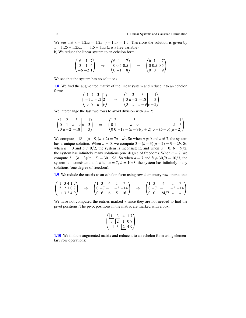We see that  $x + 1.25z = 1.25$ ,  $y + 1.5z = 1.5$ . Therefore the solution is given by *x* = 1.25−1.25*z*, *y* = 1.5−1.5*z* (*z* is a free variable). b) We reduce the linear system to an echelon form:

$$
\begin{pmatrix} 6 & 1 & |7 \\ 3 & 1 & |4 \\ -6 & -2 & |1 \end{pmatrix} \Rightarrow \begin{pmatrix} 6 & 1 & |7 \\ 0 & 0.5 & | & 0.5 \\ 0 & -1 & | & 8 \end{pmatrix} \Rightarrow \begin{pmatrix} 6 & 1 & |7 \\ 0 & 0.5 & | & 0.5 \\ 0 & 0 & | & 9 \end{pmatrix}
$$

We see that the system has no solutions.

[1.8](#page-8-5) We find the augmented matrix of the linear system and reduce it to an echelon form:  $\overline{ }$ 

$$
\begin{pmatrix} 1 & 2 & 3 & |1 \\ -1 & a & -21 & |2 \\ 3 & 7 & a & |b \end{pmatrix} \Rightarrow \begin{pmatrix} 1 & 2 & 3 & | & 1 \\ 0 & a+2 & -18 & | & 3 \\ 0 & 1 & a-9 & |b-3 \end{pmatrix}
$$

We interchange the last two rows to avoid division with  $a + 2$ :

$$
\begin{pmatrix} 1 & 2 & 3 \ 0 & 1 & a-9 \ 0 & a+2 & -18 \end{pmatrix} \Rightarrow \begin{pmatrix} 1 & 2 & 3 \ 0 & 1 & a-9 \ 0 & 0 & -18 - (a-9)(a+2) \end{pmatrix} \begin{pmatrix} 1 \\ 3 - (b-3)(a+2) \end{pmatrix}
$$

We compute  $-18-(a-9)(a+2)=7a-a^2$ . So when  $a \neq 0$  and  $a \neq 7$ , the system has a unique solution. When  $a = 0$ , we compute  $3 - (b - 3)(a + 2) = 9 - 2b$ . So when  $a = 0$  and  $b \neq 9/2$ , the system is inconsistent, and when  $a = 0$ ,  $b = 9/2$ , the system has infinitely many solutions (one degree of freedom). When  $a = 7$ , we compute  $3 - (b - 3)(a + 2) = 30 - 9b$ . So when  $a = 7$  and  $b \neq 30/9 = 10/3$ , the system is inconsistent, and when  $a = 7$ ,  $b = 10/3$ , the system has infinitely many solutions (one degree of freedom).

[1.9](#page-8-6) We redude the matrix to an echelon form using row elementary row operations:

$$
\begin{pmatrix} 1 & 3 & 4 & 1 & 7 \ 3 & 2 & 1 & 0 & 7 \ -1 & 3 & 2 & 4 & 9 \end{pmatrix} \Rightarrow \begin{pmatrix} 1 & 3 & 4 & 1 & 7 \ 0 & -7 & -11 & -3 & -14 \ 0 & 6 & 6 & 5 & 16 \end{pmatrix} \Rightarrow \begin{pmatrix} 1 & 3 & 4 & 1 & 7 \ 0 & -7 & -11 & -3 & -14 \ 0 & 0 & -24/7 & * & * \end{pmatrix}
$$

We have not computed the entries marked ∗ since they are not needed to find the pivot positions. The pivot positions in the matrix are marked with a box:

$$
\begin{pmatrix}\n1 & 3 & 4 & 1 & 7 \\
3 & 2 & 1 & 0 & 7 \\
-1 & 3 & 2 & 4 & 9\n\end{pmatrix}
$$

[1.10](#page-8-7) We find the augmented matrix and reduce it to an echelon form using elementary row operations: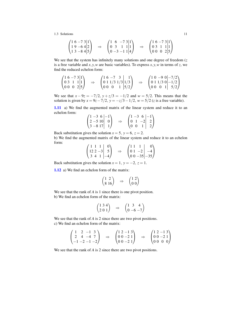$$
\begin{pmatrix} 1 & 6 & -7 & 3 & | & 1 \ 1 & 9 & -6 & 4 & | & 2 \ 1 & 3 & -8 & 4 & | & 5 \end{pmatrix} \Rightarrow \begin{pmatrix} 1 & 6 & -7 & 3 & | & 1 \ 0 & 3 & 1 & 1 & | & 1 \ 0 & -3 & -1 & 1 & | & 4 \end{pmatrix} \Rightarrow \begin{pmatrix} 1 & 6 & -7 & 3 & | & 1 \ 0 & 3 & 1 & 1 & | & 1 \ 0 & 0 & 0 & 2 & | & 5 \end{pmatrix}
$$

We see that the system has infinitely many solutions and one degree of freedom (*z* is a free variable and  $x$ ,  $y$ ,  $w$  are basic variables). To express  $x$ ,  $y$ ,  $w$  in terms of  $z$ , we find the reduced echelon form:

$$
\begin{pmatrix} 1 & 6 & -7 & 3 & | & 1 \ 0 & 3 & 1 & 1 & | & 1 \ 0 & 0 & 0 & 2 & | & 5 \end{pmatrix} \Rightarrow \begin{pmatrix} 1 & 6 & -7 & 3 & | & 1 \ 0 & 1 & 1/3 & 1/3 & | & 1/3 \ 0 & 0 & 0 & 1 & | & 5/2 \end{pmatrix} \Rightarrow \begin{pmatrix} 1 & 0 & -9 & 0 & | & -7/2 \ 0 & 1 & 1/3 & 0 & | & -1/2 \ 0 & 0 & 0 & 1 & | & 5/2 \end{pmatrix}
$$

We see that  $x - 9z = -7/2$ ,  $y + z/3 = -1/2$  and  $w = 5/2$ . This means that the solution is given by  $x = 9z - 7/2$ ,  $y = -z/3 - 1/2$ ,  $w = 5/2$  (*z* is a free variable).

[1.11](#page-9-0) a) We find the augmented matrix of the linear system and reduce it to an echelon form:  $\mathcal{L}$ 

$$
\begin{pmatrix} 1 & -3 & 6 & | & -1 \\ 2 & -5 & 10 & | & 0 \\ 3 & -8 & 17 & | & 1 \end{pmatrix} \Rightarrow \begin{pmatrix} 1 & -3 & 6 & | & -1 \\ 0 & 1 & -2 & | & 2 \\ 0 & 0 & 1 & | & 2 \end{pmatrix}
$$

Back substitution gives the solution  $x = 5$ ,  $y = 6$ ,  $z = 2$ .

b) We find the augmented matrix of the linear system and reduce it to an echelon form:  $\overline{1}$  $\sqrt{4}$ 

$$
\begin{pmatrix} 1 & 1 & 1 & 0 \ 12 & 2 & -3 & 5 \ 3 & 4 & 1 & -4 \end{pmatrix} \Rightarrow \begin{pmatrix} 1 & 1 & 1 & 0 \ 0 & 1 & -2 & -4 \ 0 & 0 & -35 & -35 \end{pmatrix}
$$

Back substitution gives the solution  $x = 1$ ,  $y = -2$ ,  $z = 1$ .

[1.12](#page-9-1) a) We find an echelon form of the matrix:

$$
\begin{pmatrix}\n1 & 2 \\
8 & 16\n\end{pmatrix}\n\quad \Rightarrow \quad\n\begin{pmatrix}\n1 & 2 \\
0 & 0\n\end{pmatrix}
$$

We see that the rank of *A* is 1 since there is one pivot position. b) We find an echelon form of the matrix:

$$
\begin{pmatrix}\n1 & 3 & 4 \\
2 & 0 & 1\n\end{pmatrix}\n\quad \Rightarrow \quad\n\begin{pmatrix}\n1 & 3 & 4 \\
0 & -6 & -7\n\end{pmatrix}
$$

We see that the rank of *A* is 2 since there are two pivot positions. c) We find an echelon form of the matrix:

$$
\begin{pmatrix} 1 & 2 & -1 & 3 \ 2 & 4 & -4 & 7 \ -1 & -2 & -1 & -2 \end{pmatrix} \Rightarrow \begin{pmatrix} 1 & 2 & -1 & 3 \ 0 & 0 & -2 & 1 \ 0 & 0 & -2 & 1 \end{pmatrix} \Rightarrow \begin{pmatrix} 1 & 2 & -1 & 3 \ 0 & 0 & -2 & 1 \ 0 & 0 & 0 & 0 \end{pmatrix}
$$

We see that the rank of *A* is 2 since there are two pivot positions.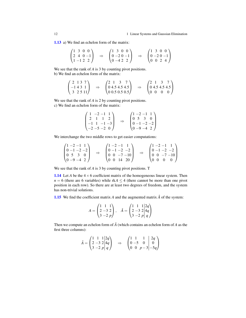[1.13](#page-9-2) a) We find an echelon form of the matrix:

$$
\begin{pmatrix} 1 & 3 & 0 & 0 \\ 2 & 4 & 0 & -1 \\ 1 & -1 & 2 & 2 \end{pmatrix} \Rightarrow \begin{pmatrix} 1 & 3 & 0 & 0 \\ 0 & -2 & 0 & -1 \\ 0 & -4 & 2 & 2 \end{pmatrix} \Rightarrow \begin{pmatrix} 1 & 3 & 0 & 0 \\ 0 & -2 & 0 & -1 \\ 0 & 0 & 2 & 4 \end{pmatrix}
$$

We see that the rank of *A* is 3 by counting pivot positions. b) We find an echelon form of the matrix:

$$
\begin{pmatrix}\n2 & 1 & 3 & 7 \\
-1 & 4 & 3 & 1 \\
3 & 2 & 5 & 11\n\end{pmatrix}\n\quad \Rightarrow\n\quad\n\begin{pmatrix}\n2 & 1 & 3 & 7 \\
0 & 4.5 & 4.5 & 4.5 \\
0 & 0.5 & 0.5 & 0.5\n\end{pmatrix}\n\quad \Rightarrow\n\quad\n\begin{pmatrix}\n2 & 1 & 3 & 7 \\
0 & 4.5 & 4.5 & 4.5 \\
0 & 0 & 0 & 0\n\end{pmatrix}
$$

We see that the rank of *A* is 2 by counting pivot positions. c) We find an echelon form of the matrix:

$$
\begin{pmatrix} 1 & -2 & -1 & 1 \\ 2 & 1 & 1 & 2 \\ -1 & 1 & -1 & -3 \\ -2 & -5 & -2 & 0 \end{pmatrix} \Rightarrow \begin{pmatrix} 1 & -2 & -1 & 1 \\ 0 & 5 & 3 & 0 \\ 0 & -1 & -2 & -2 \\ 0 & -9 & -4 & 2 \end{pmatrix}
$$

We interchange the two middle rows to get easier computations:

$$
\begin{pmatrix} 1 & -2 & -1 & 1 \\ 0 & -1 & -2 & -2 \\ 0 & 5 & 3 & 0 \\ 0 & -9 & -4 & 2 \end{pmatrix} \Rightarrow \begin{pmatrix} 1 & -2 & -1 & 1 \\ 0 & -1 & -2 & -2 \\ 0 & 0 & -7 & -10 \\ 0 & 0 & 14 & 20 \end{pmatrix} \Rightarrow \begin{pmatrix} 1 & -2 & -1 & 1 \\ 0 & -1 & -2 & -2 \\ 0 & 0 & -7 & -10 \\ 0 & 0 & 0 & 0 \end{pmatrix}
$$

We see that the rank of *A* is 3 by counting pivot positions. T

[1.14](#page-9-3) Let *A* be the  $4 \times 6$  coefficient matrix of the homogeneous linear system. Then *n* = 6 (there are 6 variables) while  $rkA \leq 4$  (there cannot be more than one pivot position in each row). So there are at least two degrees of freedom, and the system has non-trivial solutions.

[1.15](#page-9-4) We find the coefficient matrix  $A$  and the augmented matrix  $\hat{A}$  of the system:

$$
A = \begin{pmatrix} 1 & 1 & 1 \\ 2 & -3 & 2 \\ 3 & -2 & p \end{pmatrix}, \quad \hat{A} = \begin{pmatrix} 1 & 1 & 1 \\ 2 & -3 & 2 \\ 3 & -2 & p \end{pmatrix} \begin{pmatrix} 2q \\ 4q \\ q \end{pmatrix}
$$

Then we compute an echelon form of *A*ˆ (which contains an echelon form of *A* as the first three columns):

$$
\hat{A} = \begin{pmatrix} 1 & 1 & 1 & 2q \\ 2 & -3 & 2 & 4q \\ 3 & -2 & p & q \end{pmatrix} \Rightarrow \begin{pmatrix} 1 & 1 & 1 & 2q \\ 0 & -5 & 0 & 0 \\ 0 & 0 & p-3 & -5q \end{pmatrix}
$$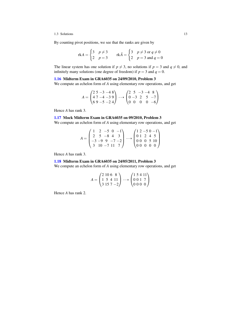By counting pivot positions, we see that the ranks are given by

$$
rkA = \begin{cases} 3 & p \neq 3 \\ 2 & p = 3 \end{cases} \qquad rk\hat{A} = \begin{cases} 3 & p \neq 3 \text{ or } q \neq 0 \\ 2 & p = 3 \text{ and } q = 0 \end{cases}
$$

The linear system has one solution if  $p \neq 3$ , no solutions if  $p = 3$  and  $q \neq 0$ , and infinitely many solutions (one degree of freedom) if  $p = 3$  and  $q = 0$ .

### [1.16](#page-9-5) Midterm Exam in GRA6035 on 24/09/2010, Problem 3

We compute an echelon form of *A* using elementary row operations, and get

$$
A = \begin{pmatrix} 2 & 5 & -3 & -4 & 8 \\ 4 & 7 & -4 & -3 & 9 \\ 6 & 9 & -5 & -2 & 4 \end{pmatrix} \longrightarrow \begin{pmatrix} 2 & 5 & -3 & -4 & 8 \\ 0 & -3 & 2 & 5 & -7 \\ 0 & 0 & 0 & 0 & -6 \end{pmatrix}
$$

Hence *A* has rank 3.

#### [1.17](#page-9-6) Mock Midterm Exam in GRA6035 on 09/2010, Problem 3

We compute an echelon form of *A* using elementary row operations, and get

$$
A = \begin{pmatrix} 1 & 2 & -5 & 0 & -1 \\ 2 & 5 & -8 & 4 & 3 \\ -3 & -9 & 9 & -7 & -2 \\ 3 & 10 & -7 & 11 & 7 \end{pmatrix} \dashrightarrow \begin{pmatrix} 1 & 2 & -5 & 0 & -1 \\ 0 & 1 & 2 & 4 & 5 \\ 0 & 0 & 0 & 5 & 10 \\ 0 & 0 & 0 & 0 & 0 \end{pmatrix}
$$

Hence *A* has rank 3.

#### [1.18](#page-10-1) Midterm Exam in GRA6035 on 24/05/2011, Problem 3

We compute an echelon form of *A* using elementary row operations, and get

$$
A = \begin{pmatrix} 2 & 10 & 6 & 8 \\ 1 & 5 & 4 & 11 \\ 3 & 15 & 7 & -2 \end{pmatrix} \longrightarrow \begin{pmatrix} 1 & 5 & 4 & 11 \\ 0 & 0 & 1 & 7 \\ 0 & 0 & 0 & 0 \end{pmatrix}
$$

Hence *A* has rank 2.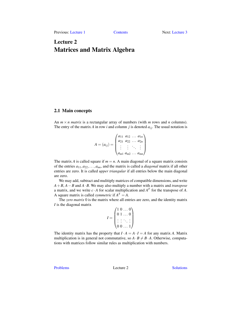Previous: [Lecture 1](#page-6-0) [Contents](#page-2-0) Next: [Lecture 3](#page-34-0)

# <span id="page-18-0"></span>Lecture 2 Matrices and Matrix Algebra

### <span id="page-18-1"></span>2.1 Main concepts

An  $m \times n$  *matrix* is a rectangular array of numbers (with *m* rows and *n* columns). The entry of the matrix A in row *i* and column *j* is denoted  $a_{ij}$ . The usual notation is

$$
A = (a_{ij}) = \begin{pmatrix} a_{11} & a_{12} & \dots & a_{1n} \\ a_{21} & a_{22} & \dots & a_{2n} \\ \vdots & \vdots & \ddots & \vdots \\ a_{m1} & a_{m2} & \dots & a_{mn} \end{pmatrix}
$$

The matrix *A* is called square if  $m = n$ . A main diagonal of a square matrix consists of the entries *a*11,*a*22,...,*ann*, and the matrix is called a *diagonal* matrix if all other entries are zero. It is called *upper triangular* if all entries below the main diagonal are zero.

We may add, subtract and mulitiply matrices of compatible dimensions, and write *A*+*B*, *A*−*B* and *A*·*B*. We may also multiply a number with a matrix and *transpose* a matrix, and we write  $c \cdot A$  for scalar multiplication and  $A<sup>T</sup>$  for the transpose of A. A square matrix is called *symmetric* if  $A<sup>T</sup> = A$ .

The *zero matrix* 0 is the matrix where all entries are zero, and the identity matrix *I* is the diagonal matrix

$$
I = \begin{pmatrix} 1 & 0 & \dots & 0 \\ 0 & 1 & \dots & 0 \\ \vdots & \vdots & \ddots & \vdots \\ 0 & 0 & \dots & 1 \end{pmatrix}
$$

The identity matrix has the property that  $I \cdot A = A \cdot I = A$  for any matrix *A*. Matrix multiplication is in general not commutative, so  $A \cdot B \neq B \cdot A$ . Otherwise, computations with matrices follow similar rules as multiplication with numbers.

[Problems](#page-19-0) Lecture 2 [Solutions](#page-25-0)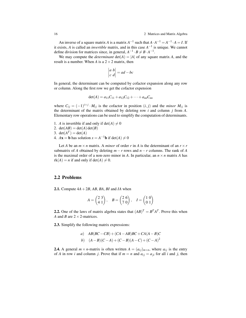An inverse of a square matrix *A* is a matrix  $A^{-1}$  such that  $A \cdot A^{-1} = A^{-1} \cdot A = I$ . If it exists, *A* is called an *invertible* matrix, and in this case *A* −1 is unique. We cannot define division for matrices since, in general,  $A^{-1} \cdot B \neq B \cdot A^{-1}$ .

We may compute the *determinant*  $det(A) = |A|$  of any square matrix *A*, and the result is a number. When *A* is a  $2 \times 2$  matrix, then

$$
\begin{vmatrix} a & b \\ c & d \end{vmatrix} = ad - bc
$$

In general, the determinant can be computed by cofactor expansion along any row or column. Along the first row we get the cofactor expension

$$
\det(A) = a_{11}C_{11} + a_{12}C_{12} + \cdots + a_{nn}C_{nn}
$$

where  $C_{ij} = (-1)^{i+j} \cdot M_{ij}$  is the cofactor in position  $(i, j)$  and the *minor*  $M_{ij}$  is the determinant of the matrix obtained by deleting row *i* and column *j* from *A*. Elementary row operations can be used to simplify the computation of determinants.

- 1. *A* is invertible if and only if  $det(A) \neq 0$
- 2. det(*AB*) = det(*A*) det(*B*)
- 3.  $det(A^T) = det(A)$
- 4.  $A\mathbf{x} = \mathbf{b}$  has solution  $x = A^{-1}\mathbf{b}$  if det(*A*)  $\neq 0$

Let *A* be an  $m \times n$  matrix. A *minor* of order *r* in *A* is the determinant of an  $r \times r$ submatrix of *A* obtained by deleting  $m - r$  rows and  $n - r$  columns. The rank of *A* is the maximal order of a non-zero minor in A. In particular, an  $n \times n$  matrix A has  $rk(A) = n$  if and only if  $det(A) \neq 0$ .

# <span id="page-19-0"></span>2.2 Problems

<span id="page-19-1"></span>**2.1.** Compute  $4A + 2B$ ,  $AB$ ,  $BA$ ,  $BI$  and  $IA$  when

$$
A = \begin{pmatrix} 2 & 3 \\ 4 & 1 \end{pmatrix}, \quad B = \begin{pmatrix} 2 & 6 \\ 7 & 0 \end{pmatrix}, \quad I = \begin{pmatrix} 1 & 0 \\ 0 & 1 \end{pmatrix}
$$

<span id="page-19-2"></span>**2.2.** One of the laws of matrix algebra states that  $(AB)^{T} = B^{T}A^{T}$ . Prove this when *A* and *B* are  $2 \times 2$ -matrices.

<span id="page-19-3"></span>2.3. Simplify the following matrix expressions:

a) 
$$
AB(BC - CB) + (CA - AB)BC + CA(A - B)C
$$
  
b)  $(A - B)(C - A) + (C - B)(A - C) + (C - A)^2$ 

<span id="page-19-4"></span>**2.4.** A general  $m \times n$ -matrix is often written  $A = (a_{ij})_{m \times n}$ , where  $a_{ij}$  is the entry of *A* in row *i* and column *j*. Prove that if  $m = n$  and  $a_{ij} = a_{ji}$  for all *i* and *j*, then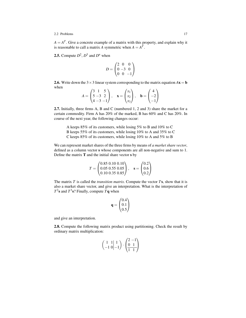#### 2.2 Problems 17

 $A = A<sup>T</sup>$ . Give a concrete example of a matrix with this property, and explain why it is reasonable to call a matrix *A* symmetric when  $A = A<sup>T</sup>$ .

<span id="page-20-0"></span>**2.5.** Compute  $D^2$ ,  $D^3$  and  $D^n$  when

$$
D = \begin{pmatrix} 2 & 0 & 0 \\ 0 & -3 & 0 \\ 0 & 0 & -1 \end{pmatrix}
$$

<span id="page-20-1"></span>**2.6.** Write down the  $3 \times 3$  linear system corresponding to the matrix equation  $A\mathbf{x} = \mathbf{b}$ when  $\sqrt{2}$  $\sim$   $\sim$ 

$$
A = \begin{pmatrix} 3 & 1 & 5 \\ 5 & -3 & 2 \\ 4 & -3 & -1 \end{pmatrix}, \quad \mathbf{x} = \begin{pmatrix} x_1 \\ x_2 \\ x_3 \end{pmatrix}, \quad \mathbf{b} = \begin{pmatrix} 4 \\ -2 \\ -1 \end{pmatrix}
$$

<span id="page-20-2"></span>2.7. Initially, three firms A, B and C (numbered 1, 2 and 3) share the market for a certain commodity. Firm A has 20% of the marked, B has 60% and C has 20%. In course of the next year, the following changes occur:

A keeps 85% of its customers, while losing 5% to B and 10% to C B keeps 55% of its customers, while losing 10% to A and 35% to C C keeps 85% of its customers, while losing 10% to A and 5% to B

We can represent market shares of the three firms by means of *a market share vector*, defined as a column vector s whose components are all non-negative and sum to 1. Define the matrix  **and the initial share vector**  $**s**$  **by** 

$$
T = \begin{pmatrix} 0.85 & 0.10 & 0.10 \\ 0.05 & 0.55 & 0.05 \\ 0.10 & 0.35 & 0.85 \end{pmatrix}, \quad \mathbf{s} = \begin{pmatrix} 0.2 \\ 0.6 \\ 0.2 \end{pmatrix}
$$

The matrix *T* is called the *transition matrix*. Compute the vector *T*s, show that it is also a market share vector, and give an interpretation. What is the interpretation of  $T^2$ **s** and  $T^3$ **s**? Finally, compute  $T\mathbf{q}$  when

$$
\mathbf{q} = \begin{pmatrix} 0.4 \\ 0.1 \\ 0.5 \end{pmatrix}
$$

and give an interpretation.

<span id="page-20-4"></span><span id="page-20-3"></span>2.8. Compute the following matrix product using partitioning. Check the result by ordinary matrix multiplication:

$$
\begin{pmatrix} 1 & 1 & 1 \ -1 & 0 & -1 \end{pmatrix} \cdot \begin{pmatrix} 2 & -1 \ 0 & 1 \ 1 & 1 \end{pmatrix}
$$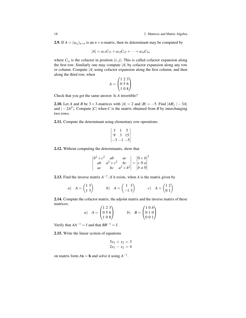2.9. If  $A = (a_{ij})_{n \times n}$  is an  $n \times n$ -matrix, then its determinant may be computed by

$$
|A| = a_{11}C_{11} + a_{12}C_{12} + \cdots + a_{1n}C_{1n}
$$

where  $C_{ij}$  is the cofactor in position  $(i, j)$ . This is called cofactor expansion along the first row. Similarly one may compute |*A*| by cofactor expansion along any row or column. Compute |*A*| using cofactor expansion along the first column, and then along the third row, when

$$
A = \begin{pmatrix} 1 & 2 & 3 \\ 0 & 5 & 6 \\ 1 & 0 & 8 \end{pmatrix}
$$

Check that you get the same answer. Is *A* invertible?

<span id="page-21-0"></span>**2.10.** Let *A* and *B* be  $3 \times 3$ -matrices with  $|A| = 2$  and  $|B| = -5$ . Find  $|AB|, |-3A|$ and  $|-2A^T|$ . Compute  $|C|$  when *C* is the matrix obtained from *B* by interchanging two rows.

<span id="page-21-1"></span>2.11. Compute the determinant using elementary row operations:

$$
\begin{vmatrix} 3 & 1 & 5 \\ 9 & 3 & 15 \\ -3 & -1 & -5 \end{vmatrix}
$$

<span id="page-21-2"></span>2.12. Without computing the determinants, show that

$$
\begin{vmatrix} b^2 + c^2 & ab & ac \ ab & ac \ ba^2 + c^2 & bc \ ac & bc & a^2 + b^2 \end{vmatrix} = \begin{vmatrix} 0 & c & b \ c & 0 & a \ b & a & 0 \end{vmatrix}
$$

<span id="page-21-3"></span>**2.13.** Find the inverse matrix  $A^{-1}$ , if it exists, when *A* is the matrix given by

a) 
$$
A = \begin{pmatrix} 1 & 3 \\ 1 & 3 \end{pmatrix}
$$
 b)  $A = \begin{pmatrix} 1 & 3 \\ -1 & 3 \end{pmatrix}$  c)  $A = \begin{pmatrix} 1 & 2 \\ 0 & 1 \end{pmatrix}$ 

<span id="page-21-4"></span>2.14. Compute the cofactor matrix, the adjoint matrix and the inverse matrix of these matrices:

a) 
$$
A = \begin{pmatrix} 1 & 2 & 3 \\ 0 & 5 & 6 \\ 1 & 0 & 8 \end{pmatrix}
$$
 b)  $B = \begin{pmatrix} 1 & 0 & b \\ 0 & 1 & 0 \\ 0 & 0 & 1 \end{pmatrix}$ 

Verify that  $AA^{-1} = I$  and that  $BB^{-1} = I$ .

<span id="page-21-5"></span>2.15. Write the linear system of equations

$$
5x_1 + x_2 = 3
$$
  

$$
2x_1 - x_2 = 4
$$

<span id="page-21-6"></span>on matrix form  $A$ **x** = **b** and solve it using  $A^{-1}$ .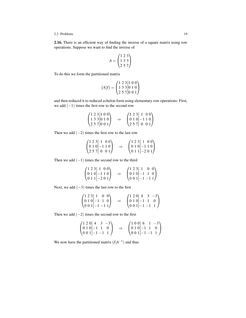#### 2.2 Problems 19

2.16. There is an efficient way of finding the inverse of a square matrix using row operations. Suppose we want to find the inverse of

$$
A = \begin{pmatrix} 1 & 2 & 3 \\ 1 & 3 & 3 \\ 2 & 5 & 7 \end{pmatrix}
$$

To do this we form the partitioned matrix

$$
(A|I) = \begin{pmatrix} 1 & 2 & 3 & | & 1 & 0 & 0 \\ 1 & 3 & 3 & | & 0 & 1 & 0 \\ 2 & 5 & 7 & | & 0 & 0 & 1 \end{pmatrix}
$$

and then reduced it to reduced echelon form using elementary row operations: First, we add  $(-1)$  times the first row to the second row

$$
\begin{pmatrix} 1 & 2 & 3 & | & 1 & 0 & 0 \\ 1 & 3 & 3 & | & 0 & 1 & 0 \\ 2 & 5 & 7 & | & 0 & 0 & 1 \end{pmatrix} \Rightarrow \begin{pmatrix} 1 & 2 & 3 & | & 1 & 0 & 0 \\ 0 & 1 & 0 & | & -1 & 1 & 0 \\ 2 & 5 & 7 & | & 0 & 0 & 1 \end{pmatrix}
$$

Then we add  $(-2)$  times the first row to the last row

| $(1\ 2\ 3\ 1\ 0\ 0)$                                    |               | $\begin{pmatrix} 1 & 2 & 3 & 1 & 0 & 0 \end{pmatrix}$  |
|---------------------------------------------------------|---------------|--------------------------------------------------------|
| $\begin{bmatrix} 0 & 1 & 0 \\ -1 & 1 & 0 \end{bmatrix}$ | $\Rightarrow$ | $\vert 010 \vert -110 \vert$                           |
| $\begin{bmatrix} 257 & 0 & 0 & 1 \end{bmatrix}$         |               | $\begin{pmatrix} 0 & 1 & 1 & -2 & 0 & 1 \end{pmatrix}$ |

Then we add  $(-1)$  times the second row to the third

$$
\begin{pmatrix} 1 & 2 & 3 & | & 1 & 0 & 0 \\ 0 & 1 & 0 & | & -1 & 1 & 0 \\ 0 & 1 & 1 & | & -2 & 0 & 1 \end{pmatrix} \Rightarrow \begin{pmatrix} 1 & 2 & 3 & | & 1 & 0 & 0 \\ 0 & 1 & 0 & | & -1 & 1 & 0 \\ 0 & 0 & 1 & | & -1 & -1 & 1 \end{pmatrix}
$$

Next, we add  $(-3)$  times the last row to the first

$$
\begin{pmatrix} 1 & 2 & 3 & | & 1 & 0 & 0 \\ 0 & 1 & 0 & | & -1 & 1 & 0 \\ 0 & 0 & 1 & | & -1 & -1 & 1 \end{pmatrix} \Rightarrow \begin{pmatrix} 1 & 2 & 0 & | & 4 & 3 & -3 \\ 0 & 1 & 0 & | & -1 & 1 & 0 \\ 0 & 0 & 1 & | & -1 & -1 & 1 \end{pmatrix}
$$

Then we add  $(-2)$  times the second row to the first

$$
\begin{pmatrix} 1 & 2 & 0 & | & 4 & 3 & -3 \ 0 & 1 & 0 & | & -1 & 1 & 0 \ 0 & 0 & 1 & | & -1 & -1 & 1 \ \end{pmatrix} \Rightarrow \begin{pmatrix} 1 & 0 & 0 & | & 6 & 1 & -3 \ 0 & 1 & 0 & | & -1 & 1 & 0 \ 0 & 0 & 1 & | & -1 & -1 & 1 \ \end{pmatrix}
$$

We now have the partitioned matrix  $(I|A^{-1})$  and thus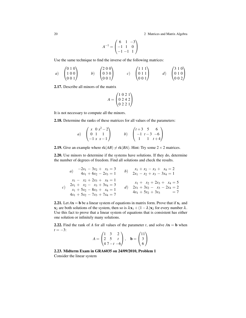20 2 Matrices and Matrix Algebra

$$
A^{-1} = \begin{pmatrix} 6 & 1 & -3 \\ -1 & 1 & 0 \\ -1 & -1 & 1 \end{pmatrix}
$$

Use the same technique to find the inverse of the following matrices:

a) 
$$
\begin{pmatrix} 0 & 1 & 0 \\ 1 & 0 & 0 \\ 0 & 0 & 1 \end{pmatrix}
$$
 b)  $\begin{pmatrix} 2 & 0 & 0 \\ 0 & 3 & 0 \\ 0 & 0 & 1 \end{pmatrix}$  c)  $\begin{pmatrix} 1 & 1 & 1 \\ 0 & 1 & 1 \\ 0 & 0 & 1 \end{pmatrix}$  d)  $\begin{pmatrix} 3 & 1 & 0 \\ 0 & 1 & 0 \\ 0 & 0 & 2 \end{pmatrix}$ 

<span id="page-23-0"></span>2.17. Describe all minors of the matrix

$$
A = \begin{pmatrix} 1 & 0 & 2 & 1 \\ 0 & 2 & 4 & 2 \\ 0 & 2 & 2 & 1 \end{pmatrix}
$$

It is not necessary to compute all the minors.

<span id="page-23-1"></span>2.18. Determine the ranks of these matrices for all values of the parameters:

| a) $\begin{pmatrix} x & 0 & x^2 - 2 \\ 0 & 1 & 1 \\ -1 & x & x - 1 \end{pmatrix}$ |  | b) $\begin{pmatrix} t+3 & 5 & 6 \\ -1 & t-3 & -6 \\ 1 & 1 & t+4 \end{pmatrix}$ |
|-----------------------------------------------------------------------------------|--|--------------------------------------------------------------------------------|

<span id="page-23-2"></span>**2.19.** Give an example where  $rk(AB) \neq rk(BA)$ . Hint: Try some 2 × 2 matrices.

<span id="page-23-3"></span>2.20. Use minors to determine if the systems have solutions. If they do, determine the number of degrees of freedom. Find all solutions and check the results.

a) 
$$
-2x_1 - 3x_2 + x_3 = 3
$$
  
\n $4x_1 + 6x_2 - 2x_3 = 1$   
\n $x_1 - x_2 + 2x_3 + x_4 = 1$   
\nc)  $2x_1 + x_2 - x_3 + 3x_4 = 3$   
\n $x_1 + 5x_2 - 8x_3 + x_4 = 1$   
\n $4x_1 + 5x_2 - 7x_3 + 7x_4 = 7$   
\n $4x_1 + 5x_2 - 7x_3 + 7x_4 = 7$   
\n $4x_1 + 5x_2 + 3x_3 = 7$ 

<span id="page-23-4"></span>2.21. Let  $Ax = b$  be a linear system of equations in matrix form. Prove that if  $x_1$  and  $x_2$  are both solutions of the system, then so is  $\lambda x_1 + (1 - \lambda)x_2$  for every number  $\lambda$ . Use this fact to prove that a linear system of equations that is consistent has either one solution or infinitely many solutions.

<span id="page-23-5"></span>2.22. Find the rank of *A* for all values of the parameter *t*, and solve  $A$ **x** = **b** when  $t = -3$ :

$$
A = \begin{pmatrix} 1 & 3 & 2 \\ 2 & 5 & t \\ 4 & 7 - t & -6 \end{pmatrix}, \quad \mathbf{b} = \begin{pmatrix} 11 \\ 3 \\ 6 \end{pmatrix}
$$

<span id="page-23-6"></span>2.23. Midterm Exam in GRA6035 on 24/09/2010, Problem 1 Consider the linear system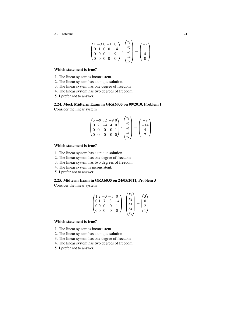2.2 Problems 21

$$
\begin{pmatrix} 1 & -3 & 0 & -1 & 0 \\ 0 & 1 & 0 & 0 & -4 \\ 0 & 0 & 0 & 1 & 9 \\ 0 & 0 & 0 & 0 & 0 \end{pmatrix} \cdot \begin{pmatrix} x_1 \\ x_2 \\ x_3 \\ x_4 \\ x_5 \end{pmatrix} = \begin{pmatrix} -2 \\ 1 \\ 4 \\ 0 \end{pmatrix}
$$

#### Which statement is true?

- 1. The linear system is inconsistent.
- 2. The linear system has a unique solution.
- 3. The linear system has one degree of freedom
- 4. The linear system has two degrees of freedom
- 5. I prefer not to answer.

<span id="page-24-0"></span>2.24. Mock Midterm Exam in GRA6035 on 09/2010, Problem 1 Consider the linear system

$$
\begin{pmatrix} 3 & -9 & 12 & -9 & 0 \ 0 & 2 & -4 & 4 & 0 \ 0 & 0 & 0 & 0 & 1 \ 0 & 0 & 0 & 0 & 0 \ \end{pmatrix} \cdot \begin{pmatrix} x_1 \ x_2 \ x_3 \ x_4 \ x_5 \end{pmatrix} = \begin{pmatrix} -9 \ -14 \ 4 \ 7 \end{pmatrix}
$$

### Which statement is true?

- 1. The linear system has a unique solution.
- 2. The linear system has one degree of freedom
- 3. The linear system has two degrees of freedom
- 4. The linear system is inconsistent.
- 5. I prefer not to answer.

### <span id="page-24-1"></span>2.25. Midterm Exam in GRA6035 on 24/05/2011, Problem 3 Consider the linear system

$$
\begin{pmatrix} 1 & 2 & -3 & -1 & 0 \\ 0 & 1 & 7 & 3 & -4 \\ 0 & 0 & 0 & 0 & 1 \\ 0 & 0 & 0 & 0 & 0 \end{pmatrix} \cdot \begin{pmatrix} x_1 \\ x_2 \\ x_3 \\ x_4 \\ x_5 \end{pmatrix} = \begin{pmatrix} 3 \\ 0 \\ 2 \\ 1 \end{pmatrix}
$$

#### Which statement is true?

- 1. The linear system is inconsistent
- 2. The linear system has a unique solution
- 3. The linear system has one degree of freedom
- 4. The linear system has two degrees of freedom
- 5. I prefer not to answer.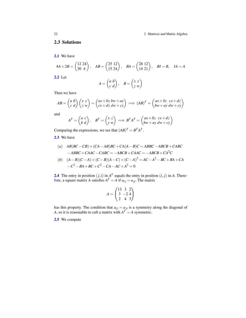[2.1](#page-19-1) We have

$$
4A + 2B = \begin{pmatrix} 12 & 24 \\ 30 & 4 \end{pmatrix}, \quad AB = \begin{pmatrix} 25 & 12 \\ 15 & 24 \end{pmatrix}, \quad BA = \begin{pmatrix} 28 & 12 \\ 14 & 21 \end{pmatrix}, \quad BI = B, \quad IA = A
$$
  
**2.2** Let  

$$
A = \begin{pmatrix} a & b \\ c & d \end{pmatrix}, \quad B = \begin{pmatrix} x & y \\ z & w \end{pmatrix}
$$

Then we have

$$
AB = \begin{pmatrix} a & b \\ c & d \end{pmatrix} \begin{pmatrix} x & y \\ z & w \end{pmatrix} = \begin{pmatrix} ax + bz & bw + ay \\ cx + dz & dw + cy \end{pmatrix} \implies (AB)^T = \begin{pmatrix} ax + bz & cx + dz \\ bw + ay & dw + cy \end{pmatrix}
$$

and

$$
AT = \begin{pmatrix} a & c \\ b & d \end{pmatrix}, \quad BT = \begin{pmatrix} x & z \\ y & w \end{pmatrix} \implies BT AT = \begin{pmatrix} ax + bz & cx + dz \\ bw + ay & dw + cy \end{pmatrix}
$$

Comparing the expressions, we see that  $(AB)^T = B^T A^T$ .

[2.3](#page-19-3) We have

(a) 
$$
AB(BC - CB) + (CA - AB)BC + CA(A - B)C = ABBC - ABCB + CABC
$$
  
- $ABBC + CAC - CABC = -ABCB + CAC = -ABCB + CA2C$ 

(b) 
$$
(A-B)(C-A)+(C-B)(A-C)+(C-A)^2 = AC - A^2 - BC + BA + CA
$$
  
\t $-C^2 - BA + BC + C^2 - CA - AC + A^2 = 0$ 

**[2.4](#page-19-4)** The entry in position  $(j, i)$  in  $A<sup>T</sup>$  equals the entry in position  $(i, j)$  in A. Therefore, a square matrix *A* satisfies  $A<sup>T</sup> = A$  if  $a_{ij} = a_{ji}$ . The matrix

$$
A = \begin{pmatrix} 13 & 3 & 2 \\ 3 & -2 & 4 \\ 2 & 4 & 3 \end{pmatrix}
$$

has this property. The condition that  $a_{ij} = a_{ji}$  is a symmetry along the diagonal of *A*, so it is reasonable to call a matrix with  $A^T = A$  symmetric.

[2.5](#page-20-0) We compute

<span id="page-25-0"></span>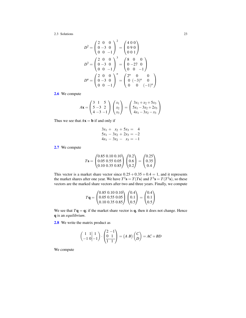$$
D^{2} = \begin{pmatrix} 2 & 0 & 0 \\ 0 & -3 & 0 \\ 0 & 0 & -1 \end{pmatrix}^{2} = \begin{pmatrix} 4 & 0 & 0 \\ 0 & 9 & 0 \\ 0 & 0 & 1 \end{pmatrix}
$$

$$
D^{3} = \begin{pmatrix} 2 & 0 & 0 \\ 0 & -3 & 0 \\ 0 & 0 & -1 \end{pmatrix}^{3} = \begin{pmatrix} 8 & 0 & 0 \\ 0 & -27 & 0 \\ 0 & 0 & -1 \end{pmatrix}
$$

$$
D^{n} = \begin{pmatrix} 2 & 0 & 0 \\ 0 & -3 & 0 \\ 0 & 0 & -1 \end{pmatrix}^{n} = \begin{pmatrix} 2^{n} & 0 & 0 \\ 0 & (-3)^{n} & 0 \\ 0 & 0 & (-1)^{n} \end{pmatrix}
$$

[2.6](#page-20-1) We compute

$$
A\mathbf{x} = \begin{pmatrix} 3 & 1 & 5 \\ 5 & -3 & 2 \\ 4 & -3 & -1 \end{pmatrix} \begin{pmatrix} x_1 \\ x_2 \\ x_3 \end{pmatrix} = \begin{pmatrix} 3x_1 + x_2 + 5x_3 \\ 5x_1 - 3x_2 + 2x_3 \\ 4x_1 - 3x_2 - x_3 \end{pmatrix}
$$

Thus we see that  $A\mathbf{x} = \mathbf{b}$  if and only if

$$
3x_1 + x_2 + 5x_3 = 4
$$
  
\n
$$
5x_1 - 3x_2 + 2x_3 = -2
$$
  
\n
$$
4x_1 - 3x_2 - x_3 = -1
$$

[2.7](#page-20-2) We compute

$$
T\mathbf{s} = \begin{pmatrix} 0.85 & 0.10 & 0.10 \\ 0.05 & 0.55 & 0.05 \\ 0.10 & 0.35 & 0.85 \end{pmatrix} \begin{pmatrix} 0.2 \\ 0.6 \\ 0.2 \end{pmatrix} = \begin{pmatrix} 0.25 \\ 0.35 \\ 0.4 \end{pmatrix}
$$

This vector is a market share vector since  $0.25 + 0.35 + 0.4 = 1$ , and it represents the market shares after one year. We have  $T^2 s = T(Ts)$  and  $T^3 s = T(T^2s)$ , so these vectors are the marked share vectors after two and three years. Finally, we compute

$$
T\mathbf{q} = \begin{pmatrix} 0.85 & 0.10 & 0.10 \\ 0.05 & 0.55 & 0.05 \\ 0.10 & 0.35 & 0.85 \end{pmatrix} \begin{pmatrix} 0.4 \\ 0.1 \\ 0.5 \end{pmatrix} = \begin{pmatrix} 0.4 \\ 0.1 \\ 0.5 \end{pmatrix}
$$

We see that  $T\mathbf{q} = \mathbf{q}$ ; if the market share vector is  $\mathbf{q}$ , then it does not change. Hence q is an *equilibrium*.

[2.8](#page-20-3) We write the matrix product as

$$
\begin{pmatrix} 1 & 1 & 1 \ -1 & 0 & -1 \end{pmatrix} \cdot \begin{pmatrix} 2 & -1 \ 0 & 1 \ 1 & 1 \end{pmatrix} = (A \ B) \begin{pmatrix} C \\ D \end{pmatrix} = AC + BD
$$

We compute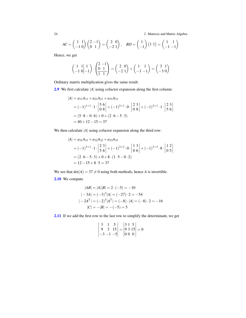24 2 Matrices and Matrix Algebra

$$
AC = \begin{pmatrix} 1 & 1 \\ -1 & 0 \end{pmatrix} \begin{pmatrix} 2 & -1 \\ 0 & 1 \end{pmatrix} = \begin{pmatrix} 2 & 0 \\ -2 & 1 \end{pmatrix}, \quad BD = \begin{pmatrix} 1 \\ -1 \end{pmatrix} \begin{pmatrix} 1 & 1 \end{pmatrix} = \begin{pmatrix} 1 & 1 \\ -1 & -1 \end{pmatrix}
$$

Hence, we get

$$
\begin{pmatrix} 1 & 1 & 1 \ -1 & 0 & -1 \end{pmatrix} \cdot \begin{pmatrix} 2 & -1 \ 0 & 1 \ 1 & 1 \end{pmatrix} = \begin{pmatrix} 2 & 0 \ -2 & 1 \end{pmatrix} + \begin{pmatrix} 1 & 1 \ -1 & -1 \end{pmatrix} = \begin{pmatrix} 3 & 1 \ -3 & 0 \end{pmatrix}
$$

Ordinary matrix multiplication gives the same result.

[2.9](#page-20-4) We first calculate |*A*| using cofactor expansion along the first column:

$$
|A| = a_{11}A_{11} + a_{21}A_{21} + a_{31}A_{31}
$$
  
=  $(-1)^{1+1} \cdot 1 \cdot \begin{vmatrix} 5 & 6 \\ 0 & 8 \end{vmatrix} + (-1)^{2+1} \cdot 0 \cdot \begin{vmatrix} 2 & 3 \\ 0 & 8 \end{vmatrix} + (-1)^{3+1} \cdot 1 \cdot \begin{vmatrix} 2 & 3 \\ 5 & 6 \end{vmatrix}$   
=  $(5 \cdot 8 - 0 \cdot 6) + 0 + (2 \cdot 6 - 5 \cdot 3)$   
=  $40 + 12 - 15 = 37$ 

We then calculate  $|A|$  using cofactor expansion along the third row:

$$
|A| = a_{31}A_{31} + a_{32}A_{32} + a_{33}A_{33}
$$
  
=  $(-1)^{3+1} \cdot 1 \cdot \begin{vmatrix} 2 & 3 \\ 5 & 6 \end{vmatrix} + (-1)^{3+2} \cdot 0 \cdot \begin{vmatrix} 1 & 3 \\ 0 & 6 \end{vmatrix} + (-1)^{3+3} \cdot 8 \cdot \begin{vmatrix} 1 & 2 \\ 0 & 5 \end{vmatrix}$   
=  $(2 \cdot 6 - 5 \cdot 3) + 0 + 8 \cdot (1 \cdot 5 - 0 \cdot 2)$   
=  $12 - 15 + 8 \cdot 5 = 37$ 

We see that  $det(A) = 37 \neq 0$  using both methods, hence *A* is invertible.

[2.10](#page-21-0) We compute

$$
|AB| = |A||B| = 2 \cdot (-5) = -10
$$
  
\n
$$
|-3A| = (-3)^3 |A| = (-27) \cdot 2 = -54
$$
  
\n
$$
|-2A^T| = (-2)^3 |A^T| = (-8) \cdot |A| = (-8) \cdot 2 = -16
$$
  
\n
$$
|C| = -|B| = -(-5) = 5
$$

[2.11](#page-21-1) If we add the first row to the last row to simplify the determinant, we get

$$
\begin{vmatrix} 3 & 1 & 5 \ 9 & 3 & 15 \ -3 & -1 & -5 \ \end{vmatrix} = \begin{vmatrix} 3 & 1 & 5 \ 9 & 3 & 15 \ 0 & 0 & 0 \end{vmatrix} = 0
$$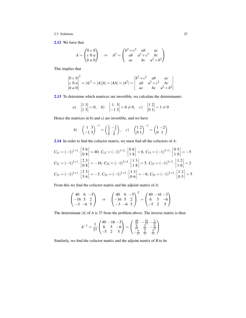[2.12](#page-21-2) We have that

$$
A = \begin{pmatrix} 0 & c & b \\ c & 0 & a \\ b & a & 0 \end{pmatrix} \Rightarrow A^2 = \begin{pmatrix} b^2 + c^2 & ab & ac \\ ab & a^2 + c^2 & bc \\ ac & bc & a^2 + b^2 \end{pmatrix}
$$

This implies that

$$
\begin{vmatrix} 0 & c & b \\ c & 0 & a \\ b & a & 0 \end{vmatrix}^2 = |A|^2 = |A||A| = |AA| = |A^2| = \begin{vmatrix} b^2 + c^2 & ab & ac \\ ab & a^2 + c^2 & bc \\ ac & bc & a^2 + b^2 \end{vmatrix}
$$

[2.13](#page-21-3) To determine which matrices are invertible, we calculate the determinants:

a) 
$$
\begin{vmatrix} 1 & 3 \\ 1 & 3 \end{vmatrix} = 0
$$
, b)  $\begin{vmatrix} 1 & 3 \\ -1 & 3 \end{vmatrix} = 6 \neq 0$ , c)  $\begin{vmatrix} 1 & 2 \\ 0 & 1 \end{vmatrix} = 1 \neq 0$ 

Hence the matrices in b) and c) are invertible, and we have

b) 
$$
\begin{pmatrix} 1 & 3 \\ -1 & 3 \end{pmatrix}^{-1} = \begin{pmatrix} \frac{1}{2} & -\frac{1}{2} \\ \frac{1}{6} & \frac{1}{6} \end{pmatrix}
$$
, c)  $\begin{pmatrix} 1 & 2 \\ 0 & 1 \end{pmatrix}^{-1} = \begin{pmatrix} 1 & -2 \\ 0 & 1 \end{pmatrix}$ 

[2.14](#page-21-4) In order to find the cofactor matrix, we must find all the cofactors of *A*:

$$
C_{11} = (-1)^{1+1} \cdot \begin{vmatrix} 5 & 6 \\ 0 & 8 \end{vmatrix} = 40, C_{12} = (-1)^{1+2} \cdot \begin{vmatrix} 0 & 6 \\ 1 & 8 \end{vmatrix} = 6, C_{13} = (-1)^{3+1} \cdot \begin{vmatrix} 0 & 5 \\ 1 & 0 \end{vmatrix} = -5
$$
  
\n
$$
C_{21} = (-1)^{2+1} \cdot \begin{vmatrix} 2 & 3 \\ 0 & 8 \end{vmatrix} = -16, C_{22} = (-1)^{2+2} \cdot \begin{vmatrix} 1 & 3 \\ 1 & 8 \end{vmatrix} = 5, C_{23} = (-1)^{2+3} \cdot \begin{vmatrix} 1 & 2 \\ 1 & 0 \end{vmatrix} = 2
$$
  
\n
$$
C_{31} = (-1)^{3+1} \cdot \begin{vmatrix} 2 & 3 \\ 5 & 6 \end{vmatrix} = -3, C_{32} = (-1)^{3+2} \cdot \begin{vmatrix} 1 & 3 \\ 0 & 6 \end{vmatrix} = -6, C_{33} = (-1)^{3+3} \cdot \begin{vmatrix} 1 & 2 \\ 0 & 5 \end{vmatrix} = 5
$$

From this we find the cofactor matrix and the adjoint matrix of *A*:

$$
\begin{pmatrix} 40 & 6 & -5 \ -16 & 5 & 2 \ -3 & -6 & 5 \end{pmatrix} \Rightarrow \begin{pmatrix} 40 & 6 & -5 \ -16 & 5 & 2 \ -3 & -6 & 5 \end{pmatrix}^T = \begin{pmatrix} 40 & -16 & -3 \ 6 & 5 & -6 \ -5 & 2 & 5 \end{pmatrix}
$$

The determinant |*A*| of *A* is 37 from the problem above. The inverse matrix is then

$$
A^{-1} = \frac{1}{37} \begin{pmatrix} 40 & -16 & -3 \\ 6 & 5 & -6 \\ -5 & 2 & 5 \end{pmatrix} = \begin{pmatrix} \frac{40}{37} & -\frac{16}{37} & -\frac{3}{37} \\ \frac{6}{37} & \frac{5}{37} & -\frac{6}{37} \\ -\frac{5}{37} & \frac{2}{37} & \frac{5}{37} \end{pmatrix}
$$

Similarly, we find the cofactor matrix and the adjoint matrix of *B* to be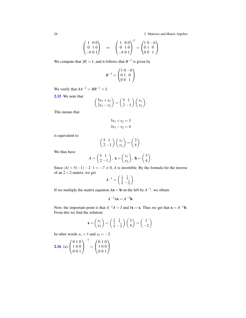26 2 Matrices and Matrix Algebra

$$
\begin{pmatrix} 1 & 0 & 0 \ 0 & 1 & 0 \ -b & 0 & 1 \end{pmatrix} \Rightarrow \begin{pmatrix} 1 & 0 & 0 \ 0 & 1 & 0 \ -b & 0 & 1 \end{pmatrix}^T = \begin{pmatrix} 1 & 0 & -b \ 0 & 1 & 0 \ 0 & 0 & 1 \end{pmatrix}
$$

We compute that  $|B| = 1$ , and it follows that  $B^{-1}$  is given by

$$
B^{-1} = \begin{pmatrix} 1 & 0 & -b \\ 0 & 1 & 0 \\ 0 & 0 & 1 \end{pmatrix}
$$

We verify that  $AA^{-1} = BB^{-1} = I$ .

[2.15](#page-21-5) We note that

$$
\begin{pmatrix} 5x_1 + x_2 \ 2x_1 - x_2 \end{pmatrix} = \begin{pmatrix} 5 & 1 \ 2 & -1 \end{pmatrix} \begin{pmatrix} x_1 \ x_2 \end{pmatrix}.
$$

This means that

$$
5x_1 + x_2 = 3
$$

$$
2x_1 - x_2 = 4
$$

is equivalent to

$$
\begin{pmatrix} 5 & 1 \ 2 & -1 \end{pmatrix} \begin{pmatrix} x_1 \ x_2 \end{pmatrix} = \begin{pmatrix} 3 \ 4 \end{pmatrix}.
$$

We thus have

$$
A = \begin{pmatrix} 5 & 1 \\ 2 & -1 \end{pmatrix}, \mathbf{x} = \begin{pmatrix} x_1 \\ x_2 \end{pmatrix}, \mathbf{b} = \begin{pmatrix} 3 \\ 4 \end{pmatrix}.
$$

Since  $|A| = 5(-1) - 2 \cdot 1 = -7 \neq 0$ , *A* is invertible. By the formula for the inverse of an  $2 \times 2$ -matrix, we get

$$
A^{-1} = \begin{pmatrix} \frac{1}{7} & \frac{1}{7} \\ \frac{2}{7} & -\frac{5}{7} \end{pmatrix}.
$$

If we multiply the matrix equation  $A\mathbf{x} = \mathbf{b}$  on the left by  $A^{-1}$ , we obtain

$$
A^{-1}A\mathbf{x} = A^{-1}\mathbf{b}.
$$

Now, the important point is that  $A^{-1}A = I$  and  $I\mathbf{x} = \mathbf{x}$ . Thus we get that  $\mathbf{x} = A^{-1}\mathbf{b}$ . From this we find the solution:

$$
\mathbf{x} = \begin{pmatrix} x_1 \\ x_2 \end{pmatrix} = \begin{pmatrix} \frac{1}{7} & \frac{1}{7} \\ \frac{2}{7} & -\frac{5}{7} \end{pmatrix} \begin{pmatrix} 3 \\ 4 \end{pmatrix} = \begin{pmatrix} 1 \\ -2 \end{pmatrix}.
$$

In other words  $x_1 = 1$  and  $x_2 = -2$ .

**2.16** (a) 
$$
\begin{pmatrix} 0 & 1 & 0 \\ 1 & 0 & 0 \\ 0 & 0 & 1 \end{pmatrix}^{-1} = \begin{pmatrix} 0 & 1 & 0 \\ 1 & 0 & 0 \\ 0 & 0 & 1 \end{pmatrix}
$$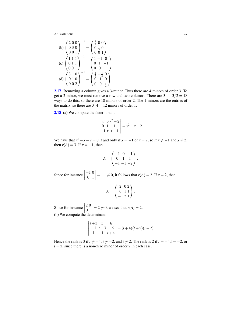(b) 
$$
\begin{pmatrix} 2 & 0 & 0 \\ 0 & 3 & 0 \\ 0 & 0 & 1 \end{pmatrix}^{-1} = \begin{pmatrix} \frac{1}{2} & 0 & 0 \\ 0 & \frac{1}{3} & 0 \\ 0 & 0 & 1 \end{pmatrix}
$$
  
\n(c)  $\begin{pmatrix} 1 & 1 & 1 \\ 0 & 1 & 1 \\ 0 & 0 & 1 \end{pmatrix}^{-1} = \begin{pmatrix} 1 & -1 & 0 \\ 0 & 1 & -1 \\ 0 & 0 & 1 \end{pmatrix}$   
\n(d)  $\begin{pmatrix} 3 & 1 & 0 \\ 0 & 1 & 0 \\ 0 & 0 & 2 \end{pmatrix}^{-1} = \begin{pmatrix} \frac{1}{3} & -\frac{1}{3} & 0 \\ 0 & 1 & 0 \\ 0 & 0 & \frac{1}{2} \end{pmatrix}$ 

−1

[2.17](#page-23-0) Removing a column gives a 3-minor. Thus there are 4 minors of order 3. To get a 2-minor, we must remove a row and two columns. There are  $3 \cdot 4 \cdot 3/2 = 18$ ways to do this, so there are 18 minors of order 2. The 1-minors are the entries of the matrix, so there are  $3 \cdot 4 = 12$  minors of order 1.

[2.18](#page-23-1) (a) We compute the determinant

$$
\begin{vmatrix} x & 0 & x^2 - 2 \\ 0 & 1 & 1 \\ -1 & x & x - 1 \end{vmatrix} = x^2 - x - 2.
$$

We have that  $x^2 - x - 2 = 0$  if and only if  $x = -1$  or  $x = 2$ , so if  $x \neq -1$  and  $x \neq 2$ , then  $r(A) = 3$ . If  $x = -1$ , then

$$
A = \begin{pmatrix} -1 & 0 & -1 \\ 0 & 1 & 1 \\ -1 & -1 & -2 \end{pmatrix}.
$$

Since for instance  $\Big|$ −1 0 0 1  $\left| = -1 \neq 0$ , it follows that *r*(*A*) = 2. If *x* = 2, then

$$
A = \begin{pmatrix} 2 & 0 & 2 \\ 0 & 1 & 1 \\ -1 & 2 & 1 \end{pmatrix}.
$$

Since for instance  $\left| \begin{array}{c} 0 \end{array} \right|$ 2 0 0 1  $= 2 \neq 0$ , we see that  $r(A) = 2$ . (b) We compute the determinant

$$
\begin{vmatrix} t+3 & 5 & 6 \ -1 & t-3 & -6 \ 1 & 1 & t+4 \ \end{vmatrix} = (t+4)(t+2)(t-2)
$$

Hence the rank is 3 if  $t \neq -4$ ,  $t \neq -2$ , and  $t \neq 2$ . The rank is 2 if  $t = -4$ ,  $t = -2$ , or  $t = 2$ , since there is a non-zero minor of order 2 in each case.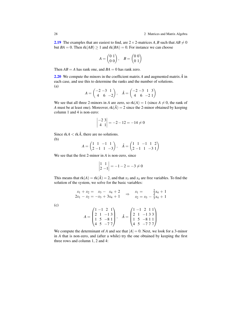**[2.19](#page-23-2)** The examples that are easiest to find, are  $2 \times 2$ -matrices *A*, *B* such that  $AB \neq 0$ but  $BA = 0$ . Then  $rk(AB) \geq 1$  and  $rk(BA) = 0$ . For instance we can choose

$$
A = \begin{pmatrix} 0 & 1 \\ 0 & 0 \end{pmatrix}, \quad B = \begin{pmatrix} 0 & 0 \\ 0 & 1 \end{pmatrix}
$$

Then  $AB = A$  has rank one, and  $BA = 0$  has rank zero.

[2.20](#page-23-3) We compute the minors in the coefficient matrix *A* and augmented matrix *A*ˆ in each case, and use this to determine the ranks and the number of solutions. (a)

$$
A = \begin{pmatrix} -2 & -3 & 1 \\ 4 & 6 & -2 \end{pmatrix}, \quad \hat{A} = \begin{pmatrix} -2 & -3 & 1 & 3 \\ 4 & 6 & -2 & 1 \end{pmatrix}
$$

We see that all three 2-minors in *A* are zero, so  $rk(A) = 1$  (since  $A \neq 0$ , the rank of *A* must be at least one). Moreover,  $rk(\hat{A}) = 2$  since the 2-minor obtained by keeping column 1 and 4 is non-zero:

$$
\begin{vmatrix} -2 & 3 \\ 4 & 1 \end{vmatrix} = -2 - 12 = -14 \neq 0
$$

Since  $rkA < rk\hat{A}$ , there are no solutions. (b)

$$
A = \begin{pmatrix} 1 & 1 & -1 & 1 \\ 2 & -1 & 1 & -3 \end{pmatrix}, \quad \hat{A} = \begin{pmatrix} 1 & 1 & -1 & 1 & 2 \\ 2 & -1 & 1 & -3 & 1 \end{pmatrix}
$$

We see that the first 2-minor in *A* is non-zero, since

$$
\begin{vmatrix} 1 & 1 \\ 2 & -1 \end{vmatrix} = -1 - 2 = -3 \neq 0
$$

This means that  $rk(A) = rk(\hat{A}) = 2$ , and that  $x_3$  and  $x_4$  are free variables. To find the solution of the system, we solve for the basic variables:

$$
\begin{array}{rcl}\nx_1 + x_2 &=& x_3 - x_4 + 2 \\
2x_1 - x_2 &=& -x_3 + 3x_4 + 1\n\end{array}\n\Rightarrow\n\begin{array}{rcl}\nx_1 &=& \frac{2}{3}x_4 + 1 \\
x_2 &=& x_3 - \frac{5}{3}x_4 + 1\n\end{array}
$$

(c)

$$
A = \begin{pmatrix} 1 & -1 & 2 & 1 \\ 2 & 1 & -1 & 3 \\ 1 & 5 & -8 & 1 \\ 4 & 5 & -7 & 7 \end{pmatrix}, \quad \hat{A} = \begin{pmatrix} 1 & -1 & 2 & 1 & 1 \\ 2 & 1 & -1 & 3 & 3 \\ 1 & 5 & -8 & 1 & 1 \\ 4 & 5 & -7 & 7 & 7 \end{pmatrix}
$$

We compute the determinant of *A* and see that  $|A| = 0$ . Next, we look for a 3-minor in *A* that is non-zero, and (after a while) try the one obtained by keeping the first three rows and column 1, 2 and 4: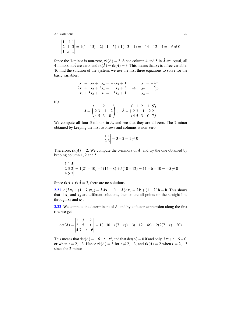$$
\begin{vmatrix} 1 & -1 & 1 \\ 2 & 1 & 3 \\ 1 & 5 & 1 \end{vmatrix} = 1(1 - 15) - 2(-1 - 5) + 1(-3 - 1) = -14 + 12 - 4 = -6 \neq 0
$$

Since the 3-minor is non-zero,  $rk(A) = 3$ . Since column 4 and 5 in  $\hat{A}$  are equal, all 4-minors in  $\hat{A}$  are zero, and  $rk(\hat{A}) = rk(A) = 3$ . This means that  $x_3$  is a free variable. To find the solution of the system, we use the first three equations to solve for the basic variables:

$$
x_1 - x_2 + x_4 = -2x_3 + 1 \n2x_1 + x_2 + 3x_4 = x_3 + 3 \nx_1 + 5x_2 + x_4 = 8x_3 + 1
$$
\n
$$
x_1 + x_2 + x_3 = 8x_3 + 1
$$
\n
$$
x_2 = \frac{5}{3}x_3 \nx_4 = 1
$$

(d)

$$
A = \begin{pmatrix} 1 & 1 & 2 & 1 \\ 2 & 3 & -1 & -2 \\ 4 & 5 & 3 & 0 \end{pmatrix}, \quad \hat{A} = \begin{pmatrix} 1 & 1 & 2 & 1 & 5 \\ 2 & 3 & -1 & -2 & 2 \\ 4 & 5 & 3 & 0 & 7 \end{pmatrix}
$$

We compute all four 3-minors in *A*, and see that they are all zero. The 2-minor obtained by keeping the first two rows and columns is non-zero:

$$
\begin{vmatrix} 1 & 1 \\ 2 & 3 \end{vmatrix} = 3 - 2 = 1 \neq 0
$$

Therefore,  $rk(A) = 2$ . We compute the 3-minors of  $\hat{A}$ , and try the one obtained by keeping column 1, 2 and 5:

$$
\begin{vmatrix} 1 & 1 & 5 \\ 2 & 3 & 2 \\ 4 & 5 & 7 \end{vmatrix} = 1(21 - 10) - 1(14 - 8) + 5(10 - 12) = 11 - 6 - 10 = -5 \neq 0
$$

Since  $rkA < rk\hat{A} = 3$ , there are no solutions.

**[2.21](#page-23-4)**  $A(\lambda x_1 + (1 - \lambda)x_2) = \lambda Ax_1 + (1 - \lambda)Ax_2 = \lambda b + (1 - \lambda)b = b$ . This shows that if  $x_1$  and  $x_2$  are different solutions, then so are all points on the straight line through  $x_1$  and  $x_2$ .

[2.22](#page-23-5) We compute the determinant of *A*, and by cofactor exppansion along the first row we get

$$
\det(A) = \begin{vmatrix} 1 & 3 & 2 \\ 2 & 5 & t \\ 4 & 7-t & -6 \end{vmatrix} = 1(-30 - t(7-t)) - 3(-12 - 4t) + 2(2(7-t) - 20)
$$

This means that  $det(A) = -6+t+t^2$ , and that  $det(A) = 0$  if and only if  $t^2 + t - 6 = 0$ , or when  $t = 2, -3$ . Hence  $rk(A) = 3$  for  $t \neq 2, -3$ , and  $rk(A) = 2$  when  $t = 2, -3$ since the 2-minor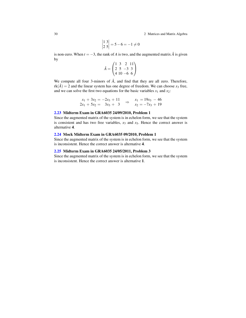30 2 Matrices and Matrix Algebra

$$
\begin{vmatrix} 1 & 3 \\ 2 & 5 \end{vmatrix} = 5 - 6 = -1 \neq 0
$$

is non-zero. When  $t = -3$ , the rank of *A* is two, and the augmented matrix  $\hat{A}$  is given by

$$
\hat{A} = \begin{pmatrix} 1 & 3 & 2 & 11 \\ 2 & 5 & -3 & 3 \\ 4 & 10 & -6 & 6 \end{pmatrix}
$$

We compute all four 3-minors of  $\hat{A}$ , and find that they are all zero. Therefore,  $rk(\hat{A}) = 2$  and the linear system has one degree of freedom. We can choose  $x_3$  free, and we can solve the first two equations for the basic variables  $x_1$  and  $x_2$ :

$$
\begin{array}{rcl}\nx_1 + 3x_2 &=& -2x_3 + 11 \\
2x_1 + 5x_2 &=& 3x_3 + 3\n\end{array} \Rightarrow \begin{array}{rcl}\nx_1 &=& 19x_3 - 46 \\
x_2 &=& -7x_3 + 19\n\end{array}
$$

#### [2.23](#page-23-6) Midterm Exam in GRA6035 24/09/2010, Problem 1

Since the augmented matrix of the system is in echelon form, we see that the system is consistent and has two free variables,  $x_3$  and  $x_5$ . Hence the correct answer is alternative 4.

#### [2.24](#page-24-0) Mock Midterm Exam in GRA6035 09/2010, Problem 1

Since the augmented matrix of the system is in echelon form, we see that the system is inconsistent. Hence the correct answer is alternative 4.

#### [2.25](#page-24-1) Midterm Exam in GRA6035 24/05/2011, Problem 3

Since the augmented matrix of the system is in echelon form, we see that the system is inconsistent. Hence the correct answer is alternative 1.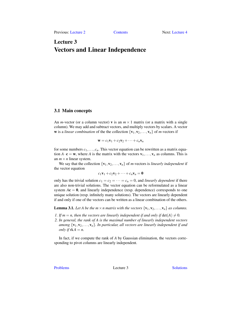# <span id="page-34-0"></span>Lecture 3 Vectors and Linear Independence

#### <span id="page-34-1"></span>3.1 Main concepts

An *m*-vector (or a column vector) **v** is an  $m \times 1$  matrix (or a matrix with a single column). We may add and subtract vectors, and multiply vectors by scalars. A vector w is a *linear combination* of the the collection  $\{v_1, v_2, \ldots, v_n\}$  of *m*-vectors if

$$
\mathbf{w} = c_1 \mathbf{v}_1 + c_2 \mathbf{v}_2 + \cdots + c_n \mathbf{v}_n
$$

for some numbers  $c_1, \ldots, c_n$ . This vector equation can be rewritten as a matrix equation  $A \cdot \mathbf{c} = \mathbf{w}$ , where *A* is the matrix with the vectors  $\mathbf{v}_1, \dots, \mathbf{v}_n$  as columns. This is an  $m \times n$  linear system.

We say that the collection  $\{v_1, v_2, \ldots, v_n\}$  of *m*-vectors is *linearly independent* if the vector equation

$$
c_1\mathbf{v}_1+c_2\mathbf{v}_2+\cdots+c_n\mathbf{v}_n=\mathbf{0}
$$

only has the trivial solution  $c_1 = c_2 = \cdots = c_n = 0$ , and *linearly dependent* if there are also non-trivial solutions. The vector equation can be reformulated as a linear system  $Ac = 0$ , and linearly independence (resp. dependence) corresponds to one unique solution (resp. infinitely many solutions). The vectors are linearly dependent if and only if one of the vectors can be written as a linear combination of the others.

**Lemma 3.1.** *Let A be the m*  $\times$  *n matrix with the vectors*  $\{v_1, v_2, \ldots, v_n\}$  *as columns.* 

- *1. If*  $m = n$ , then the vectors are linearly independent if and only if  $det(A) \neq 0$ .
- *2. In general, the rank of A is the maximal number of linearly independent vectors among*  $\{v_1, v_2, \ldots, v_n\}$ *. In particular, all vectors are linearly independent if and only if*  $rkA = n$ .

In fact, if we compute the rank of *A* by Gaussian elimination, the vectors corresponding to pivot columns are linearly independent.

[Problems](#page-35-0) Lecture 3 [Solutions](#page-37-0)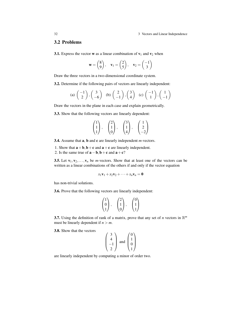# <span id="page-35-0"></span>3.2 Problems

**3.1.** Express the vector **w** as a linear combination of  $v_1$  and  $v_2$  when

$$
\mathbf{w} = \begin{pmatrix} 8 \\ 9 \end{pmatrix}, \quad \mathbf{v}_1 = \begin{pmatrix} 2 \\ 5 \end{pmatrix}, \quad \mathbf{v}_2 = \begin{pmatrix} -1 \\ 3 \end{pmatrix}
$$

Draw the three vectors in a two-dimensional coordinate system.

3.2. Determine if the following pairs of vectors are linearly independent:

(a) 
$$
\begin{pmatrix} -1 \\ 2 \end{pmatrix}
$$
,  $\begin{pmatrix} 3 \\ -6 \end{pmatrix}$  (b)  $\begin{pmatrix} 2 \\ -1 \end{pmatrix}$ ,  $\begin{pmatrix} 3 \\ 4 \end{pmatrix}$  (c)  $\begin{pmatrix} -1 \\ 1 \end{pmatrix}$ ,  $\begin{pmatrix} 1 \\ -1 \end{pmatrix}$ 

Draw the vectors in the plane in each case and explain geometrically.

3.3. Show that the following vectors are linearly dependent:

$$
\begin{pmatrix} 1 \\ 1 \\ 1 \end{pmatrix}, \quad \begin{pmatrix} 2 \\ 1 \\ 0 \end{pmatrix}, \quad \begin{pmatrix} 3 \\ 1 \\ 4 \end{pmatrix}, \quad \begin{pmatrix} 1 \\ 2 \\ -2 \end{pmatrix}
$$

3.4. Assume that a, b and c are linearly independent *m*-vectors.

- 1. Show that  $\mathbf{a} + \mathbf{b}$ ,  $\mathbf{b} + \mathbf{c}$  and  $\mathbf{a} + \mathbf{c}$  are linearly independent.
- 2. Is the same true of  $\mathbf{a} \mathbf{b}$ ,  $\mathbf{b} + \mathbf{c}$  and  $\mathbf{a} + \mathbf{c}$ ?

**3.5.** Let  $\mathbf{v}_1, \mathbf{v}_2, \ldots, \mathbf{v}_n$  be *m*-vectors. Show that at least one of the vectors can be written as a linear combinations of the others if and only if the vector equation

$$
x_1\mathbf{v}_1 + x_2\mathbf{v}_2 + \cdots + x_n\mathbf{v}_n = \mathbf{0}
$$

has non-trivial solutions.

3.6. Prove that the following vectors are linearly independent:

$$
\begin{pmatrix} 1 \\ 0 \\ 1 \end{pmatrix}, \quad \begin{pmatrix} 2 \\ 1 \\ 0 \end{pmatrix}, \quad \begin{pmatrix} 0 \\ 1 \\ 1 \end{pmatrix}
$$

**3.7.** Using the definition of rank of a matrix, prove that any set of *n* vectors in  $\mathbb{R}^m$ must be linearly dependent if  $n > m$ .

3.8. Show that the vectors

$$
\begin{pmatrix} 3 \\ 4 \\ -1 \\ 2 \end{pmatrix}
$$
 and 
$$
\begin{pmatrix} 0 \\ 1 \\ 0 \\ 1 \end{pmatrix}
$$

are linearly independent by computing a minor of order two.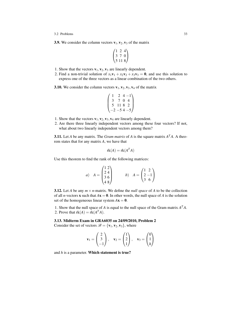#### 3.2 Problems 33

**3.9.** We consider the column vectors  $v_1, v_2, v_3$  of the matrix

$$
\begin{pmatrix} 1 & 2 & 4 \ 3 & 7 & 0 \ 5 & 11 & 8 \end{pmatrix}
$$

- 1. Show that the vectors  $\mathbf{v}_1, \mathbf{v}_2, \mathbf{v}_3$  are linearly dependent.
- 2. Find a non-trivial solution of  $x_1v_1 + x_2v_2 + x_3v_3 = 0$ , and use this solution to express one of the three vectors as a linear combination of the two others.

<span id="page-36-0"></span>**3.10.** We consider the column vectors  $v_1, v_2, v_3, v_4$  of the matrix

$$
\begin{pmatrix} 1 & 2 & 4 & -1 \\ 3 & 7 & 0 & 4 \\ 5 & 11 & 8 & 2 \\ -2 & -5 & 4 & -5 \end{pmatrix}
$$

- 1. Show that the vectors  $\mathbf{v}_1, \mathbf{v}_2, \mathbf{v}_3, \mathbf{v}_4$  are linearly dependent.
- 2. Are there three linearly independent vectors among these four vectors? If not, what about two linearly independent vectors among them?

<span id="page-36-1"></span>**3.11.** Let *A* be any matrix. The *Gram matrix* of *A* is the square matrix  $A<sup>T</sup>A$ . A theorem states that for any matrix *A*, we have that

$$
rk(A) = rk(A^T A)
$$

Use this theorem to find the rank of the following matrices:

a) 
$$
A = \begin{pmatrix} 1 & 2 \\ 2 & 4 \\ 3 & 6 \\ 4 & 8 \end{pmatrix}
$$
 b)  $A = \begin{pmatrix} 1 & 2 \\ 2 & -1 \\ 3 & 6 \end{pmatrix}$ 

<span id="page-36-2"></span>**3.12.** Let *A* be any  $m \times n$ -matrix. We define the *null space* of *A* to be the collection of all *n*-vectors **x** such that  $Ax = 0$ . In other words, the null space of *A* is the solution set of the homogeneous linear system  $Ax = 0$ .

1. Show that the null space of *A* is equal to the null space of the Gram matrix  $A<sup>T</sup>A$ . 2. Prove that  $rk(A) = rk(A^T A)$ .

# <span id="page-36-3"></span>3.13. Midterm Exam in GRA6035 on 24/09/2010, Problem 2

Consider the set of vectors  $\mathscr{B} = {\mathbf{v}_1, \mathbf{v}_2, \mathbf{v}_3}$ , where

$$
\mathbf{v}_1 = \begin{pmatrix} 2 \\ 3 \\ -1 \end{pmatrix}, \quad \mathbf{v}_2 = \begin{pmatrix} 1 \\ 2 \\ 1 \end{pmatrix}, \quad \mathbf{v}_3 = \begin{pmatrix} 0 \\ 1 \\ h \end{pmatrix}
$$

and *h* is a parameter. Which statement is true?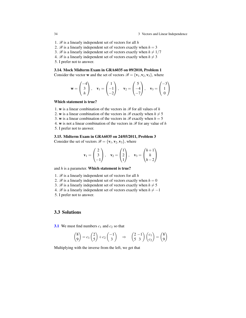34 34 34 35 Vectors and Linear Independence

- 1. B is a linearly independent set of vectors for all *h*
- 2.  $\mathcal{B}$  is a linearly independent set of vectors exactly when  $h = 3$
- 3. B is a linearly independent set of vectors exactly when  $h \neq 1/7$
- 4. B is a linearly independent set of vectors exactly when  $h \neq 3$

5. I prefer not to answer.

#### <span id="page-37-0"></span>3.14. Mock Midterm Exam in GRA6035 on 09/2010, Problem 1

Consider the vector **w** and the set of vectors  $\mathcal{B} = {\mathbf{v}_1, \mathbf{v}_2, \mathbf{v}_3}$ , where

$$
\mathbf{w} = \begin{pmatrix} -4 \\ 3 \\ h \end{pmatrix}, \quad \mathbf{v}_1 = \begin{pmatrix} 1 \\ -1 \\ -2 \end{pmatrix}, \quad \mathbf{v}_2 = \begin{pmatrix} 5 \\ -4 \\ -7 \end{pmatrix}, \quad \mathbf{v}_3 = \begin{pmatrix} -3 \\ 1 \\ 0 \end{pmatrix}
$$

## Which statement is true?

- 1. w is a linear combination of the vectors in  $\mathscr{B}$  for all values of *h*
- 2. w is a linear combination of the vectors in  $\mathcal{B}$  exactly when  $h \neq 5$
- 3. w is a linear combination of the vectors in  $\mathcal{B}$  exactly when  $h = 5$
- 4. w is not a linear combination of the vectors in  $\mathcal{B}$  for any value of *h* 5. I prefer not to answer.

#### <span id="page-37-1"></span>3.15. Midterm Exam in GRA6035 on 24/05/2011, Problem 3

Consider the set of vectors  $\mathscr{B} = {\mathbf{v}_1, \mathbf{v}_2, \mathbf{v}_3}$ , where

$$
\mathbf{v}_1 = \begin{pmatrix} 2 \\ 3 \\ -1 \end{pmatrix}, \quad \mathbf{v}_2 = \begin{pmatrix} 1 \\ 2 \\ 1 \end{pmatrix}, \quad \mathbf{v}_3 = \begin{pmatrix} h+1 \\ h \\ h-2 \end{pmatrix}
$$

and *h* is a parameter. Which statement is true?

- 1.  $\mathcal{B}$  is a linearly independent set of vectors for all  $h$
- 2.  $\mathscr{B}$  is a linearly independent set of vectors exactly when  $h = 0$
- 3. B is a linearly independent set of vectors exactly when  $h \neq 5$
- 4. B is a linearly independent set of vectors exactly when  $h \neq -1$
- 5. I prefer not to answer.

# 3.3 Solutions

**[3.1](#page-35-0)** We must find numbers  $c_1$  and  $c_2$  so that

$$
\begin{pmatrix} 8 \ 9 \end{pmatrix} = c_1 \begin{pmatrix} 2 \ 5 \end{pmatrix} + c_2 \begin{pmatrix} -1 \ 3 \end{pmatrix} \Rightarrow \begin{pmatrix} 2 & -1 \ 5 & 3 \end{pmatrix} \begin{pmatrix} c_1 \ c_2 \end{pmatrix} = \begin{pmatrix} 8 \ 9 \end{pmatrix}
$$

Multiplying with the inverse from the left, we get that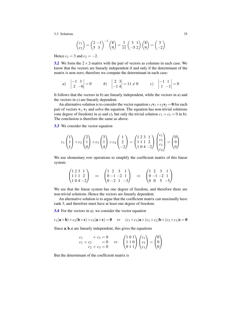$$
\begin{pmatrix} c_1 \\ c_2 \end{pmatrix} = \begin{pmatrix} 2 & -1 \\ 5 & 3 \end{pmatrix}^{-1} \begin{pmatrix} 8 \\ 9 \end{pmatrix} = \frac{1}{11} \begin{pmatrix} 3 & 1 \\ -5 & 2 \end{pmatrix} \begin{pmatrix} 8 \\ 9 \end{pmatrix} = \begin{pmatrix} 3 \\ -2 \end{pmatrix}
$$

Hence  $c_1 = 3$  and  $c_2 = -2$ .

[3.2](#page-35-1) We form the  $2 \times 2$ -matrix with the pair of vectors as columns in each case. We know that the vectors are linearly independent if and only if the determinant of the matrix is non-zero; therefore we compute the determinant in each case:

a) 
$$
\begin{vmatrix} -1 & 3 \\ 2 & -6 \end{vmatrix} = 0
$$
 b)  $\begin{vmatrix} 2 & 3 \\ -1 & 4 \end{vmatrix} = 11 \neq 0$  c)  $\begin{vmatrix} -1 & 1 \\ 1 & -1 \end{vmatrix} = 0$ 

It follows that the vectors in b) are linearly independent, while the vectors in a) and the vectors in c) are linearly dependent.

An alternative solution is to consider the vector equation  $c_1v_1+c_2v_2 = 0$  for each pair of vectors  $\mathbf{v}_1, \mathbf{v}_2$  and solve the equation. The equation has non-trivial solutions (one degree of freedom) in a) and c), but only the trivial solution  $c_1 = c_2 = 0$  in b). The conclusion is therefore the same as above.

[3.3](#page-35-2) We consider the vector equation

$$
c_1\begin{pmatrix}1\\1\\1\end{pmatrix} + c_2\begin{pmatrix}2\\1\\0\end{pmatrix} + c_3\begin{pmatrix}3\\1\\4\end{pmatrix} + c_4\begin{pmatrix}1\\2\\-2\end{pmatrix} = \begin{pmatrix}1 & 2 & 3 & 1\\1 & 1 & 1 & 2\\1 & 0 & 4 & -2\end{pmatrix}\begin{pmatrix}c_1\\c_2\\c_3\\c_4\end{pmatrix} = \begin{pmatrix}0\\0\\0\end{pmatrix}
$$

We use elementary row operations to simplify the coefficient matrix of this linear system:

$$
\begin{pmatrix} 1 & 2 & 3 & 1 \\ 1 & 1 & 1 & 2 \\ 1 & 0 & 4 & -2 \end{pmatrix} \Rightarrow \begin{pmatrix} 1 & 2 & 3 & 1 \\ 0 & -1 & -2 & 1 \\ 0 & -2 & 1 & -3 \end{pmatrix} \Rightarrow \begin{pmatrix} 1 & 2 & 3 & 1 \\ 0 & -1 & -2 & 1 \\ 0 & 0 & 5 & -5 \end{pmatrix}
$$

We see that the linear system has one degree of freedom, and therefore there are non-trivial solutions. Hence the vectors are linearly dependent.

An alternative solution is to argue that the coefficient matrix can maximally have rank 3, and therefore must have at least one degree of freedom.

[3.4](#page-35-3) For the vectors in a), we consider the vector equation

$$
c_1(\mathbf{a}+\mathbf{b})+c_2(\mathbf{b}+\mathbf{c})+c_3(\mathbf{a}+\mathbf{c})=\mathbf{0} \Leftrightarrow (c_1+c_3)\mathbf{a}+(c_1+c_2)\mathbf{b}+(c_2+c_3)\mathbf{c}=\mathbf{0}
$$

Since  $\mathbf{a}, \mathbf{b}, \mathbf{c}$  are linearly independent, this gives the equations

$$
\begin{array}{ccc}\nc_1 & +c_3 = 0 \\
c_1 + c_2 & = 0 \\
c_2 + c_3 = 0\n\end{array}\n\Leftrightarrow\n\begin{pmatrix}\n1 & 0 & 1 \\
1 & 1 & 0 \\
0 & 1 & 1\n\end{pmatrix}\n\begin{pmatrix}\nc_1 \\
c_2 \\
c_3\n\end{pmatrix} = \begin{pmatrix}\n0 \\
0 \\
0\n\end{pmatrix}
$$

But the determinant of the coefficient matrix is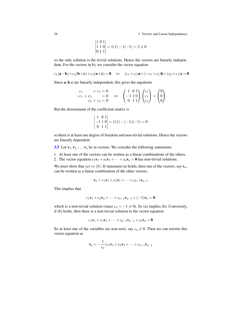36 36 36 36 36 36 36 36 37 Vectors and Linear Independence

$$
\begin{vmatrix} 1 & 0 & 1 \\ 1 & 1 & 0 \\ 0 & 1 & 1 \end{vmatrix} = 1(1) - 1(-1) = 2 \neq 0
$$

so the only solution is the trivial solutions. Hence the vectors are linearly independent. For the vectors in b), we consider the vector equation

$$
c_1(a - b) + c_2(b + c) + c_3(a + c) = 0 \Leftrightarrow (c_1 + c_3)a + (-c_1 + c_2)b + (c_2 + c_3)c = 0
$$

Since  $\mathbf{a}, \mathbf{b}, \mathbf{c}$  are linearly independent, this gives the equations

$$
\begin{array}{ccc}\nc_1 & +c_3 = 0 \\
-c_1 + c_2 & = 0 \\
c_2 + c_3 = 0\n\end{array}\n\Leftrightarrow\n\begin{pmatrix}\n1 & 0 & 1 \\
-1 & 1 & 0 \\
0 & 1 & 1\n\end{pmatrix}\n\begin{pmatrix}\nc_1 \\
c_2 \\
c_3\n\end{pmatrix} = \begin{pmatrix}\n0 \\
0 \\
0\n\end{pmatrix}
$$

But the determinant of the coefficient matrix is

 $\mathcal{L}$ 

$$
\begin{vmatrix} 1 & 0 & 1 \\ -1 & 1 & 0 \\ 0 & 1 & 1 \end{vmatrix} = 1(1) - (-1)(-1) = 0
$$

so there is at least one degree of freedom and non-trivial solutions. Hence the vectors are linearly dependent.

[3.5](#page-35-4) Let  $\mathbf{v}_1, \mathbf{v}_2, \dots, \mathbf{v}_n$  be *m*-vectors. We consider the following statements:

1. At least one of the vectors can be written as a linear combinations of the others.

2. The vector equation  $x_1v_1 + x_2v_2 + \cdots + x_nv_n = 0$  has non-trivial solutions.

We must show that  $(a) \Leftrightarrow (b)$ . If statement (a) holds, then one of the vectors, say  $v_n$ , can be written as a linear combination of the other vectors,

$$
\mathbf{v}_n = c_1 \mathbf{v}_1 + c_2 \mathbf{v}_2 + \cdots + c_{n-1} \mathbf{v}_{n-1}
$$

This implies that

$$
c_1v_1 + c_2v_2 + \cdots + c_{n-1}v_{n-1} + (-1)v_{n} = 0
$$

which is a non-trivial solution (since  $c_n = -1 \neq 0$ ). So (a) implies (b). Conversely, if (b) holds, then there is a non-trivial solution to the vector equation

$$
c_1\mathbf{v}_1+c_2\mathbf{v}_2+\cdots+c_{n-1}\mathbf{v}_{n-1}+c_n\mathbf{v}_n=\mathbf{0}
$$

So at least one of the variables are non-zero; say  $c_n \neq 0$ . Then we can rewrite this vector equation as

$$
\mathbf{v}_n = -\frac{1}{c_n}(c_1\mathbf{v}_1 + c_2\mathbf{v}_2 + \dots + c_{n-1}\mathbf{v}_{n-1})
$$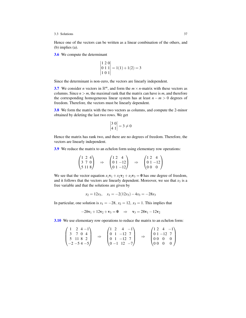Hence one of the vectors can be written as a linear combination of the others, and (b) implies (a).

[3.6](#page-35-5) We compute the determinant

$$
\begin{vmatrix} 1 & 2 & 0 \\ 0 & 1 & 1 \\ 1 & 0 & 1 \end{vmatrix} = 1(1) + 1(2) = 3
$$

Since the determinant is non-zero, the vectors are linearly independent.

[3.7](#page-35-6) We consider *n* vectors in  $\mathbb{R}^m$ , and form the  $m \times n$ -matrix with these vectors as columns. Since  $n > m$ , the maximal rank that the matrix can have is  $m$ , and therefore the corresponding homogeneous linear system has at least  $n - m > 0$  degrees of freedom. Therefore, the vectors must be linearly dependent.

[3.8](#page-35-7) We form the matrix with the two vectors as columns, and compute the 2-minor obtained by deleting the last two rows. We get

$$
\begin{vmatrix} 3 & 0 \\ 4 & 1 \end{vmatrix} = 3 \neq 0
$$

Hence the matrix has rank two, and there are no degrees of freedom. Therefore, the vectors are linearly independent.

[3.9](#page-35-8) We reduce the matrix to an echelon form using elementary row operations:

$$
\begin{pmatrix} 1 & 2 & 4 \ 3 & 7 & 0 \ 5 & 11 & 8 \end{pmatrix} \Rightarrow \begin{pmatrix} 1 & 2 & 4 \ 0 & 1 & -12 \ 0 & 1 & -12 \end{pmatrix} \Rightarrow \begin{pmatrix} 1 & 2 & 4 \ 0 & 1 & -12 \ 0 & 0 & 0 \end{pmatrix}
$$

We see that the vector equation  $x_1v_1 + x_2v_2 + x_3v_3 = 0$  has one degree of freedom, and it follows that the vectors are linearly dependent. Moreover, we see that  $x_3$  is a free variable and that the solutions are given by

$$
x_2 = 12x_3, \quad x_1 = -2(12x_3) - 4x_3 = -28x_3
$$

In particular, one solution is  $x_1 = -28$ ,  $x_2 = 12$ ,  $x_3 = 1$ . This implies that

$$
-28v_1 + 12v_2 + v_3 = 0 \quad \Rightarrow \quad v_3 = 28v_1 - 12v_2
$$

[3.10](#page-36-0) We use elementary row operations to reduce the matrix to an echelon form:

$$
\begin{pmatrix} 1 & 2 & 4 & -1 \ 3 & 7 & 0 & 4 \ 5 & 11 & 8 & 2 \ -2 & -5 & 4 & -5 \end{pmatrix} \Rightarrow \begin{pmatrix} 1 & 2 & 4 & -1 \ 0 & 1 & -12 & 7 \ 0 & 1 & -12 & 7 \ 0 & -1 & 12 & -7 \end{pmatrix} \Rightarrow \begin{pmatrix} 1 & 2 & 4 & -1 \ 0 & 1 & -12 & 7 \ 0 & 0 & 0 & 0 \ 0 & 0 & 0 & 0 \end{pmatrix}
$$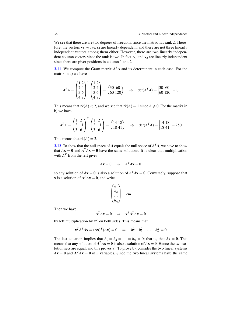38 3 Vectors and Linear Independence

We see that there are are two degrees of freedom, since the matrix has rank 2. Therefore, the vectors  $\mathbf{v}_1, \mathbf{v}_2, \mathbf{v}_3, \mathbf{v}_4$  are linearly dependent, and there are not three linearly independent vectors among them either. However, there are two linearly independent column vectors since the rank is two. In fact,  $v_1$  and  $v_2$  are linearly independent since there are pivot positions in column 1 and 2.

**[3.11](#page-36-1)** We compute the Gram matrix  $A<sup>T</sup>A$  and its determinant in each case: For the matrix in a) we have

$$
ATA = \begin{pmatrix} 1 & 2 \\ 2 & 4 \\ 3 & 6 \\ 4 & 8 \end{pmatrix} \begin{pmatrix} 1 & 2 \\ 2 & 4 \\ 3 & 6 \\ 4 & 8 \end{pmatrix} = \begin{pmatrix} 30 & 60 \\ 60 & 120 \end{pmatrix} \Rightarrow \det(ATA) = \begin{vmatrix} 30 & 60 \\ 60 & 120 \end{vmatrix} = 0
$$

This means that  $rk(A) < 2$ , and we see that  $rk(A) = 1$  since  $A \neq 0$ . For the matrix in b) we have

$$
A^T A = \begin{pmatrix} 1 & 2 \\ 2 & -1 \\ 3 & 6 \end{pmatrix}^T \begin{pmatrix} 1 & 2 \\ 2 & -1 \\ 3 & 6 \end{pmatrix} = \begin{pmatrix} 14 & 18 \\ 18 & 41 \end{pmatrix} \Rightarrow \det(A^T A) = \begin{vmatrix} 14 & 18 \\ 18 & 41 \end{vmatrix} = 250
$$

This means that  $rk(A) = 2$ .

**[3.12](#page-36-2)** To show that the null space of *A* equals the null space of  $A<sup>T</sup>A$ , we have to show that  $A\mathbf{x} = \mathbf{0}$  and  $A^T A\mathbf{x} = \mathbf{0}$  have the same solutions. It is clear that multiplication with  $A<sup>T</sup>$  from the left gives

$$
A\mathbf{x} = \mathbf{0} \quad \Rightarrow \quad A^T A\mathbf{x} = \mathbf{0}
$$

so any solution of  $A\mathbf{x} = \mathbf{0}$  is also a solution of  $A^T A\mathbf{x} = \mathbf{0}$ . Conversely, suppose that **x** is a solution of  $A^T A x = 0$ , and write

$$
\begin{pmatrix} h_1 \\ h_2 \\ \cdots \\ h_m \end{pmatrix} = A\mathbf{x}
$$

Then we have

$$
A^T A \mathbf{x} = \mathbf{0} \quad \Rightarrow \quad \mathbf{x}^T A^T A \mathbf{x} = \mathbf{0}
$$

by left multiplication by  $x^T$  on both sides. This means that

$$
\mathbf{x}^T A^T A \mathbf{x} = (A\mathbf{x})^T (A\mathbf{x}) = 0 \quad \Rightarrow \quad h_1^2 + h_2^2 + \dots + h_m^2 = 0
$$

The last equation implies that  $h_1 = h_2 = \cdots = h_m = 0$ ; that is, that  $A\mathbf{x} = \mathbf{0}$ . This means that any solution of  $A^T A x = 0$  is also a solution of  $A x = 0$ . Hence the two solution sets are equal, and this proves a). To prove b), consider the two linear systems  $A\mathbf{x} = \mathbf{0}$  and  $\mathbf{A}^T A\mathbf{x} = \mathbf{0}$  in *n* variables. Since the two linear systems have the same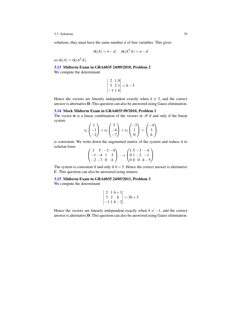solutions, they must have the same number *d* of free variables. This gives

$$
rk(A) = n - d, \quad rk(A^T A) = n - d
$$

so  $rk(A) = rk(A^T A)$ .

[3.13](#page-36-3) Midterm Exam in GRA6035 24/09/2010, Problem 2

We compute the determinant

$$
\begin{vmatrix} 2 & 1 & 0 \\ 3 & 2 & 1 \\ -1 & 1 & h \end{vmatrix} = h - 3
$$

Hence the vectors are linearly independent exactly when  $h \neq 3$ , and the correct answer is alternative D. This question can also be answered using Gauss elimination.

### [3.14](#page-37-0) Mock Midterm Exam in GRA6035 09/2010, Problem 1

The vector  $w$  is a linear combination of the vectors in  $\mathscr B$  if and only if the linear system

$$
x_1\begin{pmatrix}1\\-1\\-2\end{pmatrix} + x_2\begin{pmatrix}5\\-4\\-7\end{pmatrix} + x_3\begin{pmatrix}-3\\1\\0\end{pmatrix} = \begin{pmatrix}-4\\3\\h\end{pmatrix}
$$

is consistent. We write down the augmented matrix of the system and reduce it to echelon form  $\mathcal{L}$  $\frac{1}{4}$ 

| $(1\quad 5\quad -3\quad -4)$ |  | $(15 - 3 - 4)$           |
|------------------------------|--|--------------------------|
| $[-1 -4 1 3]$                |  | $- \rightarrow 01 -2 -1$ |
| $\{-2 - 7 \ 0 \ h \}$        |  | $(000 h-5)$              |

The system is consistent if and only if  $h = 5$ . Hence the correct answer is alternative C. This question can also be answered using minors.

# [3.15](#page-37-1) Midterm Exam in GRA6035 24/05/2011, Problem 3

We compute the determinant

$$
\begin{vmatrix} 2 & 1 & h+1 \\ 3 & 2 & h \\ -1 & 1 & h-2 \end{vmatrix} = 3h+3
$$

Hence the vectors are linearly independent exactly when  $h \neq -1$ , and the correct answer is alternative D. This question can also be answered using Gauss elimination.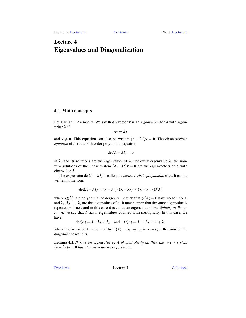# <span id="page-44-0"></span>Lecture 4 Eigenvalues and Diagonalization

# 4.1 Main concepts

Let *A* be an  $n \times n$  matrix. We say that a vector **v** is an *eigenvector* for *A* with *eigenvalue* λ if

 $A\mathbf{v} = \lambda \mathbf{v}$ 

and  $\mathbf{v} \neq 0$ . This equation can also be written  $(A - \lambda I)\mathbf{v} = 0$ . The *characteristic equation* of *A* is the *n*'th order polynomial equation

$$
\det(A - \lambda I) = 0
$$

in  $\lambda$ , and its solutions are the eigenvalues of A. For every eigenvalue  $\lambda$ , the nonzero solutions of the linear system  $(A - \lambda I)\mathbf{v} = \mathbf{0}$  are the eigenvectors of *A* with eigenvalue λ.

The expression  $det(A - \lambda I)$  is called the *characteristic polynomial* of *A*. It can be written in the form

$$
\det(A - \lambda I) = (\lambda - \lambda_1) \cdot (\lambda - \lambda_2) \cdots (\lambda - \lambda_r) \cdot Q(\lambda)
$$

where  $Q(\lambda)$  is a polynomial of degree *n*−*r* such that  $Q(\lambda) = 0$  have no solutions, and  $\lambda_1, \lambda_2, \ldots, \lambda_r$  are the eigenvalues of A. It may happen that the same eigenvalue is repeated *m* times, and in this case it is called an eigenvalue of *multiplicity m*. When  $r = n$ , we say that *A* has *n* eigenvalues counted with multiplicity. In this case, we have

 $det(A) = \lambda_1 \cdot \lambda_2 \cdots \lambda_n$  and  $tr(A) = \lambda_1 + \lambda_2 + \cdots + \lambda_n$ 

where the *trace* of *A* is defined by  $tr(A) = a_{11} + a_{22} + \cdots + a_{nn}$ , the sum of the diagonal entries in *A*.

Lemma 4.1. *If* λ *is an eigenvalue of A of multiplicity m, then the linear system*  $(A - \lambda I)v = 0$  *has at most m degrees of freedom.* 

[Problems](#page-45-0) Lecture 4 [Solutions](#page-48-0)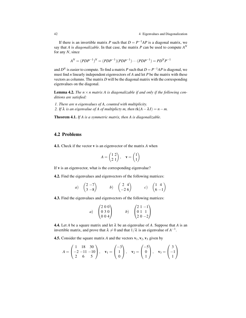42 4 Eigenvalues and Diagonalization

If there is an invertible matrix *P* such that  $D = P^{-1}AP$  is a diagonal matrix, we say that *A* is *diagonalizable*. In that case, the matrix *P* can be used to compute  $A^N$ for any *N*, since

$$
A^N = (PDP^{-1})^N = (PDP^{-1})(PDP^{-1}) \cdots (PDP^{-1}) = PD^N P^{-1}
$$

and  $D^N$  is easier to compute. To find a matrix *P* such that  $D = P^{-1}AP$  is diagonal, we must find *n* linearly independent eigenvectors of *A* and let *P* be the matrix with these vectors as columns. The matrix *D* will be the diagonal matrix with the corresponding eigenvalues on the diagonal.

**Lemma 4.2.** The  $n \times n$  matrix A is diagonalizable if and only if the following con*ditions are satisfied:*

*1. There are n eigenvalues of A, counted with multiplicity. 2. If*  $\lambda$  *is an eigenvalue of A of multiplicty m, then*  $rk(A - \lambda I) = n - m$ .

Theorem 4.1. *If A is a symmetric matrix, then A is diagonalizable.*

# <span id="page-45-0"></span>4.2 Problems

<span id="page-45-1"></span>4.1. Check if the vector v is an eigenvector of the matrix *A* when

$$
A = \begin{pmatrix} 1 & 2 \\ 2 & 1 \end{pmatrix}, \quad \mathbf{v} = \begin{pmatrix} 1 \\ 1 \end{pmatrix}
$$

If v is an eigenvector, what is the corresponding eigenvalue?

<span id="page-45-2"></span>4.2. Find the eigenvalues and eigenvectors of the following matrices:

a) 
$$
\begin{pmatrix} 2 & -7 \\ 3 & -8 \end{pmatrix}
$$
 b)  $\begin{pmatrix} 2 & 4 \\ -2 & 6 \end{pmatrix}$  c)  $\begin{pmatrix} 1 & 4 \\ 6 & -1 \end{pmatrix}$ 

<span id="page-45-3"></span>4.3. Find the eigenvalues and eigenvectors of the following matrices:

a) 
$$
\begin{pmatrix} 2 & 0 & 0 \\ 0 & 3 & 0 \\ 0 & 0 & 4 \end{pmatrix}
$$
 b)  $\begin{pmatrix} 2 & 1 & -1 \\ 0 & 1 & 1 \\ 2 & 0 & -2 \end{pmatrix}$ 

<span id="page-45-4"></span>**4.4.** Let *A* be a square matrix and let  $\lambda$  be an eigenvalue of *A*. Suppose that *A* is an invertible matrix, and prove that  $\lambda \neq 0$  and that  $1/\lambda$  is an eigenvalue of  $A^{-1}$ .

<span id="page-45-5"></span>**4.5.** Consider the square matrix *A* and the vectors  $v_1, v_2, v_3$  given by

$$
A = \begin{pmatrix} 1 & 18 & 30 \\ -2 & -11 & -10 \\ 2 & 6 & 5 \end{pmatrix}, \quad \mathbf{v}_1 = \begin{pmatrix} -3 \\ 1 \\ 0 \end{pmatrix}, \quad \mathbf{v}_2 = \begin{pmatrix} -5 \\ 0 \\ 1 \end{pmatrix}, \quad \mathbf{v}_3 = \begin{pmatrix} 3 \\ -1 \\ 1 \end{pmatrix}
$$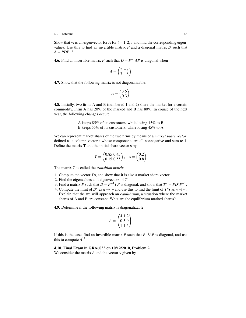#### 4.2 Problems 43

Show that  $v_i$  is an eigenvector for *A* for  $i = 1, 2, 3$  and find the corresponding eigenvalues. Use this to find an invertible matrix *P* and a diagonal matrix *D* such that  $A = PDP^{-1}$ .

<span id="page-46-0"></span>**4.6.** Find an invertible matrix *P* such that  $D = P^{-1}AP$  is diagonal when

$$
A = \begin{pmatrix} 2 & -7 \\ 3 & -8 \end{pmatrix}
$$

<span id="page-46-1"></span>4.7. Show that the following matrix is not diagonalizable:

$$
A = \begin{pmatrix} 3 & 5 \\ 0 & 3 \end{pmatrix}
$$

<span id="page-46-2"></span>4.8. Initially, two firms A and B (numbered 1 and 2) share the market for a certain commodity. Firm A has 20% of the marked and B has 80%. In course of the next year, the following changes occur:

> A keeps 85% of its customers, while losing 15% to B B keeps 55% of its customers, while losing 45% to A

We can represent market shares of the two firms by means of a *market share vector*, defined as a column vector s whose components are all nonnegative and sum to 1. Define the matrix  **and the initial share vector**  $**s**$  **by** 

$$
T = \begin{pmatrix} 0.85 & 0.45 \\ 0.15 & 0.55 \end{pmatrix}, \quad \mathbf{s} = \begin{pmatrix} 0.2 \\ 0.8 \end{pmatrix}
$$

The matrix *T* is called the *transition matrix*.

- 1. Compute the vector *T*s, and show that it is also a market share vector.
- 2. Find the eigenvalues and eigenvectors of *T*.
- 3. Find a matrix *P* such that  $D = P^{-1}TP$  is diagonal, and show that  $T^n = PD^nP^{-1}$ .
- 4. Compute the limit of  $D^n$  as  $n \to \infty$  and use this to find the limit of  $T^n$ **s** as  $n \to \infty$ . Explain that the we will approach an *equilibrium*, a situation where the market shares of A and B are constant. What are the equilibrium marked shares?

<span id="page-46-3"></span>4.9. Determine if the following matrix is diagonalizable:

$$
A = \begin{pmatrix} 4 & 1 & 2 \\ 0 & 3 & 0 \\ 1 & 1 & 5 \end{pmatrix}
$$

If this is the case, find an invertible matrix *P* such that  $P^{-1}AP$  is diagonal, and use this to compute  $A^{17}$ .

# <span id="page-46-4"></span>4.10. Final Exam in GRA6035 on 10/12/2010, Problem 2

We consider the matrix *A* and the vector v given by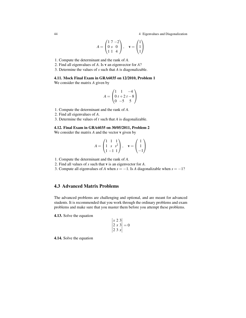44 4 Eigenvalues and Diagonalization

$$
A = \begin{pmatrix} 1 & 7 & -2 \\ 0 & s & 0 \\ 1 & 1 & 4 \end{pmatrix}, \quad \mathbf{v} = \begin{pmatrix} 1 \\ 1 \\ 1 \end{pmatrix}
$$

1. Compute the determinant and the rank of *A*.

- 2. Find all eigenvalues of *A*. Is v an eigenvector for *A*?
- 3. Determine the values of *s* such that *A* is diagonalizable.

## <span id="page-47-0"></span>4.11. Mock Final Exam in GRA6035 on 12/2010, Problem 1

We consider the matrix *A* given by

$$
A = \begin{pmatrix} 1 & 1 & -4 \\ 0 & t + 2 & t - 8 \\ 0 & -5 & 5 \end{pmatrix}
$$

1. Compute the determinant and the rank of *A*.

- 2. Find all eigenvalues of *A*.
- 3. Determine the values of *t* such that *A* is diagonalizable.

## <span id="page-47-1"></span>4.12. Final Exam in GRA6035 on 30/05/2011, Problem 2

We consider the matrix *A* and the vector v given by

$$
A = \begin{pmatrix} 1 & 1 & 1 \\ 1 & s & s^2 \\ 1 & -1 & 1 \end{pmatrix}, \quad \mathbf{v} = \begin{pmatrix} 1 \\ 1 \\ -1 \end{pmatrix}
$$

- 1. Compute the determinant and the rank of *A*.
- 2. Find all values of *s* such that v is an eigenvector for *A*.
- 3. Compute all eigenvalues of *A* when  $s = -1$ . Is *A* diagonalizable when  $s = -1$ ?

# 4.3 Advanced Matrix Problems

The advanced problems are challenging and optional, and are meant for advanced students. It is recommended that you work through the ordinary problems and exam problems and make sure that you master them before you attempt these problems.

4.13. Solve the equation

$$
\begin{vmatrix} x & 2 & 3 \\ 2 & x & 3 \\ 2 & 3 & x \end{vmatrix} = 0
$$

 $\mathcal{L}$ 

4.14. Solve the equation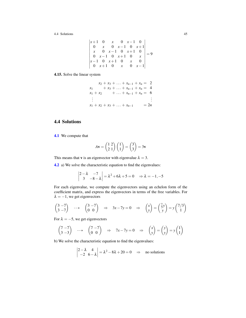$$
\begin{vmatrix} x+1 & 0 & x & 0 & x-1 & 0 \ 0 & x & 0 & x-1 & 0 & x+1 \ x & 0 & x-1 & 0 & x+1 & 0 \ 0 & x-1 & 0 & x+1 & 0 & x \ x-1 & 0 & x+1 & 0 & x & 0 \ 0 & x+1 & 0 & x & 0 & x-1 \ \end{vmatrix} = 9
$$

4.15. Solve the linear system

$$
x_2 + x_3 + \dots + x_{n-1} + x_n = 2
$$
  
\n
$$
x_1 + x_3 + \dots + x_{n-1} + x_n = 4
$$
  
\n
$$
x_1 + x_2 + \dots + x_{n-1} + x_n = 6
$$
  
\n
$$
\vdots
$$
  
\n
$$
x_1 + x_2 + x_3 + \dots + x_{n-1} = 2n
$$

# <span id="page-48-0"></span>4.4 Solutions

[4.1](#page-45-1) We compute that

$$
A\mathbf{v} = \begin{pmatrix} 1 & 2 \\ 2 & 1 \end{pmatrix} \begin{pmatrix} 1 \\ 1 \end{pmatrix} = \begin{pmatrix} 3 \\ 3 \end{pmatrix} = 3\mathbf{v}
$$

This means that **v** is an eigenvector with eigenvalue  $\lambda = 3$ .

[4.2](#page-45-2) a) We solve the characteristic equation to find the eigenvalues:

$$
\begin{vmatrix} 2 - \lambda & -7 \\ 3 & -8 - \lambda \end{vmatrix} = \lambda^2 + 6\lambda + 5 = 0 \Rightarrow \lambda = -1, -5
$$

For each eigenvalue, we compute the eigenvectors using an echelon form of the coefficient matrix, and express the eigenvectors in terms of the free variables. For  $\lambda = -1$ , we get eigenvectors

$$
\begin{pmatrix} 3 & -7 \\ 3 & -7 \end{pmatrix} \quad \longrightarrow \quad \begin{pmatrix} 3 & -7 \\ 0 & 0 \end{pmatrix} \quad \Rightarrow \quad 3x - 7y = 0 \quad \Rightarrow \quad \begin{pmatrix} x \\ y \end{pmatrix} = \begin{pmatrix} \frac{7}{3}y \\ y \end{pmatrix} = y \begin{pmatrix} 7/3 \\ 1 \end{pmatrix}
$$

For  $\lambda = -5$ , we get eigenvectors

$$
\begin{pmatrix} 7 & -7 \\ 3 & -3 \end{pmatrix} \quad \longrightarrow \quad \begin{pmatrix} 7 & -7 \\ 0 & 0 \end{pmatrix} \quad \Rightarrow \quad 7x - 7y = 0 \quad \Rightarrow \quad \begin{pmatrix} x \\ y \end{pmatrix} = \begin{pmatrix} y \\ y \end{pmatrix} = y \begin{pmatrix} 1 \\ 1 \end{pmatrix}
$$

b) We solve the characteristic equation to find the eigenvalues:

$$
\begin{vmatrix} 2 - \lambda & 4 \\ -2 & 6 - \lambda \end{vmatrix} = \lambda^2 - 8\lambda + 20 = 0 \implies \text{no solutions}
$$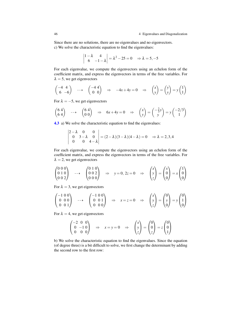Since there are no solutions, there are no eigenvalues and no eigenvectors. c) We solve the characteristic equation to find the eigenvalues:

$$
\begin{vmatrix} 1 - \lambda & 4 \\ 6 & -1 - \lambda \end{vmatrix} = \lambda^2 - 25 = 0 \Rightarrow \lambda = 5, -5
$$

For each eigenvalue, we compute the eigenvectors using an echelon form of the coefficient matrix, and express the eigenvectors in terms of the free variables. For  $\lambda = 5$ , we get eigenvectors

$$
\begin{pmatrix} -4 & 4 \\ 6 & -6 \end{pmatrix} \quad \longrightarrow \quad \begin{pmatrix} -4 & 4 \\ 0 & 0 \end{pmatrix} \quad \Rightarrow \quad -4x + 4y = 0 \quad \Rightarrow \quad \begin{pmatrix} x \\ y \end{pmatrix} = \begin{pmatrix} y \\ y \end{pmatrix} = y \begin{pmatrix} 1 \\ 1 \end{pmatrix}
$$

For  $\lambda = -5$ , we get eigenvectors

$$
\begin{pmatrix} 6 & 4 \\ 6 & 4 \end{pmatrix} \quad \longrightarrow \quad \begin{pmatrix} 6 & 4 \\ 0 & 0 \end{pmatrix} \quad \Rightarrow \quad 6x + 4y = 0 \quad \Rightarrow \quad \begin{pmatrix} x \\ y \end{pmatrix} = \begin{pmatrix} -\frac{2}{3}y \\ y \end{pmatrix} = y \begin{pmatrix} -2/3 \\ 1 \end{pmatrix}
$$

[4.3](#page-45-3) a) We solve the characteristic equation to find the eigenvalues:

$$
\begin{vmatrix} 2 - \lambda & 0 & 0 \\ 0 & 3 - \lambda & 0 \\ 0 & 0 & 4 - \lambda \end{vmatrix} = (2 - \lambda)(3 - \lambda)(4 - \lambda) = 0 \Rightarrow \lambda = 2, 3, 4
$$

For each eigenvalue, we compute the eigenvectors using an echelon form of the coefficient matrix, and express the eigenvectors in terms of the free variables. For  $\lambda = 2$ , we get eigenvectors

$$
\begin{pmatrix} 0 & 0 & 0 \\ 0 & 1 & 0 \\ 0 & 0 & 2 \end{pmatrix} \quad \longrightarrow \quad \begin{pmatrix} 0 & 1 & 0 \\ 0 & 0 & 2 \\ 0 & 0 & 0 \end{pmatrix} \quad \Rightarrow \quad y = 0, \ 2z = 0 \quad \Rightarrow \quad \begin{pmatrix} x \\ y \\ z \end{pmatrix} = \begin{pmatrix} x \\ 0 \\ 0 \end{pmatrix} = x \begin{pmatrix} 1 \\ 0 \\ 0 \end{pmatrix}
$$

For  $\lambda = 3$ , we get eigenvectors

$$
\begin{pmatrix} -1 & 0 & 0 \\ 0 & 0 & 0 \\ 0 & 0 & 1 \end{pmatrix} \quad \longrightarrow \quad \begin{pmatrix} -1 & 0 & 0 \\ 0 & 0 & 1 \\ 0 & 0 & 0 \end{pmatrix} \quad \Rightarrow \quad x = z = 0 \quad \Rightarrow \quad \begin{pmatrix} x \\ y \\ z \end{pmatrix} = \begin{pmatrix} 0 \\ y \\ 0 \end{pmatrix} = y \begin{pmatrix} 0 \\ 1 \\ 0 \end{pmatrix}
$$

For  $\lambda = 4$ , we get eigenvectors

$$
\begin{pmatrix} -2 & 0 & 0 \\ 0 & -1 & 0 \\ 0 & 0 & 0 \end{pmatrix} \Rightarrow x = y = 0 \Rightarrow \begin{pmatrix} x \\ y \\ z \end{pmatrix} = \begin{pmatrix} 0 \\ 0 \\ z \end{pmatrix} = z \begin{pmatrix} 0 \\ 0 \\ 1 \end{pmatrix}
$$

b) We solve the characteristic equation to find the eigenvalues. Since the equation (of degree three) is a bit difficult to solve, we first change the determinant by adding the second row to the first row: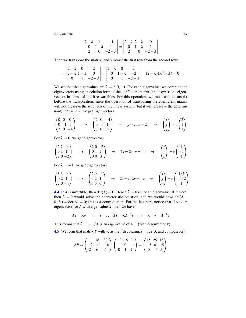$$
\begin{vmatrix} 2-\lambda & 1 & -1 \\ 0 & 1-\lambda & 1 \\ 2 & 0 & -2-\lambda \end{vmatrix} = \begin{vmatrix} 2-\lambda & 2-\lambda & 0 \\ 0 & 1-\lambda & 1 \\ 2 & 0 & -2-\lambda \end{vmatrix}
$$

Then we transpose the matrix, and subtract the first row from the second row:

$$
= \begin{vmatrix} 2-\lambda & 0 & 2 \\ 2-\lambda & 1-\lambda & 0 \\ 0 & 1 & -2-\lambda \end{vmatrix} = \begin{vmatrix} 2-\lambda & 0 & 2 \\ 0 & 1-\lambda & -2 \\ 0 & 1 & -2-\lambda \end{vmatrix} = (2-\lambda)(\lambda^2 + \lambda) = 0
$$

We see that the eigenvalues are  $\lambda = 2, 0, -1$ . For each eigenvalue, we compute the eigenvectors using an echelon form of the coefficient matrix, and express the eigenvectors in terms of the free variables. For this operation, we must use the matrix before the transposition, since the operation of transposing the coefficient matrix will not preserve the solutions of the linear system (but it will preserve the determinant). For  $\lambda = 2$ , we get eigenvectors

$$
\begin{pmatrix} 0 & 0 & 0 \\ 0 & -1 & 1 \\ 2 & 0 & -4 \end{pmatrix} \longrightarrow \begin{pmatrix} 2 & 0 & -4 \\ 0 & -1 & 1 \\ 0 & 0 & 0 \end{pmatrix} \implies y = z, x = 2z \implies \begin{pmatrix} x \\ y \\ z \end{pmatrix} = z \begin{pmatrix} 2 \\ 1 \\ 1 \end{pmatrix}
$$

For  $\lambda = 0$ , we get eigenvectors

$$
\begin{pmatrix} 2 & 2 & 0 \\ 0 & 1 & 1 \\ 2 & 0 & -2 \end{pmatrix} \longrightarrow \begin{pmatrix} 2 & 0 & -2 \\ 0 & 1 & 1 \\ 0 & 0 & 0 \end{pmatrix} \Rightarrow 2x = 2z, y = -z \Rightarrow \begin{pmatrix} x \\ y \\ z \end{pmatrix} = z \begin{pmatrix} 1 \\ -1 \\ 1 \end{pmatrix}
$$

For  $\lambda = -1$ , we get eigenvectors

$$
\begin{pmatrix} 3 & 3 & 0 \\ 0 & 2 & 1 \\ 2 & 0 & -1 \end{pmatrix} \longrightarrow \begin{pmatrix} 2 & 0 & -1 \\ 0 & 2 & 1 \\ 0 & 0 & 0 \end{pmatrix} \Rightarrow 2x = z, 2y = -z \Rightarrow \begin{pmatrix} x \\ y \\ z \end{pmatrix} = z \begin{pmatrix} 1/2 \\ -1/2 \\ 1 \end{pmatrix}
$$

**[4.4](#page-45-4)** If *A* is invertible, then  $det(A) \neq 0$ . Hence  $\lambda = 0$  is not an eigenvalue. If it were, then  $\lambda = 0$  would solve the characteristic equation, and we would have det( $A 0 \cdot I_n$  = det(*A*) = 0; this is a contradiction. For the last part, notice that if **v** is an eigenvector for *A* with eigenvalue  $\lambda$ , then we have

$$
A\mathbf{v} = \lambda v \Rightarrow \mathbf{v} = A^{-1}\lambda \mathbf{v} = \lambda A^{-1}\mathbf{v} \Rightarrow \lambda^{-1}\mathbf{v} = A^{-1}\mathbf{v}
$$

This means that  $\lambda^{-1} = 1/\lambda$  is an eigenvalue of  $A^{-1}$  (with eigenvector **v**).

**[4.5](#page-45-5)** We form that matrix *P* with  $\mathbf{v}_i$  as the *i*'th column,  $i = 1, 2, 3$ , and compute *AP*:

$$
AP = \begin{pmatrix} 1 & 18 & 30 \\ -2 & -11 & -10 \\ 2 & 6 & 5 \end{pmatrix} \begin{pmatrix} -3 & -5 & 3 \\ 1 & 0 & -1 \\ 0 & 1 & 1 \end{pmatrix} = \begin{pmatrix} 15 & 25 & 15 \\ -5 & 0 & -5 \\ 0 & -5 & 5 \end{pmatrix}
$$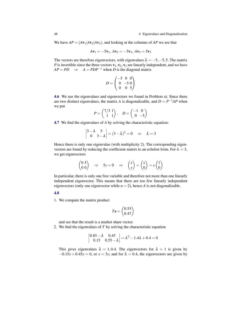We have  $AP = (Av_1|Av_2|Av_3)$ , and looking at the columns of *AP* we see that

$$
Av_1 = -5v_1, Av_2 = -5v_2, Av_3 = 5v_3
$$

The vectors are therefore eigenvectors, with eigenvalues  $\lambda = -5, -5, 5$ . The matrix *P* is invertible since the three vectors  $v_1, v_2, v_3$  are linearly independent, and we have  $AP = PD$   $\Rightarrow$   $A = PDP^{-1}$  when *D* is the diagonal matrix

$$
D = \begin{pmatrix} -5 & 0 & 0 \\ 0 & -5 & 0 \\ 0 & 0 & 5 \end{pmatrix}
$$

[4.6](#page-46-0) We use the eigenvalues and eigenvectors we found in Problem a). Since there are two distinct eigenvalues, the matrix *A* is diagonalizable, and  $D = P^{-1}AP$  when we put

$$
P = \begin{pmatrix} 7/3 & 1 \\ 1 & 1 \end{pmatrix}, \quad D = \begin{pmatrix} -1 & 0 \\ 0 & -5 \end{pmatrix}
$$

[4.7](#page-46-1) We find the eigenvalues of *A* by solving the characteristic equation:

$$
\begin{vmatrix} 3-\lambda & 5 \\ 0 & 3-\lambda \end{vmatrix} = (3-\lambda)^2 = 0 \Rightarrow \lambda = 3
$$

Hence there is only one eigenvalue (with multiplicity 2). The corresponding eigenvectors are found by reducing the coefficient matrix to an echelon form. For  $\lambda = 3$ , we get eigenvectors

$$
\begin{pmatrix} 0 & 5 \\ 0 & 0 \end{pmatrix} \Rightarrow 5y = 0 \Rightarrow \begin{pmatrix} x \\ y \end{pmatrix} = \begin{pmatrix} x \\ 0 \end{pmatrix} = x \begin{pmatrix} 1 \\ 0 \end{pmatrix}
$$

In particular, there is only one free variable and therefore not more than one linearly independent eigenvector. This means that there are too few linearly independent eigenvectors (only one eigenvector while  $n = 2$ ), hence *A* is not diagonalizable.

#### [4.8](#page-46-2)

1. We compute the matrix product

$$
T\mathbf{s} = \begin{pmatrix} 0.53\\ 0.47 \end{pmatrix}
$$

and see that the result is a market share vector.

2. We find the eigenvalues of *T* by solving the characteristic equation

$$
\begin{vmatrix} 0.85 - \lambda & 0.45 \\ 0.15 & 0.55 - \lambda \end{vmatrix} = \lambda^2 - 1.4\lambda + 0.4 = 0
$$

This gives eigenvalues  $\lambda = 1, 0.4$ . The eigenvectors for  $\lambda = 1$  is given by  $-0.15x + 0.45y = 0$ , or  $x = 3y$ ; and for  $\lambda = 0.4$ , the eigenvectors are given by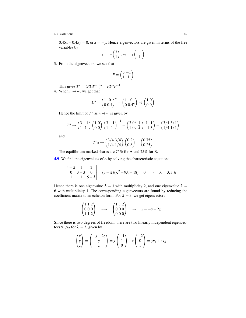$0.45x + 0.45y = 0$ , or  $x = -y$ . Hence eigenvectors are given in terms of the free variables by

$$
\mathbf{v}_1 = y \begin{pmatrix} 3 \\ 1 \end{pmatrix}, \mathbf{v}_2 = y \begin{pmatrix} -1 \\ 1 \end{pmatrix}
$$

3. From the eigenvectors, we see that

$$
P = \begin{pmatrix} 3 & -1 \\ 1 & 1 \end{pmatrix}
$$

This gives  $T^n = (PDP^{-1})^n = PD^nP^{-1}$ .

4. When  $n \rightarrow \infty$ , we get that

$$
D^{n} = \begin{pmatrix} 1 & 0 \\ 0 & 0.4 \end{pmatrix}^{n} = \begin{pmatrix} 1 & 0 \\ 0 & 0.4^{n} \end{pmatrix} \rightarrow \begin{pmatrix} 1 & 0 \\ 0 & 0 \end{pmatrix}
$$

Hence the limit of  $T^n$  as  $n \to \infty$  is given by

$$
T^n \to \begin{pmatrix} 3 & -1 \\ 1 & 1 \end{pmatrix} \begin{pmatrix} 1 & 0 \\ 0 & 0 \end{pmatrix} \begin{pmatrix} 3 & -1 \\ 1 & 1 \end{pmatrix}^{-1} = \begin{pmatrix} 3 & 0 \\ 1 & 0 \end{pmatrix} \frac{1}{4} \begin{pmatrix} 1 & 1 \\ -1 & 3 \end{pmatrix} = \begin{pmatrix} 3/4 & 3/4 \\ 1/4 & 1/4 \end{pmatrix}
$$

and

$$
T^{n}\mathbf{s} \rightarrow \begin{pmatrix} 3/4 & 3/4 \\ 1/4 & 1/4 \end{pmatrix} \begin{pmatrix} 0.2 \\ 0.8 \end{pmatrix} = \begin{pmatrix} 0.75 \\ 0.25 \end{pmatrix}
$$

The equilibrium marked shares are 75% for A and 25% for B.

[4.9](#page-46-3) We find the eigenvalues of *A* by solving the characteristic equation:

$$
\begin{vmatrix} 4 - \lambda & 1 & 2 \\ 0 & 3 - \lambda & 0 \\ 1 & 1 & 5 - \lambda \end{vmatrix} = (3 - \lambda)(\lambda^2 - 9\lambda + 18) = 0 \Rightarrow \lambda = 3, 3, 6
$$

Hence there is one eigenvalue  $\lambda = 3$  with multiplicity 2, and one eigenvalue  $\lambda =$ 6 with multiplicity 1. The corresponding eigenvectors are found by reducing the coefficient matrix to an echelon form. For  $\lambda = 3$ , we get eigenvectors

$$
\begin{pmatrix} 1 & 1 & 2 \\ 0 & 0 & 0 \\ 1 & 1 & 2 \end{pmatrix} \longrightarrow \begin{pmatrix} 1 & 1 & 2 \\ 0 & 0 & 0 \\ 0 & 0 & 0 \end{pmatrix} \Rightarrow x = -y - 2z
$$

Since there is two degrees of freedom, there are two linearly independent eigenvectors  $\mathbf{v}_1, \mathbf{v}_2$  for  $\lambda = 3$ , given by

$$
\begin{pmatrix} x \ y \ z \end{pmatrix} = \begin{pmatrix} -y - 2z \ y \ z \end{pmatrix} = y \begin{pmatrix} -1 \ 1 \ 0 \end{pmatrix} + z \begin{pmatrix} -2 \ 0 \ 1 \end{pmatrix} = y\mathbf{v}_1 + z\mathbf{v}_2
$$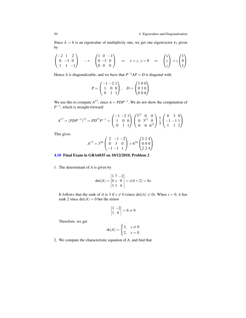Since  $\lambda = 6$  is an eigenvalue of multiplicity one, we get one eigenvector  $v_3$  given by

$$
\begin{pmatrix} -2 & 1 & 2 \\ 0 & -3 & 0 \\ 1 & 1 & -1 \end{pmatrix} \longrightarrow \begin{pmatrix} 1 & 0 & -1 \\ 0 & -3 & 0 \\ 0 & 0 & 0 \end{pmatrix} \implies x = z, y = 0 \implies \begin{pmatrix} x \\ y \\ z \end{pmatrix} = z \begin{pmatrix} 1 \\ 0 \\ 1 \end{pmatrix}
$$

Hence *A* is diagonalizable, and we have that  $P^{-1}AP = D$  is diagonal with

$$
P = \begin{pmatrix} -1 & -2 & 1 \\ 1 & 0 & 0 \\ 0 & 1 & 1 \end{pmatrix}, \quad D = \begin{pmatrix} 3 & 0 & 0 \\ 0 & 3 & 0 \\ 0 & 0 & 6 \end{pmatrix}
$$

We use this to compute  $A^{17}$ , since  $A = PDP^{-1}$ . We do not show the computation of  $P^{-1}$ , which is straight-forward:

$$
A^{17} = (PDP^{-1})^{17} = PD^{17}P^{-1} = \begin{pmatrix} -1 & -2 & 1 \\ 1 & 0 & 0 \\ 0 & 1 & 1 \end{pmatrix} \begin{pmatrix} 3^{17} & 0 & 0 \\ 0 & 3^{17} & 0 \\ 0 & 0 & 6^{17} \end{pmatrix} \frac{1}{3} \begin{pmatrix} 0 & 3 & 0 \\ -1 & -1 & 1 \\ 1 & 1 & 2 \end{pmatrix}
$$

This gives

$$
A^{17} = 3^{16} \begin{pmatrix} 2 & -1 & -2 \\ 0 & 3 & 0 \\ -1 & -1 & 1 \end{pmatrix} + 6^{16} \begin{pmatrix} 2 & 2 & 4 \\ 0 & 0 & 0 \\ 2 & 2 & 4 \end{pmatrix}
$$

# [4.10](#page-46-4) Final Exam in GRA6035 on 10/12/2010, Problem 2

1. The determinant of *A* is given by

$$
det(A) = \begin{vmatrix} 1 & 7 & -2 \\ 0 & s & 0 \\ 1 & 1 & 4 \end{vmatrix} = s(4+2) = 6s
$$

It follows that the rank of *A* is 3 if  $s \neq 0$  (since det(*A*)  $\neq 0$ ). When  $s = 0$ , *A* has rank 2 since  $det(A) = 0$  but the minor

$$
\begin{vmatrix} 1 & -2 \\ 1 & 4 \end{vmatrix} = 6 \neq 0
$$

Therefore, we get

$$
rk(A) = \begin{cases} 3, & s \neq 0 \\ 2, & s = 0 \end{cases}
$$

2. We compute the characteristic equation of *A*, and find that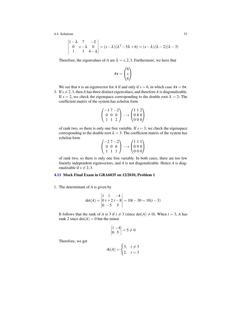$$
\begin{vmatrix}\n1-\lambda & 7 & -2 \\
0 & s-\lambda & 0 \\
1 & 1 & 4-\lambda\n\end{vmatrix} = (s-\lambda)(\lambda^2 - 5\lambda + 6) = (s-\lambda)(\lambda - 2)(\lambda - 3)
$$

Therefore, the eigenvalues of *A* are  $\lambda = s, 2, 3$ . Furthermore, we have that

$$
A\mathbf{v} = \begin{pmatrix} 6 \\ s \\ 6 \end{pmatrix}
$$

We see that **v** is an eigenvector for *A* if and only if  $s = 6$ , in which case  $Av = 6v$ .

3. If  $s \neq 2,3$ , then *A* has three distinct eigenvalues, and therefore *A* is diagonalizable. If  $s = 2$ , we check the eigenspace corresponding to the double root  $\lambda = 2$ . The coefficient matrix of the system has echelon form

$$
\begin{pmatrix} -1 & 7 & -2 \\ 0 & 0 & 0 \\ 1 & 1 & 2 \end{pmatrix} \dashrightarrow \begin{pmatrix} 1 & 1 & 2 \\ 0 & 8 & 0 \\ 0 & 0 & 0 \end{pmatrix}
$$

of rank two, so there is only one free variable. If  $s = 3$ , we check the eigenspace corresponding to the double root  $\lambda = 3$ : The coefficient matrix of the system has echelon form  $\mathcal{L}$ 

$$
\begin{pmatrix} -27 & -2 \\ 0 & 0 & 0 \\ 1 & 1 & 1 \end{pmatrix} \dashrightarrow \begin{pmatrix} 1 & 1 & 1 \\ 0 & 9 & 0 \\ 0 & 0 & 0 \end{pmatrix}
$$

of rank two, so there is only one free variable. In both cases, there are too few linearly independent eigenvectors, and *A* is not diagonalizable. Hence *A* is diagonalixable if  $s \neq 2,3$ .

## [4.11](#page-47-0) Mock Final Exam in GRA6035 on 12/2010, Problem 1

1. The determinant of *A* is given by

$$
det(A) = \begin{vmatrix} 1 & 1 & -4 \\ 0 & t+2 & t-8 \\ 0 & -5 & 5 \end{vmatrix} = 10t - 30 = 10(t-3)
$$

It follows that the rank of *A* is 3 if  $t \neq 3$  (since det(*A*)  $\neq 0$ ). When  $t = 3$ , *A* has rank 2 since  $det(A) = 0$  but the minor

$$
\begin{vmatrix} 1 & -4 \\ 0 & 5 \end{vmatrix} = 5 \neq 0
$$

Therefore, we get

$$
rk(A) = \begin{cases} 3, & t \neq 3 \\ 2, & t = 3 \end{cases}
$$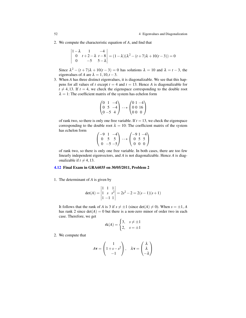2. We compute the characteristic equation of *A*, and find that

$$
\begin{vmatrix} 1 - \lambda & 1 & -4 \\ 0 & t + 2 - \lambda & t - 8 \\ 0 & -5 & 5 - \lambda \end{vmatrix} = (1 - \lambda)(\lambda^2 - (t + 7)\lambda + 10(t - 3)) = 0
$$

Since  $\lambda^2 - (t+7)\lambda + 10(t-3) = 0$  has solutions  $\lambda = 10$  and  $\lambda = t-3$ , the eigenvalues of *A* are  $\lambda = 1, 10, t - 3$ .

3. When *A* has three distinct eigenvalues, it is diagonalizable. We see that this happens for all values of *t* except  $t = 4$  and  $t = 13$ . Hence *A* is diagonalizable for  $t \neq 4,13$ . If  $t = 4$ , we check the eigenspace corresponding to the double root  $\lambda = 1$ : The coefficient matrix of the system has echelon form

$$
\begin{pmatrix} 0 & 1 & -4 \ 0 & 5 & -4 \ 0 & -5 & 4 \end{pmatrix} \dashrightarrow \begin{pmatrix} 0 & 1 & -4 \ 0 & 0 & 16 \ 0 & 0 & 0 \end{pmatrix}
$$

of rank two, so there is only one free variable. If  $t = 13$ , we check the eigenspace corresponding to the double root  $\lambda = 10$ : The coefficient matrix of the system has echelon form  $\mathbf{v}$  $\overline{ }$ 

$$
\begin{pmatrix}\n-9 & 1 & -4 \\
0 & 5 & 5 \\
0 & -5 & -5\n\end{pmatrix}\n\rightarrow\n\begin{pmatrix}\n-9 & 1 & -4 \\
0 & 5 & 5 \\
0 & 0 & 0\n\end{pmatrix}
$$

of rank two, so there is only one free variable. In both cases, there are too few linearly independent eigenvectors, and *A* is not diagonalizable. Hence *A* is diagonalizable if  $t \neq 4,13$ .

## [4.12](#page-47-1) Final Exam in GRA6035 on 30/05/2011, Problem 2

1. The determinant of *A* is given by

$$
det(A) = \begin{vmatrix} 1 & 1 & 1 \\ 1 & s & s^2 \\ 1 & -1 & 1 \end{vmatrix} = 2s^2 - 2 = 2(s - 1)(s + 1)
$$

It follows that the rank of *A* is 3 if  $s \neq \pm 1$  (since det(*A*)  $\neq$  0). When  $s = \pm 1$ , *A* has rank 2 since  $det(A) = 0$  but there is a non-zero minor of order two in each case. Therefore, we get

$$
rk(A) = \begin{cases} 3, & s \neq \pm 1 \\ 2, & s = \pm 1 \end{cases}
$$

2. We compute that

$$
A\mathbf{v} = \begin{pmatrix} 1 \\ 1 + s - s^2 \\ -1 \end{pmatrix}, \quad \lambda \mathbf{v} = \begin{pmatrix} \lambda \\ \lambda \\ -\lambda \end{pmatrix}
$$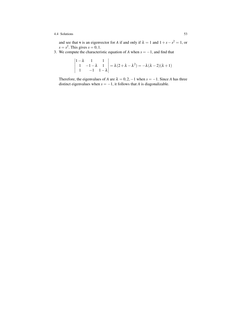and see that **v** is an eigenvector for *A* if and only if  $\lambda = 1$  and  $1 + s - s^2 = 1$ , or  $s = s^2$ . This gives  $s = 0, 1$ .

3. We compute the characteristic equation of *A* when  $s = -1$ , and find that

$$
\begin{vmatrix} 1 - \lambda & 1 & 1 \\ 1 & -1 - \lambda & 1 \\ 1 & -1 & 1 - \lambda \end{vmatrix} = \lambda(2 + \lambda - \lambda^2) = -\lambda(\lambda - 2)(\lambda + 1)
$$

Therefore, the eigenvalues of *A* are  $\lambda = 0, 2, -1$  when  $s = -1$ . Since *A* has three distinct eigenvalues when  $s = -1$ , it follows that *A* is diagonalizable.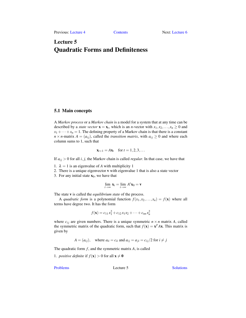# <span id="page-58-0"></span>Lecture 5 Quadratic Forms and Definiteness

# 5.1 Main concepts

A *Markov process* or a *Markov chain* is a model for a system that at any time can be described by a *state vector*  $\mathbf{x} = \mathbf{x}_t$ , which is an *n*-vector with  $x_1, x_2, ..., x_n \ge 0$  and  $x_1 + \cdots + x_n = 1$ . The defining property of a Markov chain is that there is a constant  $n \times n$ -matrix  $A = (a_{ij})$ , called the *transition matrix*, with  $a_{ij} \geq 0$  and where each column sums to 1, such that

$$
\mathbf{x}_{t+1} = A\mathbf{x}_t \quad \text{for } t = 1, 2, 3, \dots
$$

If  $a_{ij} > 0$  for all *i*, *j*, the Markov chain is called *regular*. In that case, we have that

- 1.  $\lambda = 1$  is an eigenvalue of A with multiplicity 1
- 2. There is a unique eigenvector v with eigenvalue 1 that is also a state vector
- 3. For any initial state  $x_0$ , we have that

$$
\lim_{t\to\infty}\mathbf{x}_t=\lim_{t\to\infty}A^t\mathbf{x}_0=\mathbf{v}
$$

The state v is called the *equilibrium state* of the process.

A *quadratic form* is a polynomial function  $f(x_1, x_2,...,x_n) = f(\mathbf{x})$  where all terms have degree two. It has the form

$$
f(\mathbf{x}) = c_{11}x_1^2 + c_{12}x_1x_2 + \dots + c_{nn}x_n^2
$$

where  $c_{ij}$  are given numbers. There is a unique symmetric  $n \times n$  matrix *A*, called the symmetric matrix of the quadratic form, such that  $f(\mathbf{x}) = \mathbf{x}^T A \mathbf{x}$ . This matrix is given by

$$
A = (a_{ij}),
$$
 where  $a_{ii} = c_{ii}$  and  $a_{ij} = a_{ji} = c_{ij}/2$  for  $i \neq j$ 

The quadratic form *f* , and the symmetric matrix *A*, is called

1. *positive definite* if  $f(\mathbf{x}) > 0$  for all  $\mathbf{x} \neq \mathbf{0}$ 

[Problems](#page-59-0) Lecture 5 [Solutions](#page-63-0)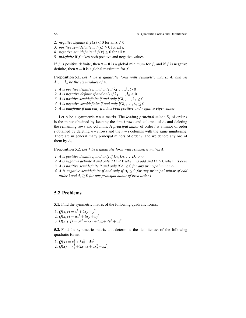56 56 **50 Systems** 2008 5 Quadratic Forms and Definiteness

- 2. *negative definite* if  $f(\mathbf{x}) < 0$  for all  $\mathbf{x} \neq \mathbf{0}$
- 3. *positive semidefinite* if  $f(\mathbf{x}) > 0$  for all **x**
- 4. *negative semidefinite* if  $f(\mathbf{x}) \leq 0$  for all **x**
- 5. *indefinite* if *f* takes both positive and negative values

If *f* is positive definite, then  $\mathbf{x} = \mathbf{0}$  is a global minimum for *f*, and if *f* is negative definite, then  $x = 0$  is a global maximum for f.

Proposition 5.1. *Let f be a quadratic form with symmetric matrix A, and let*  $\lambda_1, \ldots, \lambda_n$  *be the eigenvalues of A.* 

- *1. A* is positive definite if and only if  $\lambda_1, \ldots, \lambda_n > 0$
- *2. A* is negative definite if and only if  $\lambda_1, \ldots, \lambda_n < 0$
- *3. A is positive semidefinite if and only if*  $\lambda_1, \ldots, \lambda_n \geq 0$
- *4. A* is negative semidefinite if and only if  $\lambda_1, \ldots, \lambda_n \leq 0$
- *5. A is indefinite if and only if it has both positive and negative eigenvalues*

Let *A* be a symmetric  $n \times n$  matrix. The *leading principal minor*  $D_i$  of order *i* is the minor obtained by keeping the first *i* rows and columns of *A*, and deleting the remaining rows and columns. A *principal minor* of order *i* is a minor of order *i* obtained by deleting  $n - i$  rows and the  $n - i$  columns with the same numbering. There are in general many principal minors of order *i*, and we denote any one of them by  $\Delta_i$ .

Proposition 5.2. *Let f be a quadratic form with symmetric matrix A.*

- *1. A* is positive definite if and only if  $D_1, D_2, \ldots, D_n > 0$
- *2. A is negative definite if and only if D<sup>i</sup>* < 0 *when i is odd and D<sup>i</sup>* > 0 *when i is even*
- *3. A* is positive semidefinite if and only if  $\Delta$ <sup>*i*</sup> ≥ 0 *for any principal minor*  $\Delta$ *i*
- *4. A is negative semidefinite if and only if* ∆*<sup>i</sup>* ≤ 0 *for any principal minor of odd order i and* ∆*<sup>i</sup>* ≥ 0 *for any principal minor of even order i*

## <span id="page-59-0"></span>5.2 Problems

<span id="page-59-1"></span>5.1. Find the symmetric matrix of the following quadratic forms:

1.  $Q(x, y) = x^2 + 2xy + y^2$ 2.  $Q(x, y) = ax^2 + bxy + cy^2$ 3.  $Q(x, y, z) = 3x^2 - 2xy + 3xz + 2y^2 + 3z^2$ 

<span id="page-59-2"></span>5.2. Find the symmetric matrix and determine the definiteness of the following quadratic forms:

<span id="page-59-3"></span>1.  $Q(\mathbf{x}) = x_1^2 + 3x_2^2 + 5x_3^2$ <br>
2.  $Q(\mathbf{x}) = x_1^2 + 2x_1x_2 + 3x_2^2 + 5x_3^2$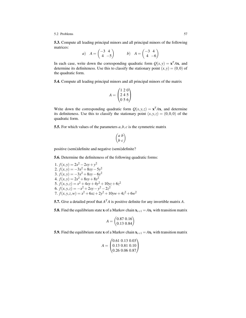#### 5.2 Problems 57

5.3. Compute all leading principal minors and all principal minors of the following matrices:

a) 
$$
A = \begin{pmatrix} -3 & 4 \\ 4 & -5 \end{pmatrix}
$$
 b)  $A = \begin{pmatrix} -3 & 4 \\ 4 & -6 \end{pmatrix}$ 

In each case, write down the corresponding quadratic form  $Q(x, y) = \mathbf{x}^T A \mathbf{x}$ , and determine its definiteness. Use this to classify the stationary point  $(x, y) = (0, 0)$  of the quadratic form.

<span id="page-60-0"></span>5.4. Compute all leading principal minors and all principal minors of the matrix

$$
A = \begin{pmatrix} 1 & 2 & 0 \\ 2 & 4 & 5 \\ 0 & 5 & 6 \end{pmatrix}
$$

Write down the corresponding quadratic form  $Q(x, y, z) = \mathbf{x}^T A \mathbf{x}$ , and determine its definiteness. Use this to classify the stationary point  $(x, y, z) = (0, 0, 0)$  of the quadratic form.

<span id="page-60-1"></span>5.5. For which values of the parameters *a*,*b*, *c* is the symmetric matrix

$$
\begin{pmatrix} a & b \\ b & c \end{pmatrix}
$$

positive (semi)definite and negative (semi)definite?

<span id="page-60-2"></span>5.6. Determine the definiteness of the following quadratic forms:

1.  $f(x, y) = 2x^2 - 2xy + y^2$ 2.  $f(x,y) = -3x^2 + 8xy - 5y^2$ 3.  $f(x,y) = -3x^2 + 8xy - 6y^2$ 4.  $f(x, y) = 2x^2 + 8xy + 8y^2$ 5.  $f(x, y, z) = x^2 + 4xy + 4y^2 + 10yz + 6z^2$ 6.  $f(x, y, z) = -x^2 + 2xy - y^2 - 2z^2$ 7.  $f(x, y, z, w) = x^2 + 6xz + 2y^2 + 10yw + 4z^2 + 6w^2$ 

<span id="page-60-3"></span>**5.7.** Give a detailed proof that  $A<sup>T</sup>A$  is positive definite for any invertible matrix A.

<span id="page-60-4"></span>5.8. Find the equilibrium state **x** of a Markov chain  $x_{t+1} = Ax_t$  with transition matrix

$$
A = \begin{pmatrix} 0.87 & 0.16 \\ 0.13 & 0.84 \end{pmatrix}
$$

<span id="page-60-6"></span><span id="page-60-5"></span>5.9. Find the equilibrium state x of a Markov chain  $x_{t+1} = Ax_t$  with transition matrix

$$
A = \begin{pmatrix} 0.61 & 0.13 & 0.03 \\ 0.13 & 0.81 & 0.10 \\ 0.26 & 0.06 & 0.87 \end{pmatrix}
$$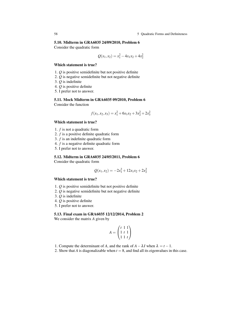#### 5.10. Midterm in GRA6035 24/09/2010, Problem 6

Consider the quadratic form

$$
Q(x_1, x_2) = x_1^2 - 4x_1x_2 + 4x_2^2
$$

## Which statement is true?

- 1. *Q* is positive semidefinite but not positive definite
- 2. *Q* is negative semidefinite but not negative definite
- 3. *Q* is indefinite
- 4. *Q* is positive definite
- 5. I prefer not to answer.

## <span id="page-61-0"></span>5.11. Mock Midterm in GRA6035 09/2010, Problem 6 Consider the function

$$
f(x_1, x_2, x_3) = x_1^2 + 6x_1x_2 + 3x_2^2 + 2x_3^2
$$

## Which statement is true?

- 1. *f* is not a quadratic form
- 2. *f* is a positive definite quadratic form
- 3. *f* is an indefinite quadratic form
- 4. *f* is a negative definite quadratic form
- 5. I prefer not to answer.

## <span id="page-61-1"></span>5.12. Midterm in GRA6035 24/05/2011, Problem 6

Consider the quadratic form

$$
Q(x_1, x_2) = -2x_1^2 + 12x_1x_2 + 2x_2^2
$$

## Which statement is true?

- 1. *Q* is positive semidefinite but not positive definite
- 2. *Q* is negative semidefinite but not negative definite
- 3. *Q* is indefinite
- 4. *Q* is positive definite
- 5. I prefer not to answer.

## <span id="page-61-2"></span>5.13. Final exam in GRA6035 12/12/2014, Problem 2

We consider the matrix *A* given by

$$
A = \begin{pmatrix} t & 1 & 1 \\ 1 & t & 1 \\ 1 & 1 & t \end{pmatrix}
$$

- 1. Compute the determinant of *A*, and the rank of  $A \lambda I$  when  $\lambda = t 1$ .
- 2. Show that *A* is diagonalizable when  $t = 8$ , and find all its eigenvalues in this case.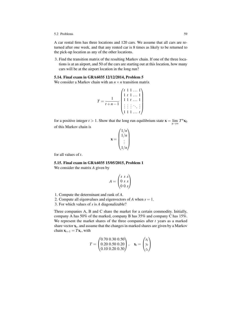#### 5.2 Problems 59

A car rental firm has three locations and 120 cars. We assume that all cars are returned after one week, and that any rented car is 8 times as likely to be returned to the pick-up location as any of the other locations.

3. Find the transition matrix of the resulting Markov chain. If one of the three locations is at an airport, and 50 of the cars are starting out at this location, how many cars will be at the airport location in the long run?

## <span id="page-62-0"></span>5.14. Final exam in GRA6035 12/12/2014, Problem 5

We consider a Markov chain with an  $n \times n$  transition matrix

$$
T = \frac{1}{t+n-1} \begin{pmatrix} t & 1 & 1 & \dots & 1 \\ 1 & t & 1 & \dots & 1 \\ 1 & 1 & t & \dots & 1 \\ \vdots & \vdots & \vdots & \ddots & \vdots \\ 1 & 1 & 1 & \dots & t \end{pmatrix}
$$

for a positive integer *t* > 1. Show that the long run equilibrium state  $\mathbf{x} = \lim_{n \to \infty} T^n \mathbf{x}_0$ of this Markov chain is

$$
\mathbf{x} = \begin{pmatrix} 1/n \\ 1/n \\ \vdots \\ 1/n \end{pmatrix}
$$

for all values of *t*.

## <span id="page-62-1"></span>5.15. Final exam in GRA6035 15/05/2015, Problem 1

We consider the matrix *A* given by

$$
A = \begin{pmatrix} s & s & s \\ 0 & s & s \\ 0 & 0 & s \end{pmatrix}
$$

- 1. Compute the determinant and rank of *A*.
- 2. Compute all eigenvalues and eigenvectors of *A* when *s* = 1.
- 3. For which values of *s* is *A* diagonalizable?

Three companies A, B and C share the market for a certain commodity. Initially, company A has 50% of the marked, company B has 35% and company C has 15%. We represent the market shares of the three companies after *t* years as a marked share vector x*<sup>t</sup>* , and assume that the changes in marked shares are given by a Markov chain  $\mathbf{x}_{t+1} = T\mathbf{x}_t$ , with

$$
T = \begin{pmatrix} 0.70 & 0.30 & 0.50 \\ 0.20 & 0.50 & 0.20 \\ 0.10 & 0.20 & 0.30 \end{pmatrix}, \quad \mathbf{x}_t = \begin{pmatrix} x_t \\ y_t \\ z_t \end{pmatrix}
$$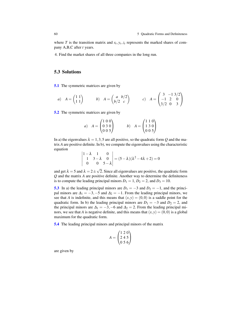where *T* is the transition matrix and  $x_t$ ,  $y_t$ ,  $z_t$  represents the marked shares of company A,B,C after *t* years.

4. Find the market shares of all three companies in the long run.

# <span id="page-63-0"></span>5.3 Solutions

[5.1](#page-59-1) The symmetric matrices are given by

a) 
$$
A = \begin{pmatrix} 1 & 1 \\ 1 & 1 \end{pmatrix}
$$
 b)  $A = \begin{pmatrix} a & b/2 \\ b/2 & c \end{pmatrix}$  c)  $A = \begin{pmatrix} 3 & -1 & 3/2 \\ -1 & 2 & 0 \\ 3/2 & 0 & 3 \end{pmatrix}$ 

[5.2](#page-59-2) The symmetric matrices are given by

a) 
$$
A = \begin{pmatrix} 1 & 0 & 0 \\ 0 & 3 & 0 \\ 0 & 0 & 5 \end{pmatrix}
$$
 b)  $A = \begin{pmatrix} 1 & 1 & 0 \\ 1 & 3 & 0 \\ 0 & 0 & 5 \end{pmatrix}$ 

In a) the eigenvalues  $\lambda = 1, 3, 5$  are all positive, so the quadratic form *Q* and the matrix *A* are positive definite. In b), we compute the eigenvalues using the characteristic equation

$$
\begin{vmatrix} 1 - \lambda & 1 & 0 \\ 1 & 3 - \lambda & 0 \\ 0 & 0 & 5 - \lambda \end{vmatrix} = (5 - \lambda)(\lambda^2 - 4\lambda + 2) = 0
$$

and get  $\lambda = 5$  and  $\lambda = 2 \pm$ √ 2. Since all eigenvalues are positive, the quadratic form *Q* and the matrix *A* are positive definite. Another way to determine the definiteness is to compute the leading principal minors  $D_1 = 1$ ,  $D_2 = 2$ , and  $D_3 = 10$ .

[5.3](#page-59-3) In a) the leading principal minors are  $D_1 = -3$  and  $D_2 = -1$ , and the principal minors are  $\Delta_1 = -3, -5$  and  $\Delta_2 = -1$ . From the leading principal minors, we see that *A* is indefinite, and this means that  $(x, y) = (0, 0)$  is a saddle point for the quadratic form. In b) the leading principal minors are  $D_1 = -3$  and  $D_2 = 2$ , and the principal minors are  $\Delta_1 = -3, -6$  and  $\Delta_2 = 2$ . From the leading principal minors, we see that *A* is negative definite, and this means that  $(x, y) = (0, 0)$  is a global maximum for the quadratic form.

[5.4](#page-60-0) The leading principal minors and principal minors of the matrix

$$
A = \begin{pmatrix} 1 & 2 & 0 \\ 2 & 4 & 5 \\ 0 & 5 & 6 \end{pmatrix}
$$

are given by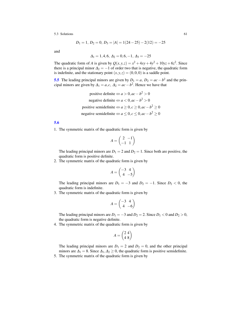$$
D_1 = 1, D_2 = 0, D_3 = |A| = 1(24 - 25) - 2(12) = -25
$$

and

$$
\Delta_1=1,4,6,\,\Delta_2=0,6,-1,\,\Delta_3=-25
$$

The quadratic form of *A* is given by  $Q(x, y, z) = x^2 + 4xy + 4y^2 + 10yz + 6z^2$ . Since there is a principal minor  $\Delta_2 = -1$  of order two that is negative, the quadratic form is indefinite, and the stationary point  $(x, y, z) = (0, 0, 0)$  is a saddle point.

**[5.5](#page-60-1)** The leading principal minors are given by  $D_1 = a$ ,  $D_2 = ac - b^2$  and the principal minors are given by  $\Delta_1 = a, c, \Delta_2 = ac - b^2$ . Hence we have that

> positive definite  $\Leftrightarrow a > 0$ ,  $ac - b^2 > 0$ negative definite  $\Leftrightarrow a < 0$ ,  $ac - b^2 > 0$ positive semidefinite  $\Leftrightarrow a \ge 0, c \ge 0, ac - b^2 \ge 0$ negative semidefinite  $\Leftrightarrow a \leq 0, c \leq 0, ac - b^2 \geq 0$

# [5.6](#page-60-2)

1. The symmetric matrix of the quadratic form is given by

$$
A = \begin{pmatrix} 2 & -1 \\ -1 & 1 \end{pmatrix}
$$

The leading principal minors are  $D_1 = 2$  and  $D_2 = 1$ . Since both are positive, the quadratic form is positive definite.

2. The symmetric matrix of the quadratic form is given by

$$
A = \begin{pmatrix} -3 & 4 \\ 4 & -5 \end{pmatrix}
$$

The leading principal minors are  $D_1 = -3$  and  $D_2 = -1$ . Since  $D_2 < 0$ , the quadratic form is indefinite.

3. The symmetric matrix of the quadratic form is given by

$$
A = \begin{pmatrix} -3 & 4 \\ 4 & -6 \end{pmatrix}
$$

The leading principal minors are  $D_1 = -3$  and  $D_2 = 2$ . Since  $D_1 < 0$  and  $D_2 > 0$ , the quadratic form is negative definite.

4. The symmetric matrix of the quadratic form is given by

$$
A = \begin{pmatrix} 2 & 4 \\ 4 & 8 \end{pmatrix}
$$

The leading principal minors are  $D_1 = 2$  and  $D_2 = 0$ , and the other principal minors are  $\Delta_1 = 8$ . Since  $\Delta_1, \Delta_2 \geq 0$ , the quadratic form is positive semidefinite. 5. The symmetric matrix of the quadratic form is given by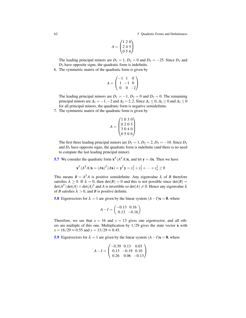62 5 Quadratic Forms and Definiteness

$$
A = \begin{pmatrix} 1 & 2 & 0 \\ 2 & 4 & 5 \\ 0 & 5 & 6 \end{pmatrix}
$$

The leading principal minors are  $D_1 = 1$ ,  $D_2 = 0$  and  $D_3 = -25$ . Since  $D_1$  and *D*<sup>3</sup> have opposite signs, the quadratic form is indefinite.

6. The symmetric matrix of the quadratic form is given by

$$
A = \begin{pmatrix} -1 & 1 & 0 \\ 1 & -1 & 0 \\ 0 & 0 & -2 \end{pmatrix}
$$

The leading principal minors are  $D_1 = -1$ ,  $D_2 = 0$  and  $D_3 = 0$ . The remaining principal minors are  $\Delta_1 = -1, -2$  and  $\Delta_2 = 2, 2$ . Since  $\Delta_1 \leq 0, \Delta_2 \geq 0$  and  $\Delta_3 \leq 0$ for all principal minors, the quadratic form is negative semidefinite.

7. The symmetric matrix of the quadratic form is given by

$$
A = \begin{pmatrix} 1 & 0 & 3 & 0 \\ 0 & 2 & 0 & 5 \\ 3 & 0 & 4 & 0 \\ 0 & 5 & 0 & 6 \end{pmatrix}
$$

The first three leading principal minors are  $D_1 = 1$ ,  $D_2 = 2$ ,  $D_3 = -10$ . Since  $D_1$ and  $D_3$  have opposite signs, the quadratic form is indefinite (and there is no need to compute the last leading principal minor).

**[5.7](#page-60-3)** We consider the quadratic form  $\mathbf{x}^T (A^T A)\mathbf{x}$ , and let  $\mathbf{y} = A\mathbf{x}$ . Then we have

$$
\mathbf{x}^T (A^T A) \mathbf{x} = (A\mathbf{x})^T (A\mathbf{x}) = \mathbf{y}^T \mathbf{y} = y_1^2 + y_2^2 + \dots + y_n^2 \ge 0
$$

This means  $B = A^T A$  is positive semidefinite. Any eigenvalue  $\lambda$  of *B* therefore satisfies  $\lambda \ge 0$ . If  $\lambda = 0$ , then  $\det(B) = 0$  and this is not possible since  $\det(B) =$  $\det(A^T) \det(A) = \det(A)^2$  and *A* is invertible so  $\det(A) \neq 0$ . Hence any eigenvalue  $\lambda$ of *B* satisfies  $\lambda > 0$ , and *B* is positive definite.

[5.8](#page-60-4) Eigenvectors for  $\lambda = 1$  are given by the linear system  $(A − I)$ **x** = **0**, where

$$
A - I = \begin{pmatrix} -0.13 & 0.16 \\ 0.13 & -0.16 \end{pmatrix}
$$

Therefore, we see that  $x = 16$  and  $y = 13$  gives one eigenvector, and all others are multiple of this one. Multiplication by  $1/29$  gives the state vector **x** with  $x = 16/29 \approx 0.55$  and  $y = 13/29 \approx 0.45$ .

[5.9](#page-60-5) Eigenvectors for  $\lambda = 1$  are given by the linear system  $(A - I)x = 0$ , where

$$
A - I = \begin{pmatrix} -0.39 & 0.13 & 0.03 \\ 0.13 & -0.19 & 0.10 \\ 0.26 & 0.06 & -0.13 \end{pmatrix}
$$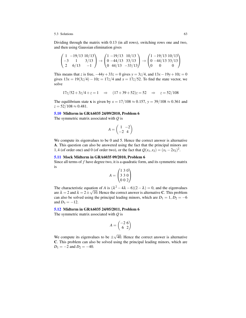Dividing through the matrix with 0.13 (in all rows), switching rows one and two, and then using Gaussian elimination gives

$$
\begin{pmatrix} 1 & -19/13 & 10/13 \\ -3 & 1 & 3/13 \\ 2 & 6/13 & -1 \end{pmatrix} \rightarrow \begin{pmatrix} 1 & -19/13 & 10/13 \\ 0 & -44/13 & 33/13 \\ 0 & 44/13 & -33/13 \end{pmatrix} \rightarrow \begin{pmatrix} 1 & -19/13 & 10/13 \\ 0 & -44/13 & 33/13 \\ 0 & 0 & 0 \end{pmatrix}
$$

This means that *z* is free,  $-44y + 33z = 0$  gives  $y = 3z/4$ , and  $13x - 19y + 10z = 0$ gives  $13x = 19(3z/4) - 10z = 17z/4$  and  $x = 17z/52$ . To find the state vector, we solve

$$
17z/52 + 3z/4 + z = 1
$$
  $\Rightarrow$   $(17 + 39 + 52)z = 52$   $\Rightarrow$   $z = 52/108$ 

The equilibrium state **x** is given by  $x = \frac{17}{108} \approx 0.157$ ,  $y = \frac{39}{108} \approx 0.361$  and  $z = 52/108 \approx 0.481$ .

#### [5.10](#page-60-6) Midterm in GRA6035 24/09/2010, Problem 6

The symmetric matrix associated with *Q* is

$$
A = \begin{pmatrix} 1 & -2 \\ -2 & 4 \end{pmatrix}
$$

We compute its eigenvalues to be 0 and 5. Hence the correct answer is alternative A. This question can also be answered using the fact that the principal minors are 1,4 (of order one) and 0 (of order two), or the fact that  $Q(x_1, x_2) = (x_1 - 2x_2)^2$ .

## [5.11](#page-61-0) Mock Midterm in GRA6035 09/2010, Problem 6

Since all terms of *f* have degree two, it is a quadratic form, and its symmetric matrix is

$$
A = \begin{pmatrix} 1 & 3 & 0 \\ 3 & 3 & 0 \\ 0 & 0 & 2 \end{pmatrix}
$$

The characteristic equation of *A* is  $(\lambda^2 - 4\lambda - 6)(2 - \lambda) = 0$ , and the eigenvalues are  $\lambda = 2$  and  $\lambda = 2 \pm \sqrt{10}$ . Hence the correct answer is alternative **C**. This problem can also be solved using the principal leading minors, which are  $D_1 = 1, D_2 = -6$ and  $D_3 = -12$ .

## [5.12](#page-61-1) Midterm in GRA6035 24/05/2011, Problem 6

The symmetric matrix associated with *Q* is

$$
A = \begin{pmatrix} -2 & 6 \\ 6 & 2 \end{pmatrix}
$$

We compute its eigenvalues to be  $\pm$ √ 40. Hence the correct answer is alternative C. This problem can also be solved using the principal leading minors, which are  $D_1 = -2$  and  $D_2 = -40$ .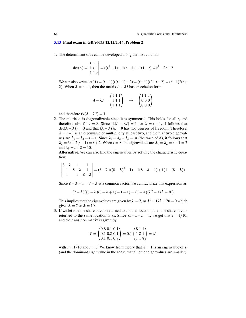#### [5.13](#page-61-2) Final exam in GRA6035 12/12/2014, Problem 2

1. The determinant of *A* can be developed along the first column:

$$
det(A) = \begin{vmatrix} t & 1 & 1 \\ 1 & t & 1 \\ 1 & 1 & t \end{vmatrix} = t(t^2 - 1) - 1(t - 1) + 1(1 - t) = t^3 - 3t + 2
$$

We can also write  $\det(A) = (t-1)(t(t+1)-2) = (t-1)(t^2+t-2) = (t-1)^2(t+1)$ 2). When  $\lambda = t - 1$ , then the matrix  $A - \lambda I$  has an echelon form

$$
A - \lambda I = \begin{pmatrix} 1 & 1 & 1 \\ 1 & 1 & 1 \\ 1 & 1 & 1 \end{pmatrix} \rightarrow \begin{pmatrix} 1 & 1 & 1 \\ 0 & 0 & 0 \\ 0 & 0 & 0 \end{pmatrix}
$$

and therefore  $rk(A - \lambda I) = 1$ .

2. The matrix *A* is diagonalizable since it is symmetric. This holds for all *t*, and therefore also for  $t = 8$ . Since  $rk(A - \lambda I) = 1$  for  $\lambda = t - 1$ , if follows that  $det(A - \lambda I) = 0$  and that  $(A - \lambda I)\mathbf{x} = \mathbf{0}$  has two degrees of freedom. Therefore,  $\lambda = t - 1$  is an eigenvalue of multiplicity at least two, and the first two eigenvalues are  $\lambda_1 = \lambda_2 = t - 1$ . Since  $\lambda_1 + \lambda_2 + \lambda_3 = 3t$  (the trace of *A*), it follows that  $\lambda_3 = 3t - 2(t - 1) = t + 2$ . When  $t = 8$ , the eigenvalues are  $\lambda_1 = \lambda_2 = t - 1 = 7$ and  $\lambda_3 = t + 2 = 10$ .

Alternative. We can also find the eigenvalues by solving the characteristic equation:

$$
\begin{vmatrix} 8-\lambda & 1 & 1 \\ 1 & 8-\lambda & 1 \\ 1 & 1 & 8-\lambda \end{vmatrix} = (8-\lambda)((8-\lambda)^2-1) - 1(8-\lambda-1) + 1(1-(8-\lambda))
$$

Since  $8 - \lambda - 1 = 7 - \lambda$  is a common factor, we can factorize this expression as

$$
(7 - \lambda)((8 - \lambda)(8 - \lambda + 1) - 1 - 1) = (7 - \lambda)(\lambda^2 - 17\lambda + 70)
$$

This implies that the eigenvalues are given by  $\lambda = 7$ , or  $\lambda^2 - 17\lambda + 70 = 0$  which gives  $\lambda = 7$  or  $\lambda = 10$ .

3. If we let *s* be the share of cars returned to another location, then the share of cars returned to the same location is 8*s*. Since  $8s + s + s = 1$ , we get that  $s = 1/10$ , and the transition matrix is given by

$$
T = \begin{pmatrix} 0.8 & 0.1 & 0.1 \\ 0.1 & 0.8 & 0.1 \\ 0.1 & 0.1 & 0.8 \end{pmatrix} = 0.1 \begin{pmatrix} 8 & 1 & 1 \\ 1 & 8 & 1 \\ 1 & 1 & 8 \end{pmatrix} = sA
$$

with  $s = 1/10$  and  $t = 8$ . We know from theory that  $\lambda = 1$  is an eigenvalue of T (and the dominant eigenvalue in the sense that all other eigenvalues are smaller),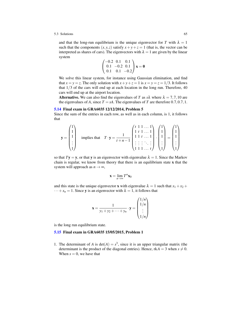and that the long-run equilibrium is the unique eigenvector for *T* with  $\lambda = 1$ such that the components  $(x, y, z)$  satisfy  $x + y + z = 1$  (that is, the vector can be interpreted as shares of cars). The eigenvectors with  $\lambda = 1$  are given by the linear system

$$
\begin{pmatrix}\n-0.2 & 0.1 & 0.1 \\
0.1 & -0.2 & 0.1 \\
0.1 & 0.1 & -0.2\n\end{pmatrix} \mathbf{x} = \mathbf{0}
$$

We solve this linear system, for instance using Gaussian elimination, and find that  $x = y = z$ . The only solution with  $x + y + z = 1$  is  $x = y = z = 1/3$ . It follows that  $1/3$  of the cars will end up at each location in the long run. Therefore,  $40$ cars will end up at the airport location.

**Alternative.** We can also find the eigenvalues of *T* as  $s\lambda$  where  $\lambda = 7,7,10$  are the eigenvalues of *A*, since  $T = sA$ . The eigenvalues of *T* are therefore 0.7, 0.7, 1.

#### [5.14](#page-62-0) Final exam in GRA6035 12/12/2014, Problem 5

Since the sum of the entries in each row, as well as in each column, is 1, it follows that

$$
\mathbf{y} = \begin{pmatrix} 1 \\ 1 \\ 1 \\ \vdots \\ 1 \end{pmatrix} \text{ implies that } T \cdot \mathbf{y} = \frac{1}{t+n-1} \begin{pmatrix} t & 1 & 1 & \dots & 1 \\ 1 & t & 1 & \dots & 1 \\ 1 & 1 & t & \dots & 1 \\ \vdots & \vdots & \vdots & \ddots & \vdots \\ 1 & 1 & 1 & \dots & t \end{pmatrix} \cdot \begin{pmatrix} 1 \\ 1 \\ 1 \\ \vdots \\ 1 \end{pmatrix} = \begin{pmatrix} 1 \\ 1 \\ 1 \\ \vdots \\ 1 \end{pmatrix}
$$

so that  $Ty = y$ , or that y is an eigenvector with eigenvalue  $\lambda = 1$ . Since the Markov chain is regular, we know from theory that there is an equilibrium state x that the system will approach as  $n \rightarrow \infty$ ,

$$
\mathbf{x} = \lim_{n \to \infty} T^n \mathbf{x}_0
$$

and this state is the unique eigenvector **x** with eigenvalue  $\lambda = 1$  such that  $x_1 + x_2 +$  $\cdots + x_n = 1$ . Since **y** is an eigenvector with  $\lambda = 1$ , it follows that

$$
\mathbf{x} = \frac{1}{y_1 + y_2 + \dots + y_n} \cdot \mathbf{y} = \begin{pmatrix} 1/n \\ 1/n \\ \vdots \\ 1/n \end{pmatrix}
$$

is the long run equilibrium state.

# [5.15](#page-62-1) Final exam in GRA6035 15/05/2015, Problem 1

1. The determinant of *A* is  $det(A) = s^3$ , since it is an upper triangular matrix (the determinant is the product of the diagonal entries). Hence,  $rkA = 3$  when  $s \neq 0$ . When  $s = 0$ , we have that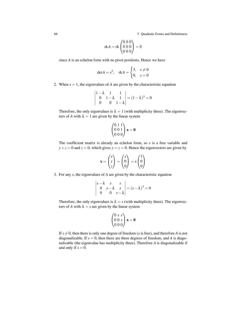66 5 Quadratic Forms and Definiteness

$$
rkA = rk \begin{pmatrix} 0 & 0 & 0 \\ 0 & 0 & 0 \\ 0 & 0 & 0 \end{pmatrix} = 0
$$

since *A* is an echelon form with no pivot positions. Hence we have

$$
\det A = s^3, \quad \text{rk} A = \begin{cases} 3, & s \neq 0 \\ 0, & s = 0 \end{cases}
$$

2. When  $s = 1$ , the eigenvalues of *A* are given by the characteristic equation

$$
\begin{vmatrix} 1 - \lambda & 1 & 1 \\ 0 & 1 - \lambda & 1 \\ 0 & 0 & 1 - \lambda \end{vmatrix} = (1 - \lambda)^3 = 0
$$

Therefore, the only eigenvalues is  $\lambda = 1$  (with multiplicity three). The eigenvectors of *A* with  $\lambda = 1$  are given by the linear system

$$
\begin{pmatrix} 0 & 1 & 1 \\ 0 & 0 & 1 \\ 0 & 0 & 0 \end{pmatrix} \mathbf{x} = \mathbf{0}
$$

The coefficient matrix is already an echelon form, so *x* is a free variable and  $y + z = 0$  and  $z = 0$ , which gives  $y = z = 0$ . Hence the eigenvectors are given by

$$
\mathbf{x} = \begin{pmatrix} x \\ y \\ z \end{pmatrix} = \begin{pmatrix} x \\ 0 \\ 0 \end{pmatrix} = x \begin{pmatrix} 1 \\ 0 \\ 0 \end{pmatrix}
$$

3. For any *s*, the eigenvalues of *A* are given by the characteristic equation

 $\overline{a}$ 

$$
\begin{vmatrix} s-\lambda & s & s \\ 0 & s-\lambda & s \\ 0 & 0 & s-\lambda \end{vmatrix} = (s-\lambda)^3 = 0
$$

Therefore, the only eigenvalues is  $\lambda = s$  (with multiplicity three). The eigenvectors of *A* with  $\lambda = s$  are given by the linear system

$$
\begin{pmatrix} 0 & s & s \\ 0 & 0 & s \\ 0 & 0 & 0 \end{pmatrix} \mathbf{x} = \mathbf{0}
$$

If  $s \neq 0$ , then there is only one degree of freedom (*x* is free), and therefore *A* is not diagonalizable. If  $s = 0$ , then there are three degrees of freedom, and *A* is diagonalizable (the eigenvalue has multiplicity three). Therefore *A* is diagonalizable if and only if  $s = 0$ .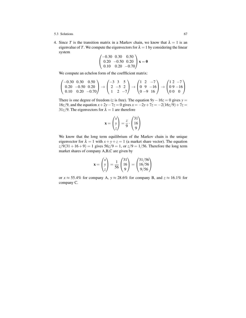4. Since *T* is the transition matrix in a Markov chain, we know that  $\lambda = 1$  is an eigenvalue of *T*. We compute the eigenvectors for  $\lambda = 1$  by considering the linear system

$$
\begin{pmatrix}\n-0.30 & 0.30 & 0.50 \\
0.20 & -0.50 & 0.20 \\
0.10 & 0.20 & -0.70\n\end{pmatrix} \mathbf{x} = \mathbf{0}
$$

We compute an echelon form of the coeffficient matrix:

$$
\begin{pmatrix}\n-0.30 & 0.30 & 0.50 \\
0.20 & -0.50 & 0.20 \\
0.10 & 0.20 & -0.70\n\end{pmatrix}\n\rightarrow\n\begin{pmatrix}\n-3 & 3 & 5 \\
2 & -5 & 2 \\
1 & 2 & -7\n\end{pmatrix}\n\rightarrow\n\begin{pmatrix}\n1 & 2 & -7 \\
0 & 9 & -16 \\
0 & -9 & 16\n\end{pmatrix}\n\rightarrow\n\begin{pmatrix}\n1 & 2 & -7 \\
0 & 9 & -16 \\
0 & 0 & 0\n\end{pmatrix}
$$

There is one degree of freedom (*z* is free). The equation  $9y - 16z = 0$  gives  $y =$ 16*z*/9, and the equation  $x + 2y - 7z = 0$  gives  $x = -2y + 7z = -2(16z/9) + 7z =$  $31z/9$ . The eigenvectors for  $\lambda = 1$  are therefore

$$
\mathbf{x} = \begin{pmatrix} x \\ y \\ z \end{pmatrix} = \frac{z}{9} \cdot \begin{pmatrix} 31 \\ 16 \\ 9 \end{pmatrix}
$$

We know that the long term equilibrium of the Markov chain is the unique eigenvector for  $\lambda = 1$  with  $x + y + z = 1$  (a market share vector). The equation  $z/9(31 + 16 + 9) = 1$  gives  $56z/9 = 1$ , or  $z/9 = 1/56$ . Therefore the long term market shares of company A,B,C are given by

$$
\mathbf{x} = \begin{pmatrix} x \\ y \\ z \end{pmatrix} = \frac{1}{56} \begin{pmatrix} 31 \\ 16 \\ 9 \end{pmatrix} = \begin{pmatrix} 31/56 \\ 16/56 \\ 9/56 \end{pmatrix}
$$

or  $x \approx 55.4\%$  for company A,  $y \approx 28.6\%$  for company B, and  $z \approx 16.1\%$  for company C.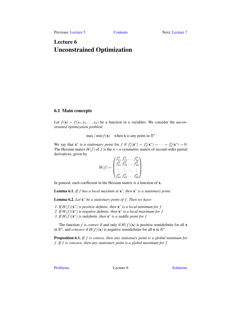# <span id="page-72-0"></span>Lecture 6 Unconstrained Optimization

# 6.1 Main concepts

Let  $f(\mathbf{x}) = f(x_1, x_2, \dots, x_n)$  be a function in *n* variables. We consider the *unconstrained optimization problem*

 $\max / \min f(\mathbf{x})$  when **x** is any point in  $\mathbb{R}^n$ 

We say that  $\mathbf{x}^*$  is a *stationary point* for *f* if  $f'_1(\mathbf{x}^*) = f'_2(\mathbf{x}^*) = \cdots = f'_n(\mathbf{x}^*) = 0$ . The Hessian matrix  $H(f)$  of f is the  $n \times n$  symmetric matrix of second order partial derivatives, given by  $\omega$ 

$$
H(f) = \begin{pmatrix} f_{11}'' & f_{12}'' & \cdots & f_{1n}' \\ f_{21}'' & f_{22}'' & \cdots & f_{2n}' \\ \vdots & \vdots & \ddots & \vdots \\ f_{n1}'' & f_{n2}'' & \cdots & f_{nn}'' \end{pmatrix}
$$

In general, each coefficient in the Hessian matrix is a function of x.

**Lemma 6.1.** If f has a local max/min at  $\mathbf{x}^*$ , then  $\mathbf{x}^*$  is a stationary point.

Lemma 6.2. Let  $x^*$  be a stationary point of f. Then we have:

*1.* If  $H(f)(\mathbf{x}^*)$  is positive definite, then  $\mathbf{x}^*$  is a local minimum for f 2. If  $H(f)(\mathbf{x}^*)$  is negative definite, then  $\mathbf{x}^*$  is a local maximum for f 3. If  $H(f)(\mathbf{x}^*)$  *is indefinite, then*  $\mathbf{x}^*$  *is a saddle point for f* 

The function *f* is *convex* if and only if  $H(f)(x)$  is positive semidefinite for all x in  $\mathbb{R}^n$ , and *concave* if  $H(f)(\mathbf{x})$  is negative semidefinite for all **x** in  $\mathbb{R}^n$ .

Proposition 6.1. *If f is convex, then any stationary point is a global minimum for f . If f is concave, then any stationary point is a global maximum for f .*

[Problems](#page-73-0) Lecture 6 [Solutions](#page-76-0)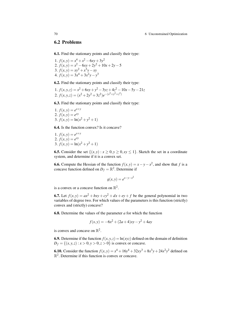70 6 Unconstrained Optimization

# <span id="page-73-0"></span>6.2 Problems

<span id="page-73-1"></span>6.1. Find the stationary points and classify their type:

1.  $f(x, y) = x^4 + x^2 - 6xy + 3y^2$ 2.  $f(x,y) = x^2 - 6xy + 2y^2 + 10x + 2y - 5$ 3.  $f(x, y) = xy^2 + x^3y - xy$ 4.  $f(x, y) = 3x^4 + 3x^2y - y^3$ 

<span id="page-73-2"></span>6.2. Find the stationary points and classify their type:

1. 
$$
f(x,y,z) = x^2 + 6xy + y^2 - 3yz + 4z^2 - 10x - 5y - 21z
$$
  
2.  $f(x,y,z) = (x^2 + 2y^2 + 3z^2)e^{-(x^2 + y^2 + z^2)}$ 

<span id="page-73-3"></span>6.3. Find the stationary points and classify their type:

1.  $f(x, y) = e^{x+y}$ 2.  $f(x, y) = e^{xy}$ 3.  $f(x,y) = \ln(x^2 + y^2 + 1)$ 

<span id="page-73-4"></span>6.4. Is the function convex? Is it concave?

1. 
$$
f(x,y) = e^{x+y}
$$
  
\n2.  $f(x,y) = e^{xy}$   
\n3.  $f(x,y) = \ln(x^2 + y^2 + 1)$ 

<span id="page-73-5"></span>**6.5.** Consider the set  $\{(x, y) : x \ge 0, y \ge 0, xy \le 1\}$ . Sketch the set in a coordinate system, and determine if it is a convex set.

<span id="page-73-6"></span>**6.6.** Compute the Hessian of the function  $f(x, y) = x - y - x^2$ , and show that *f* is a concave function defined on  $D_f = \mathbb{R}^2$ . Determine if

$$
g(x, y) = e^{x - y - x^2}
$$

is a convex or a concave function on  $\mathbb{R}^2$ .

<span id="page-73-7"></span>6.7. Let  $f(x, y) = ax^2 + bxy + cy^2 + dx + ey + f$  be the general polynomial in two variables of degree two. For which values of the parameters is this function (strictly) convex and (strictly) concave?

<span id="page-73-8"></span>6.8. Determine the values of the parameter *a* for which the function

$$
f(x, y) = -6x^2 + (2a + 4)xy - y^2 + 4ay
$$

is convex and concave on  $\mathbb{R}^2$ .

<span id="page-73-9"></span>**6.9.** Determine if the function  $f(x, y, z) = \ln(xyz)$  defined on the domain of definition  $D_f = \{(x, y, z) : x > 0, y > 0, z > 0\}$  is convex or concave.

<span id="page-73-11"></span><span id="page-73-10"></span>**6.10.** Consider the function  $f(x, y) = x^4 + 16y^4 + 32xy^3 + 8x^3y + 24x^2y^2$  defined on  $\mathbb{R}^2$ . Determine if this function is convex or concave.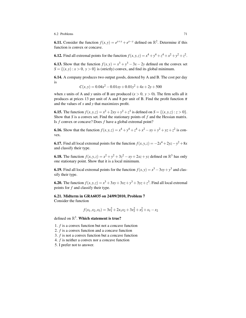## 6.2 Problems 71

**6.11.** Consider the function  $f(x, y) = e^{x+y} + e^{x-y}$  defined on  $\mathbb{R}^2$ . Determine if this function is convex or concave.

<span id="page-74-0"></span>**6.12.** Find all extremal points for the function  $f(x, y, z) = x^4 + y^4 + z^4 + x^2 + y^2 + z^2$ .

<span id="page-74-1"></span>**6.13.** Show that the function  $f(x, y) = x^3 + y^3 - 3x - 2y$  defined on the convex set  $S = \{(x, y) : x > 0, y > 0\}$  is (strictly) convex, and find its global minimum.

<span id="page-74-2"></span>6.14. A company produces two output goods, denoted by A and B. The cost per day is

$$
C(x, y) = 0.04x^{2} - 0.01xy + 0.01y^{2} + 4x + 2y + 500
$$

when *x* units of A and *y* units of B are produced  $(x > 0, y > 0)$ . The firm sells all it produces at prices 13 per unit of A and 8 per unit of B. Find the profit function  $\pi$ and the values of *x* and *y* that maximizes profit.

<span id="page-74-3"></span>**6.15.** The function  $f(x, y, z) = x^2 + 2xy + y^2 + z^3$  is defined on  $S = \{(x, y, z) : z > 0\}$ . Show that *S* is a convex set. Find the stationary points of *f* and the Hessian matrix. Is *f* convex or concave? Does *f* have a global extremal point?

<span id="page-74-4"></span>**6.16.** Show that the function  $f(x, y, z) = x^4 + y^4 + z^4 + x^2 - xy + y^2 + yz + z^2$  is convex.

<span id="page-74-5"></span>**6.17.** Find all local extremal points for the function  $f(x, y, z) = -2x^4 + 2yz - y^2 + 8x$ and classify their type.

<span id="page-74-6"></span>**6.18.** The function  $f(x, y, z) = x^2 + y^2 + 3z^2 - xy + 2xz + yz$  defined on  $\mathbb{R}^3$  has only one stationary point. Show that it is a local minimum.

<span id="page-74-7"></span>**6.19.** Find all local extremal points for the function  $f(x, y) = x^3 - 3xy + y^3$  and classify their type.

<span id="page-74-8"></span>**6.20.** The function  $f(x, y, z) = x^3 + 3xy + 3xz + y^3 + 3yz + z^3$ . Find all local extremal points for *f* and classify their type.

# <span id="page-74-9"></span>6.21. Midterm in GRA6035 on 24/09/2010, Problem 7

Consider the function

$$
f(x_1, x_2, x_3) = 3x_1^2 + 2x_1x_2 + 3x_2^2 + x_3^2 + x_1 - x_2
$$

defined on  $\mathbb{R}^3$ . Which statement is true?

1. *f* is a convex function but not a concave function

2. *f* is a convex function and a concave function

- 3. *f* is not a convex function but a concave function
- 4. *f* is neither a convex nor a concave function

<span id="page-74-10"></span>5. I prefer not to answer.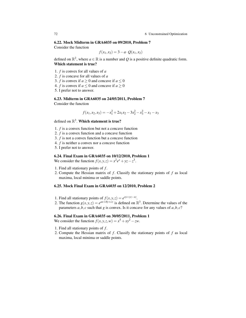### 6.22. Mock Midterm in GRA6035 on 09/2010, Problem 7

Consider the function

$$
f(x_1, x_2) = 3 - a \cdot Q(x_1, x_2)
$$

defined on  $\mathbb{R}^2$ , where  $a \in \mathbb{R}$  is a number and Q is a positive definite quadratic form. Which statement is true?

- 1. *f* is convex for all values of *a*
- 2. *f* is concave for all values of *a*
- 3. *f* is convex if  $a \ge 0$  and concave if  $a \le 0$
- 4. *f* is convex if  $a \le 0$  and concave if  $a \ge 0$
- 5. I prefer not to answer.

## <span id="page-75-0"></span>6.23. Midterm in GRA6035 on 24/05/2011, Problem 7

Consider the function

$$
f(x_1,x_2,x_3) = -x_1^2 + 2x_1x_2 - 3x_2^2 - x_3^2 - x_1 - x_3
$$

defined on  $\mathbb{R}^3$ . Which statement is true?

- 1. *f* is a convex function but not a concave function
- 2. *f* is a convex function and a concave function
- 3. *f* is not a convex function but a concave function
- 4. *f* is neither a convex nor a concave function
- 5. I prefer not to answer.

## <span id="page-75-1"></span>6.24. Final Exam in GRA6035 on 10/12/2010, Problem 1

We consider the function  $f(x, y, z) = x^2 e^x + yz - z^3$ .

- 1. Find all stationary points of *f* .
- 2. Compute the Hessian matrix of *f* . Classify the stationary points of *f* as local maxima, local minima or saddle points.

## <span id="page-75-2"></span>6.25. Mock Final Exam in GRA6035 on 12/2010, Problem 2

- 1. Find all stationary points of  $f(x, y, z) = e^{xy + yz xz}$ .
- 2. The function  $g(x, y, z) = e^{ax + by + cz}$  is defined on  $\mathbb{R}^3$ . Determine the values of the parameters  $a, b, c$  such that  $g$  is convex. Is it concave for any values of  $a, b, c$ ?

## <span id="page-75-3"></span>6.26. Final Exam in GRA6035 on 30/05/2011, Problem 1

We consider the function  $f(x, y, z, w) = x^5 + xy^2 - zw$ .

- 1. Find all stationary points of *f* .
- 2. Compute the Hessian matrix of *f* . Classify the stationary points of *f* as local maxima, local minima or saddle points.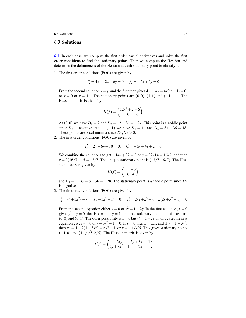# <span id="page-76-0"></span>6.3 Solutions

[6.1](#page-73-1) In each case, we compute the first order partial derivatives and solve the first order conditions to find the stationary points. Then we compute the Hessian and determine the definiteness of the Hessian at each stationary point to classify it.

1. The first order conditions (FOC) are given by

$$
f'_x = 4x^3 + 2x - 6y = 0, \quad f'_y = -6x + 6y = 0
$$

From the second equation  $x = y$ , and the first then gives  $4x^3 - 4x = 4x(x^2 - 1) = 0$ , or  $x = 0$  or  $x = \pm 1$ . The stationary points are  $(0,0)$ ,  $(1,1)$  and  $(-1,-1)$ . The Hessian matrix is given by

$$
H(f) = \begin{pmatrix} 12x^2 + 2 & -6 \\ -6 & 6 \end{pmatrix}
$$

At  $(0,0)$  we have  $D_1 = 2$  and  $D_2 = 12 - 36 = -24$ . This point is a saddle point since  $D_2$  is negative. At  $(\pm 1, \pm 1)$  we have  $D_1 = 14$  and  $D_2 = 84 - 36 = 48$ . These points are local minima since  $D_1, D_2 > 0$ .

2. The first order conditions (FOC) are given by

$$
f'_x = 2x - 6y + 10 = 0, \quad f'_y = -6x + 4y + 2 = 0
$$

We combine the equations to get  $-14y+32 = 0$  or  $y = 32/14 = 16/7$ , and then  $x = 3(16/7) - 5 = 13/7$ . The unique stationary point is (13/7,16/7). The Hessian matrix is given by

$$
H(f) = \begin{pmatrix} 2 & -6 \\ -6 & 4 \end{pmatrix}
$$

and  $D_1 = 2$ ,  $D_2 = 8 - 36 = -28$ . The stationary point is a saddle point since  $D_2$ is negative.

3. The first order conditions (FOC) are given by

$$
f'_x = y^2 + 3x^2y - y = y(y + 3x^2 - 1) = 0, \quad f'_y = 2xy + x^3 - x = x(2y + x^2 - 1) = 0
$$

From the second equation either  $x = 0$  or  $x^2 = 1 - 2y$ . In the first equation,  $x = 0$ gives  $y^2 - y = 0$ , that is  $y = 0$  or  $y = 1$ , and the stationary points in this case are  $(0,0)$  and  $(0,1)$ . The other possibility is  $x \neq 0$  but  $x^2 = 1-2y$ . In this case, the first equation gives  $y = 0$  or  $y + 3x^2 - 1 = 0$ . If  $y = 0$  then  $x = \pm 1$ , and if  $y = 1 - 3x^2$ , then  $x^2 = 1 - 2(1 - 3x^2) = 6x^2 - 1$ , or  $x = \pm 1/\sqrt{5}$ . This gives stationary points  $(\pm 1, 0)$  and  $(\pm 1/\sqrt{5}, 2/5)$ . The Hessian matrix is given by

$$
H(f) = \begin{pmatrix} 6xy & 2y + 3x^2 - 1 \\ 2y + 3x^2 - 1 & 2x \end{pmatrix}
$$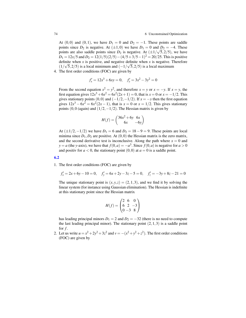At  $(0,0)$  and  $(0,1)$ , we have  $D_1 = 0$  and  $D_2 = -1$ . These points are saddle points since  $D_2$  is negative. At  $(\pm 1, 0)$  we have  $D_1 = 0$  and  $D_2 = -4$ . These points are also saddle points since  $D_2$  is negative. At  $(\pm 1/\sqrt{5}, 2/5)$ , we have  $D_1 = 12x/5$  and  $D_2 = 12(1/5)(2/5) - (4/5 + 3/5 - 1)^2 = 20/25$ . This is positive definite when *x* is positive, and negative definite when *x* is negative. Therefore  $(1/\sqrt{5},2/5)$  is a local minimum and  $(-1/\sqrt{5},2/5)$  is a local maximum

4. The first order conditions (FOC) are given by

$$
f'_x = 12x^3 + 6xy = 0, \quad f'_y = 3x^2 - 3y^2 = 0
$$

From the second equation  $x^2 = y^2$ , and therefore  $x = y$  or  $x = -y$ . If  $x = y$ , the first equation gives  $12x^3 + 6x^2 = 6x^2(2x+1) = 0$ , that is  $x = 0$  or  $x = -1/2$ . This gives stationary points  $(0,0)$  and  $(-1/2,-1/2)$ . If  $x = -y$  then the first equation gives  $12x^3 - 6x^2 = 6x^2(2x - 1)$ , that is  $x = 0$  or  $x = 1/2$ . This gives stationary points (0,0 (again) and  $(1/2, -1/2)$ . The Hessian matrix is given by

$$
H(f) = \begin{pmatrix} 36x^2 + 6y & 6x \\ 6x & -6y \end{pmatrix}
$$

At  $(\pm 1/2, -1/2)$  we have  $D_1 = 6$  and  $D_2 = 18 - 9 = 9$ . These points are local minima since  $D_1$ ,  $D_2$  are positive. At  $(0,0)$  the Hessian matrix is the zero matrix, and the second derivative test is inconclusive. Along the path where  $x = 0$  and *y* = *a* (the *y*-axis), we have that  $f(0, a) = -a^3$ . Since  $f(0, a)$  is negative for  $a > 0$ and positiv for  $a < 0$ , the stationary point  $(0,0)$  at  $a = 0$  is a saddle point.

#### [6.2](#page-73-2)

1. The first order conditions (FOC) are given by

$$
f'_x = 2x + 6y - 10 = 0
$$
,  $f'_y = 6x + 2y - 3z - 5 = 0$ ,  $f'_z = -3y + 8z - 21 = 0$ 

The unique stationary point is  $(x, y, z) = (2, 1, 3)$ , and we find it by solving the linear system (for instance using Gaussian elimination). The Hessian is indefinite at this stationary point since the Hessian matrix

$$
H(f) = \begin{pmatrix} 2 & 6 & 0 \\ 6 & 2 & -3 \\ 0 & -3 & 8 \end{pmatrix}
$$

has leading principal minors  $D_1 = 2$  and  $D_2 = -32$  (there is no need to compute the last leading principal minor). The stationary point  $(2,1,3)$  is a saddle point for  $f$ .

2. Let us write  $u = x^2 + 2y^2 + 3z^2$  and  $v = -(x^2 + y^2 + z^2)$ . The first order conditions (FOC) are given by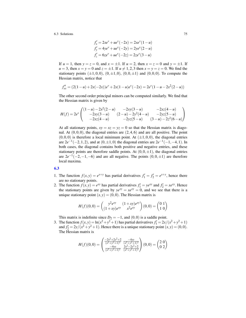$$
f'_x = 2xe^v + ue^v(-2x) = 2xe^v(1-u)
$$
  
\n
$$
f'_y = 4ye^v + ue^v(-2y) = 2ye^v(2-u)
$$
  
\n
$$
f'_z = 6ze^v + ue^v(-2z) = 2ze^v(3-u)
$$

If  $u = 1$ , then  $y = z = 0$ , and  $x = \pm 1$ . If  $u = 2$ , then  $x = z = 0$  and  $y = \pm 1$ . If *u* = 3, then  $x = y = 0$  and  $z = \pm 1$ . If  $u \ne 1, 2, 3$  then  $x = y = z = 0$ . We find the stationary points  $(\pm 1,0,0)$ ,  $(0,\pm 1,0)$ ,  $(0,0,\pm 1)$  and  $(0,0,0)$ . To compute the Hessian matrix, notice that

$$
f''_{xx} = (2(1-u) + 2x(-2x))e^v + 2x(1-u)e^v(-2x) = 2e^v(1-u) - 2x^2(2-u))
$$

The other second order principal minors can be computed similarly. We find that the Hessian matrix is given by

$$
H(f) = 2e^{\nu} \begin{pmatrix} (1-u) - 2x^2(2-u) & -2xy(3-u) & -2xz(4-u) \\ -2xy(3-u) & (2-u) - 2y^2(4-u) & -2yz(5-u) \\ -2xz(4-u) & -2yz(5-u) & (3-u) - 2z^2(6-u) \end{pmatrix}
$$

At all stationary points,  $xy = xz = yz = 0$  so that the Hessian matrix is diagonal. At  $(0,0,0)$ , the diagonal entries are  $(2,4,6)$  and are all positive. The point  $(0,0,0)$  is therefore a local minimum point. At  $(\pm 1,0,0)$ , the diagonal entries are  $2e^{-1}(-2,1,2)$ , and at  $(0, \pm 1, 0)$  the diagonal entries are  $2e^{-1}(-1, -4, 1)$ . In both cases, the diagonal contains both positive and negative entries, and these stationary points are therefore saddle points. At  $(0,0,\pm 1)$ , the diagonal entries are  $2e^{-1}(-2,-1,-6)$  and are all negative. The points  $(0,0,\pm 1)$  are therefore local maxima.

#### [6.3](#page-73-3)

- 1. The function  $f(x, y) = e^{x+y}$  has partial derivatives  $f'_1 = f'_2 = e^{x+y}$ , hence there are no stationary points.
- 2. The function  $f(x, y) = e^{xy}$  has partial derivatives  $f'_1 = ye^{xy}$  and  $f'_2 = xe^{xy}$ . Hence the stationary points are given by  $ye^{xy} = xe^{xy} = 0$ , and we see that there is a unique stationary point  $(x, y) = (0, 0)$ . The Hessian matrix is

$$
H(f)(0,0) = \begin{pmatrix} y^2 e^{xy} & (1+xy)e^{xy} \ (1+xy)e^{xy} & x^2 e^{xy} \end{pmatrix} (0,0) = \begin{pmatrix} 0 & 1 \ 1 & 0 \end{pmatrix}
$$

This matrix is indefinite since  $D_2 = -1$ , and  $(0,0)$  is a saddle point.

3. The function  $f(x, y) = \ln(x^2 + y^2 + 1)$  has partial derivatives  $f'_1 = 2x/(x^2 + y^2 + 1)$ and  $f'_2 = 2y/(x^2 + y^2 + 1)$ . Hence there is a unique stationary point  $(x, y) = (0, 0)$ . The Hessian matrix is

$$
H(f)(0,0) = \begin{pmatrix} \frac{-2x^2 + 2y^2 + 2}{(x^2 + y^2 + 1)^2} & \frac{-4xy}{(x^2 + y^2 + 1)^2} \\ \frac{-4xy}{(x^2 + y^2 + 1)^2} & \frac{2x^2 - 2y^2 + 2}{(x^2 + y^2 + 1)^2} \end{pmatrix} (0,0) = \begin{pmatrix} 2 & 0 \\ 0 & 2 \end{pmatrix}
$$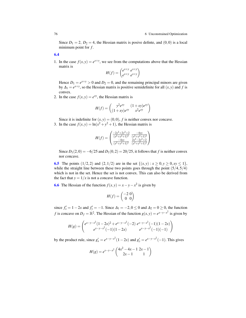Since  $D_1 = 2$ ,  $D_2 = 4$ , the Hessian matrix is posive definite, and  $(0,0)$  is a local minimum point for *f* .

[6.4](#page-73-4)

1. In the case  $f(x, y) = e^{x+y}$ , we see from the computations above that the Hessian matrix is

$$
H(f) = \begin{pmatrix} e^{x+y} & e^{x+y} \\ e^{x+y} & e^{x+y} \end{pmatrix}
$$

Hence  $D_1 = e^{x+y} > 0$  and  $D_2 = 0$ , and the remaining principal minors are given by  $\Delta_1 = e^{x+y}$ , so the Hessian matrix is positive semidefinite for all  $(x, y)$  and *f* is convex.

2. In the case  $f(x, y) = e^{xy}$ , the Hessian matrix is

$$
H(f) = \begin{pmatrix} y^2 e^{xy} & (1+xy)e^{xy} \\ (1+xy)e^{xy} & x^2 e^{xy} \end{pmatrix}
$$

Since it is indefinite for  $(x, y) = (0, 0)$ , *f* is neither convex nor concave. 3. In the case  $f(x, y) = \ln(x^2 + y^2 + 1)$ , the Hessian matrix is

$$
H(f) = \begin{pmatrix} \frac{-2x^2 + 2y^2 + 2}{(x^2 + y^2 + 1)^2} & \frac{-4xy}{(x^2 + y^2 + 1)^2} \\ \frac{-4xy}{(x^2 + y^2 + 1)^2} & \frac{2x^2 - 2y^2 + 2}{(x^2 + y^2 + 1)^2} \end{pmatrix}
$$

Since  $D_1(2,0) = -6/25$  and  $D_1(0,2) = 20/25$ , it follows that *f* is neither convex nor concave.

**[6.5](#page-73-5)** The points  $(1/2, 2)$  and  $(2, 1/2)$  are in the set  $\{(x, y) : x \ge 0, y \ge 0, xy \le 1\}$ , while the straight line between these two points goes through the point  $(5/4,5/4)$ which is not in the set. Hence the set is not convex. This can also be derived from the fact that  $y = 1/x$  is not a concave function.

**[6.6](#page-73-6)** The Hessian of the function  $f(x, y) = x - y - x^2$  is given by

$$
H(f) = \begin{pmatrix} -2 & 0 \\ 0 & 0 \end{pmatrix}
$$

since  $f'_x = 1 - 2x$  and  $f'_y = -1$ . Since  $\Delta_1 = -2, 0 \le 0$  and  $\Delta_2 = 0 \ge 0$ , the function *f* is concave on  $D_f = \mathbb{R}^2$ . The Hessian of the function  $g(x, y) = e^{x-y-x^2}$  is given by

$$
H(g) = \begin{pmatrix} e^{x-y-x^2}(1-2x)^2 + e^{x-y-x^2}(-2) & e^{x-y-x^2}(-1)(1-2x) \\ e^{x-y-x^2}(-1)(1-2x) & e^{x-y-x^2}(-1)(-1) \end{pmatrix}
$$

by the product rule, since  $g'_x = e^{x-y-x^2}(1-2x)$  and  $g'_y = e^{x-y-x^2}(-1)$ . This gives

$$
H(g) = e^{x-y-x^2} \begin{pmatrix} 4x^2 - 4x - 1 & 2x - 1 \\ 2x - 1 & 1 \end{pmatrix}
$$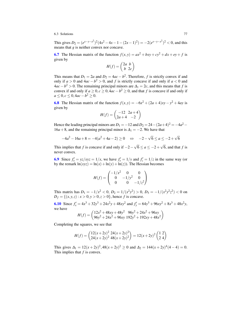This gives  $D_2 = (e^{x-y-x^2})^2 (4x^2 - 4x - 1 - (2x - 1)^2) = -2(e^{x-y-x^2})^2 < 0$ , and this means that *g* is neither convex nor concave.

[6.7](#page-73-7) The Hessian matrix of the function  $f(x, y) = ax^2 + bxy + cy^2 + dx + ey + f$  is given by

$$
H(f) = \begin{pmatrix} 2a & b \\ b & 2c \end{pmatrix}
$$

This means that  $D_1 = 2a$  and  $D_2 = 4ac - b^2$ . Therefore, *f* is strictly convex if and only if  $a > 0$  and  $4ac - b^2 > 0$ , and f is strictly concave if and only if  $a < 0$  and  $4ac - b^2 > 0$ . The remaining principal minors are  $\Delta_1 = 2c$ , and this means that *f* is convex if and only if  $a \geq 0, c \geq 0, 4ac - b^2 \geq 0$ , and that *f* is concave if and only if *a* ≤ 0, *c* ≤ 0, 4*ac* − *b*<sup>2</sup> ≥ 0.

[6.8](#page-73-8) The Hessian matrix of the function  $f(x, y) = -6x^2 + (2a + 4)xy - y^2 + 4ay$  is given by

$$
H(f) = \begin{pmatrix} -12 & 2a+4 \\ 2a+4 & -2 \end{pmatrix}
$$

Hence the leading principal minors are  $D_1 = -12$  and  $D_2 = 24 - (2a+4)^2 = -4a^2 -$ 16*a* + 8, and the remaining principal minor is  $\Delta_1 = -2$ . We have that

$$
-4a^2 - 16a + 8 = -4(a^2 + 4a - 2) \ge 0 \quad \Leftrightarrow \quad -2 - \sqrt{6} \le a \le -2 + \sqrt{6}
$$

This implies that *f* is concave if and only if  $-2 6 \le a \le -2+$ 6, and that *f* is never convex.

**[6.9](#page-73-9)** Since  $f'_x = yz/xyz = 1/x$ , we have  $f'_y = 1/y$  and  $f'_z = 1/z$  in the same way (or by the remark  $ln(xyz) = ln(x) + ln(y) + ln(z)$ . The Hessian becomes

$$
H(f) = \begin{pmatrix} -1/x^2 & 0 & 0 \\ 0 & -1/y^2 & 0 \\ 0 & 0 & -1/z^2 \end{pmatrix}
$$

This matrix has  $D_1 = -1/x^2 < 0$ ,  $D_2 = 1/(x^2y^2) > 0$ ,  $D_3 = -1/(x^2y^2z^2) < 0$  on  $D_f = \{(x, y, z) : x > 0, y > 0, z > 0\}$ , hence *f* is concave.

[6.10](#page-73-10) Since  $f'_x = 4x^3 + 32y^3 + 24x^2y + 48xy^2$  and  $f'_y = 64y^3 + 96xy^2 + 8x^3 + 48x^2y$ , we have

$$
H(f) = \begin{pmatrix} 12x^2 + 48xy + 48y^2 & 96y^2 + 24x^2 + 96xy \\ 96y^2 + 24x^2 + 96xy & 192y^2 + 192xy + 48x^2 \end{pmatrix}
$$

Completing the squares, we see that

$$
H(f) = \begin{pmatrix} 12(x+2y)^2 & 24(x+2y)^2 \\ 24(x+2y)^2 & 48(x+2y)^2 \end{pmatrix} = 12(x+2y)^2 \begin{pmatrix} 1 & 2 \\ 2 & 4 \end{pmatrix}
$$

This gives  $\Delta_1 = 12(x+2y)^2,48(x+2y)^2 \ge 0$  and  $\Delta_2 = 144(x+2y)^4(4-4) = 0$ . This implies that *f* is convex.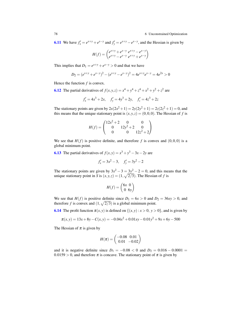#### 78 6 Unconstrained Optimization

**[6.11](#page-73-11)** We have  $f'_x = e^{x+y} + e^{x-y}$  and  $f'_y = e^{x+y} - e^{x-y}$ , and the Hessian is given by

$$
H(f) = \begin{pmatrix} e^{x+y} + e^{x-y} & e^{x+y} - e^{x-y} \ e^{x+y} - e^{x-y} & e^{x+y} + e^{x-y} \end{pmatrix}
$$

This implies that  $D_1 = e^{x+y} + e^{x-y} > 0$  and that we have

$$
D_2 = (e^{x+y} + e^{x-y})^2 - (e^{x+y} - e^{x-y})^2 = 4e^{x+y}e^{x-y} = 4e^{2x} > 0
$$

Hence the function  $f$  is convex.

**[6.12](#page-74-0)** The partial derivatives of  $f(x, y, z) = x^4 + y^4 + z^4 + x^2 + y^2 + z^2$  are

$$
f'_x = 4x^3 + 2x
$$
,  $f'_y = 4y^3 + 2y$ ,  $f'_z = 4z^3 + 2z$ 

The stationary points are given by  $2x(2x^2 + 1) = 2y(2y^2 + 1) = 2z(2z^2 + 1) = 0$ , and this means that the unique stationary point is  $(x, y, z) = (0, 0, 0)$ . The Hessian of *f* is

$$
H(f) = \begin{pmatrix} 12x^2 + 2 & 0 & 0 \\ 0 & 12y^2 + 2 & 0 \\ 0 & 0 & 12z^2 + 2 \end{pmatrix}
$$

We see that  $H(f)$  is positive definite, and therefore f is convex and  $(0,0,0)$  is a global minimum point.

**[6.13](#page-74-1)** The partial derivatives of  $f(x, y) = x^3 + y^3 - 3x - 2y$  are

$$
f'_x = 3x^2 - 3
$$
,  $f'_y = 3y^2 - 2$ 

The stationary points are given by  $3x^2 - 3 = 3y^2 - 2 = 0$ , and this means that the unique stationary point in *S* is  $(x, y, z) = (1, \sqrt{2/3})$ . The Hessian of *f* is

$$
H(f) = \begin{pmatrix} 6x & 0 \\ 0 & 6y \end{pmatrix}
$$

We see that *H*(*f*) is positive definite since  $D_1 = 6x > 0$  and  $D_2 = 36xy > 0$ , and therefore f is convex and  $(1, \sqrt{2/3})$  is a global minimum point.

**[6.14](#page-74-2)** The profit function  $\pi(x, y)$  is defined on  $\{(x, y) : x > 0, y > 0\}$ , and is given by

$$
\pi(x, y) = 13x + 8y - C(x, y) = -0.04x^{2} + 0.01xy - 0.01y^{2} + 9x + 6y - 500
$$

The Hessian of  $\pi$  is given by

$$
H(\pi) = \begin{pmatrix} -0.08 & 0.01 \\ 0.01 & -0.02 \end{pmatrix}
$$

and it is negative definite since  $D_1 = -0.08 < 0$  and  $D_2 = 0.016 - 0.0001 =$  $0.0159 > 0$ , and therefore  $\pi$  is concave. The stationary point of  $\pi$  is given by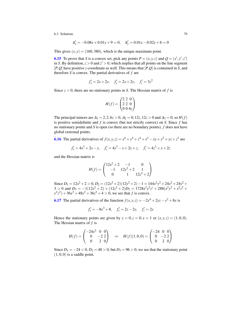$$
\pi'_x = -0.08x + 0.01y + 9 = 0, \quad \pi'_y = 0.01x - 0.02y + 6 = 0
$$

This gives  $(x, y) = (160, 380)$ , which is the unique maximum point.

**[6.15](#page-74-3)** To prove that *S* is a convex set, pick any points  $P = (x, y, z)$  and  $Q = (x', y', z')$ in *S*. By definition,  $z > 0$  and  $z' > 0$ , which implies that all points on the line segment [*P*,*Q*] have positive *z*-coordinate as well. This means that [*P*,*Q*] is contained in *S*, and therefore *S* is convex. The partial derivatives of *f* are

$$
f'_x = 2x + 2y
$$
,  $f'_y = 2x + 2y$ ,  $f'_z = 3z^2$ 

Since  $z > 0$ , there are no stationary points in *S*. The Hessian matrix of *f* is

$$
H(f) = \begin{pmatrix} 2 & 2 & 0 \\ 2 & 2 & 0 \\ 0 & 0 & 6z \end{pmatrix}
$$

The principal minors are  $\Delta_1 = 2, 2, 6z > 0, \Delta_2 = 0, 12z, 12z > 0$  and  $\Delta_3 = 0$ , so  $H(f)$ is positive semidefinite and *f* is convex (but not strictly convex) on *S*. Since *f* has no stationary points and *S* is open (so there are no boundary points), *f* does not have global extremal points.

**[6.16](#page-74-4)** The partial derivatives of  $f(x, y, z) = x^4 + y^4 + z^4 + x^2 - xy + y^2 + yz + z^2$  are  $f'_x = 4x^3 + 2x - y$ ,  $f'_y = 4y^3 - x + 2y + z$ ,  $f'_z = 4z^3 + y + 2z$ 

and the Hessian matrix is

$$
H(f) = \begin{pmatrix} 12x^2 + 2 & -1 & 0 \\ -1 & 12y^2 + 2 & 1 \\ 0 & 1 & 12z^2 + 2 \end{pmatrix}
$$

Since  $D_1 = 12x^2 + 2 > 0$ ,  $D_2 = (12x^2 + 2)(12y^2 + 2) - 1 = 144x^2y^2 + 24x^2 + 24y^2 +$  $3 > 0$  and  $D_3 = -1(12x^2 + 2) + (12z^2 + 2)D_2 = 1728x^2y^2z^2 + 288(x^2y^2 + x^2z^2 +$  $y^2z^2$ ) + 36*x*<sup>2</sup> + 48*y*<sup>2</sup> + 36*z*<sup>2</sup> + 4 > 0, we see that *f* is convex.

**[6.17](#page-74-5)** The partial derivatives of the function  $f(x, y, z) = -2x^4 + 2yz - y^2 + 8x$  is

 $f'_x = -8x^3 + 8$ ,  $f'_y = 2z - 2y$ ,  $f'_z = 2y$ 

Hence the stationary points are given by  $y = 0, z = 0, x = 1$  or  $(x, y, z) = (1, 0, 0)$ . The Hessian matrix of *f* is

$$
H(f) = \begin{pmatrix} -24x^2 & 0 & 0 \\ 0 & -2 & 2 \\ 0 & 2 & 0 \end{pmatrix} \Rightarrow H(f)(1,0,0) = \begin{pmatrix} -24 & 0 & 0 \\ 0 & -2 & 2 \\ 0 & 2 & 0 \end{pmatrix}
$$

Since  $D_1 = -24 < 0, D_2 = 48 > 0$ , but  $D_3 = 96 > 0$ , we see that the stationary point  $(1,0,0)$  is a saddle point.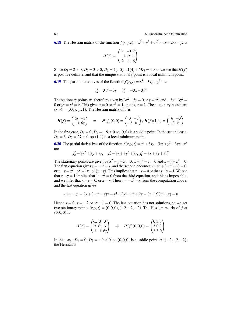80 6 Unconstrained Optimization

**[6.18](#page-74-6)** The Hessian matrix of the function  $f(x, y, z) = x^2 + y^2 + 3z^2 - xy + 2xz + yz$  is

$$
H(f) = \begin{pmatrix} 2 & -1 & 2 \\ -1 & 2 & 1 \\ 2 & 1 & 6 \end{pmatrix}
$$

Since  $D_1 = 2 > 0$ ,  $D_2 = 3 > 0$ ,  $D_3 = 2(-5) - 1(4) + 6D_2 = 4 > 0$ , we see that  $H(f)$ is positive definite, and that the unique stationary point is a local minimum point.

**[6.19](#page-74-7)** The partial derivatives of the function  $f(x, y) = x^3 - 3xy + y^3$  are

$$
f'_x = 3x^2 - 3y
$$
,  $f'_y = -3x + 3y^2$ 

The stationary points are therefore given by  $3x^2 - 3y = 0$  or  $y = x^2$ , and  $-3x + 3y^2 = 0$ 0 or  $y^2 = x^4 = x$ . This gives  $x = 0$  or  $x^3 = 1$ , that is,  $x = 1$ . The stationary points are  $(x, y) = (0, 0), (1, 1)$ . The Hessian matrix of f is

$$
H(f) = \begin{pmatrix} 6x - 3 \\ -3 & 6y \end{pmatrix} \Rightarrow H(f)(0,0) = \begin{pmatrix} 0 & -3 \\ -3 & 0 \end{pmatrix}, H(f)(1,1) = \begin{pmatrix} 6 & -3 \\ -3 & 6 \end{pmatrix}
$$

In the first case,  $D_1 = 0$ ;  $D_2 = -9 < 0$  so  $(0,0)$  is a saddle point. In the second case,  $D_1 = 6$ ,  $D_2 = 27 > 0$ , so  $(1,1)$  is a local minimum point.

[6.20](#page-74-8) The partial derivatives of the function  $f(x, y, z) = x^3 + 3xy + 3xz + y^3 + 3yz + z^3$ are

$$
f'_x = 3x^2 + 3y + 3z
$$
,  $f'_y = 3x + 3y^2 + 3z$ ,  $f'_z = 3x + 3y + 3z^2$ 

The stationary points are given by  $x^2 + y + z = 0$ ,  $x + y^2 + z = 0$  and  $x + y + z^2 = 0$ . The first equation gives  $z = -x^2 - y$ , and the second becomes  $x + y^2 + (-x^2 - y) = 0$ , or  $x - y = x^2 - y^2 = (x - y)(x + y)$ . This implies that  $x - y = 0$  or that  $x + y = 1$ . We see that  $x + y = 1$  implies that  $1 + z^2 = 0$  from the third equation, and this is impossible, and we infer that  $x - y = 0$ , or  $x = y$ . Then  $z = -x^2 - x$  from the computation above, and the last equation gives

$$
x+y+z^2 = 2x + (-x^2 - x)^2 = x^4 + 2x^3 + x^2 + 2x = (x+2)(x^3 + x) = 0
$$

Hence  $x = 0$ ,  $x = -2$  or  $x^2 + 1 = 0$ . The last equation has not solutions, se we get two stationary points  $(x, y, z) = (0, 0, 0), (-2, -2, -2)$ . The Hessian matrix of *f* at  $(0,0,0)$  is

$$
H(f) = \begin{pmatrix} 6x & 3 & 3 \\ 3 & 6y & 3 \\ 3 & 3 & 6z \end{pmatrix} \Rightarrow H(f)(0,0,0) = \begin{pmatrix} 0 & 3 & 3 \\ 3 & 0 & 3 \\ 3 & 3 & 0 \end{pmatrix}
$$

In this case,  $D_1 = 0$ ;  $D_2 = -9 < 0$ , so  $(0,0,0)$  is a saddle point. At  $(-2,-2,-2)$ , the Hessian is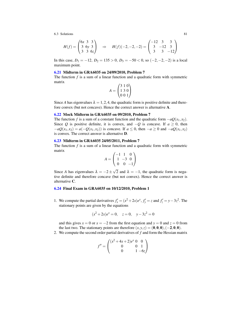$$
H(f) = \begin{pmatrix} 6x & 3 & 3 \\ 3 & 6y & 3 \\ 3 & 3 & 6z \end{pmatrix} \Rightarrow H(f)(-2, -2, -2) = \begin{pmatrix} -12 & 3 & 3 \\ 3 & -12 & 3 \\ 3 & 3 & -12 \end{pmatrix}
$$

In this case,  $D_1 = -12$ ,  $D_2 = 135 > 0$ ,  $D_3 = -50 < 0$ , so  $(-2, -2, -2)$  is a local maximum point.

### [6.21](#page-74-9) Midterm in GRA6035 on 24/09/2010, Problem 7

The function *f* is a sum of a linear function and a quadratic form with symmetric matrix

$$
A = \begin{pmatrix} 3 & 1 & 0 \\ 1 & 3 & 0 \\ 0 & 0 & 1 \end{pmatrix}
$$

Since *A* has eigenvalues  $\lambda = 1, 2, 4$ , the quadratic form is positive definite and therefore convex (but not concave). Hence the correct answer is alternative A.

## [6.22](#page-74-10) Mock Midterm in GRA6035 on 09/2010, Problem 7

The function *f* is a sum of a constant function and the quadratic form  $-aQ(x_1, x_2)$ . Since *Q* is positive definite, it is convex, and  $-Q$  is concave. If  $a \ge 0$ , then  $-aQ(x_1, x_2) = a(-Q(x_1, x_2))$  is concave. If  $a \le 0$ , then  $-a \ge 0$  and  $-aQ(x_1, x_2)$ is convex. The correct answer is alternative D.

## [6.23](#page-75-0) Midterm in GRA6035 24/05/2011, Problem 7

The function  $f$  is a sum of a linear function and a quadratic form with symmetric matrix

$$
A = \begin{pmatrix} -1 & 1 & 0 \\ 1 & -3 & 0 \\ 0 & 0 & -1 \end{pmatrix}
$$

Since *A* has eigenvalues  $\lambda = -2 \pm \sqrt{2}$ 2 and  $\lambda = -1$ , the quadratic form is negative definite and therefore concave (but not convex). Hence the correct answer is alternative C.

### [6.24](#page-75-1) Final Exam in GRA6035 on 10/12/2010, Problem 1

1. We compute the partial derivatives  $f'_x = (x^2 + 2x)e^x$ ,  $f'_y = z$  and  $f'_z = y - 3z^2$ . The stationary points are given by the equations

$$
(x^2+2x)e^x = 0
$$
,  $z = 0$ ,  $y-3z^2 = 0$ 

and this gives  $x = 0$  or  $x = -2$  from the first equation and  $y = 0$  and  $z = 0$  from the last two. The stationary points are therefore  $(x, y, z) = (0, 0, 0), (-2, 0, 0).$ 

2. We compute the second order partial derivatives of *f* and form the Hessian matrix

$$
f'' = \begin{pmatrix} (x^2 + 4x + 2)e^x & 0 & 0 \\ 0 & 0 & 1 \\ 0 & 1 & -6z \end{pmatrix}
$$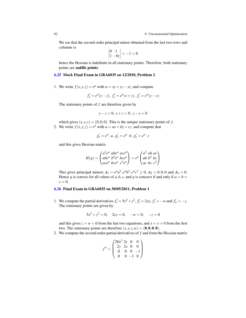We see that the second order principal minor obtained from the last two rows and columns is

$$
\begin{vmatrix} 0 & 1 \\ 1 & -6z \end{vmatrix} = -1 < 0
$$

hence the Hessian is indefinite in all stationary points. Therefore, both stationary points are saddle points.

## [6.25](#page-75-2) Mock Final Exam in GRA6035 on 12/2010, Problem 2

1. We write  $f(x, y, z) = e^u$  with  $u = xy + yz - xz$ , and compute

$$
f'_x = e^u(y - z), \ f'_y = e^u(x + z), \ f'_z = e^u(y - x)
$$

The stationary points of *f* are therefore given by

$$
y - z = 0, x + z = 0, y - x = 0
$$

which gives  $(x, y, z) = (0, 0, 0)$ . This is the unique stationary points of *f*. 2. We write  $f(x, y, z) = e^u$  with  $u = ax + by + cz$ , and compute that

$$
g'_x = e^u \cdot a, \ g'_y = e^u \cdot b, \ g'_z = e^u \cdot c
$$

and this gives Hessian matrix

$$
H(g) = \begin{pmatrix} a^2 e^u & ab e^u & ac e^u \\ ab e^u & b^2 e^u & bc e^u \\ ac e^u & bc e^u & c^2 e^u \end{pmatrix} = e^u \begin{pmatrix} a^2 & ab & ac \\ ab & b^2 & bc \\ ac & bc & c^2 \end{pmatrix}
$$

This gives principal minors  $\Delta_1 = e^{\mu}a^2, e^{\mu}b^2, e^{\mu}c^2 \ge 0$ ,  $\Delta_2 = 0, 0, 0$  and  $\Delta_3 = 0$ . Hence *g* is convex for all values of *a*, *b*, *c*, and *g* is concave if and only if  $a = b =$  $c = 0$ .

#### [6.26](#page-75-3) Final Exam in GRA6035 on 30/05/2011, Problem 1

1. We compute the partial derivatives  $f'_x = 5x^4 + y^2$ ,  $f'_y = 2xy$ ,  $f'_z = -w$  and  $f'_w = -z$ . The stationary points are given by

$$
5x^4 + y^2 = 0, \quad 2xy = 0, \quad -w = 0, \quad -z = 0
$$

and this gives  $z = w = 0$  from the last two equations, and  $x = y = 0$  from the first two. The stationary points are therefore  $(x, y, z, w) = (0, 0, 0, 0)$ .

2. We compute the second order partial derivatives of *f* and form the Hessian matrix

$$
f'' = \begin{pmatrix} 20x^3 & 2y & 0 & 0 \\ 2y & 2x & 0 & 0 \\ 0 & 0 & 0 & -1 \\ 0 & 0 & -1 & 0 \end{pmatrix}
$$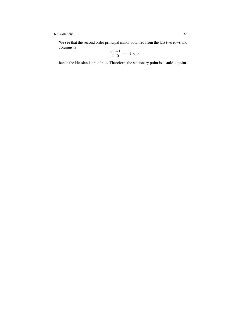We see that the second order principal minor obtained from the last two rows and columns is

$$
\begin{vmatrix} 0 & -1 \\ -1 & 0 \end{vmatrix} = -1 < 0
$$

hence the Hessian is indefinite. Therefore, the stationary point is a saddle point.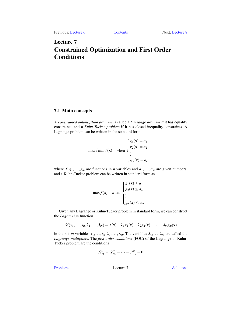# <span id="page-88-0"></span>Lecture 7 Constrained Optimization and First Order Conditions

# 7.1 Main concepts

A *constrained optimization problem* is called a *Lagrange problem* if it has equality constraints, and a *Kuhn-Tucker problem* if it has closed inequality constraints. A Lagrange problem can be written in the standard form

$$
\max / \min f(\mathbf{x}) \quad \text{when } \begin{cases} g_1(\mathbf{x}) = a_1 \\ g_2(\mathbf{x}) = a_2 \\ \vdots \\ g_m(\mathbf{x}) = a_m \end{cases}
$$

where  $f, g_1, \ldots, g_m$  are functions in *n* variables and  $a_1, \ldots, a_m$  are given numbers, and a Kuhn-Tucker problem can be written in standard form as

$$
\max f(\mathbf{x}) \quad \text{when } \begin{cases} g_1(\mathbf{x}) \le a_1 \\ g_2(\mathbf{x}) \le a_2 \\ \vdots \\ g_m(\mathbf{x}) \le a_m \end{cases}
$$

Given any Lagrange or Kuhn-Tucker problem in standard form, we can construct the *Lagrangian* function

$$
\mathscr{L}(x_1,\ldots,x_n,\lambda_1,\ldots,\lambda_m)=f(\mathbf{x})-\lambda_1g_1(\mathbf{x})-\lambda_2g_2(\mathbf{x})-\cdots-\lambda_mg_m(\mathbf{x})
$$

in the  $n + m$  variables  $x_1, \ldots, x_n, \lambda_1, \ldots, \lambda_m$ . The variables  $\lambda_1, \ldots, \lambda_m$  are called the *Lagrange multipliers*. The *first order conditions* (FOC) of the Lagrange or Kuhn-Tucker problem are the conditions

$$
\mathscr{L}'_{x_1}=\mathscr{L}'_{x_2}=\cdots=\mathscr{L}'_{x_n}=0
$$

[Problems](#page-90-0) Lecture 7 [Solutions](#page-91-0)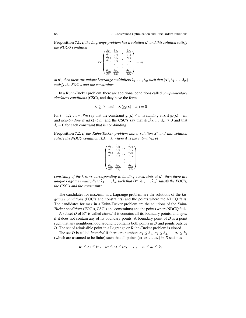Proposition 7.1. *If the Lagrange problem has a solution* x <sup>∗</sup> *and this solution satisfy the NDCQ condition*

$$
\operatorname{rk}\begin{pmatrix}\n\frac{\partial g_1}{\partial x_1} & \frac{\partial g_1}{\partial x_2} & \cdots & \frac{\partial g_1}{\partial x_n} \\
\frac{\partial g_2}{\partial x_1} & \frac{\partial g_2}{\partial x_2} & \cdots & \frac{\partial g_2}{\partial x_n} \\
\vdots & \vdots & \vdots & \ddots \\
\frac{\partial g_m}{\partial x_1} & \frac{\partial g_m}{\partial x_2} & \cdots & \frac{\partial g_m}{\partial x_n}\n\end{pmatrix} = m
$$

at  $\mathbf{x}^*$ , then there are unique Lagrange multipliers  $\lambda_1,\ldots,\lambda_m$  such that  $(\mathbf{x}^*,\lambda_1,\ldots,\lambda_m)$ *satisfy the FOC's and the constraints.*

In a Kuhn-Tucker problem, there are additional conditions called *complementary slackness conditions* (CSC), and they have the form

$$
\lambda_i \ge 0
$$
 and  $\lambda_i(g_i(\mathbf{x}) - a_i) = 0$ 

for  $i = 1, 2, \ldots$  *m*. We say that the constraint  $g_i(\mathbf{x}) \leq a_i$  is *binding* at **x** if  $g_i(\mathbf{x}) = a_i$ , and *non-binding* if  $g_i(\mathbf{x}) < a_i$ , and the CSC's say that  $\lambda_1, \lambda_2, \ldots, \lambda_m \ge 0$  and that  $\lambda_i = 0$  for each constraint that is non-binding.

Proposition 7.2. *If the Kuhn-Tucker problem has a solution* x <sup>∗</sup> *and this solution satisfy the NDCQ condition*  $rkA = k$ *, where A is the submatrix of* 

$$
\begin{pmatrix}\n\frac{\partial g_1}{\partial x_1} & \frac{\partial g_1}{\partial x_2} & \cdots & \frac{\partial g_1}{\partial x_n} \\
\frac{\partial g_2}{\partial x_1} & \frac{\partial g_2}{\partial x_2} & \cdots & \frac{\partial g_2}{\partial x_n} \\
\vdots & \vdots & \vdots & \ddots & \vdots \\
\frac{\partial g_m}{\partial x_1} & \frac{\partial g_m}{\partial x_2} & \cdots & \frac{\partial g_m}{\partial x_n}\n\end{pmatrix}
$$

*consisting of the k rows corresponding to binding constraints at* x ∗ *, then there are unique Lagrange multipliers*  $\lambda_1, \ldots, \lambda_m$  *such that*  $(\mathbf{x}^*, \lambda_1, \ldots, \lambda_m)$  *satisfy the FOC's, the CSC's and the constraints.*

The candidates for max/min in a Lagrange problem are the solutions of the *Lagrange conditions* (FOC's and constraints) and the points where the NDCQ fails. The candidates for max in a Kuhn-Tucker problem are the solutions of the *Kuhn-Tucker conditions* (FOC's, CSC's and constraints) and the points where NDCQ fails.

A subset  $D$  of  $\mathbb{R}^n$  is called *closed* if it contains all its boundary points, and *open* if it does not contain any of its boundary points. A boundary point of *D* is a point such that any neighbourhood around it contains both points in *D* and points outside *D*. The set of admissible point in a Lagrange or Kuhn-Tucker problem is closed.

The set *D* is called *bounded* if there are numbers  $a_1 \leq b_1, a_2 \leq b_2, \ldots, a_n \leq b_n$ (which are assumed to be finite) such that all points  $(x_1, x_2, \ldots, x_n)$  in *D* satisfies

$$
a_1 \le x_1 \le b_1, \quad a_2 \le x_2 \le b_2, \quad \dots, \quad a_n \le x_n \le b_n
$$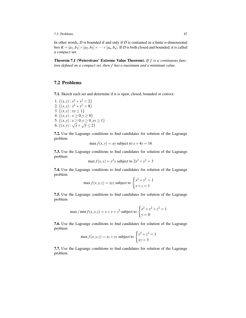7.2 Problems 87

In other words, *D* is bounded if and only if *D* is contained in a finite *n*-dimensional box  $K = [a_1, b_1] \times [a_2, b_2] \times \cdots \times [a_n, b_n]$ . If *D* is both closed and bounded, it is called a *compact* set.

Theorem 7.1 (Weierstrass' Extreme Value Theorem). *If f is a continuous function defined on a compact set, then f has a maximum and a minimum value.*

# <span id="page-90-0"></span>7.2 Problems

<span id="page-90-1"></span>7.1. Sketch each set and determine if it is open, closed, bounded or convex:

1.  $\{(x, y) : x^2 + y^2 < 2\}$ 2.  $\{(x, y) : x^2 + y^2 > 8\}$ 3.  $\{(x, y) : xy \le 1\}$ 4.  $\{(x, y) : x \ge 0, y \ge 0\}$ 5.  $\{(x,y): x \ge 0, y \ge 0, xy \ge 1\}$ 6.  $\{(x,y): x \leq 0, y \leq 0, x\}$ <br>6.  $\{(x,y): \sqrt{x} + \sqrt{y} \leq 2\}$ 

<span id="page-90-2"></span>7.2. Use the Lagrange conditions to find candidates for solution of the Lagrange problem

$$
\max f(x, y) = xy
$$
 subject to  $x + 4y = 16$ 

<span id="page-90-3"></span>7.3. Use the Lagrange conditions to find candidates for solution of the Lagrange problem

$$
\max f(x, y) = x^2 y
$$
 subject to  $2x^2 + y^2 = 3$ 

<span id="page-90-4"></span>7.4. Use the Lagrange conditions to find candidates for solution of the Lagrange problem

$$
\max f(x, y, z) = xyz \text{ subject to } \begin{cases} x^2 + y^2 = 1\\ x + z = 1 \end{cases}
$$

<span id="page-90-5"></span>7.5. Use the Lagrange conditions to find candidates for solution of the Lagrange problem

max / min 
$$
f(x, y, z) = x + y + z^2
$$
 subject to 
$$
\begin{cases} x^2 + y^2 + z^2 = 1\\ y = 0 \end{cases}
$$

<span id="page-90-6"></span>7.6. Use the Lagrange conditions to find candidates for solution of the Lagrange problem

$$
\max f(x, y, z) = xz + yz \text{ subject to } \begin{cases} y^2 + z^2 = 1\\ xz = 3 \end{cases}
$$

<span id="page-90-7"></span>7.7. Use the Lagrange conditions to find candidates for solution of the Lagrange problem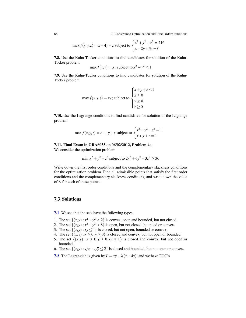88 7 Constrained Optimization and First Order Conditions

$$
\max f(x, y, z) = x + 4y + z \text{ subject to } \begin{cases} x^2 + y^2 + z^2 = 216\\ x + 2y + 3z = 0 \end{cases}
$$

<span id="page-91-1"></span>7.8. Use the Kuhn-Tucker conditions to find candidates for solution of the Kuhn-Tucker problem

$$
\max f(x, y) = xy \text{ subject to } x^2 + y^2 \le 1
$$

<span id="page-91-2"></span>7.9. Use the Kuhn-Tucker conditions to find candidates for solution of the Kuhn-Tucker problem

$$
\max f(x, y, z) = xyz \text{ subject to } \begin{cases} x + y + z \le 1 \\ x \ge 0 \\ y \ge 0 \\ z \ge 0 \end{cases}
$$

<span id="page-91-3"></span>7.10. Use the Lagrange conditions to find candidates for solution of the Lagrange problem

$$
\max f(x, y, z) = e^x + y + z \text{ subject to } \begin{cases} x^2 + y^2 + z^2 = 1\\ x + y + z = 1 \end{cases}
$$

## <span id="page-91-4"></span>7.11. Final Exam in GRA6035 on 06/02/2012, Problem 4a

We consider the optimization problem

$$
\min x^2 + y^2 + z^2
$$
 subject to  $2x^2 + 6y^2 + 3z^2 \ge 36$ 

Write down the first order conditions and the complementary slackness conditions for the optimization problem. Find all admissible points that satisfy the first order conditions and the complementary slackness conditions, and write down the value of  $\lambda$  for each of these points.

# <span id="page-91-0"></span>7.3 Solutions

[7.1](#page-90-1) We see that the sets have the following types:

- 1. The set  $\{(x, y) : x^2 + y^2 < 2\}$  is convex, open and bounded, but not closed.
- 2. The set  $\{(x, y) : x^2 + y^2 > 8\}$  is open, but not closed, bounded or convex.
- 3. The set  $\{(x, y) : xy \le 1\}$  is closed, but not open, bounded or convex.
- 4. The set  $\{(x, y) : x \ge 0, y \ge 0\}$  is closed and convex, but not open or bounded.
- 5. The set  $\{(x, y) : x \ge 0, y \ge 0, xy \ge 1\}$  is closed and convex, but not open or bounded.
- 6. The set  $\{(x, y) : \sqrt{x} + \sqrt{y} \le 2\}$  is closed and bounded, but not open or convex.
- [7.2](#page-90-2) The Lagrangian is given by  $L = xy \lambda (x + 4y)$ , and we have FOC's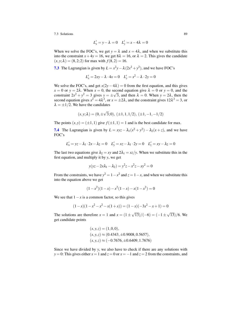$$
L'_x = y - \lambda = 0 \quad L'_y = x - 4\lambda = 0
$$

When we solve the FOC's, we get  $y = \lambda$  and  $x = 4\lambda$ , and when we substitute this into the constraint  $x + 4y = 16$ , we get  $8\lambda = 16$ , or  $\lambda = 2$ . This gives the candidate  $(x, y; \lambda) = (8, 2; 2)$  for max with  $f(8, 2) = 16$ .

**[7.3](#page-90-3)** The Lagrangian is given by  $L = x^2y - \lambda(2x^2 + y^2)$ , and we have FOC's

$$
L'_x = 2xy - \lambda \cdot 4x = 0 \quad L'_y = x^2 - \lambda \cdot 2y = 0
$$

We solve the FOC's, and get  $x(2y-4\lambda) = 0$  from the first equation, and this gives  $x = 0$  or  $y = 2\lambda$ . When  $x = 0$ , the second equation give  $\lambda = 0$  or  $y = 0$ , and the constraint  $2x^2 + y^2 = 3$  gives  $y = \pm \sqrt{3}$ , and then  $\lambda = 0$ . When  $y = 2\lambda$ , then the second equation gives  $x^2 = 4\lambda^2$ , or  $x = \pm 2\lambda$ , and the constraint gives  $12\lambda^2 = 3$ , or  $\lambda = \pm 1/2$ . We have the candidates

$$
(x, y; \lambda) = (0, \pm \sqrt{3}; 0), (\pm 1, 1, 1/2), (\pm 1, -1, -1/2)
$$

The points  $(x, y) = (\pm 1, 1)$  give  $f(\pm 1, 1) = 1$  and is the best candidate for max.

**[7.4](#page-90-4)** The Lagrangian is given by  $L = xyz - \lambda_1(x^2 + y^2) - \lambda_2(x + z)$ , and we have FOC's

$$
L'_x = yz - \lambda_1 \cdot 2x - \lambda_2 = 0 \quad L'_y = xz - \lambda_1 \cdot 2y = 0 \quad L'_z = xy - \lambda_2 = 0
$$

The last two equations give  $\lambda_2 = xy$  and  $2\lambda_1 = xz/y$ . When we substitute this in the first equation, and multiply it by *y*, we get

$$
y(yz - 2x\lambda_1 - \lambda_2) = y^2z - x^2z - xy^2 = 0
$$

From the constraints, we have  $y^2 = 1 - x^2$  and  $z = 1 - x$ , and when we substitute this into the equation above we get

$$
(1 - x2)(1 - x) - x2(1 - x) - x(1 - x2) = 0
$$

We see that  $1 - x$  is a common factor, so this gives

$$
(1-x)(1-x2-x2-x(1+x)) = (1-x)(-3x2-x+1) = 0
$$

The solutions are therefore  $x = 1$  and  $x = (1 \pm \sqrt{3})$ √  $(13)/(-6) = (-1)$ √ 13)/6. We get candidate points

$$
(x, y, z) = (1, 0, 0),
$$
  
\n
$$
(x, y, z) \approx (0.4343, \pm 0.9008, 0.5657),
$$
  
\n
$$
(x, y, z) \approx (-0.7676, \pm 0.6409, 1.7676)
$$

Since we have divided by *y*, we also have to check if there are any solutions with *y* = 0: This gives either  $x = 1$  and  $z = 0$  or  $x = -1$  and  $z = 2$  from the constraints, and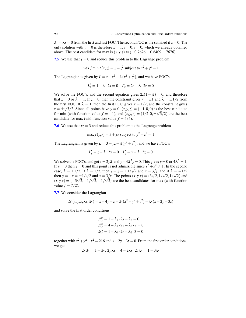$\lambda_1 = \lambda_2 = 0$  from the first and last FOC. The second FOC is the satisfied if  $z = 0$ . The only solution with  $y = 0$  is therefore  $x = 1$ ,  $y = 0$ ,  $z = 0$ , which we already obtained above. The best candidate for max is  $(x, y, z) \approx (-0.7676, -0.6409, 1.7676)$ .

**[7.5](#page-90-5)** We use that  $y = 0$  and reduce this problem to the Lagrange problem

$$
\max/\min f(x,z) = x + z^2
$$
 subject to  $x^2 + z^2 = 1$ 

The Lagrangian is given by  $L = x + z^2 - \lambda (x^2 + z^2)$ , and we have FOC's

$$
L'_x = 1 - \lambda \cdot 2x = 0 \quad L'_z = 2z - \lambda \cdot 2z = 0
$$

We solve the FOC's, and the second equation gives  $2z(1 - \lambda) = 0$ , and therefore that  $z = 0$  or  $\lambda = 1$ . If  $z = 0$ , then the constraint gives  $x = \pm 1$  and  $\lambda = \pm 1/2$  from the first FOC. If  $\lambda = 1$ , then the first FOC gives  $x = 1/2$ , and the constraint gives  $z = \pm \sqrt{3}/2$ . Since all points have  $y = 0$ ,  $(x, y, z) = (-1, 0, 0)$  is the best candidate for min (with function value  $f = -1$ ), and  $(x, y, z) = (1/2, 0, \pm \sqrt{3}/2)$  are the best candidate for max (with function value  $f = 5/4$ ).

**[7.6](#page-90-6)** We use that  $xz = 3$  and reduce this problem to the Lagrange problem

$$
\max f(y, z) = 3 + yz
$$
 subject to  $y^2 + z^2 = 1$ 

The Lagrangian is given by  $L = 3 + yz - \lambda (y^2 + z^2)$ , and we have FOC's

$$
L'_y = z - \lambda \cdot 2y = 0 \quad L'_z = y - \lambda \cdot 2z = 0
$$

We solve the FOC's, and get  $z = 2y\lambda$  and  $y - 4\lambda^2 y = 0$ . This gives  $y = 0$  or  $4\lambda^2 = 1$ . If *y* = 0 then *z* = 0 and this point is not admissible since  $y^2 + z^2 \neq 1$ . In the second case,  $\lambda = \pm 1/2$ . If  $\lambda = 1/2$ , then  $y = z = \pm 1/\sqrt{2}$  and  $x = 3/z$ , and if  $\lambda = -1/2$ then  $y = -z = \pm 1/$ √ 2 and  $x = 3/z$ . The points  $(x, y, z) = (3$  $\mathfrak{p}_{\mathcal{A}}$  $2,1/$ √ 2,1/ √ 2) and  $(x, y, z) = (-3)$ √  $2, -1/$ √  $2,-1/$ √ 2) are the best candidates for max (with function value  $f = 7/2$ ).

[7.7](#page-90-7) We consider the Lagrangian

$$
\mathcal{L}(x, y, z, \lambda_1, \lambda_2) = x + 4y + z - \lambda_1(x^2 + y^2 + z^2) - \lambda_2(x + 2y + 3z)
$$

and solve the first order conditions

$$
\mathcal{L}'_x = 1 - \lambda_1 \cdot 2x - \lambda_2 = 0
$$
  

$$
\mathcal{L}'_y = 4 - \lambda_1 \cdot 2y - \lambda_2 \cdot 2 = 0
$$
  

$$
\mathcal{L}'_z = 1 - \lambda_1 \cdot 2z - \lambda_2 \cdot 3 = 0
$$

together with  $x^2 + y^2 + z^2 = 216$  and  $x + 2y + 3z = 0$ . From the first order conditions, we get

$$
2x\lambda_1=1-\lambda_2,\ 2y\lambda_1=4-2\lambda_2,\ 2z\lambda_1=1-3\lambda_2
$$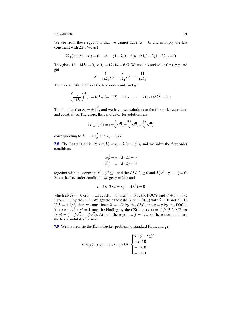We see from these equations that we cannot have  $\lambda_1 = 0$ , and multiply the last constraint with  $2\lambda_1$ . We get

$$
2\lambda_1(x+2y+3z) = 0 \quad \Rightarrow \quad (1-\lambda_2) + 2(4-2\lambda_2) + 3(1-3\lambda_2) = 0
$$

This gives  $12-14\lambda_2 = 0$ , or  $\lambda_2 = 12/14 = 6/7$ . We use this and solve for *x*, *y*, *z*, and get

$$
x = \frac{1}{14\lambda_1}, \ y = \frac{8}{7\lambda_1}, \ z = -\frac{11}{14\lambda_1}
$$

Then we substitute this in the first constraint, and get

$$
\left(\frac{1}{14\lambda_1}\right)^2 (1+16^2+(-11)^2) = 216 \Rightarrow 216 \cdot 14^2 \lambda_1^2 = 378
$$

This implies that  $\lambda_1 = \pm$  $\frac{\sqrt{7}}{28}$ , and we have two solutions to the first order equations and constraints. Therefore, the candidates for solutions are

$$
(x^*, y^*, z^*) = (\pm \frac{2}{7}\sqrt{7}, \pm \frac{32}{7}\sqrt{7}, \pm \frac{22}{7}\sqrt{7})
$$

corresponding to  $\lambda_1 = \pm$  $\frac{\sqrt{7}}{28}$  and  $\lambda_2 = 6/7$ .

**[7.8](#page-91-1)** The Lagrangian is  $\mathcal{L}(x, y, \lambda) = xy - \lambda (x^2 + y^2)$ , and we solve the first order conditions

$$
\mathcal{L}'_x = y - \lambda \cdot 2x = 0
$$
  

$$
\mathcal{L}'_y = x - \lambda \cdot 2y = 0
$$

together with the contraint  $x^2 + y^2 \le 1$  and the CSC  $\lambda \ge 0$  and  $\lambda (x^2 + y^2 - 1) = 0$ . From the first order condition, we get  $y = 2\lambda x$  and

$$
x - 2\lambda \cdot 2\lambda x = x(1 - 4\lambda^2) = 0
$$

which gives  $x = 0$  or  $\lambda = \pm 1/2$ . If  $x = 0$ , then  $y = 0$  by the FOC's, and  $x^2 + y^2 = 0$ 1 so  $\lambda = 0$  by the CSC. We get the candidate  $(x, y) = (0, 0)$  with  $\lambda = 0$  and  $f = 0$ . If  $\lambda = \pm 1/2$ , then we must have  $\lambda = 1/2$  by the CSC, and  $x = y$  by the FOC's. Moreover,  $x^2 + y^2 = 1$  must be binding by the CSC, so  $(x, y) = (1/\sqrt{2}, 1/\sqrt{2})$  or  $(x, y) = (-1)$ √  $2, -1/$ √ 2). At both these points,  $f = 1/2$ , so these two points are the best candidates for max.

[7.9](#page-91-2) We first rewrite the Kuhn-Tucker problem to standard form, and get

$$
\max f(x, y, z) = xyz \text{ subject to } \begin{cases} x + y + z \le 1 \\ -x \le 0 \\ -y \le 0 \\ -z \le 0 \end{cases}
$$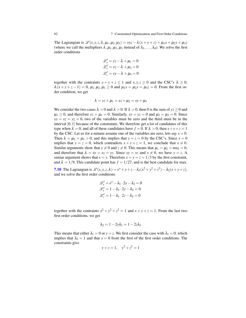The Lagrangian is  $\mathcal{L}(x, y, z, \lambda, \mu_1, \mu_2, \mu_3) = xyz - \lambda(x + y + z) + \mu_1x + \mu_2y + \mu_3z$ (where we call the multipliers  $\lambda, \mu_1, \mu_2, \mu_3$  instead of  $\lambda_1, \ldots, \lambda_4$ ). We solve the first order conditions

$$
\mathcal{L}'_x = yz - \lambda + \mu_1 = 0
$$
  

$$
\mathcal{L}'_y = xz - \lambda + \mu_2 = 0
$$
  

$$
\mathcal{L}'_z = xy - \lambda + \mu_3 = 0
$$

together with the contraints  $x + y + z \le 1$  and  $x, y, z \ge 0$  and the CSC's  $\lambda \ge 0$ ,  $\lambda(x+y+z-1) = 0$ ,  $\mu_1, \mu_2, \mu_3 \ge 0$  and  $\mu_1x = \mu_2y = \mu_3z = 0$ . From the first order condition, we get

$$
\lambda = yz + \mu_1 = xz + \mu_2 = xy + \mu_3
$$

We consider the two cases  $\lambda = 0$  and  $\lambda > 0$ . If  $\lambda = 0$ , then 0 is the sum of  $yz \ge 0$  and  $\mu_1 \geq 0$ , and therefore  $yz = \mu_1 = 0$ . Similarly,  $xy = yz = 0$  and  $\mu_2 = \mu_3 = 0$ . Since  $xy = xz = yz = 0$ , two of the variables must be zero and the third must be in the interval  $[0,1]$  because of the constraints. We therefore get a lot of candidates of this type when  $\lambda = 0$ , and all of these candidates have  $f = 0$ . If  $\lambda > 0$ , then  $x + y + z = 1$ by the CSC. Let us for a minute assume one of the variables are zero, lets say  $x = 0$ . Then  $\lambda = \mu_2 = \mu_3 > 0$ , and this implies that  $y = z = 0$  by the CSC's. Since  $x = 0$ implies that  $y = z = 0$ , which contradicts  $x + y + z = 1$ , we conclude that  $x \neq 0$ . Similar arguments show that  $y \neq 0$  and  $z \neq 0$ . This means that  $\mu_1 = \mu_2 = m u_3 = 0$ , and therefore that  $\lambda = xy = xz = yz$ . Since  $xy = xz$  and  $x \neq 0$ , we have  $y = z$ . A simiar argument shows that  $x = y$ . Therefore  $x = y = z = 1/3$  by the first constraint, and  $\lambda = 1/9$ . This candidate point has  $f = 1/27$ , and is the best candidate for max.

[7.10](#page-91-3) The Lagrangian is  $\mathcal{L}(x, y, z, \lambda) = e^x + y + z - \lambda_1(x^2 + y^2 + z^2) - \lambda_2(x + y + z),$ and we solve the first order conditions

$$
\mathcal{L}'_x = e^x - \lambda_1 \cdot 2x - \lambda_2 = 0
$$
  

$$
\mathcal{L}'_y = 1 - \lambda_1 \cdot 2y - \lambda_2 = 0
$$
  

$$
\mathcal{L}'_z = 1 - \lambda_1 \cdot 2z - \lambda_2 = 0
$$

together with the contraints  $x^2 + y^2 + z^2 = 1$  and  $x + y + z = 1$ . From the last two first order conditions, we get

$$
\lambda_2 = 1 - 2y\lambda_1 = 1 - 2z\lambda_1
$$

This means that either  $\lambda_1 = 0$  or  $y = z$ . We first consider the case with  $\lambda_1 = 0$ , which implies that  $\lambda_2 = 1$  and that  $x = 0$  from the first of the first order conditions. The constraints give

$$
y + z = 1
$$
,  $y^2 + z^2 = 1$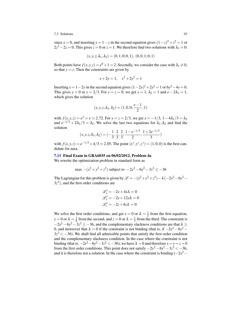since *x* = 0, and inserting  $y = 1 - z$  in the second equation gives  $(1 - z)^2 + z^2 = 1$  or  $2z^2 - 2z = 0$ . This gives  $z = 0$  or  $z = 1$ . We therefore find two solutions with  $\lambda_1 = 0$ :

$$
(x, y, z; \lambda_1, \lambda_2) = (0, 1, 0; 0, 1), (0, 0, 1; 0, 1)
$$

Both points have  $f(x, y, z) = e^0 + 1 = 2$ . Secondly, we consider the case with  $\lambda_1 \neq 0$ , so that  $y = z$ . Then the constraints are given by

$$
x + 2y = 1, \quad x^2 + 2y^2 = 1
$$

Inserting  $x = 1 - 2y$  in the second equation gives  $(1 - 2y)^2 + 2y^2 = 1$  or  $6y^2 - 4y = 0$ . This gives *y* = 0 or *y* = 2/3. For *y* = *z* = 0, we get *x* = 1,  $\lambda_2$  = 1 and *e* − 2 $\lambda_1$  = 1, which gives the solution

$$
(x, y, z; \lambda_1, \lambda_2) = (1, 0, 0; \frac{e-1}{2}, 1)
$$

with  $f(x, y, z) = e^1 = e \approx 2.72$ . For  $y = z = 2/3$ , we get  $x = -1/3$ ,  $1 - 4\lambda_1/3 = \lambda_2$ and  $e^{-1/3} + 2\lambda_1/3 = \lambda_2$ . We solve the last two equations for  $\lambda_1, \lambda_2$  and find the solution

$$
(x, y, z; \lambda_1, \lambda_2) = \left(-\frac{1}{3}, \frac{2}{3}, \frac{2}{3}; \frac{1 - e^{-1/3}}{2}, \frac{1 + 2e^{-1/3}}{3}\right)
$$

with  $f(x, y, z) = e^{-1/3} + 4/3 \approx 2.05$ . The point  $(x^*, y^*, z^*) = (1, 0, 0)$  is the best candidate for max.

#### [7.11](#page-91-4) Final Exam in GRA6035 on 06/02/2012, Problem 4a

We rewrite the optimization problem in standard form as

$$
\max -(x^2 + y^2 + z^2) \text{ subject to } -2x^2 - 6y^2 - 3z^2 \le -36
$$

The Lagrangian for this problem is given by  $\mathcal{L} = -(x^2 + y^2 + z^2) - \lambda(-2x^2 - 6y^2 - z^2)$  $3z<sup>2</sup>$ ), and the first order conditions are

$$
\mathcal{L}'_x = -2x + 4x\lambda = 0
$$
  

$$
\mathcal{L}'_y = -2y + 12y\lambda = 0
$$
  

$$
\mathcal{L}'_z = -2z + 6z\lambda = 0
$$

We solve the first order conditions, and get  $x = 0$  or  $\lambda = \frac{1}{2}$  from the first equation,  $y = 0$  or  $\lambda = \frac{1}{6}$  from the second, and  $z = 0$  or  $\lambda = \frac{1}{3}$  from the third. The constraint is  $-2x^2 - 6y^2 - 3z^2 \le -36$ , and the complementary slackness conditions are that  $\lambda \ge$ 0, and moreover that  $\lambda = 0$  if the constraint is not binding (that is, if  $-2x^2 - 6y^2 - 1$  $3z^2 < -36$ ). We shall find all admissible points that satisfy the first order condition and the complementary slackness condition. In the case where the constraint is not binding (that is,  $-2x^2 - 6y^2 - 3z^2 < -36$ ), we have  $\lambda = 0$  and therefore  $x = y = z = 0$ from the first order conditions. This point does not satisfy  $-2x^2 - 6y^2 - 3z^2 < -36$ , and it is therefore not a solution. In the case where the constraint is binding  $(-2x^2 -$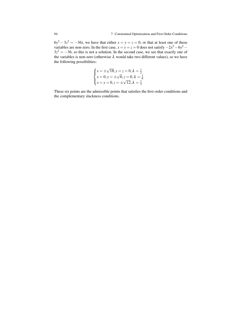$6y^2 - 3z^2 = -36$ , we have that either  $x = y = z = 0$ , or that at least one of these variables are non-zero. In the first case,  $x = y = z = 0$  does not satisfy  $-2x^2 - 6y^2 3z^2 = -36$ , so this is not a solution. In the second case, we see that exactly one of the variables is non-zero (otherwise  $\lambda$  would take two different values), so we have the following possibilities:

$$
\begin{cases}\n x = \pm \sqrt{18}, y = z = 0, \lambda = \frac{1}{2} \\
 x = 0, y = \pm \sqrt{6}, z = 0, \lambda = \frac{1}{6} \\
 x = y = 0, z = \pm \sqrt{12}, \lambda = \frac{1}{3}\n\end{cases}
$$

These six points are the admissible points that satisfies the first order conditions and the complementary slackness conditions.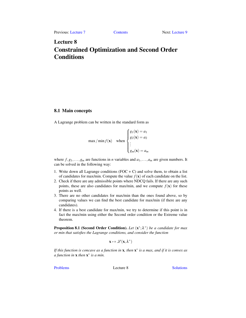# <span id="page-98-0"></span>Lecture 8 Constrained Optimization and Second Order Conditions

# 8.1 Main concepts

A Lagrange problem can be written in the standard form as

$$
\max / \min f(\mathbf{x}) \quad \text{when } \begin{cases} g_1(\mathbf{x}) = a_1 \\ g_2(\mathbf{x}) = a_2 \\ \vdots \\ g_m(\mathbf{x}) = a_m \end{cases}
$$

where  $f, g_1, \ldots, g_m$  are functions in *n* variables and  $a_1, \ldots, a_m$  are given numbers. It can be solved in the following way:

- 1. Write down all Lagrange conditions  $(FOC + C)$  and solve them, to obtain a list of candidates for max/min. Compute the value  $f(\mathbf{x})$  of each candidate on the list.
- 2. Check if there are any admissible points where NDCQ fails. If there are any such points, these are also candidates for max/min, and we compute  $f(\mathbf{x})$  for these points as well.
- 3. There are no other candidates for max/min than the ones found above, so by comparing values we can find the best candidate for max/min (if there are any candidates).
- 4. If there is a best candidate for max/min, we try to determine if this point is in fact the max/min using either the Second order condition or the Extreme value theorem.

**Proposition 8.1 (Second Order Condition).** *Let* (**x**<sup>\*</sup>; λ<sup>\*</sup>) *be a candidate for max or min that satisfies the Lagrange conditions, and consider the function*

$$
x\mapsto \mathscr{L}(x,\lambda^*)
$$

*If this function is concave as a function in* x*, then* x ∗ *is a max, and if it is convex as a function in* x *then* x ∗ *is a min.*

[Problems](#page-99-0) Lecture 8 [Solutions](#page-101-0)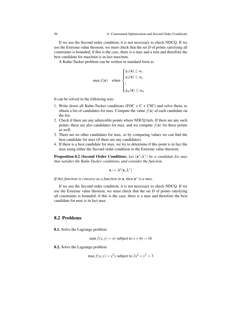If we use the Second order condition, it is not necessary to check NDCQ. If we use the Extreme value theorem, we must check that the set *D* of points satisfying all constraints is bounded; if this is the case, there is a max and a min and therefore the best candidate for max/min is in fact max/min.

A Kuhn-Tucker problem can be written in standard form as

$$
\max f(\mathbf{x}) \quad \text{when } \begin{cases} g_1(\mathbf{x}) \le a_1 \\ g_2(\mathbf{x}) \le a_2 \\ \vdots \\ g_m(\mathbf{x}) \le a_m \end{cases}
$$

It can be solved in the following way:

- 1. Write down all Kuhn-Tucker conditions (FOC  $+ C + CSC$ ) and solve them, to obtain a list of candidates for max. Compute the value  $f(\mathbf{x})$  of each candidate on the list.
- 2. Check if there are any admissible points where NDCQ fails. If there are any such points, these are also candidates for max, and we compute  $f(\mathbf{x})$  for these points as well.
- 3. There are no other candidates for max, so by comparing values we can find the best candidate for max (if there are any candidates).
- 4. If there is a best candidate for max, we try to determine if this point is in fact the max using either the Second order condition or the Extreme value theorem.

**Proposition 8.2 (Second Order Condition).** *Let* (**x**<sup>\*</sup>; λ<sup>\*</sup>) *be a candidate for max that satisfies the Kuhn-Tucker conditions, and consider the function*

$$
x\mapsto \mathscr{L}(x,\lambda^*)
$$

*If this function is concave as a function in* **x***, then* **x**<sup>\*</sup> *is a max.* 

If we use the Second order condition, it is not necessary to check NDCQ. If we use the Extreme value theorem, we must check that the set *D* of points satisfying all constraints is bounded; if this is the case, there is a max and therefore the best candidate for max is in fact max.

## <span id="page-99-0"></span>8.2 Problems

<span id="page-99-1"></span>8.1. Solve the Lagrange problem

 $max f(x, y) = xy$  subject to  $x + 4y = 16$ 

<span id="page-99-3"></span><span id="page-99-2"></span>8.2. Solve the Lagrange problem

$$
\max f(x, y) = x^2 y
$$
 subject to  $2x^2 + y^2 = 3$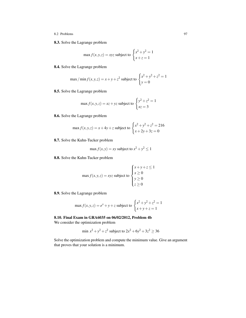- 8.2 Problems 97
- 8.3. Solve the Lagrange problem

$$
\max f(x, y, z) = xyz \text{ subject to } \begin{cases} x^2 + y^2 = 1\\ x + z = 1 \end{cases}
$$

<span id="page-100-0"></span>8.4. Solve the Lagrange problem

max / min 
$$
f(x, y, z) = x + y + z^2
$$
 subject to 
$$
\begin{cases} x^2 + y^2 + z^2 = 1\\ y = 0 \end{cases}
$$

<span id="page-100-1"></span>8.5. Solve the Lagrange problem

$$
\max f(x, y, z) = xz + yz \text{ subject to } \begin{cases} y^2 + z^2 = 1\\ xz = 3 \end{cases}
$$

<span id="page-100-2"></span>8.6. Solve the Lagrange problem

$$
\max f(x, y, z) = x + 4y + z \text{ subject to } \begin{cases} x^2 + y^2 + z^2 = 216\\ x + 2y + 3z = 0 \end{cases}
$$

<span id="page-100-3"></span>8.7. Solve the Kuhn-Tucker problem

$$
\max f(x, y) = xy \text{ subject to } x^2 + y^2 \le 1
$$

<span id="page-100-4"></span>8.8. Solve the Kuhn-Tucker problem

$$
\max f(x, y, z) = xyz \text{ subject to } \begin{cases} x + y + z \le 1 \\ x \ge 0 \\ y \ge 0 \\ z \ge 0 \end{cases}
$$

<span id="page-100-5"></span>8.9. Solve the Lagrange problem

$$
\max f(x, y, z) = e^x + y + z \text{ subject to } \begin{cases} x^2 + y^2 + z^2 = 1\\ x + y + z = 1 \end{cases}
$$

<span id="page-100-6"></span>8.10. Final Exam in GRA6035 on 06/02/2012, Problem 4b We consider the optimization problem

$$
\min x^2 + y^2 + z^2
$$
 subject to  $2x^2 + 6y^2 + 3z^2 \ge 36$ 

<span id="page-100-7"></span>Solve the optimization problem and compute the minimum value. Give an argument that proves that your solution is a minimum.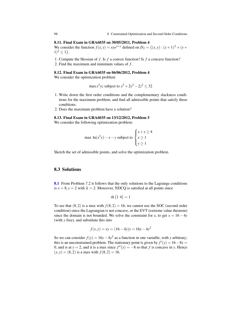### 8.11. Final Exam in GRA6035 on 30/05/2011, Problem 4

We consider the function  $f(x, y) = xye^{x+y}$  defined on  $D_f = \{(x, y) : (x + 1)^2 + (y + 1)^2\}$  $1)^2 \leq 1$ .

1. Compute the Hessian of *f* . Is *f* a convex function? Is *f* a concave function?

2. Find the maximum and minimum values of *f* .

# <span id="page-101-1"></span>8.12. Final Exam in GRA6035 on 06/06/2012, Problem 4

We consider the optimization problem

$$
\max x^2yz
$$
 subject to  $x^2 + 2y^2 - 2z^2 \le 32$ 

- 1. Write down the first order conditions and the complementary slackness conditions for the maximum problem, and find all admissible points that satisfy these conditions.
- 2. Does the maximum problem have a solution?

## <span id="page-101-2"></span>8.13. Final Exam in GRA6035 on 13/12/2012, Problem 5

We consider the following optimization problem:

$$
\max \ln(x^2y) - x - y \text{ subject to } \begin{cases} x + y \ge 4\\ x \ge 1\\ y \ge 1 \end{cases}
$$

Sketch the set of admissible points, and solve the optimization problem.

## <span id="page-101-0"></span>8.3 Solutions

[8.1](#page-99-1) From Problem 7.2 it follows that the only solutions to the Lagrange conditions is  $x = 8$ ,  $y = 2$  with  $\lambda = 2$ . Moreover, NDCQ is satisfied at all points since

$$
rk(14) = 1
$$

To see that  $(8,2)$  is a max with  $f(8,2) = 16$ , we cannot use the SOC (second order condition) since the Lagrangian is not concave, or the EVT (extreme value theorem) since the domain is not bounded. We solve the constraint for *x*, to get  $x = 16 - 4y$ (with *y* free), and substitute this into

$$
f(x, y) = xy = (16 - 4y)y = 16y - 4y^2
$$

So we can consider  $f(y) = 16y - 4y^2$  as a function in one variable, with *y* arbitrary; this is an unconstrained problem. The stationary point is given by  $f'(y) = 16 - 8y$ 0, and is at  $y = 2$ , and it is a max since  $f''(y) = -8$  so that *f* is concave in *y*. Hence  $(x, y) = (8, 2)$  is a max with  $f(8, 2) = 16$ .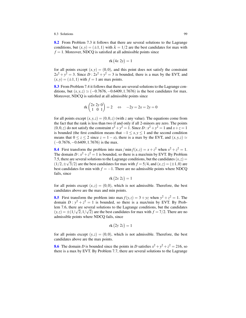[8.2](#page-99-2) From Problem 7.3 it follows that there are several solutions to the Lagrange conditions, but  $(x, y) = (\pm 1, 1)$  with  $\lambda = 1/2$  are the best candidates for max with  $f = 1$ . Moreover, NDCQ is satisfied at all admissible points since

$$
rk(4x 2y) = 1
$$

for all points except  $(x, y) = (0, 0)$ , and this point does not satisfy the constraint  $2x^2 + y^2 = 3$ . Since  $D: 2x^2 + y^2 = 3$  is bounded, there is a max by the EVT, and  $(x, y) = (\pm 1, 1)$  with  $f = 1$  are max points.

[8.3](#page-99-3) From Problem 7.4 it follows that there are several solutions to the Lagrange conditions, but  $(x, y, z) \simeq (-0.7676, -0.6409, 1.7676)$  is the best candidates for max. Moreover, NDCQ is satisfied at all admissible points since

$$
rk\begin{pmatrix} 2x & 2y & 0 \\ 1 & 0 & 1 \end{pmatrix} = 2 \quad \Leftrightarrow \quad -2y = 2x = 2y = 0
$$

for all points except  $(x, y, z) = (0, 0, z)$  (with *z* any value). The equations come from the fact that the rank is less than two if and only if all 2-minors are zero. The points  $(0,0,z)$  do not satisfy the constraint  $x^2 + y^2 = 1$ . Since  $D : x^2 + y^2 = 1$  and  $x + z = 1$ is bounded (the first condition means that  $-1 \le x, y \le 1$  and the second condition means that  $0 \le z \le 2$  since  $z = 1 - x$ , there is a max by the EVT, and  $(x, y, z) \simeq$  $(-0.7676,-0.6409,1.7676)$  is the max.

[8.4](#page-100-0) First transform the problem into max / min  $f(x, z) = x + z^2$  when  $x^2 + z^2 = 1$ . The domain  $D: x^2 + z^2 = 1$  is bounded, so there is a max/min by EVT. By Problem 7.5, there are several solutions to the Lagrange conditions, but the candidates  $(x, z)$  =  $(1/2, \pm \sqrt{3}/2)$  are the best candidates for max with  $f = 5/4$ , and  $(x, z) = (\pm 1, 0)$  are best candidates for min with  $f = -1$ . There are no admissible points where NDCQ fails, since

$$
rk(2x 2z) = 1
$$

for all points except  $(x, z) = (0, 0)$ , which is not admissible. Therefore, the best candidates above are the max and min points.

[8.5](#page-100-1) First transform the problem into  $\max f(y, z) = 3 + yz$  when  $y^2 + z^2 = 1$ . The domain  $D : y^2 + z^2 = 1$  is bounded, so there is a max/min by EVT. By Problem 7.6, there are several solutions to the Lagrange conditions, but the candidates  $(y, z) = \pm (1/\sqrt{2}, 1/\sqrt{2})$  are the best candidates for max with  $f = 7/2$ . There are no admissible points where NDCQ fails, since

$$
rk(2y 2z) = 1
$$

for all points except  $(y, z) = (0, 0)$ , which is not admissible. Therefore, the best candidates above are the max points.

**[8.6](#page-100-2)** The domain *D* is bounded since the points in *D* satisfies  $x^2 + y^2 + z^2 = 216$ , so there is a max by EVT. By Problem 7.7, there are several solutions to the Lagrange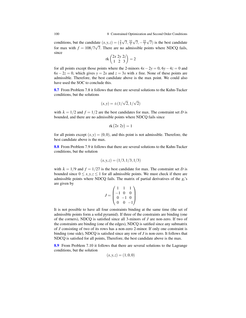conditions, but the candidate  $(x, y, z) = \left(\frac{2}{7}\right)$ √  $\overline{7}, \frac{32}{7}$ √  $\overline{7},-\frac{22}{7}$ √ late  $(x, y, z) = (\frac{2}{7}\sqrt{7}, \frac{32}{7}\sqrt{7}, -\frac{22}{7}\sqrt{7})$  is the best candidate for max with  $f = 108/7\sqrt{7}$ . There are no admissible points where NDCQ fails, since

$$
rk\begin{pmatrix}2x\ 2y\ 2z\\1\ 2\ 3\end{pmatrix}=2
$$

for all points except those points where the 2-minors  $4x - 2y = 0$ ,  $6y - 4z = 0$  and  $6x - 2z = 0$ , which gives  $y = 2x$  and  $z = 3x$  with x free. None of these points are admissible. Therefore, the best candidate above is the max point. We could also have used the SOC to conclude this.

[8.7](#page-100-3) From Problem 7.8 it follows that there are several solutions to the Kuhn-Tucker conditions, but the solutions

$$
(x, y) = \pm (1/\sqrt{2}, 1/\sqrt{2})
$$

with  $\lambda = 1/2$  and  $f = 1/2$  are the best candidates for max. The constraint set *D* is bounded, and there are no admissible points where NDCQ fails since

$$
rk(2x 2y) = 1
$$

for all points except  $(x, y) = (0, 0)$ , and this point is not admissible. Therefore, the best candidate above is the max.

[8.8](#page-100-4) From Problem 7.9 it follows that there are several solutions to the Kuhn-Tucker conditions, but the solution

$$
(x, y, z) = (1/3, 1/3, 1/3)
$$

with  $\lambda = 1/9$  and  $f = 1/27$  is the best candidate for max. The constraint set *D* is bounded since  $0 \le x, y, z \le 1$  for all admissible points. We must check if there are admissible points where NDCQ fails. The matrix of partial derivatives of the *gi*'s are given by

$$
J = \begin{pmatrix} 1 & 1 & 1 \\ -1 & 0 & 0 \\ 0 & -1 & 0 \\ 0 & 0 & -1 \end{pmatrix}
$$

It is not possible to have all four constraints binding at the same time (the set of admissible points form a solid pyramid). If three of the constraints are binding (one of the corners), NDCQ is satisfied since all 3-minors of *J* are non-zero. If two of the constraints are binding (one of the edges), NDCQ is satified since any submatrix of *J* consisting of two of its rows has a non-zero 2-minor. If only one constraint is binding (one side), NDCQ is satisfied since any row of *J* is non-zero. It follows that NDCQ is satisfied for all points, Therefore, the best candidate above is the max.

[8.9](#page-100-5) From Problem 7.10 it follows that there are several solutions to the Lagrange conditions, but the solution

$$
(x, y, z) = (1, 0, 0)
$$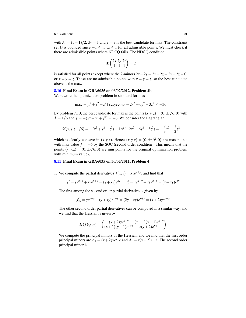with  $\lambda_1 = (e-1)/2$ ,  $\lambda_2 = 1$  and  $f = e$  is the best candidate for max. The constraint set *D* is bounded since  $-1 \le x, y, z \le 1$  for all admissible points. We must check if there are admissible points where NDCQ fails. The NDCQ condition

$$
rk\begin{pmatrix}2x\ 2y\ 2z\\1\ 1\ 1\end{pmatrix}=2
$$

is satisfied for all points except where the 2-minors  $2x - 2y = 2x - 2z = 2y - 2z = 0$ , or  $x = y = z$ . These are no admissible points with  $x = y = z$ , so the best candidate above is the max.

### [8.10](#page-100-6) Final Exam in GRA6035 on 06/02/2012, Problem 4b

We rewrite the optimization problem in standard form as

$$
\max -(x^2 + y^2 + z^2) \text{ subject to } -2x^2 - 6y^2 - 3z^2 \le -36
$$

By problem 7.10, the best candidate for max is the points  $(x, y, z) = (0, \pm)$ √  $(6,0)$  with  $\lambda = 1/6$  and  $f = -(x^2 + y^2 + z^2) = -6$ . We consider the Lagrangian

$$
\mathcal{L}(x, y, z, 1/6) = -(x^2 + y^2 + z^2) - 1/6(-2x^2 - 6y^2 - 3z^2) = -\frac{2}{3}x^2 - \frac{1}{2}z^2
$$

which is clearly concave in  $(x, y, z)$ . Hence  $(x, y, z) = (0, \pm)$ √ 6,0) are max points with max value  $f = -6$  by the SOC (second order condition). This means that the points  $(x, y, z) = (0, \pm \sqrt{6}, 0)$  are min points for the original optimization problem with minimum value 6.

## [8.11](#page-100-7) Final Exam in GRA6035 on 30/05/2011, Problem 4

1. We compute the partial derivatives  $f(x, y) = xye^{x+y}$ , and find that

$$
f'_x = ye^{x+y} + xye^{x+y} = (y+xy)e^{xy}, \quad f'_y = xe^{x+y} + xye^{x+y} = (x+xy)e^{xy}
$$

The first among the second order partial derivative is given by

$$
f''_{xx} = ye^{x+y} + (y+xy)e^{x+y} = (2y+xy)e^{x+y} = (x+2)ye^{x+y}
$$

The other second order partial derivatives can be computed in a similar way, and we find that the Hessian is given by

$$
H(f)(x,y) = \begin{pmatrix} (x+2)ye^{x+y} & (x+1)(y+1)e^{x+y} \\ (x+1)(y+1)e^{x+y} & x(y+2)e^{x+y} \end{pmatrix}
$$

We compute the principal minors of the Hessian, and we find that the first order principal minors are  $\Delta_1 = (x+2)y e^{x+y}$  and  $\Delta_1 = x(y+2)e^{x+y}$ . The second order principal minor is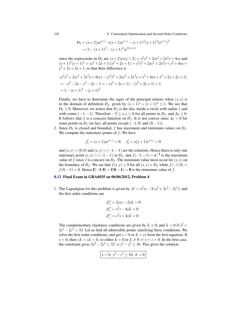102 8 Constrained Optimization and Second Order Conditions

$$
D_2 = (x+2)ye^{x+y} \cdot x(y+2)e^{x+y} - (x+1)^2(y+1)^2(e^{x+y})^2
$$
  
=  $(1 - (x+1)^2 - (y+1)^2)e^{2(x+y)}$ 

since the expressions in *D*<sub>2</sub> are  $(x+2)xy(y+2) = x^2y^2 + 2xy^2 + 2x^2y + 4xy$  and  $(x+1)^2(y+1)^2 = (x^2+2x+1)(y^2+2y+1) = x^2y^2+2xy^2+2x^2y+x^2+4xy+$  $y^2 + 2x + 2y + 1$ , so that their difference is

$$
(x^2y^2 + 2xy^2 + 2x^2y + 4xy) - (x^2y^2 + 2x^2y + x^2 + 4xy + y^2 + 2x + 2y + 1)
$$
  
=  $-x^2 - 2x - y^2 - 2y - 1 = -(x^2 + 2x + 1) - (y^2 + 2y + 1) + 1$   
=  $1 - (x + 1)^2 - (y + 1)^2$ 

Finally, we have to determine the signs of the principal minors when  $(x, y)$  is in the domain of definition  $D_f$ , given by  $(x+1)^2 + (y+1)^2 \le 1$ . We see that  $D_2 \geq 0$ . Moreover, we notice that  $D_f$  is the disc inside a circle with radius 1 and with center  $(-1, -1)$ . Therefore  $-2 \le x, y \le 0$  for all points in  $D_f$ , and  $\Delta_1 \le 0$ . It follows that *f* is a concave function on  $D_f$ . It is not convex since  $\Delta_1 < 0$  for some points in  $D_f$  (in fact, all points except  $(-1,0)$  and  $(0,-1)$ ).

2. Since  $D_f$  is closed and bounded, f has maximum and minimum values on  $D_f$ . We compute the stationary points of *f*: We have

$$
f'_x = (x+1)ye^{x+y} = 0
$$
,  $f'_y = x(y+1)e^{x+y} = 0$ 

and  $(x, y) = (0, 0)$  and  $(x, y) = (-1, -1)$  are the solutions. Hence there is only one stationary point  $(x, y) = (-1, -1)$  in  $D_f$ , and  $f(-1, -1) = e^{-2}$  is the maximum value of *f* since *f* is concave on  $D_f$ . The minimum value most occur for  $(x, y)$  on the boundary of *D*<sup>*f*</sup>. We see that  $f(x, y) \ge 0$  for all  $(x, y) \in D_f$  while  $f(-1, 0) =$  $f(0,-1) = 0$ . Hence  $f(-1,0) = f(0,-1) = 0$  is the minimum value of *f*.

## [8.12](#page-101-1) Final Exam in GRA6035 on 06/06/2012, Problem 4

1. The Lagrangian for this problem is given by  $\mathcal{L} = x^2yz - \lambda(x^2 + 2y^2 - 2z^2)$ , and the first order conditions are

$$
\mathcal{L}'_x = 2xyz - 2x\lambda = 0
$$
  

$$
\mathcal{L}'_y = x^2z - 4y\lambda = 0
$$
  

$$
\mathcal{L}'_z = x^2y + 4z\lambda = 0
$$

The complementary slackness conditions are given by  $\lambda \ge 0$ , and  $\lambda = 0$  if  $x^2 +$  $2y^2 - 2z^2 < 32$ . Let us find all admissible points satisfying these conditions. We solve the first order conditions, and get  $x = 0$  or  $\lambda = yz$  from the first equation. If *x* = 0, then  $y\lambda = z\lambda = 0$ , so either  $\lambda = 0$  or  $\lambda \neq 0 \Rightarrow y = z = 0$ . In the first case, the constraint gives  $2y^2 - 2z^2 \leq 32 \Rightarrow y^2 - z^2 \leq 16$ . This gives the solution

$$
x = 0, y^2 - z^2 \le 16, \lambda = 0
$$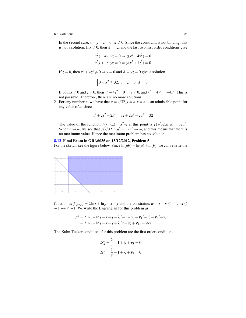In the second case,  $x = y = z = 0$ ,  $\lambda \neq 0$ . Since the constraint is not binding, this is not a solution. If  $x \neq 0$ , then  $\lambda = yz$ , and the last two first order conditions give

$$
x^{2}z - 4y \cdot yz = 0 \Rightarrow z(x^{2} - 4y^{2}) = 0
$$
  

$$
x^{2}y + 4z \cdot yz = 0 \Rightarrow y(x^{2} + 4z^{2}) = 0
$$

If  $z = 0$ , then  $x^2 + 4z^2 \neq 0 \Rightarrow y = 0$  and  $\lambda = yz = 0$  give a solution

$$
0 < x^2 \le 32, \ y = z = 0, \ \lambda = 0
$$

If both  $x \neq 0$  and  $z \neq 0$ , then  $x^2 - 4y^2 = 0 \Rightarrow y \neq 0$ , and  $x^2 = 4y^2 = -4z^2$ . This is not possible. Therefore, there are no more solutions.

2. For any number *a*, we have that  $x = \sqrt{32}$ ,  $y = a$ ,  $z = a$  is an admissible point for any value of *a*, since

$$
x^2 + 2y^2 - 2z^2 = 32 + 2a^2 - 2a^2 = 32
$$

The value of the function  $f(x, y, z) = x^2yz$  at this point is  $f(x, y, z) = x^2yz$ √  $\overline{32}, a, a) = 32a^2.$ When  $a \rightarrow \infty$ , we see that  $f(x)$  $(x)$  $\overline{32}, a, a) = 32a^2 \rightarrow \infty$ , and this means that there is no maximum value. Hence the maximum problem has no solution.

## [8.13](#page-101-2) Final Exam in GRA6035 on 13/12/2012, Problem 5

For the sketch, see the figure below. Since  $ln(ab) = ln(a) + ln(b)$ , we can rewrite the



function as  $f(x, y) = 2\ln x + \ln y - x - y$  and the constraints as  $-x - y \le -4, -x \le$ −1,−*y* ≤ −1. We write the Lagrangian for this problem as

$$
\mathcal{L} = 2\ln x + \ln y - x - y - \lambda(-x - y) - v_1(-x) - v_2(-y) \n= 2\ln x + \ln y - x - y + \lambda(x + y) + v_1x + v_2y
$$

The Kuhn-Tucker conditions for this problem are the first order conditions

$$
\mathcal{L}'_x = \frac{2}{x} - 1 + \lambda + v_1 = 0
$$

$$
\mathcal{L}'_y = \frac{1}{y} - 1 + \lambda + v_2 = 0
$$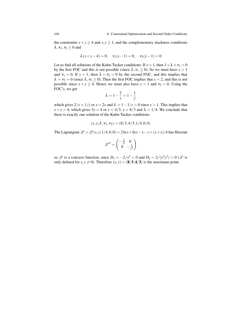the constraints  $x + y \ge 4$  and  $x, y \ge 1$ , and the complementary slackness conditions  $\lambda, v_1, v_2 \geq 0$  and

$$
\lambda(x+y-4) = 0
$$
,  $v_1(x-1) = 0$ ,  $v_2(y-1) = 0$ 

Let us find all solutions of the Kuhn-Tucker conditions: If  $x = 1$ , then  $1 + \lambda + v_1 = 0$ by the first FOC and this is not possible (since  $\lambda, v_1 \ge 0$ ). So we must have  $x > 1$ and  $v_1 = 0$ . If  $y = 1$ , then  $\lambda + v_2 = 0$  by the second FOC, and this implies that  $\lambda = v_2 = 0$  (since  $\lambda, v_2 \ge 0$ ). Then the first FOC implies that  $x = 2$ , and this is not possible since  $x + y \ge 4$ . Hence we must also have  $y > 1$  and  $v_2 = 0$ . Using the FOC's, we get

$$
\lambda = 1 - \frac{2}{x} = 1 - \frac{1}{y}
$$

which gives  $2/x = 1/y$  or  $x = 2y$  and  $\lambda = 1 - 1/y > 0$  since  $y > 1$ . This implies that  $x + y = 4$ , which gives  $3y = 4$  or  $y = 4/3$ ,  $x = 8/3$  and  $\lambda = 1/4$ . We conclude that there is exactly one solution of the Kuhn-Tucker conditions:

$$
(x, y; \lambda, v_1, v_2) = (8/3, 4/3; 1/4, 0, 0)
$$

The Lagrangian  $\mathcal{L} = \mathcal{L}(x, y; 1/4, 0, 0) = 2\ln x + \ln y - x - y + (x + y)/4$  has Hessian

$$
\mathscr{L}'' = \begin{pmatrix} -\frac{2}{x^2} & 0\\ 0 & -\frac{1}{y^2} \end{pmatrix}
$$

so  $\mathscr L$  is a concave function, since  $D_1 = -2/x^2 < 0$  and  $D_2 = 2/(x^2y^2) > 0$  ( $\mathscr L$  is only defined for  $x, y \neq 0$ ). Therefore  $(x, y) = (8/3, 4/3)$  is the maximum point.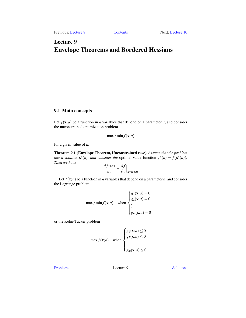# <span id="page-108-0"></span>Lecture 9 Envelope Theorems and Bordered Hessians

# 9.1 Main concepts

Let  $f(\mathbf{x}; a)$  be a function in *n* variables that depend on a parameter *a*, and consider the unconstrained optimization problem

$$
\max/\min f(\mathbf{x};a)
$$

for a given value of *a*.

Theorem 9.1 (Envelope Theorem, Unconstrained case). *Assume that the problem has a solution*  $\mathbf{x}^*(a)$ *, and consider the* optimal value function  $f^*(a) = f(\mathbf{x}^*(a))$ *. Then we have*

$$
\frac{df^*(a)}{da} = \frac{\partial f}{\partial a}\Big|_{\mathbf{x} = \mathbf{x}^*(a)}
$$

Let  $f(\mathbf{x}; a)$  be a function in *n* variables that depend on a parameter *a*, and consider the Lagrange problem

max / min 
$$
f(\mathbf{x}; a)
$$
 when  

$$
\begin{cases} g_1(\mathbf{x}; a) = 0 \\ g_2(\mathbf{x}; a) = 0 \\ \vdots \\ g_m(\mathbf{x}; a) = 0 \end{cases}
$$

or the Kuhn-Tucker problem

$$
\max f(\mathbf{x}; a) \quad \text{when } \begin{cases} g_1(\mathbf{x}; a) \le 0 \\ g_2(\mathbf{x}; a) \le 0 \\ \vdots \\ g_m(\mathbf{x}; a) \le 0 \end{cases}
$$

[Problems](#page-109-0) Lecture 9 [Solutions](#page-112-0)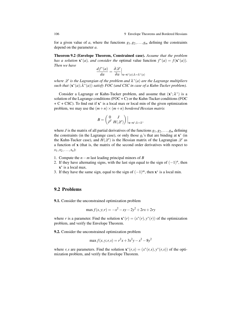for a given value of *a*, where the functions  $g_1, g_2, \ldots, g_m$  defining the constraints depend on the parameter *a*.

Theorem 9.2 (Envelope Theorem, Constrained case). *Assume that the problem has a solution*  $\mathbf{x}^*(a)$ *, and consider the optimal value function*  $f^*(a) = f(\mathbf{x}^*(a))$ *. Then we have* ∂L

$$
\frac{df^*(a)}{da} = \frac{\partial \mathcal{L}}{\partial a}\Big|_{\mathbf{x} = \mathbf{x}^*(a); \lambda = \lambda^*(a)}
$$

where  $\mathscr L$  is the Lagrangian of the problem and  $\lambda^*(a)$  are the Lagrange multipliers  $\mathbf{c}$  *such that*  $(\mathbf{x}^*(a); \lambda^*(a))$  *satisfy FOC* (and CSC in case of a Kuhn-Tucker problem).

Consider a Lagrange or Kuhn-Tucker problem, and assume that  $(x^*; \lambda^*)$  is a solution of the Lagrange conditions (FOC + C) or the Kuhn-Tucker conditions (FOC + C + CSC). To find out if x ∗ is a local max or local min of the given optimization problem, we may use the  $(m+n) \times (m+n)$  *bordered Hessian matrix* 

$$
B = \begin{pmatrix} 0 & J \\ J^T & H(\mathscr{L}) \end{pmatrix} \Big|_{\mathbf{x} = \mathbf{x}^*; \lambda = \lambda^*}
$$

where *J* is the matrix of all partial derivatives of the functions  $g_1, g_2, \ldots, g_m$  defining the constraints (in the Lagrange case), or only those  $g_i$ 's that are binding at  $\mathbf{x}^*$  (in the Kuhn-Tucker case), and  $H(\mathcal{L})$  is the Hessian matrix of the Lagrangian  $\mathcal{L}$  as a function of x (that is, the matrix of the second order derivatives with respect to  $x_1, x_2, \ldots, x_n$ :

- 1. Compute the *n*−*m* last leading principal minors of *B*
- 2. If they have alternating signs, with the last sign equal to the sign of  $(-1)^n$ , then x ∗ is a local max.
- 3. If they have the same sign, equal to the sign of  $(-1)^m$ , then  $x^*$  is a local min.

## <span id="page-109-0"></span>9.2 Problems

<span id="page-109-1"></span>9.1. Consider the unconstrained optimization problem

$$
\max f(x, y; r) = -x^2 - xy - 2y^2 + 2rx + 2ry
$$

where *r* is a parameter. Find the solution  $\mathbf{x}^*(r) = (x^*(r), y^*(r))$  of the optimization problem, and verify the Envelope Theorem.

<span id="page-109-2"></span>9.2. Consider the unconstrained optimization problem

$$
\max f(x, y; r, s) = r^2 x + 3s^2 y - x^2 - 8y^2
$$

<span id="page-109-3"></span>where *r*,*s* are parameters. Find the solution  $\mathbf{x}^*(r,s) = (x^*(r,s), y^*(r,s))$  of the optimization problem, and verify the Envelope Theorem.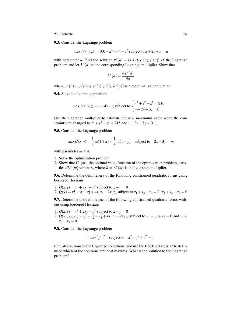#### 9.2 Problems 107

9.3. Consider the Lagrange problem

$$
\max f(x, y, z) = 100 - x^2 - y^2 - z^2
$$
 subject to  $x + 2y + z = a$ 

with parameter *a*. Find the solution  $\mathbf{x}^*(a) = (x^*(a), y^*(a), z^*(a))$  of the Lagrange problem and let  $\lambda^*(a)$  be the corresponding Lagrange multiplier. Show that

$$
\lambda^*(a) = \frac{df^*(a)}{da}
$$

where  $f^*(a) = f(x^*(a), y^*(a), z^*(a), \lambda^*(a))$  is the optimal value function.

<span id="page-110-0"></span>9.4. Solve the Lagrange problem

$$
\max f(x, y, z) = x + 4y + z \text{ subject to } \begin{cases} x^2 + y^2 + z^2 = 216\\ x + 2y + 3z = 0 \end{cases}
$$

Use the Lagrange multiplier to estimate the new maximum value when the constraints are changed to  $x^2 + y^2 + z^2 = 215$  and  $x + 2y + 3z = 0.1$ .

<span id="page-110-1"></span>9.5. Consider the Lagrange problem

$$
\max U(x, y) = \frac{1}{2} \ln(1 + x) + \frac{1}{4} \ln(1 + y) \quad \text{subject to} \quad 2x + 3y = m
$$

with parameter  $m \geq 4$ .

- 1. Solve the optimization problem
- 2. Show that  $U^*(m)$ , the optimal value function of the optimization problem, satisfies  $dU^*(m)/dm = \lambda$ , where  $\lambda = \lambda^*(m)$  is the Lagrange multiplier.

<span id="page-110-2"></span>9.6. Determine the definiteness of the following constrained quadratic forms using bordered Hessians:

1.  $Q(x, y) = x^2 + 2xy - y^2$  subject to  $x + y = 0$ 2.  $Q(\mathbf{x}) = x_1^2 + x_2^2 - x_3^2 + 4x_1x_3 - 2x_1x_2$  subject to  $x_1 + x_2 + x_3 = 0$ ,  $x_1 + x_2 - x_3 = 0$ 

<span id="page-110-3"></span>9.7. Determine the definiteness of the following constrained quadratic forms without using bordered Hessians:

1.  $Q(x, y) = x^2 + 2xy - y^2$  subject to  $x + y = 0$ 2.  $Q(x_1, x_2, x_3) = x_1^2 + x_2^2 - x_3^2 + 4x_1x_3 - 2x_1x_2$  subject to  $x_1 + x_2 + x_3 = 0$  and  $x_1 + x_2 + x_3 = 0$  $x_2 - x_3 = 0$ 

<span id="page-110-4"></span>9.8. Consider the Lagrange problem

$$
\max x^2 y^2 z^2
$$
 subject to  $x^2 + y^2 + z^2 = 1$ 

<span id="page-110-5"></span>Find all solutions to the Lagrange conditions, and use the Bordered Hessian to determine which of the solutions are local maxima. What is the solution to the Lagrange problem?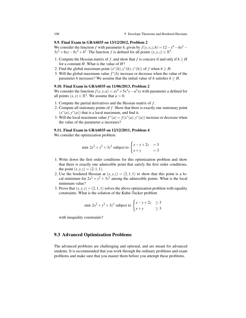## 9.9. Final Exam in GRA6035 on 13/12/2012, Problem 2

We consider the function *f* with parameter *h*, given by  $f(x, y, z; h) = 12 - x^4 - hx^2 3y^2 + 6xz - 6z^2 + h^2$ . The function *f* is defined for all points  $(x, y, z) \in \mathbb{R}^3$ .

- 1. Compute the Hessian matrix of *f*, and show that *f* is concave if and only if  $h \geq H$ for a constant *H*. What is the value of *H*?
- 2. Find the global maximum point  $(x^*(h), y^*(h), z^*(h))$  of *f* when  $h \geq H$ .
- 3. Will the global maximum value  $f^*(h)$  increase or decrease when the value of the parameter *h* increases? We assume that the initial value of *h* satisfies  $h > H$ .

# <span id="page-111-0"></span>9.10. Final Exam in GRA6035 on 11/06/2013, Problem 2

We consider the function  $f(x, y; a) = xy^2 + 5x^3y - a^2xy$  with parameter *a* defined for all points  $(x, y) \in \mathbb{R}^2$ . We assume that  $a > 0$ .

- 1. Compute the partial derivatives and the Hessian matrix of *f* .
- 2. Compute all stationary points of *f* . Show that there is exactly one stationary point  $(x^*(a), y^*(a))$  that is a local maximum, and find it.
- 3. Will the local maximum value  $f^*(a) = f(x^*(a), y^*(a))$  increase or decrease when the value of the parameter *a* increases?

#### <span id="page-111-1"></span>9.11. Final Exam in GRA6035 on 12/12/2011, Problem 4

We consider the optimization problem

min 
$$
2x^2 + y^2 + 3z^2
$$
 subject to 
$$
\begin{cases} x - y + 2z = 3 \\ x + y = 3 \end{cases}
$$

- 1. Write down the first order conditions for this optimization problem and show that there is exactly one admissible point that satisfy the first order conditions, the point  $(x, y, z) = (2, 1, 1)$ .
- 2. Use the bordered Hessian at  $(x, y, z) = (2, 1, 1)$  to show that this point is a local minimum for  $2x^2 + y^2 + 3z^2$  among the admissible points. What is the local minimum value?
- 3. Prove that  $(x, y, z) = (2, 1, 1)$  solves the above optimization problem with equality constraints. What is the solution of the Kuhn-Tucker problem

$$
\min 2x^2 + y^2 + 3z^2 \text{ subject to } \begin{cases} x - y + 2z & \ge 3\\ x + y & \ge 3 \end{cases}
$$

with inequality constraints?

# 9.3 Advanced Optimization Problems

<span id="page-111-2"></span>The advanced problems are challenging and optional, and are meant for advanced students. It is recommended that you work through the ordinary problems and exam problems and make sure that you master them before you attempt these problems.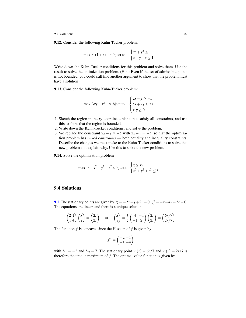9.12. Consider the following Kuhn-Tucker problem:

$$
\max e^x(1+z) \quad \text{subject to} \quad \begin{cases} x^2 + y^2 \le 1\\ x + y + z \le 1 \end{cases}
$$

Write down the Kuhn-Tucker conditions for this problem and solve them. Use the result to solve the optimization problem. (Hint: Even if the set of admissible points is not bounded, you could still find another argument to show that the problem must have a solution).

<span id="page-112-1"></span>9.13. Consider the following Kuhn-Tucker problem:

$$
\max 3xy - x^3 \quad \text{subject to} \quad \begin{cases} 2x - y \ge -5 \\ 5x + 2y \le 37 \\ x, y \ge 0 \end{cases}
$$

- 1. Sketch the region in the *xy*-coordinate plane that satisfy all constraints, and use this to show that the region is bounded.
- 2. Write down the Kuhn-Tucker conditions, and solve the problem.
- 3. We replace the constraint  $2x y \ge -5$  with  $2x y = -5$ , so that the optimization problem has *mixed constraints* — both equality and inequality constraints. Describe the changes we must make to the Kuhn-Tucker conditions to solve this new problem and explain why. Use this to solve the new problem.

<span id="page-112-2"></span>9.14. Solve the optimization problem

max 
$$
4z - x^2 - y^2 - z^2
$$
 subject to  $\begin{cases} z \le xy \\ x^2 + y^2 + z^2 \le 3 \end{cases}$ 

# <span id="page-112-0"></span>9.4 Solutions

[9.1](#page-109-1) The stationary points are given by  $f'_x = -2x - y + 2r = 0$ ,  $f'_y = -x - 4y + 2r = 0$ . The equations are linear, and there is a unique solution:

$$
\begin{pmatrix} 2 & 1 \ 1 & 4 \end{pmatrix} \begin{pmatrix} x \ y \end{pmatrix} = \begin{pmatrix} 2r \ 2r \end{pmatrix} \Rightarrow \begin{pmatrix} x \ y \end{pmatrix} = \frac{1}{7} \begin{pmatrix} 4 & -1 \ -1 & 2 \end{pmatrix} \begin{pmatrix} 2r \ 2r \end{pmatrix} = \begin{pmatrix} 6r/7 \ 2r/7 \end{pmatrix}
$$

The function *f* is concave, since the Hessian of *f* is given by

$$
f'' = \begin{pmatrix} -2 & -1 \\ -1 & -4 \end{pmatrix}
$$

with  $D_1 = -2$  and  $D_2 = 7$ . The stationary point  $x^*(r) = 6r/7$  and  $y^*(r) = 2r/7$  is therefore the unique maximum of  $f$ . The optimal value function is given by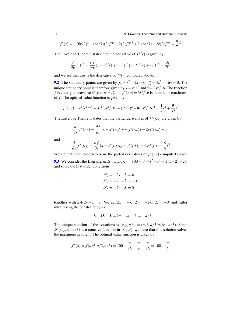110 9 Envelope Theorems and Bordered Hessians

$$
f^*(r) = -(6r/7)^2 - (6r/7)(2r/7) - 2(2r/7)^2 + 2r(6r/7) + 2r(2r/7) = \frac{8}{7}r^2
$$

The Envelope Theorem states that the derivative of  $f^*(r)$  is given by

$$
\frac{d}{dr} f^*(r) = \frac{\partial f}{\partial r} (x = x^*(r), y = y^*(r)) = 2x^*(r) + 2y^*(r) = \frac{16}{7}r
$$

and we see that this is the derivative of  $f^*(r)$  computed above.

**[9.2](#page-109-2)** The stationary points are given by  $f'_x = r^2 - 2x = 0$ ,  $f'_y = 3s^2 - 16y = 0$ . The unique stationary point is therefore given by  $x = r^2/2$  and  $y = 3s^2/16$ . The function *f* is clearly concave, so  $x^*(r, s) = r^2/2$  and  $y^*(r, s) = 3s^2/16$  is the unique maximum of *f* . The optimal value function is given by

$$
f^*(r,s) = r^2(r^2/2) + 3s^2(3s^2/16) - (r^2/2)^2 - 8(3s^2/16)^2 = \frac{1}{4}r^4 + \frac{9}{32}s^4
$$

The Envelope Theorem states that the partial derivatives of  $f^*(r, s)$  are given by

$$
\frac{\partial}{\partial r} f^*(r,s) = \frac{\partial f}{\partial r} (x = x^*(r,s), y = y^*(r,s)) = 2rx^*(r,s) = r^3
$$

and

$$
\frac{\partial}{\partial s} f^*(r,s) = \frac{\partial f}{\partial s} (x = x^*(r,s), y = y^*(r,s)) = 6sy^*(r,s) = \frac{9}{8}s^3
$$

We see that these expressions are the partial derivatives of  $f^*(r, s)$  computed above. [9.3](#page-109-3) We consider the Lagrangian  $\mathcal{L}(x, y, z, \lambda) = 100 - x^2 - y^2 - z^2 - \lambda(x + 2y + z)$ , and solve the first order conditions

$$
\mathcal{L}'_x = -2x - \lambda = 0
$$
  

$$
\mathcal{L}'_y = -2y - \lambda \cdot 2 = 0
$$
  

$$
\mathcal{L}'_z = -2z - \lambda = 0
$$

together with  $x + 2y + z = a$ . We get  $2x = -\lambda$ ,  $2y = -2\lambda$ ,  $2z = -\lambda$  and (after multiplying the constraint by 2)

$$
-\lambda - 4\lambda - \lambda = 2a \quad \Rightarrow \quad \lambda = -a/3
$$

The unique solution of the equations is  $(x, y, z; \lambda) = (a/6, a/3, a/6; -a/3)$ . Since  $L(x, y, z; −a/3)$  is a concave function in  $(x, y, z)$ , we have that this solution solves the maximum problem. The optimal value function is given by

$$
f^*(a) = f(a/6, a/3, a/6) = 100 - \frac{a^2}{36} - \frac{a^2}{9} - \frac{a^2}{36} = 100 - \frac{a^2}{6}
$$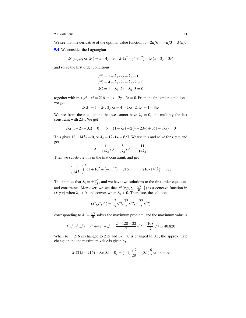We see that the derivative of the optimal value function is  $-2a/6 = -a/3 = \lambda(a)$ .

[9.4](#page-110-0) We consider the Lagrangian

$$
\mathcal{L}(x, y, z, \lambda_1, \lambda_2) = x + 4y + z - \lambda_1(x^2 + y^2 + z^2) - \lambda_2(x + 2y + 3z)
$$

and solve the first order conditions

$$
\mathcal{L}'_x = 1 - \lambda_1 \cdot 2x - \lambda_2 = 0
$$
  

$$
\mathcal{L}'_y = 4 - \lambda_1 \cdot 2y - \lambda_2 \cdot 2 = 0
$$
  

$$
\mathcal{L}'_z = 1 - \lambda_1 \cdot 2z - \lambda_2 \cdot 3 = 0
$$

together with  $x^2 + y^2 + z^2 = 216$  and  $x + 2y + 3z = 0$ . From the first order conditions, we get

$$
2x\lambda_1=1-\lambda_2,\ 2y\lambda_1=4-2\lambda_2,\ 2z\lambda_1=1-3\lambda_2
$$

We see from these equations that we cannot have  $\lambda_1 = 0$ , and multiply the last constraint with  $2\lambda_1$ . We get

$$
2\lambda_1(x+2y+3z) = 0 \quad \Rightarrow \quad (1-\lambda_2) + 2(4-2\lambda_2) + 3(1-3\lambda_2) = 0
$$

This gives  $12-14\lambda_2 = 0$ , or  $\lambda_2 = 12/14 = 6/7$ . We use this and solve for *x*, *y*, *z*, and get

$$
x = \frac{1}{14\lambda_1}, \ y = \frac{8}{7\lambda_1}, \ z = -\frac{11}{14\lambda_1}
$$

Then we substitute this in the first constraint, and get

$$
\left(\frac{1}{14\lambda_1}\right)^2 (1+16^2+(-11)^2) = 216 \Rightarrow 216 \cdot 14^2 \lambda_1^2 = 378
$$

This implies that  $\lambda_1 = \pm$  $\frac{\sqrt{7}}{28}$ , and we have two solutions to the first order equations and constraints. Moreover, we see that  $\mathscr{L}(x, y, z, \pm \frac{\sqrt{7}}{28}, \frac{6}{7})$  is a concave function in  $(x, y, z)$  when  $\lambda_1 > 0$ , and convex when  $\lambda_1 < 0$ . Therefore, the solution

$$
(x^*, y^*, z^*) = (\frac{2}{7}\sqrt{7}, \frac{32}{7}\sqrt{7}, -\frac{22}{7}\sqrt{7})
$$

corresponding to  $\lambda_1 =$  $\frac{\sqrt{7}}{28}$  solves the maximum problem, and the maximum value is

$$
f(x^*, y^*, z^*) = x^* + 4y^* + z^* = \frac{2 + 128 - 22}{7}\sqrt{7} = \frac{108}{7}\sqrt{7} \approx 40.820
$$

When  $b_1 = 216$  is changed to 215 and  $b_2 = 0$  is changed to 0.1, the approximate change in the the maximum value is given by

$$
\lambda_1(215-216)+\lambda_2(0.1-0)=(-1)\frac{\sqrt{7}}{28}+(0.1)\frac{6}{7}\simeq -0.009
$$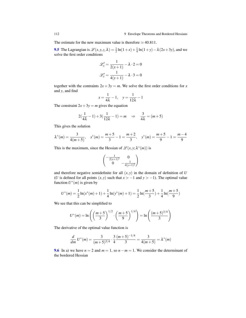The estimate for the new maximum value is therefore  $\simeq 40.811$ .

[9.5](#page-110-1) The Lagrangian is  $\mathcal{L}(x, y, z, \lambda) = \frac{1}{2} \ln(1+x) + \frac{1}{4} \ln(1+y) - \lambda (2x+3y)$ , and we solve the first order conditions

$$
\mathcal{L}'_x = \frac{1}{2(x+1)} - \lambda \cdot 2 = 0
$$

$$
\mathcal{L}'_y = \frac{1}{4(y+1)} - \lambda \cdot 3 = 0
$$

together with the contraints  $2x + 3y = m$ . We solve the first order conditions for *x* and *y*, and find

$$
x = \frac{1}{4\lambda} - 1, \quad y = \frac{1}{12\lambda} - 1
$$

The constraint  $2x + 3y = m$  gives the equation

$$
2(\frac{1}{4\lambda} - 1) + 3(\frac{1}{12\lambda} - 1) = m \implies \frac{3}{4\lambda} = (m+5)
$$

This gives the solution

$$
\lambda^*(m) = \frac{3}{4(m+5)}, \quad x^*(m) = \frac{m+5}{3} - 1 = \frac{m+2}{3}, \quad y^*(m) = \frac{m+5}{9} - 1 = \frac{m-4}{9}
$$

This is the maximum, since the Hessian of  $\mathscr{L}(x, y; \lambda^*(m))$  is

$$
\begin{pmatrix} -\frac{1}{2(x+1)^2} & 0\\ 0 & -\frac{1}{4(y+1)^2} \end{pmatrix}
$$

and therefore negative semidefinite for all  $(x, y)$  in the domain of definition of  $U$ (*U* is defined for all points  $(x, y)$  such that  $x > -1$  and  $y > -1$ ). The optimal value function  $U^*(m)$  is given by

$$
U^*(m) = \frac{1}{2}\ln(x^*(m) + 1) + \frac{1}{4}\ln(y^*(m) + 1) = \frac{1}{2}\ln(\frac{m+5}{3}) + \frac{1}{4}\ln(\frac{m+5}{9})
$$

We see that this can be simplified to

$$
U^*(m) = \ln\left(\left(\frac{m+5}{3}\right)^{1/2} \cdot \left(\frac{m+5}{9}\right)^{1/4}\right) = \ln\left(\frac{(m+5)^{3/4}}{3}\right)
$$

The derivative of the optimal value function is

$$
\frac{d}{dm} U^*(m) = \frac{3}{(m+5)^{3/4}} \cdot \frac{3}{4} \frac{(m+5)^{-1/4}}{3} = \frac{3}{4(m+5)} = \lambda^*(m)
$$

[9.6](#page-110-2) In a) we have  $n = 2$  and  $m = 1$ , so  $n - m = 1$ . We consider the determinant of the bordered Hessian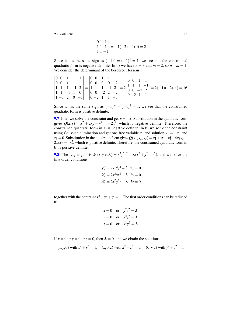$$
\begin{vmatrix} 0 & 1 & 1 \\ 1 & 1 & 1 \\ 1 & 1 & -1 \end{vmatrix} = -1(-2) + 1(0) = 2
$$

Since it has the same sign as  $(-1)^n = (-1)^2 = 1$ , we see that the constrained quadratic form is negative definite. In b) we have  $n = 3$  and  $m = 2$ , so  $n - m = 1$ . We consider the determinant of the bordered Hessian

$$
\begin{vmatrix} 0 & 0 & 1 & 1 & 1 \ 0 & 0 & 1 & 1 & -1 \ 1 & 1 & 1 & -1 & 2 \ 1 & 1 & -1 & 1 & 0 \ 1 & -1 & 2 & 0 & -1 \ \end{vmatrix} = \begin{vmatrix} 0 & 0 & 1 & 1 & 1 \ 0 & 0 & 0 & 0 & -2 \ 1 & 1 & 1 & -1 & 2 \ 0 & 0 & -2 & 2 & -2 \ 0 & -2 & 1 & 1 & -3 \ \end{vmatrix} = 2 \begin{vmatrix} 0 & 0 & 1 & 1 \ 1 & 1 & 1 & -1 \ 0 & 0 & -2 & 2 \ 0 & 0 & -2 & 1 & 1 \ \end{vmatrix} = 2(-1)(-2)(4) = 16
$$

Since it has the same sign as  $(-1)^m = (-1)^2 = 1$ , we see that the constrained quadratic form is positive definite.

[9.7](#page-110-3) In a) we solve the constraint and get  $y = -x$ . Substitution in the quadratic form gives  $Q(x, y) = x^2 + 2xy - y^2 = -2x^2$ , which is negative definite. Therefore, the constrained quadratic form in a) is negative definite. In b) we solve the constraint using Gaussian elimination and get one free variable  $x_2$  and solution  $x_1 = -x_2$  and  $x_3 = 0$ . Substitution in the quadratic form gives  $Q(x_1, x_2, x_3) = x_1^2 + x_2^2 - x_3^2 + 4x_1x_3 2x_1x_2 = 4x_2^2$ , which is positive definite. Therefore, the constrained quadratic form in b) is positive definite.

**[9.8](#page-110-4)** The Lagrangian is  $\mathcal{L}(x, y, z, \lambda) = x^2y^2z^2 - \lambda(x^2 + y^2 + z^2)$ , and we solve the first order conditions

$$
\mathcal{L}'_x = 2xy^2z^2 - \lambda \cdot 2x = 0
$$
  

$$
\mathcal{L}'_y = 2x^2yz^2 - \lambda \cdot 2y = 0
$$
  

$$
\mathcal{L}'_z = 2x^2y^2z - \lambda \cdot 2z = 0
$$

together with the contraint  $x^2 + y^2 + z^2 = 1$ . The first order conditions can be reduced to

$$
x = 0 \text{ or } y^2 z^2 = \lambda
$$
  
y = 0 or  $x^2 z^2 = \lambda$   
z = 0 or  $x^2 y^2 = \lambda$ 

If  $x = 0$  or  $y = 0$  or  $z = 0$ , then  $\lambda = 0$ , and we obtain the solutions

$$
(x, y, 0)
$$
 with  $x^2 + y^2 = 1$ ,  $(x, 0, z)$  with  $x^2 + z^2 = 1$ ,  $(0, y, z)$  with  $y^2 + z^2 = 1$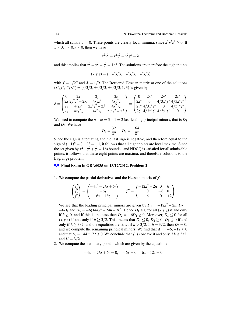which all satisfy  $f = 0$ . These points are clearly local minima, since  $x^2y^2z^2 \ge 0$ . If  $x \neq 0, y \neq 0, z \neq 0$ , then we have

$$
x^2y^2 = x^2z^2 = y^2z^2 = \lambda
$$

and this implies that  $x^2 = y^2 = z^2 = 1/3$ . The solutions are therefore the eight points

$$
(x, y, z) = (\pm \sqrt{3}/3, \pm \sqrt{3}/3, \pm \sqrt{3}/3)
$$

with  $f = 1/27$  and  $\lambda = 1/9$ . The Bordered Hessian matrix at one of the solutions with  $f = 1/27$  and  $\lambda = 1/9$ . The Bordered Hessian matrix  $(x^*, y^*, z^*, \lambda^*) = (\sqrt{3}/3, \pm \sqrt{3}/3, \pm \sqrt{3}/3; 1/3)$  is given by

$$
B = \begin{pmatrix} 0 & 2x & 2y & 2z & 0 & 2x^* & 2y^* & 2z^* \\ 2x & 2y^2z^2 - 2\lambda & 4xyz^2 & 4xy^2z & 0 & 4/3x^*y^* & 4/3x^*z^* \\ 2y & 4xyz^2 & 2x^2z^2 - 2\lambda & 4x^2yz & 2x^2y^2 - 2\lambda \end{pmatrix} = \begin{pmatrix} 0 & 2x^* & 2y^* & 2z^* \\ 2x^* & 0 & 4/3x^*y^* & 4/3x^*z^* \\ 2y^* & 4/3x^*y^* & 0 & 4/3y^*z^* \\ 2z^* & 4/3x^*z^* & 4/3y^*z^* & 0 \end{pmatrix}
$$

We need to compute the  $n - m = 3 - 1 = 2$  last leading principal minors, that is  $D_3$ and *D*4. We have

$$
D_3 = \frac{32}{27}, \quad D_4 = -\frac{64}{81}
$$

Since the sign is alternating and the last sign is negative, and therefore equal to the sign of  $(-1)^n = (-1)^3 = -1$ , it follows that all eight points are local maxima. Since the set given by  $x^2 + y^2 + z^2 = 1$  is bounded and NDCQ is satisfied for all admissible points, it follows that these eight points are maxima, and therefore solutions to the Lagrange problem.

# [9.9](#page-110-5) Final Exam in GRA6035 on 13/12/2012, Problem 2

1. We compute the partial derivatives and the Hessian matrix of *f* :

$$
\begin{pmatrix} f'_x \\ f'_y \\ f'_z \end{pmatrix} = \begin{pmatrix} -4x^3 - 2hx + 6z \\ -6y \\ 6x - 12z \end{pmatrix}, \quad f'' = \begin{pmatrix} -12x^2 - 2h & 0 & 6 \\ 0 & -6 & 0 \\ 6 & 0 & -12 \end{pmatrix}
$$

We see that the leading principal minors are given by  $D_1 = -12x^2 - 2h$ ,  $D_2 =$ −6*D*<sup>1</sup> and *D*<sup>3</sup> = −6(144*x* <sup>2</sup> +24*h*−36). Hence *D*<sup>1</sup> ≤ 0 for all (*x*, *y*,*z*) if and only if *h* ≥ 0, and if this is the case then  $D_2 = -6D_1 ≥ 0$ . Moreover,  $D_3 ≤ 0$  for all  $(x, y, z)$  if and only if  $h \geq 3/2$ . This means that  $D_1 \leq 0$ ,  $D_2 \geq 0$ ,  $D_3 \leq 0$  if and only if  $h \geq 3/2$ , and the equalities are strict if  $h > 3/2$ . If  $h = 3/2$ , then  $D_3 = 0$ , and we compute the remaining principal minors. We find that  $\Delta_1 = -6, -12 \le 0$ and that  $\Delta_2 = 144x^2, 72 \ge 0$ . We conclude that *f* is concave if and only if  $h \ge 3/2$ , and  $H = 3/2$ .

2. We compute the stationary points, which are given by the equations

$$
-4x^3 - 2hx + 6z = 0, -6y = 0, 6x - 12z = 0
$$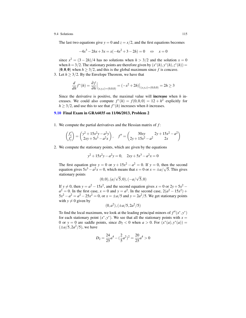The last two equations give  $y = 0$  and  $z = x/2$ , and the first equations becomes

$$
-4x^3 - 2hx + 3x = x(-4x^2 + 3 - 2h) = 0 \iff x = 0
$$

since  $x^2 = (3 - 2h)/4$  has no solutions when  $h > 3/2$  and the solution  $x = 0$ when  $h = 3/2$ . The stationary points are therefore given by  $(x^*(h), y^*(h), z^*(h)) =$  $(0,0,0)$  when  $h \geq 3/2$ , and this is the global maximum since f is concave.

3. Let  $h \geq 3/2$ . By the Envelope Theorem, we have that

$$
\frac{d}{dh}f^*(h) = \frac{\partial f}{\partial h}\Big|_{(x,y,z)=(0,0,0)} = (-x^2 + 2h)\Big|_{(x,y,z)=(0,0,0)} = 2h \ge 3
$$

Since the derivative is positive, the maximal value will increase when *h* increases. We could also compute  $f^*(h) = f(0,0,0) = 12 + h^2$  explicitly for  $h \geq 3/2$ , and use this to see that  $f^*(h)$  increases when *h* increases.

## [9.10](#page-111-0) Final Exam in GRA6035 on 11/06/2013, Problem 2

1. We compute the partial derivatives and the Hessian matrix of *f* :

$$
\begin{pmatrix} f'_x \\ f'_y \end{pmatrix} = \begin{pmatrix} y^2 + 15x^2y - a^2y \\ 2xy + 5x^3 - a^2x \end{pmatrix}, \quad f'' = \begin{pmatrix} 30xy & 2y + 15x^2 - a^2 \\ 2y + 15x^2 - a^2 & 2x \end{pmatrix}
$$

2. We compute the stationary points, which are given by the equations

$$
y^2 + 15x^2y - a^2y = 0, \quad 2xy + 5x^3 - a^2x = 0
$$

The first equation give  $y = 0$  or  $y + 15x^2 - a^2 = 0$ . If  $y = 0$ , then the second equation gives  $5x^3 - a^2x = 0$ , which means that  $x = 0$  or  $x = \pm a/\sqrt{5}$ . This gives stationary points √ √

$$
(0,0), (a/\sqrt{5},0), (-a/\sqrt{5},0)
$$

If *y*  $\neq$  0, then *y* =  $a^2 - 15x^2$ , and the second equation gives *x* = 0 or 2*y* +  $5x^2$  –  $a^2 = 0$ . In the first case,  $x = 0$  and  $y = a^2$ . In the second case,  $2(a^2 - 15x^2) +$  $5x^2 - a^2 = a^2 - 25x^2 = 0$ , or  $x = \pm a/5$  and  $y = 2a^2/5$ . We get stationary points with  $y \neq 0$  given by

$$
(0,a^2), (\pm a/5, 2a^2/5)
$$

To find the local maximum, we look at the leading principal minors of  $f''(x^*, y^*)$ for each stationary point  $(x^*, y^*)$ . We see that all the stationary points with  $x =$ 0 or  $y = 0$  are saddle points, since  $D_2 < 0$  when  $a > 0$ . For  $(x^*(a), y^*(a)) =$  $(\pm a/5, 2a^2/5)$ , we have

$$
D_2 = \frac{24}{25}a^4 - (\frac{2}{5}a^2)^2 = \frac{20}{25}a^4 > 0
$$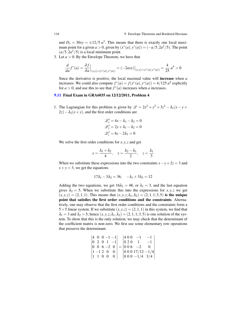and  $D_1 = 30xy = \pm 12/5 a^3$ . This means that there is exactly one local maximum point for a given  $a > 0$ , given by  $(x^*(a), y^*(a)) = (-a/5, 2a^2/5)$ . The point  $\left(\frac{a}{5}, \frac{2a^2}{5}\right)$  is a local minimum point.

3. Let  $a > 0$ . By the Envelope Theorem, we have that

$$
\frac{d}{da}f^*(a) = \frac{\partial f}{\partial a}\Big|_{(x,y)=(x^*(a),y^*(a))} = (-2axy)\Big|_{(x,y)=(x^*(a),y^*(a))} = \frac{4}{25}a^4 > 0
$$

Since the derivative is positive, the local maximal value will increase when *a* increases. We could also compute  $f^*(a) = f(x^*(a), y^*(a)) = 4/125 a^5$  explicitly for  $a > 0$ , and use this to see that  $f^*(a)$  increases when *a* increases.

#### [9.11](#page-111-1) Final Exam in GRA6035 on 12/12/2011, Problem 4

1. The Lagrangian for this problem is given by  $\mathcal{L} = 2x^2 + y^2 + 3z^2 - \lambda_1(x - y + z)$  $2z) - \lambda_2(x+y)$ , and the first order conditions are

$$
\mathcal{L}'_x = 4x - \lambda_1 - \lambda_2 = 0
$$
  

$$
\mathcal{L}'_y = 2y + \lambda_1 - \lambda_2 = 0
$$
  

$$
\mathcal{L}'_z = 6z - 2\lambda_1 = 0
$$

We solve the first order conditions for  $x, y, z$  and get

$$
x = \frac{\lambda_1 + \lambda_2}{4}, \quad y = \frac{\lambda_2 - \lambda_1}{2}, \quad z = \frac{\lambda_1}{3}
$$

When we substitute these expressions into the two constraints  $x - y + 2z = 3$  and  $x + y = 3$ , we get the equations

$$
17\lambda_1 - 3\lambda_2 = 36, \quad -\lambda_1 + 3\lambda_2 = 12
$$

Adding the two equations, we get  $16\lambda_1 = 48$ , or  $\lambda_1 = 3$ , and the last equation gives  $\lambda_2 = 5$ . When we substitute this into the expressions for *x*, *y*, *z* we get  $(x, y, z) = (2, 1, 1)$ . This means that  $(x, y, z; \lambda_1, \lambda_2) = (2, 1, 1; 3, 5)$  is the unique point that satisfies the first order conditions and the constraints. Alternatively, one may observe that the first order conditions and the constraints form a 5  $\times$  5 linear system. If we substitute  $(x, y, z) = (2, 1, 1)$  in this system, we find that  $\lambda_1 = 3$  and  $\lambda_2 = 5$ ; hence  $(x, y, z; \lambda_1, \lambda_2) = (2, 1, 1; 3, 5)$  is one solution of the system. To show that this is the only solution, we may check that the determinant of the coefficient matrix is non-zero. We first use some elementary row operations that preserve the determinant:

$$
\begin{vmatrix} 4 & 0 & 0 & -1 & -1 \\ 0 & 2 & 0 & 1 & -1 \\ 0 & 0 & 6 & -2 & 0 \\ 1 & -1 & 2 & 0 & 0 \\ 1 & 1 & 0 & 0 & 0 \end{vmatrix} = \begin{vmatrix} 4 & 0 & 0 & -1 & -1 \\ 0 & 2 & 0 & 1 & -1 \\ 0 & 0 & 6 & -2 & 0 \\ 0 & 0 & 0 & 17/12 & -1/4 \\ 0 & 0 & 0 & -1/4 & 3/4 \end{vmatrix}
$$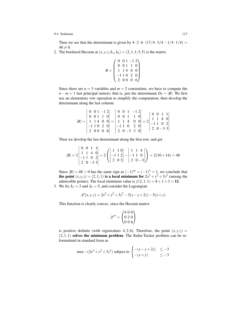Then we see that the determinant is given by  $4 \cdot 2 \cdot 6 \cdot (17/4 \cdot 3/4 - 1/4 \cdot 1/4) =$  $48 \neq 0.$ 

2. The bordered Hessian at  $(x, y, z; \lambda_1, \lambda_2) = (2, 1, 1; 3, 5)$  is the matrix

$$
B = \begin{pmatrix} 0 & 0 & 1 & -1 & 2 \\ 0 & 0 & 1 & 1 & 0 \\ 1 & 1 & 4 & 0 & 0 \\ -1 & 1 & 0 & 2 & 0 \\ 2 & 0 & 0 & 0 & 6 \end{pmatrix}
$$

Since there are  $n = 3$  variables and  $m = 2$  constratints, we have to compute the  $n - m = 1$  last principal minors; that is, just the determinant  $D_5 = |B|$ . We first use an elementary row operation to simplify the computation, then develop the determinant along the last column:

$$
|B| = \begin{vmatrix} 0 & 0 & 1 & -1 & 2 \\ 0 & 0 & 1 & 1 & 0 \\ 1 & 1 & 4 & 0 & 0 \\ -1 & 1 & 0 & 2 & 0 \\ 2 & 0 & 0 & 0 & 6 \end{vmatrix} = \begin{vmatrix} 0 & 0 & 1 & -1 & 2 \\ 0 & 0 & 1 & 1 & 0 \\ 1 & 1 & 4 & 0 & 0 \\ -1 & 1 & 0 & 2 & 0 \\ 2 & 0 & -3 & 3 & 0 \end{vmatrix} = 2 \begin{vmatrix} 0 & 0 & 1 & 1 \\ 1 & 1 & 4 & 0 \\ -1 & 1 & 0 & 2 \\ 2 & 0 & -3 & 3 \end{vmatrix}
$$

Then we develop the last determinant along the first row, and get

$$
|B| = 2\begin{vmatrix} 0 & 0 & 1 & 1 \\ 1 & 1 & 4 & 0 \\ -1 & 1 & 0 & 2 \\ 2 & 0 & -3 & 3 \end{vmatrix} = 2\left(\begin{vmatrix} 1 & 1 & 0 \\ -1 & 1 & 2 \\ 2 & 0 & 3 \end{vmatrix} - \begin{vmatrix} 1 & 1 & 4 \\ -1 & 1 & 0 \\ 2 & 0 & -3 \end{vmatrix}\right) = 2(10 + 14) = 48
$$

Since  $|B| = 48 > 0$  has the same sign as  $(-1)^m = (-1)^2 = 1$ , we conclude that the point  $(x, y, z) = (2, 1, 1)$  is a local minimum for  $2x^2 + y^2 + 3z^2$  (among the admissible points). The local minimum value is  $f(2,1,1) = 8 + 1 + 3 = 12$ .

3. We fix  $\lambda_1 = 3$  and  $\lambda_2 = 5$ , and consider the Lagrangian

$$
\mathcal{L}(x, y, z) = 2x^2 + y^2 + 3z^2 - 3(x - y + 2z) - 5(x + y)
$$

This function is clearly convex, since the Hessian matrix

$$
\mathscr{L}'' = \begin{pmatrix} 4 & 0 & 0 \\ 0 & 2 & 0 \\ 0 & 0 & 6 \end{pmatrix}
$$

is positive definite (with eigenvalues 4,2,6). Therefore, the point  $(x, y, z)$  =  $(2,1,1)$  solves the minimum problem. The Kuhn-Tucker problem can be reformulated in standard form as

$$
\max - (2x^2 + y^2 + 3z^2) \text{ subject to } \begin{cases} -(x - y + 2z) & \leq -3\\ -(x + y) & \leq -3 \end{cases}
$$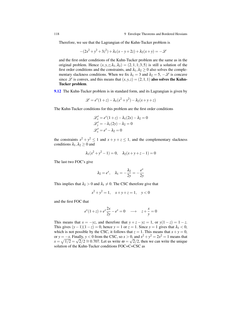Therefore, we see that the Lagrangian of the Kuhn-Tucker problem is

$$
-(2x^2 + y^2 + 3z^2) + \lambda_1(x - y + 2z) + \lambda_2(x + y) = -2z
$$

and the first order conditions of the Kuhn-Tucker problem are the same as in the original problem. Hence  $(x, y, z; \lambda_1, \lambda_2) = (2, 1, 1; 3, 5)$  is still a solution of the first order conditions and the constraints, and  $\lambda_1, \lambda_2 \geq 0$  also solves the complementary slackness conditions. When we fix  $\lambda_1 = 3$  and  $\lambda_2 = 5$ ,  $-\mathscr{L}$  is concave since  $\mathscr L$  is convex, and this means that  $(x, y, z) = (2, 1, 1)$  also solves the Kuhn-Tucker problem.

**[9.12](#page-111-2)** The Kuhn-Tucker problem is in standard form, and its Lagrangian is given by

$$
\mathcal{L} = e^x(1+z) - \lambda_1(x^2 + y^2) - \lambda_2(x+y+z)
$$

The Kuhn-Tucker conditions for this problem are the first order conditions

$$
\mathcal{L}'_x = e^x(1+z) - \lambda_1(2x) - \lambda_2 = 0
$$
  

$$
\mathcal{L}'_y = -\lambda_1(2y) - \lambda_2 = 0
$$
  

$$
\mathcal{L}'_x = e^x - \lambda_2 = 0
$$

the constraints  $x^2 + y^2 \le 1$  and  $x + y + z \le 1$ , and the complementary slackness conditions  $\lambda_1, \lambda_2 \geq 0$  and

$$
\lambda_1(x^2 + y^2 - 1) = 0
$$
,  $\lambda_2(x + y + z - 1) = 0$ 

The last two FOC's give

$$
\lambda_2=e^x, \quad \lambda_1=-\frac{\lambda_2}{2y}=-\frac{e^x}{2y}
$$

This implies that  $\lambda_2 > 0$  and  $\lambda_1 \neq 0$ . The CSC therefore give that

$$
x^2 + y^2 = 1, \quad x + y + z = 1, \quad y < 0
$$

and the first FOC that

$$
e^{x}(1+z) + e^{x}\frac{2x}{2y} - e^{x} = 0 \quad \longrightarrow \quad z + \frac{x}{y} = 0
$$

This means that  $x = -yz$ , and therefore that  $y + z - yz = 1$ , or  $y(1 - z) = 1 - z$ . This gives  $(y-1)(1-z) = 0$ , hence  $y = 1$  or  $z = 1$ . Since  $y = 1$  gives that  $\lambda_1 < 0$ , which is not possible by the CSC, it follows that  $z = 1$ . This means that  $x + y = 0$ , or *y* =  $-x$ . Finally, *y* < 0 from the CSC, so *x* > 0, and  $x^2 + y^2 = 2x^2 = 1$  means that  $x = \sqrt{1/2} = \sqrt{2}/2 \approx 0.707$ . Let us write  $\omega = \sqrt{2}/2$ , then we can write the unique solution of the Kuhn-Tucker conditions FOC+C+CSC as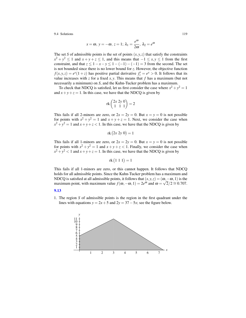$$
x = \omega
$$
,  $y = -\omega$ ,  $z = 1$ ;  $\lambda_1 = \frac{e^{\omega}}{2\omega}$ ,  $\lambda_2 = e^{\omega}$ 

The set *S* of admissible points is the set of points  $(x, y, z)$  that satisfy the constraints  $x^2 + y^2 \le 1$  and  $x + y + z \le 1$ , and this means that  $-1 \le x, y \le 1$  from the first constraint, and that  $z \le 1 - x - y \le 1 - (-1) - (-1) = 3$  from the second. The set is not bounded since there is no lower bound for *z*. However, the objective function  $f(x, y, z) = e^{x}(1 + z)$  has positive partial derivative  $f'_{z} = e^{x} > 0$ . It follows that its value increases with  $z$  for a fixed  $x, y$ . This means that  $f$  has a maximum (but not necessarily a minimum) on *S*, and the Kuhn-Tucker problem has a maximum.

To check that NDCQ is satisfied, let us first consider the case where  $x^2 + y^2 = 1$ and  $x + y + z = 1$ . In this case, we have that the NDCQ is given by

$$
rk\begin{pmatrix}2x\ 2y\ 0\\1\ 1\ 1\end{pmatrix}=2
$$

This fails if all 2-minors are zero, or  $2x = 2y = 0$ . But  $x = y = 0$  is not possible for points with  $x^2 + y^2 = 1$  and  $x + y + z = 1$ . Next, we consider the case when  $x^2 + y^2 = 1$  and  $x + y + z < 1$ . In this case, we have that the NDCQ is given by

$$
rk (2x 2y 0) = 1
$$

This fails if all 1-minors are zero, or  $2x = 2y = 0$ . But  $x = y = 0$  is not possible for points with  $x^2 + y^2 = 1$  and  $x + y + z < 1$ . Finally, we consider the case when  $x^2 + y^2 < 1$  and  $x + y + z = 1$ . In this case, we have that the NDCQ is given by

$$
rk(1\ 1\ 1)=1
$$

This fails if all 1-minors are zero, or this cannot happen. It follows that NDCQ holds for all admissible points. Since the Kuhn-Tucker problem has a maximum and NDCQ is satisfied at all admissible points, it follows that  $(x, y, z) = (\omega, -\omega, 1)$  is the maximum point, with maximum value  $f(\omega, -\omega, 1) = 2e^{\omega}$  and  $\omega = \sqrt{2}/2 \approx 0.707$ .

#### [9.13](#page-112-1)

1. The region *S* of admissible points is the region in the first quadrant under the lines with equations  $y = 2x + 5$  and  $2y = 37 - 5x$ ; see the figure below.

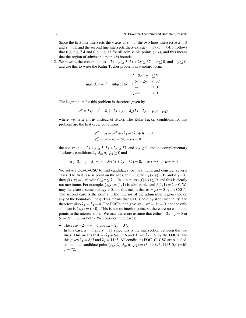Since the first line intersects the *y*-axis at  $y = 5$ , the two lines intersect at  $x = 3$ and  $y = 11$ , and the second line intersects the *x*-axis at  $x = 37/5 = 7.4$ , it follows that  $0 \le x \le 7.4$  and  $0 \le y \le 11$  for all admissible points  $(x, y)$ , and this means that the region of admissible points is bounded.

2. We rewrite the constraints as  $-2x + y \le 5$ ,  $5x + 2y \le 37$ ,  $-x \le 0$ , and  $-y \le 0$ , and use this to write the Kuhn-Tucker problem in standard form:

$$
\max 3xy - x^3 \quad \text{subject to} \quad\n\begin{cases}\n-2x + y \leq 5 \\
5x + 2y \leq 37 \\
-x \leq 0 \\
-y \leq 0\n\end{cases}
$$

The Lagrangian for this problem is therefore given by

$$
\mathcal{L} = 3xy - x^3 - \lambda_1(-2x + y) - \lambda_2(5x + 2y) + \mu_1x + \mu_2y
$$

where we write  $\mu_1, \mu_2$  instead of  $\lambda_3, \lambda_4$ . The Kuhn-Tucker conditions for this problem are the first order conditions

$$
\mathcal{L}'_x = 3y - 3x^2 + 2\lambda_1 - 5\lambda_2 + \mu_1 = 0
$$
  

$$
\mathcal{L}'_y = 3x - \lambda_1 - 2\lambda_2 + \mu_2 = 0
$$

the constraints  $-2x + y \le 5$ ,  $5x + 2y \le 37$ , and  $x, y \ge 0$ , and the complementary slackness conditions  $\lambda_1, \lambda_2, \mu_1, \mu_2 \geq 0$  and

$$
\lambda_1(-2x+y-5) = 0
$$
,  $\lambda_2(5x+2y-37) = 0$ ,  $\mu_1x = 0$ ,  $\mu_2y = 0$ 

We solve FOC+C+CSC to find candidates for maximum, and consider several cases. The first case is point on the axes. If  $x = 0$ , then  $f(x, y) = 0$ , and if  $y = 0$ , then  $f(x, y) = -x^3$  with  $0 \le x \le 7.4$ . In either case,  $f(x, y) \le 0$ , and this is clearly not maximum. For example,  $(x, y) = (1, 1)$  is admissible, and  $f(1, 1) = 2 > 0$ . We may therefore assume that  $x, y > 0$ , and this means that  $\mu_1 = \mu_2 = 0$  by the CSC's. The second case is the points in the interior of the admissible region (not on any of the boundary lines). This means that all C's hold by strict inequality, and therefore also  $\lambda_1 = \lambda_2 = 0$ . The FOC's then give  $3y - 3x^2 = 3x = 0$ , and the only solution is  $(x, y) = (0, 0)$ . This is not an interior point, so there are no candidate points in the interior either. We may therefore assume that either  $-2x + y = 5$  or  $5x + 2y = 37$  (or both). We consider three cases:

• The case  $-2x + y = 5$  and  $5x + 2y = 37$ :

In this case,  $x = 3$  and  $y = 11$  since this is the intersection between the two lines. This means that  $-2\lambda_1 + 5\lambda_2 = 6$  and  $\lambda_1 + 2\lambda_2 = 9$  by the FOC's, and this gives  $\lambda_1 = 8/3$  and  $\lambda_2 = 11/3$ . All conditions FOC+C+CSC are satisfied, so this is a candidate point  $(x, y; \lambda_1, \lambda_2, \mu_1, \mu_2) = (3, 11; 8/3, 11/3, 0, 0)$  with  $f = 72$ .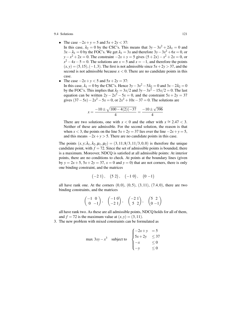- The case  $-2x + y = 5$  and  $5x + 2y < 37$ :
- In this case,  $\lambda_2 = 0$  by the CSC's. This means that  $3y 3x^2 + 2\lambda_1 = 0$  and  $3x - λ₁ = 0$  by the FOC's. We get  $λ₁ = 3x$  and therefore  $3y - 3x² + 6x = 0$ , or *y*−*x*<sup>2</sup> + 2*x* = 0. The constraint −2*x* + *y* = 5 gives  $(5+2x)$ −*x*<sup>2</sup> + 2*x* = 0, or  $x^2 - 4x - 5 = 0$ . The solutions are  $x = 5$  and  $x = -1$ , and therefore the points  $(x, y) = (5, 15), (-1, 3)$ . The first is not admissible since  $5x + 2y > 37$ , and the second is not admissible because  $x < 0$ . There are no candidate points in this case.
- The case  $-2x + y < 5$  and  $5x + 2y = 37$ : In this case,  $\lambda_1 = 0$  by the CSC's. Hence  $3y - 3x^2 - 5\lambda_2 = 0$  and  $3x - 2\lambda_2 = 0$ by the FOC's. This implies that  $\lambda_2 = 3x/2$  and  $3y - 3x^2 - 15x/2 = 0$ . The last equation can be written  $2y - 2x^2 - 5x = 0$ , and the constraint  $5x + 2y = 37$ gives  $(37 – 5x) – 2x<sup>2</sup> – 5x = 0$ , or  $2x<sup>2</sup> + 10x – 37 = 0$ . The solutions are

$$
x = \frac{-10 \pm \sqrt{100 - 4(2)(-37)}}{4} = \frac{-10 \pm \sqrt{396}}{4}
$$

There are two solutions, one with  $x < 0$  and the other with  $x \approx 2.47 < 3$ . Neither of these are admissible. For the second solution, the reason is that when *x* < 3, the points on the line  $5x + 2y = 37$  lies over the line  $-2x + y = 5$ , and this means  $-2x + y > 5$ . There are no candidate points in this case.

The points  $(x, y; \lambda_1, \lambda_2, \mu_1, \mu_2) = (3, 11; 8/3, 11/3, 0, 0)$  is therefore the unique candidate point, with  $f = 72$ . Since the set of admissible points is bounded, there is a maximum. Moreover, NDCQ is satisfied at all admissible points: At interior points, there are no conditions to check. At points at the boundary lines (given by  $y = 2x + 5$ ,  $5x + 2y = 37$ ,  $x = 0$  and  $y = 0$ ) that are not corners, there is only one binding constraint, and the matrices

$$
(-21), (52), (-10), (0-1)
$$

all have rank one. At the corners  $(0,0)$ ,  $(0,5)$ ,  $(3,11)$ ,  $(7.4,0)$ , there are two binding constraints, and the matrices

$$
\begin{pmatrix} -1 & 0 \ 0 & -1 \end{pmatrix}, \quad \begin{pmatrix} -1 & 0 \ -2 & 1 \end{pmatrix}, \quad \begin{pmatrix} -2 & 1 \ 5 & 2 \end{pmatrix}, \quad \begin{pmatrix} 5 & 2 \ 0 & -1 \end{pmatrix}
$$

all have rank two. As these are all admissible points, NDCQ holds for all of them, and  $f = 72$  is the maximum value at  $(x, y) = (3, 11)$ .

3. The new problem with mixed constraints can be formulated as

$$
\max 3xy - x^3 \quad \text{subject to} \quad\n\begin{cases}\n-2x + y &= 5 \\
5x + 2y & \le 37 \\
-x & \le 0 \\
-y & \le 0\n\end{cases}
$$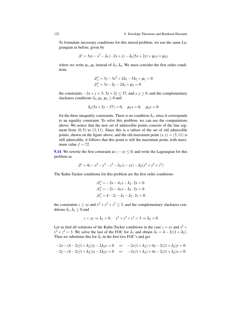To formulate necessary conditions for this mixed problem, we use the same Lagrangian as before, given by

$$
\mathcal{L} = 3xy - x^3 - \lambda_1(-2x + y) - \lambda_2(5x + 2y) + \mu_1x + \mu_2y
$$

where we write  $\mu_1, \mu_2$  instead of  $\lambda_3, \lambda_4$ . We must consider the first order conditions

$$
\mathcal{L}'_x = 3y - 3x^2 + 2\lambda_1 - 5\lambda_2 + \mu_1 = 0
$$
  

$$
\mathcal{L}'_y = 3x - \lambda_1 - 2\lambda_2 + \mu_2 = 0
$$

the constraints  $-2x + y = 5$ ,  $5x + 2y \le 37$ , and  $x, y \ge 0$ , and the complementary slackness conditions  $\lambda_2, \mu_1, \mu_2 \geq 0$  and

$$
\lambda_2(5x+2y-37) = 0
$$
,  $\mu_1x = 0$ ,  $\mu_2y = 0$ 

for the three inequality constraints. There is no condition  $\lambda_1$ , since it corresponds to an equality constraint. To solve this problem, we can use the computations above: We notice that the new set of admissible points consists of the line segment from  $(0,5)$  to  $(3,11)$ . Since this is a subset of the set of old admissible points, shown on the figure above, and the old maximum point  $(x, y) = (3, 11)$  is still admissible, it follows that this point is still the maximum point, with maximum value  $f = 72$ .

[9.14](#page-112-2) We rewrite the first constraint as  $z - xy \le 0$ , and write the Lagrangian for this problem as

$$
\mathscr{L} = 4z - x^2 - y^2 - z^2 - \lambda_1(z - xy) - \lambda_2(x^2 + y^2 + z^2)
$$

The Kuhn-Tucker conditions for this problem are the first order conditions

$$
\mathcal{L}'_x = -2x - \lambda_1 y - \lambda_2 \cdot 2x = 0
$$
  

$$
\mathcal{L}'_y = -2y - \lambda_1 x - \lambda_2 \cdot 2y = 0
$$
  

$$
\mathcal{L}'_x = 4 - 2z - \lambda_1 - \lambda_2 \cdot 2z = 0
$$

the constraints  $z \leq xy$  and  $x^2 + y^2 + z^2 \leq 3$ , and the complementary slackness conditions  $\lambda_1, \lambda_2 \geq 0$  and

$$
z \langle xy \Rightarrow \lambda_1 = 0, \quad x^2 + y^2 + z^2 < 3 \Rightarrow \lambda_2 = 0
$$

Let us find all solutions of the Kuhn-Tucker conditions in the case  $z = xy$  and  $x^2 +$  $y^2 + z^2 = 3$ . We solve the last of the FOC for  $\lambda_1$  and obtain  $\lambda_1 = 4 - 2z(1 + \lambda_2)$ . Then we substitute this for  $\lambda_1$  in the first two FOC's and get

$$
-2x - (4 - 2z(1 + \lambda_2))y - 2\lambda_2 x = 0 \Rightarrow -2x(1 + \lambda_2) + 4y - 2z(1 + \lambda_2)y = 0
$$
  

$$
-2y - (4 - 2z(1 + \lambda_2))x - 2\lambda_2 y = 0 \Rightarrow -2y(1 + \lambda_2) + 4x - 2z(1 + \lambda_2)x = 0
$$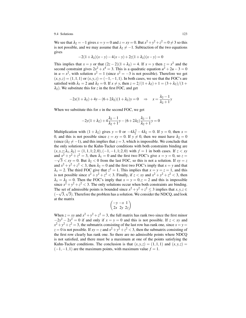We see that  $\lambda_2 = -1$  gives  $x = y = 0$  and  $z = xy = 0$ . But  $x^2 + y^2 + z^2 = 0 \neq 3$  so this is not possible, and we may assume that  $\lambda_2 \neq -1$ . Subtraction of the two equations gives

$$
-2(1 + \lambda_2)(x - y) - 4(x - y) + 2z(1 + \lambda_2)(x - y) = 0
$$

This implies that  $x = y$  or that  $(2z - 2)(1 + \lambda_2) = 4$ . If  $x = y$  then  $z = x^2$  and the second constraint gives  $2x^2 + x^4 = 3$ . This is a quadratic equation  $u^2 + 2u - 3 = 0$ in  $u = x^2$ , with solution  $x^2 = 1$  (since  $x^2 = -3$  is not possible). Therefore we get  $(x, y, z) = (1, 1, 1)$  or  $(x, y, z) = (-1, -1, 1)$ . In both cases, we see that the FOC's are satisfied with  $\lambda_1 = 2$  and  $\lambda_2 = 0$ . If  $x \neq y$ , then  $z = 2/(1 + \lambda_2) + 1 = (3 + \lambda_2)/(1 + \lambda_2)$  $\lambda_2$ ). We substitute this for *z* in the first FOC, and get

$$
-2x(1 + \lambda_2) + 4y - (6 + 2\lambda_2)(1 + \lambda_2)y = 0 \quad \Rightarrow \quad x = \frac{\lambda_2 - 1}{\lambda_2 + 1}y
$$

When we substitute this for *x* in the second FOC, we get

$$
-2y(1+\lambda_2) + 4\frac{\lambda_2 - 1}{\lambda_2 + 1}y - (6+2\lambda_2)\frac{\lambda_2 - 1}{\lambda_2 + 1}y = 0
$$

Multiplication with  $(1 + \lambda_2)$  gives  $y = 0$  or  $-4\lambda_2^2 - 4\lambda_2 = 0$ . If  $y = 0$ , then  $x =$ 0, and this is not possible since  $z = xy = 0$ . If  $y \neq 0$ , then we must have  $\lambda_2 = 0$ (since  $(\lambda_2 \neq -1)$ , and this implies that  $z = 3$ , which is impossible. We conclude that the only solutions to the Kuhn-Tucker conditions with both constraints binding are  $(x, y, z; \lambda_1, \lambda_2) = (1, 1, 1; 2, 0), (-1, -1, 1; 2, 0)$  with  $f = 1$  in both cases. If  $z < xy$ and  $x^2 + y^2 + z^2 = 3$ , then  $\lambda_1 = 0$  and the first two FOC's give  $x = y = 0$ , so  $z = \sqrt{2}$  $-\sqrt{3} < xy = 0$ . But  $\lambda_2 < 0$  from the last FOC, so this is not a solution. If  $xy = z$ and  $x^2 + y^2 + z^2 < 3$ , then  $\lambda_2 = 0$  and the first two FOC's imply that  $x = y$  and that  $\lambda_1 = 2$ . The third FOC give that  $z^2 = 1$ . This implies that  $x = y = z = 1$ , and this is not possible since  $x^2 + y^2 + z^2 < 3$ . Finally, if  $z < xy$  and  $x^2 + y^2 + z^2 < 3$ , then  $\lambda_1 = \lambda_2 = 0$ . Then the FOC's imply that  $x = y = 0, z = 2$  and this is impossible since  $x^2 + y^2 + z^2 < 3$ . The only solutions occur when both constraints are binding. The set of admissible points is bounded since  $x^2 + y^2 + z^2 \le 3$  implies that  $x, y, z \in \mathbb{R}$  $(-\sqrt{3}, \sqrt{3})$ . Therefore the problem has a solution. We consider the NDCQ, and look at the matrix

$$
\begin{pmatrix} -y-x & 1 \ 2x & 2y & 2z \end{pmatrix}
$$

When  $z = xy$  and  $x^2 + y^2 + z^2 = 3$ , the full matrix has rank two since the first minor  $-2y^2 - 2x^2 = 0$  if and only if  $x = y = 0$  and this is not possible. If  $z < xy$  and  $x^2 + y^2 + z^2 = 3$ , the submatrix consisting of the last row has rank one, since  $x = y = 1$  $z = 0$  is not possible. If  $xy = z$  and  $x^2 + y^2 + z^2 < 3$ , then the submatrix consisting of the first row clearly has rank one. So there are no admissible points where NDCQ is not satisfied, and there must be a maximum at one of the points satisfying the Kuhn-Tucker conditions. The conclusion is that  $(x, y, z) = (1, 1, 1)$  and  $(x, y, z) =$  $(-1,-1,1)$  are the maximum points, with maximum value  $f = 1$ .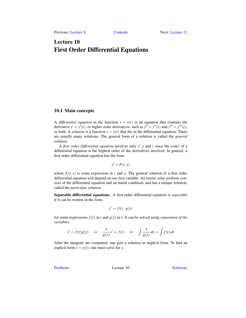# <span id="page-128-0"></span>Lecture 10 First Order Differential Equations

# 10.1 Main concepts

A *differential equation* in the function  $y = y(t)$  is an equation that contains the derivative  $y' = y'(t)$ , or higher order derivatives, such as  $y'' = y''(t)$  and  $y''' = y'''(t)$ , or both. A *solution* is a function  $y = y(t)$  that fits in the differential equation. There are usually many solutions. The general form of a solution is called the *general solution*.

A *first order differential equation* involves only  $y'$ , *y* and *t* since the *order* of a differential equation is the highest order of the derivatives involved. In general, a first order differential equation has the form

$$
y'=F(t,y)
$$

where  $F(t, y)$  is some expression in *t* and *y*. The general solution of a first order differential equation will depend on *one* free variable. An *initial value problem* consists of the differential equation and an initial condition, and has a unique solution, called the *particular solution*.

Separable differential equations. A first order differential equation is *separable* if it can be written in the form

$$
y' = f(t) \cdot g(y)
$$

for some expressions  $f(t)$  in *t* and  $g(y)$  in *y*. It can be solved using *separation of the variables*:

$$
y' = f(t)g(y)
$$
  $\Leftrightarrow$   $\frac{1}{g(y)}y' = f(t)$   $\Leftrightarrow$   $\int \frac{1}{g(y)} dy = \int f(t) dt$ 

After the integrals are computed, one gets a solution in implicit form. To find an explicit form  $y = y(t)$ , one must solve for *y*.

[Problems](#page-129-0) Lecture 10 [Solutions](#page-132-0)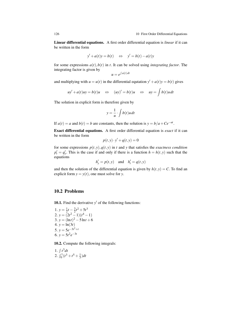Linear differential equations. A first order differential equation is *linear* if it can be written in the form

$$
y' + a(t)y = b(t) \quad \Leftrightarrow \quad y' = b(t) - a(t)y
$$

for some expressions  $a(t)$ , $b(t)$  in  $t$ . It can be solved using *integrating factor*. The integrating factor is given by

$$
u=e^{\int a(t) dt}
$$

and multiplying with  $u = u(t)$  in the differential equtation  $y' + a(t)y = b(t)$  gives

$$
uy' + a(t)uy = b(t)u \quad \Leftrightarrow \quad (uy)' = b(t)u \quad \Leftrightarrow \quad uy = \int b(t)u \, dt
$$

The solution in explicit form is therefore given by

$$
y = \frac{1}{u} \cdot \int b(t)u \, dt
$$

If  $a(t) = a$  and  $b(t) = b$  are constants, then the solution is  $y = b/a + Ce^{-at}$ .

Exact differential equations. A first order differential equation is *exact* if it can be written in the form

$$
p(t, y) \cdot y' + q(t, y) = 0
$$

for some expressions  $p(t, y), q(t, y)$  in *t* and *y* that satisfies the *exactness condition*  $p'_t = q'_y$ . This is the case if and only if there is a function  $h = h(t, y)$  such that the equations

$$
h'_y = p(t, y) \quad \text{and} \quad h'_t = q(t, y)
$$

and then the solution of the differential equation is given by  $h(t, y) = C$ . To find an explicit form  $y = y(t)$ , one must solve for *y*.

# <span id="page-129-0"></span>10.2 Problems

<span id="page-129-1"></span>**10.1.** Find the derivative  $y'$  of the following functions:

1.  $y = \frac{1}{2}t - \frac{3}{2}t^2 + 5t^3$ 2.  $y = (2t^2 - 1)(t^4 - 1)$ 3.  $y = (\ln t)^2 - 5\ln t + 6$ 4.  $y = \ln(3t)$ 5.  $y = 5e^{-3t^2 + t}$ 6.  $y = 5t^2e^{-3t}$ 

<span id="page-129-2"></span>10.2. Compute the following integrals:

1. 
$$
\int t^3 dt
$$
  
2.  $\int_0^1 (t^3 + t^5 + \frac{1}{3}) dt$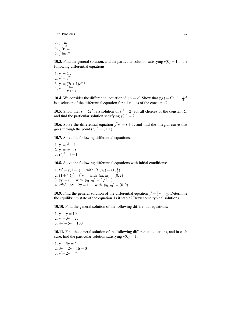10.2 Problems 127

3.  $\int \frac{1}{t} dt$ 4.  $\int t e^{t^2} dt$ 5.  $\int \ln t dt$ 

<span id="page-130-0"></span>10.3. Find the general solution, and the particular solution satisfying  $y(0) = 1$  in the following differential equations:

1. 
$$
y' = 2t
$$
.  
\n2.  $y' = e^{2t}$   
\n3.  $y' = (2t + 1)e^{t^2 + t}$   
\n4.  $y' = \frac{2t+1}{t^2 + t + 1}$ 

<span id="page-130-1"></span>**10.4.** We consider the differential equation  $y' + y = e^t$ . Show that  $y(t) = Ce^{-t} + \frac{1}{2}e^t$ is a solution of the differential equation for all values of the constant *C*.

<span id="page-130-2"></span>**10.5.** Show that  $y = Ct^2$  is a solution of  $ty' = 2y$  for all choices of the constant *C*, and find the particular solution satisfying  $y(1) = 2$ .

<span id="page-130-3"></span>**10.6.** Solve the differential equation  $y^2y' = t + 1$ , and find the integral curve that goes through the point  $(t, y) = (1, 1)$ .

<span id="page-130-4"></span>10.7. Solve the following differential equations:

1.  $y' = t^3 - 1$ 2.  $y' = te^t - t$ 3.  $e^y y' = t + 1$ 

<span id="page-130-5"></span>10.8. Solve the following differential equations with initial conditions:

1.  $ty' = y(1-t)$ , with  $(t_0, y_0) = (1, \frac{1}{e})$ 2.  $(1+t^3)y' = t^2y$ , with  $(t_0, y_0) = (0, 2)$ <br>
3.  $yy' = t$ , with  $(t_0, y_0) = (\sqrt{2}, 1)$ 4.  $e^{2t}y' - y^2 - 2y = 1$ , with  $(t_0, y_0) = (0, 0)$ 

<span id="page-130-6"></span>**10.9.** Find the general solution of the differential equation  $y' + \frac{1}{2}y = \frac{1}{4}$ . Determine the equilibrium state of the equation. Is it stable? Draw some typical solutions.

<span id="page-130-7"></span>10.10. Find the general solution of the following differential equations:

1.  $y' + y = 10$ 2.  $y' - 3y = 27$ 3.  $4y' + 5y = 100$ 

<span id="page-130-8"></span>10.11. Find the general solution of the following differential equations, and in each case, find the particular solution satisfying  $y(0) = 1$ :

<span id="page-130-9"></span>1.  $y' - 3y = 5$ 2.  $3y' + 2y + 16 = 0$ 3.  $y' + 2y = t^2$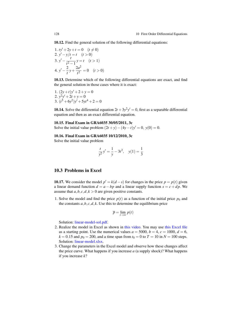10.12. Find the general solution of the following differential equations:

1. 
$$
ty' + 2y + t = 0
$$
  $(t \neq 0)$   
\n2.  $y' - y/t = t$   $(t > 0)$   
\n3.  $y' - \frac{t}{t^2 - 1}y = t$   $(t > 1)$   
\n4.  $y' - \frac{2}{t}y + \frac{2a^2}{t^2} = 0$   $(t > 0)$ 

<span id="page-131-0"></span>10.13. Determine which of the following differential equations are exact, and find the general solution in those cases where it is exact:

1. 
$$
(2y+t)y'+2+y=0
$$
  
2.  $y^2y'+2t+y=0$   
3.  $(t^5+6y^2)y'+5yt^4+2=0$ 

<span id="page-131-1"></span>**10.14.** Solve the differential equation  $2t + 3y^2y' = 0$ , first as a separable differential equation and then as an exact differential equation.

#### <span id="page-131-2"></span>10.15. Final Exam in GRA6035 30/05/2011, 3c

Solve the initial value problem  $(2t + y) - (4y - t)y' = 0$ ,  $y(0) = 0$ .

<span id="page-131-3"></span>10.16. Final Exam in GRA6035 10/12/2010, 3c

Solve the initial value problem

$$
\frac{t}{y^2}y' = \frac{1}{y} - 3t^2, \quad y(1) = \frac{1}{3}
$$

# 10.3 Problems in Excel

**10.17.** We consider the model  $p' = k(d - s)$  for changes in the price  $p = p(t)$  given a linear demand function  $d = a - bp$  and a linear supply function  $s = c + dp$ . We assume that  $a, b, c, d, k > 0$  are given positive constants.

1. Solve the model and find the price  $p(t)$  as a function of the initial price  $p_0$  and the constants  $a, b, c, d, k$ . Use this to determine the equilibrium price

$$
\overline{p}=\lim_{t\to\infty}p(t)
$$

Solution: [linear-model-sol.pdf.](http://www.dr-eriksen.no/teaching/GRA6035/Reading/Excel/linear-model-sol.pdf)

- 2. Realize the model in Excel as shown in [this video.](https://youtu.be/aV5K7ioH9cg) You may use [this Excel file](http://www.dr-eriksen.no/teaching/GRA6035/Reading/Excel/linear-model-base.xlsx) as a starting point. Use the numerical values  $a = 5000$ ,  $b = 4$ ,  $c = 1000$ ,  $d = 6$ ,  $k = 0.15$  and  $p_0 = 200$ , and a time span from  $t_0 = 0$  to  $T = 10$  in  $N = 100$  steps. Solution: [linear-model.xlsx.](http://www.dr-eriksen.no/teaching/GRA6035/Reading/Excel/linear-model.xlsx)
- 3. Change the parameters in the Excel model and observe how these changes affect the price curve. What happens if you increase *a* (a supply shock)? What happens if you increase *k*?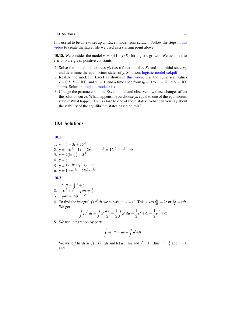It is useful to be able to set up an Excel model from scratch. Follow the steps in [this](https://youtu.be/65EXaPLdj1U) [video](https://youtu.be/65EXaPLdj1U) to create the Excel file we used as a starting point above.

**10.18.** We consider the model  $y' = ry(1 - y/K)$  for logistic growth. We assume that  $r, K > 0$  are given positive constants.

- 1. Solve the model and express  $y(t)$  as a function of *r*, *K*, and the initial state  $y_0$ , and determine the equilibrium states of *y*. Solution: [logistic-model-sol.pdf.](http://www.dr-eriksen.no/teaching/GRA6035/Reading/Excel/logistic-model-sol.pdf)
- 2. Realize the model in Excel as shown in [this video.](https://youtu.be/E28hC81AGo4) Use the numerical values  $r = 0.5$ ,  $K = 100$ , and  $y_0 = 1$ , and a time span from  $t_0 = 0$  to  $T = 20$  in  $N = 100$ steps. Solution: [logistic-model.xlsx.](http://www.dr-eriksen.no/teaching/GRA6035/Reading/Excel/logistic-model.xlsx)
- 3. Change the parameters in the Excel model and observe how these changes affect the solution curve. What happens if you choose  $y_0$  equal to one of the equilibrium states? What happen if  $y_0$  is close to one of these states? What can you say about the stability of the equilibrium states based on this?

# <span id="page-132-0"></span>10.4 Solutions

[10.1](#page-129-1)

1.  $\dot{y} = \frac{1}{2} - 3t + 15t^2$ 2.  $\dot{y} = 4t(t^4 - 1) + (2t^2 - 1)4t^3 = 12t^5 - 4t^3 - 4t$ 3.  $\dot{y} = 2(\ln t) \frac{1}{t} - 5\frac{1}{t}$ <br>4.  $\dot{y} = \frac{1}{t}$ 5.  $\dot{y} = 5e^{-3t^2 + t}(-6t + 1)$ 6.  $\dot{y} = 10te^{-3t} - 15t^2e^{-3t}$ 

[10.2](#page-129-2)

- 1.  $\int t^3 dt = \frac{1}{4}t^4 + C$
- 2.  $\int_0^1 (t^3 + t^5 + \frac{1}{3}) dt = \frac{3}{4}$
- 3.  $\int \frac{1}{t} dt = \ln |t| + C$
- 4. To find the integral  $\int t e^{t^2} dt$  we substitute  $u = t^2$ . This gives  $\frac{du}{dt} = 2t$  or  $\frac{du}{2} = t dt$ . We get

$$
\int t e^{t^2} dt = \int e^u \frac{du}{2} = \frac{1}{2} \int e^u du = \frac{1}{2} e^u + C = \frac{1}{2} e^{t^2} + C
$$

5. We use integration by parts

$$
\int uv' dt = uv - \int u' v dt.
$$

We write  $\int \ln t \, dt$  as  $\int (\ln t) \cdot 1 \, dt$  and let  $u = \ln t$  and  $v' = 1$ . Thus  $u' = \frac{1}{t}$  and  $v = t$ , and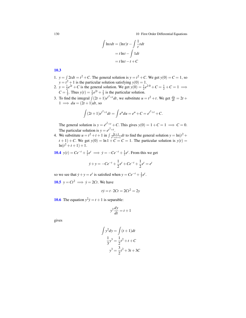130 10 10 First Order Differential Equations

$$
\int \ln t \, dt = (\ln t)t - \int \frac{1}{t} t \, dt
$$
\n
$$
= t \ln t - \int 1 \, dt
$$
\n
$$
= t \ln t - t + C
$$

[10.3](#page-130-0)

- 1.  $y = \int 2t dt = t^2 + C$ . The general solution is  $y = t^2 + C$ . We get  $y(0) = C = 1$ , so  $y = t^2 + 1$  is the particular solution satisfying  $y(0) = 1$ .
- 2.  $y = \frac{1}{2}e^{2t} + C$  is the general solution. We get  $y(0) = \frac{1}{2}e^{2 \cdot 0} + C = \frac{1}{2} + C = 1 \implies$  $C = \frac{1}{2}$ . Thus  $y(t) = \frac{1}{2}e^{2t} + \frac{1}{2}$  is the particular solution.
- 3. To find the integral  $\int (2t+1)e^{t^2+t}dt$ , we substitute  $u = t^2 + t$ . We get  $\frac{du}{dt} = 2t +$  $1 \implies du = (2t+1)dt$ , so

$$
\int (2t+1)e^{t^2+t}dt = \int e^u du = e^u + C = e^{t^2+t} + C.
$$

The general solution is  $y = e^{t^2+t} + C$ . This gives  $y(0) = 1 + C = 1 \implies C = 0$ . The particular solution is  $y = e^{t^2 + t}$ .

4. We substitute  $u = t^2 + t + 1$  in  $\int \frac{2t+1}{t^2 + t}$  $\frac{2t+1}{t^2+t+1}$  *dt* to find the general solution  $y = \ln(t^2 +$  $(t+1) + C$ . We get  $y(0) = \ln 1 + C = C = 1$ . The particular solution is  $y(t) =$  $\ln(t^2+t+1)+1$ .

**[10.4](#page-130-1)** *y*(*t*) =  $Ce^{-t} + \frac{1}{2}e^{t}$  ⇒ *y* =  $-Ce^{-t} + \frac{1}{2}e^{t}$ . From this we get

$$
\dot{y} + y = -Ce^{-t} + \frac{1}{2}e^{t} + Ce^{-t} + \frac{1}{2}e^{t} = e^{t}
$$

so we see that  $\dot{y} + y = e^t$  is satisfied when  $y = Ce^{-t} + \frac{1}{2}e^t$ .

[10.5](#page-130-2)  $y = Ct^2 \implies y = 2Ct$ . We have

$$
t\dot{y} = t \cdot 2Ct = 2Ct^2 = 2y
$$

**[10.6](#page-130-3)** The equation  $y^2y = t + 1$  is separable:

$$
y^2 \frac{dy}{dt} = t + 1
$$

gives

$$
\int y^2 dy = \int (t+1) dt
$$
  

$$
\frac{1}{3}y^3 = \frac{1}{2}t^2 + t + C
$$
  

$$
y^3 = \frac{3}{2}t^2 + 3t + 3C
$$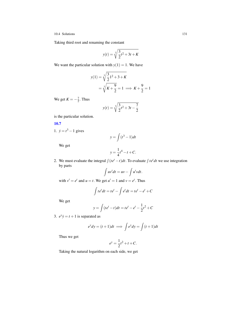Taking third root and renaming the constant

$$
y(t) = \sqrt[3]{\frac{3}{2}t^2 + 3t + K}
$$

We want the particular solution with  $y(1) = 1$ . We have

$$
y(1) = \sqrt[3]{\frac{3}{2}1^2 + 3 + K}
$$
  
=  $\sqrt[3]{K + \frac{9}{2}} = 1 \implies K + \frac{9}{2} = 1$ 

We get  $K = -\frac{7}{2}$ . Thus

$$
y(t) = \sqrt[3]{\frac{3}{2}t^2 + 3t - \frac{7}{2}}
$$

is the particular solution.

# [10.7](#page-130-4)

1.  $\dot{y} = t^3 - 1$  gives

$$
y = \int (t^3 - 1) dt
$$

We get

$$
y = \frac{1}{4}t^4 - t + C.
$$

2. We must evaluate the integral  $\int (te^{t} - t)dt$ . To evaluate  $\int te^{t}dt$  we use integration by parts

$$
\int uv' dt = uv - \int u' v dt.
$$

with  $v' = e^t$  and  $u = t$ . We get  $u' = 1$  and  $v = e^t$ . Thus

$$
\int t e^t dt = t e^t - \int e^t dt = t e^t - e^t + C
$$

We get

$$
y = \int (te^{t} - t)dt = te^{t} - e^{t} - \frac{1}{2}t^{2} + C
$$

3.  $e^y y = t + 1$  is separated as

$$
e^{y}dy = (t+1)dt \implies \int e^{y}dy = \int (t+1)dt
$$

Thus we get

$$
e^y = \frac{1}{2}t^2 + t + C.
$$

Taking the natural logarithm on each side, we get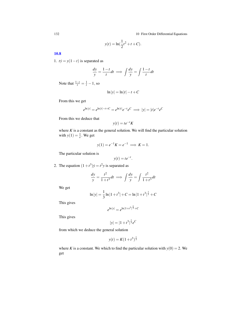132 132

$$
y(t) = \ln(\frac{1}{2}t^2 + t + C).
$$

[10.8](#page-130-5)

1.  $ty = y(1-t)$  is separated as

$$
\frac{dy}{y} = \frac{1-t}{t}dt \implies \int \frac{dy}{y} = \int \frac{1-t}{t}dt
$$

Note that  $\frac{1-t}{t} = \frac{1}{t} - 1$ , so

$$
\ln|y| = \ln|t| - t + C
$$

From this we get

$$
e^{\ln |y|} = e^{\ln |t| - t + C} = e^{\ln |t|} e^{-t} e^C \implies |y| = |t| e^{-t} e^C
$$

From this we deduce that

$$
y(t) = te^{-t}K
$$

where  $K$  is a constant as the general solution. We will find the particular solution with  $y(1) = \frac{1}{e}$ . We get

$$
y(1) = e^{-1}K = e^{-1} \implies K = 1.
$$

The particular solution is

$$
y(t) = te^{-t}.
$$

2. The equation  $(1 + t^3)y = t^2y$  is separated as

$$
\frac{dy}{y} = \frac{t^2}{1+t^3}dt \implies \int \frac{dy}{y} = \int \frac{t^2}{1+t^3}dt
$$

We get

$$
\ln|y| = \frac{1}{3}\ln|1+t^3| + C = \ln|1+t^3|^{\frac{1}{3}} + C
$$

This gives

$$
e^{\ln|y|} = e^{\ln|1+t^3|^{\frac{1}{3}} + C}
$$

This gives

$$
|y| = |1 + t^3|^{\frac{1}{3}} e^C
$$

from which we deduce the general solution

$$
y(t) = K(1+t^3)^{\frac{1}{3}}
$$

where *K* is a constant. We which to find the particular solution with  $y(0) = 2$ . We get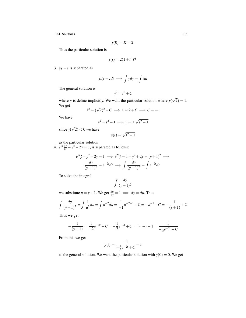$$
y(0) = K = 2.
$$

Thus the particular solution is

$$
y(t) = 2(1+t^3)^{\frac{1}{3}}.
$$

3.  $yy = t$  is separated as

$$
ydy = tdt \implies \int ydy = \int tdt
$$

The general solution is

$$
y^2 = t^2 + C
$$

where *y* is define implicitly. We want the particular solution where *y*( √  $2) = 1.$ We get

$$
1^2 = (\sqrt{2})^2 + C \implies 1 = 2 + C \implies C = -1
$$

We have

$$
y^2 = t^2 - 1 \implies y = \pm \sqrt{t^2 - 1}
$$

since *y*( √  $(2) < 0$  we have

$$
y(t) = \sqrt{t^2 - 1}
$$

as the particular solution.

4.  $e^{2t} \frac{dy}{dt} - y^2 - 2y = 1$ , is separated as follows:

$$
e^{2t}\dot{y} - y^2 - 2y = 1 \implies e^{2t}\dot{y} = 1 + y^2 + 2y = (y+1)^2 \implies
$$
  

$$
\frac{dy}{(y+1)^2} = e^{-2t}dt \implies \int \frac{dy}{(y+1)^2} = \int e^{-2t}dt
$$

To solve the integral

$$
\int \frac{dy}{(y+1)^2}
$$

we substitute  $u = y + 1$ . We get  $\frac{du}{dy} = 1 \implies dy = du$ . Thus

$$
\int \frac{dy}{(y+1)^2} = \int \frac{1}{u^2} du = \int u^{-2} du = \frac{1}{-1}u^{-2+1} + C = -u^{-1} + C = -\frac{1}{(y+1)} + C
$$

Thus we get

$$
-\frac{1}{(y+1)} = \frac{1}{-2}e^{-2t} + C = -\frac{1}{2}e^{-2t} + C \implies -y - 1 = \frac{1}{-\frac{1}{2}e^{-2t} + C}
$$

From this we get

$$
y(t) = \frac{-1}{-\frac{1}{2}e^{-2t} + C} - 1
$$

as the general solution. We want the particular solution with  $y(0) = 0$ . We get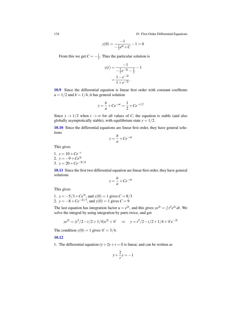134 10 First Order Differential Equations

$$
y(0) = \frac{-1}{-\frac{1}{2}e^0 + C} - 1 = 0
$$

From this we get  $C = -\frac{1}{2}$ . Thus the particular solution is

$$
y(t) = \frac{-1}{-\frac{1}{2}e^{-2t} - \frac{1}{2}} - 1
$$

$$
= \frac{1 - e^{-2t}}{1 + e^{-2t}}.
$$

[10.9](#page-130-6) Since the differential equation is linear first order with constant coeffients  $a = 1/2$  and  $b = 1/4$ , it has general solution

$$
y = \frac{b}{a} + Ce^{-at} = \frac{1}{2} + Ce^{-t/2}
$$

Since  $y \to 1/2$  when  $t \to \infty$  for all values of *C*, the equation is stable (and also globally asymptotically stable), with equilibrium state  $y = 1/2$ .

[10.10](#page-130-7) Since the differential equations are linear first order, they have general solutions

$$
y = \frac{b}{a} + Ce^{-at}
$$

This gives

1. 
$$
y = 10 + Ce^{-t}
$$
  
\n2.  $y = -9 + Ce^{3t}$   
\n3.  $y = 20 + Ce^{-5t/4}$ 

[10.11](#page-130-8) Since the first two differential equation are linear first order, they have general solutions

$$
y = \frac{b}{a} + Ce^{-at}
$$

This gives

1. 
$$
y = -5/3 + Ce^{3t}
$$
, and  $y(0) = 1$  gives  $C = 8/3$   
2.  $y = -8 + Ce^{-2t/3}$ , and  $y(0) = 1$  gives  $C = 9$ 

The last equation has integration factor  $u = e^{2t}$ , and this gives  $ye^{2t} = \int t^2 e^{2t} dt$ . We solve the integral by using integration by parts twice, and get

$$
ye^{2t} = (t^2/2 - t/2 + 1/4)e^{2t} + \mathscr{C} \quad \Rightarrow \quad y = t^2/2 - t/2 + 1/4 + \mathscr{C}e^{-2t}
$$

The condition  $y(0) = 1$  gives  $\mathcal{C} = 3/4$ .

## [10.12](#page-130-9)

1. The differential equation  $ty + 2y + t = 0$  is linear, and can be written as

$$
\dot{y} + \frac{2}{t}y = -1
$$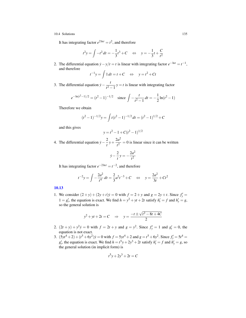It has integrating factor  $e^{2 \ln t} = t^2$ , and therefore

$$
t^2 y = \int -t^2 dt = -\frac{1}{3}t^3 + C \Leftrightarrow y = -\frac{1}{3}t + \frac{C}{t^2}
$$

2. The differential equation  $\dot{y} - y/t = t$  is linear with integrating factor  $e^{-\ln t} = t^{-1}$ , and therefore

$$
t^{-1}y = \int 1 dt = t + C \quad \Leftrightarrow \quad y = t^2 + Ct
$$

3. The differential equation  $\dot{y} - \frac{t}{a^2}$  $\frac{t}{t^2-1}$  *y* = *t* is linear with integrating factor

$$
e^{-\ln(t^2-1)/2} = (t^2-1)^{-1/2}
$$
 since  $\int -\frac{t}{t^2-1} dt = -\frac{1}{2}\ln(t^2-1)$ 

Therefore we obtain

$$
(t2 - 1)-1/2y = \int t(t2 - 1)-1/2 dt = (t2 - 1)1/2 + C
$$

and this gives

$$
y = t^2 - 1 + C(t^2 - 1)^{1/2}
$$

4. The differential equation  $\dot{y} - \frac{2}{z}$  $\frac{2}{t}y+\frac{2a^2}{t^2}$  $\frac{dx}{t^2} = 0$  is linear since it can be written

$$
\dot{y} - \frac{2}{t}y = -\frac{2a^2}{t^2}
$$

It has integrating factor  $e^{-2 \ln t} = t^{-2}$ , and therefore

$$
t^{-2}y = \int -\frac{2a^2}{t^4} dt = \frac{2}{3}a^2t^{-3} + C \iff y = \frac{2a^2}{3t} + Ct^2
$$

## [10.13](#page-131-0)

1. We consider  $(2 + y) + (2y + t)y = 0$  with  $f = 2 + y$  and  $g = 2y + t$ . Since  $f'_y =$  $1 = g'_t$ , the equation is exact. We find  $h = y^2 + yt + 2t$  satisfy  $h'_t = f$  and  $h'_y = g$ , so the general solution is

$$
y^2 + yt + 2t = C
$$
  $\Rightarrow$   $y = \frac{-t \pm \sqrt{t^2 - 8t + 4C}}{2}$ 

- 2.  $(2t + y) + y^2 y = 0$  with  $f = 2t + y$  and  $g = y^2$ . Since  $f'_y = 1$  and  $g'_t = 0$ , the equation is not exact.
- 3.  $(5yt^4 + 2) + (t^5 + 6y^2)y = 0$  with  $f = 5yt^4 + 2$  and  $g = t^5 + 6y^2$ . Since  $f'_y = 5t^4 =$  $g'_t$ , the equation is exact. We find  $h = t^5y + 2y^3 + 2t$  satisfy  $h'_t = f$  and  $h'_y = g$ , so the general solution (in implicit form) is

$$
t^5y + 2y^3 + 2t = C
$$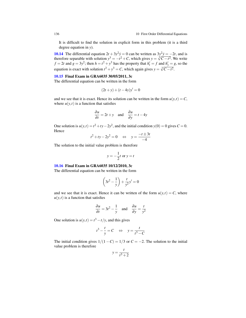It is difficult to find the solution in explicit form in this problem (it is a third degree equation in *y*).

**[10.14](#page-131-1)** The differential equation  $2t + 3y^2y = 0$  can be written as  $3y^2y = -2t$ , and is **10.14** The differential equation  $2t + 3y^2y = 0$  can be written as  $3y^2y = -2t$ , and is therefore separable with solution  $y^3 = -t^2 + C$ , which gives  $y = \sqrt[3]{C - t^2}$ . We write  $f = 2t$  and  $g = 3y^2$ ; then  $h = t^2 + y^3$  has the property that  $h'_t = f$  and  $h'_y = g$ , so the equation is exact with solution  $t^2 + y^3 = C$ , which again gives  $y = \sqrt[3]{C - t^2}$ .

## [10.15](#page-131-2) Final Exam in GRA6035 30/05/2011, 3c

The differential equation can be written in the form

$$
(2t + y) + (t - 4y)y' = 0
$$

and we see that it is exact. Hence its solution can be written in the form  $u(y,t) = C$ , where  $u(y,t)$  is a function that satisfies

$$
\frac{\partial u}{\partial t} = 2t + y \quad \text{and} \quad \frac{\partial u}{\partial y} = t - 4y
$$

One solution is  $u(y,t) = t^2 + ty - 2y^2$ , and the initial condition  $y(0) = 0$  gives  $C = 0$ . Hence

$$
t^2 + ty - 2y^2 = 0 \quad \Leftrightarrow \quad y = \frac{-t \pm 3t}{-4}
$$

The solution to the initial value problem is therefore

$$
y = -\frac{1}{2}t
$$
 or  $y = t$ 

## [10.16](#page-131-3) Final Exam in GRA6035 10/12/2010, 3c

The differential equation can be written in the form

$$
\left(3t^2 - \frac{1}{y}\right) + \frac{t}{y^2}y' = 0
$$

and we see that it is exact. Hence it can be written of the form  $u(y,t) = C$ , where  $u(y,t)$  is a function that satisfies

$$
\frac{\partial u}{\partial t} = 3t^2 - \frac{1}{y} \quad \text{and} \quad \frac{\partial u}{\partial y} = \frac{t}{y^2}
$$

One solution is  $u(y,t) = t^3 - t/y$ , and this gives

$$
t^3 - \frac{t}{y} = C \quad \Leftrightarrow \quad y = \frac{t}{t^3 - C}
$$

The initial condition gives  $1/(1-C) = 1/3$  or  $C = -2$ . The solution to the initial value problem is therefore

$$
y = \frac{t}{t^3 + 2}
$$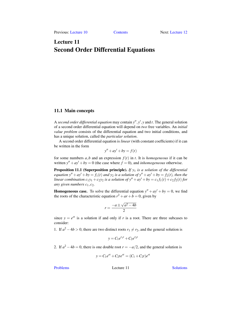# <span id="page-140-0"></span>Lecture 11 Second Order Differential Equations

# 11.1 Main concepts

A *second order differential equation* may contain  $y''$ ,  $y'$ ,  $y$  and  $t$ . The general solution of a second order differential equation will depend on *two* free variables. An *initial value problem* consists of the differential equation and two initial conditions, and has a unique solution, called the *particular solution*.

A second order differential equation is *linear* (with constant coefficients) if it can be written in the form

$$
y'' + ay' + by = f(t)
$$

for some numbers  $a$ ,  $b$  and an expression  $f(t)$  in  $t$ . It is *homogeneous* if it can be written  $y'' + ay' + by = 0$  (the case where  $f = 0$ ), and *inhomogeneous* otherwise.

Proposition 11.1 (Superposition principle). *If y*<sup>1</sup> *is a solution of the differential equation*  $y'' + ay' + by = f_1(t)$  *and*  $y_2$  *is a solution of*  $y'' + ay' + by = f_2(t)$ *, then the linear combination*  $c_1y_1 + c_2y_2$  *is a solution of*  $y'' + ay' + by = c_1f_1(t) + c_2f_2(t)$  *for any given numbers*  $c_1$ ,  $c_2$ .

**Homogeneous case.** To solve the differential equation  $y'' + ay' + by = 0$ , we find the roots of the characteristic equation  $r^2 + ar + b = 0$ , given by

$$
r = \frac{-a \pm \sqrt{a^2 - 4b}}{2}
$$

since  $y = e^{rt}$  is a solution if and only if *r* is a root. There are three subcases to consider:

1. If  $a^2 - 4b > 0$ , there are two distinct roots  $r_1 \neq r_2$ , and the general solution is

$$
y = C_1 e^{r_1 t} + C_2 e^{r_2 t}
$$

2. If  $a^2 - 4b = 0$ , there is one double root  $r = -a/2$ , and the general solution is

$$
y = C_1 e^{rt} + C_2 t e^{rt} = (C_1 + C_2 t) e^{rt}
$$

[Problems](#page-141-0) Lecture 11 [Solutions](#page-144-0)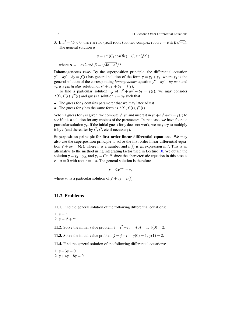3. If  $a^2 - 4b < 0$ , there are no (real) roots (but two complex roots  $r = \alpha \pm \beta \sqrt{-1}$ ). The general solution is

$$
y = e^{\alpha t} (C_1 \cos(\beta t) + C_2 \sin(\beta t))
$$

where  $\alpha = -a/2$  and  $\beta =$ √  $4b-a^2/2$ .

Inhomogeneous case. By the superposition principle, the differential equation  $y'' + ay' + by = f(t)$  has general solution of the form  $y = y_h + y_p$ , where  $y_h$  is the general solution of the corresponding *homogeneous* equation  $y'' + ay' + by = 0$ , and  $y_p$  is a *particular* solution of  $y'' + ay' + by = f(t)$ .

To find a particular solution  $y_p$  of  $y'' + ay' + by = f(t)$ , we may consider  $f(t)$ ,  $f'(t)$ ,  $f''(t)$  and guess a solution  $y = y_p$  such that

- The guess for *y* contains parameter that we may later adjust
- The guess for *y* has the same form as  $f(t)$ ,  $f'(t)$ ,  $f''(t)$

When a guess for *y* is given, we compute *y'*, *y''* and insert it in  $y'' + ay' + by = f(t)$  to see if it is a solution for any choices of the parameters. In that case, we have found a particular solution  $y_p$ . If the initial guess for *y* does not work, we may try to multiply it by *t* (and thereafter by  $t^2$ ,  $t^3$ , etc if necessary).

Superposition principle for first order linear differential equations. We may also use the superposition principle to solve the first order linear differential equation  $y' + ay = b(t)$ , where *a* is a number and  $b(t)$  is an expression in *t*. This is an alternative to the method using integrating factor used in Lecture [10.](#page-128-0) We obtain the solution  $y = y_h + y_p$ , and  $y_h = Ce^{-at}$  since the characteristic equation in this case is  $r + a = 0$  with root  $r = -a$ . The general solution is therefore

$$
y = Ce^{-at} + y_p
$$

where  $y_p$  is a particular solution of  $y' + ay = b(t)$ .

## <span id="page-141-0"></span>11.2 Problems

11.1. Find the general solution of the following differential equations:

1. 
$$
\ddot{y} = t
$$
  
2. 
$$
\ddot{y} = e^t + t^2
$$

**11.2.** Solve the initial value problem  $\ddot{y} = t^2 - t$ ,  $y(0) = 1$ ,  $\dot{y}(0) = 2$ .

11.3. Solve the initial value problem  $\ddot{y} = \dot{y} + t$ ,  $y(0) = 1$ ,  $y(1) = 2$ .

11.4. Find the general solution of the following differential equations:

1.  $\ddot{y}$  − 3 $\dot{y}$  = 0 2.  $\ddot{y} + 4\dot{y} + 8y = 0$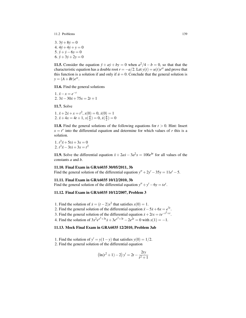11.2 Problems 139

 $3.3\ddot{v}+8\dot{v}=0$  $4.4\ddot{v}+4\dot{v}+v=0$ 5.  $\ddot{v} + \dot{v} - 6v = 0$ 6.  $\ddot{y} + 3\dot{y} + 2y = 0$ 

**11.5.** Consider the equation  $\ddot{y} + a\dot{y} + b\dot{y} = 0$  when  $a^2/4 - b = 0$ , so that that the characteristic equation has a double root  $r = -a/2$ . Let  $y(t) = u(t)e^{rt}$  and prove that this function is a solution if and only if  $\ddot{u} = 0$ . Conclude that the general solution is  $y = (A + Bt)e^{rt}$ .

11.6. Find the general solutions

1.  $\ddot{x} - x = e^{-t}$ 2.  $3\ddot{x}-30\dot{x}+75x=2t+1$ 

11.7. Solve

1.  $\ddot{x} + 2\dot{x} + x = t^2$ ,  $x(0) = 0$ ,  $\dot{x}(0) = 1$ 2.  $\ddot{x} + 4x = 4t + 1, x(\frac{\pi}{2}) = 0, \dot{x}(\frac{\pi}{2}) = 0$ 

**11.8.** Find the general solutions of the following equations for  $t > 0$ . Hint: Insert  $x = t^r$  into the differential equation and determine for which values of *r* this is a solution.

1.  $t^2\ddot{x} + 5t\dot{x} + 3x = 0$ 2.  $t^2\ddot{x} - 3t\dot{x} + 3x = t^2$ 

**11.9.** Solve the differential equation  $\ddot{x} + 2a\dot{x} - 3a^2x = 100e^{bt}$  for all values of the constants *a* and *b*.

## 11.10. Final Exam in GRA6035 30/05/2011, 3b

Find the general solution of the differential equation  $y'' + 2y' - 35y = 11e^t - 5$ .

## 11.11. Final Exam in GRA6035 10/12/2010, 3b

Find the general solution of the differential equation  $y'' + y' - 6y = te^t$ .

# 11.12. Final Exam in GRA6035 10/12/2007, Problem 3

- 1. Find the solution of  $\dot{x} = (t-2)x^2$  that satisfies  $x(0) = 1$ .
- 2. Find the general solution of the differential equation  $\ddot{x} 5\dot{x} + 6x = e^{7t}$ .
- 3. Find the general solution of the differential equation  $\dot{x} + 2tx = te^{-t^2 + t}$ .
- 4. Find the solution of  $3x^2e^{x^3+3t} \dot{x} + 3e^{x^3+3t} 2e^{2t} = 0$  with  $x(1) = -1$ .

# 11.13. Mock Final Exam in GRA6035 12/2010, Problem 3ab

- 1. Find the solution of  $y' = y(1-y)$  that satisfies  $y(0) = 1/2$ .
- 2. Find the general solution of the differential equation

$$
\left(\ln(t^2+1) - 2\right)y' = 2t - \frac{2ty}{t^2+1}
$$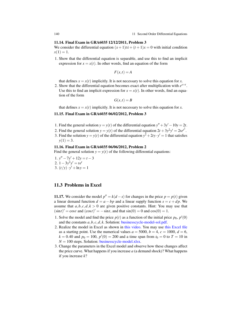140 11 Second Order Differential Equations

## 11.14. Final Exam in GRA6035 12/12/2011, Problem 3

We consider the differential equation  $(x+1)t\dot{x} + (t+1)x = 0$  with initial condition  $x(1) = 1.$ 

1. Show that the differential equation is separable, and use this to find an implicit expression for  $x = x(t)$ . In other words, find an equation of the form

$$
F(x,t) = A
$$

that defines  $x = x(t)$  implicitly. It is not necessary to solve this equation for *x*.

2. Show that the differential equation becomes exact after multiplication with  $e^{x+t}$ . Use this to find an implicit expression for  $x = x(t)$ . In other words, find an equation of the form

$$
G(x,t)=B
$$

that defines  $x = x(t)$  implicitly. It is not necessary to solve this equation for *x*.

## 11.15. Final Exam in GRA6035 06/02/2012, Problem 3

- 1. Find the general solution  $y = y(t)$  of the differential equation  $y'' + 3y' 10y = 2t$ .
- 2. Find the general solution  $y = y(t)$  of the differential equation  $2t + 3y^2y' = 2te^{t^2}$ .
- 3. Find the solution  $y = y(t)$  of the differential equation  $y^2 + 2ty \cdot y' = 1$  that satisfies  $y(1) = 3.$

## 11.16. Final Exam in GRA6035 06/06/2012, Problem 2

Find the general solution  $y = y(t)$  of the following differential equations:

- 1.  $y'' 7y' + 12y = t 3$ 2.  $1 - 3y^2y' = te^t$
- 3.  $(t/y) \cdot y' + \ln y = 1$

# 11.3 Problems in Excel

**11.17.** We consider the model  $p'' = k(d - s)$  for changes in the price  $p = p(t)$  given a linear demand function  $d = a - bp$  and a linear supply function  $s = c + dp$ . We assume that  $a, b, c, d, k > 0$  are given positive constants. Hint: You may use that  $(\sin t)' = \cos t$  and  $(\cos t)' = -\sin t$ , and that  $\sin(0) = 0$  and  $\cos(0) = 1$ .

- 1. Solve the model and find the price  $p(t)$  as a function of the initial price  $p_0$ ,  $p'(0)$ and the constants *a*,*b*, *c*,*d*, *k*. Solution: [businesscycle-model-sol.pdf.](http://www.dr-eriksen.no/teaching/GRA6035/Reading/Excel/businesscycle-model-sol.pdf)
- 2. Realize the model in Excel as shown in [this video.](https://youtu.be/bOGmPiPfpUE) You may use [this Excel file](http://www.dr-eriksen.no/teaching/GRA6035/Reading/Excel/businesscycle-model-base.xlsx) as a starting point. Use the numerical values  $a = 5000$ ,  $b = 4$ ,  $c = 1000$ ,  $d = 6$ ,  $k = 0.40$  and  $p_0 = 100$ ,  $p'(0) = 200$  and a time span from  $t_0 = 0$  to  $T = 10$  in  $N = 100$  steps. Solution: **[businesscycle-model.xlsx.](http://www.dr-eriksen.no/teaching/GRA6035/Reading/Excel/lin-model-price.xlsx)**
- 3. Change the parameters in the Excel model and observe how these changes affect the price curve. What happens if you increase  $a$  (a demand shock)? What happens if you increase *k*?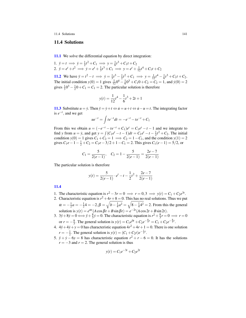# 11.4 Solutions

[11.1](#page-141-0) We solve the differential equation by direct integration:

1.  $\ddot{y} = t \implies \dot{y} = \frac{1}{2}t^2 + C_1 \implies y = \frac{1}{6}t^3 + C_1t + C_2$ 2.  $\ddot{y} = e^t + t^2 \implies \dot{y} = e^t + \frac{1}{3}t^3 + C_1 \implies y = e^t + \frac{1}{12}t^4 + C_1t + C_2$ 

[11.2](#page-141-1) We have  $\ddot{y} = t^2 - t \implies \dot{y} = \frac{1}{3}t^3 - \frac{1}{2}t^2 + C_1 \implies y = \frac{1}{12}t^4 - \frac{1}{6}t^3 + C_1t + C_2.$ The initial condition  $y(0) = 1$  gives  $\frac{1}{12}0^4 - \frac{1}{6}0^3 + C_10 + C_2 = C_2 = 1$ , and  $\dot{y}(0) = 2$ gives  $\frac{1}{3}0^3 - \frac{1}{2}0 + C_1 = C_1 = 2$ . The particular solution is therefore

$$
y(t) = \frac{1}{12}t^4 - \frac{1}{6}t^3 + 2t + 1
$$

**[11.3](#page-141-2)** Substitute  $u = \dot{y}$ . Then  $\ddot{y} = \dot{y} + t \Leftrightarrow \dot{u} = u + t \Leftrightarrow \dot{u} - u = t$ . The integrating factor is  $e^{-t}$ , and we get

$$
ue^{-t} = \int te^{-t}dt = -e^{-t} - te^{-t} + C_1
$$

From this we obtain  $u = (-e^{-t} - te^{-t} + C_1)e^t = C_1e^t - t - 1$  and we integrate to find *y* from  $u = y$ , and get  $y = \int (C_1 e^t - t - 1) dt = C_1 e^t - t - \frac{1}{2}t^2 + C_2$ . The initial condition *y*(0) = 1 gives  $C_1 + C_2 = 1 \implies C_2 = 1 - C_1$ , and the condition *y*(1) = 2 gives  $C_1e - 1 - \frac{1}{2} + C_2 = C_1e - 3/2 + 1 - C_1 = 2$ . This gives  $C_1(e - 1) = 5/2$ , or

$$
C_1 = \frac{5}{2(e-1)}, \quad C_2 = 1 - \frac{5}{2(e-1)} = \frac{2e-7}{2(e-1)}
$$

The particular solution is therefore

$$
y(t) = \frac{5}{2(e-1)} \cdot e^t - t - \frac{1}{2}t^2 + \frac{2e-7}{2(e-1)}
$$

### [11.4](#page-141-3)

- 1. The characteristic equation is  $r^2 3r = 0 \implies r = 0, 3 \implies y(t) = C_1 + C_2 e^{3t}$ .
- 2. Characteristic equation is  $r^2 + 4r + 8 = 0$ . This has no real solutions. Thus we put  $\alpha = -\frac{1}{2}a = -\frac{1}{2}4 = -2, \beta = \sqrt{b - \frac{1}{4}a^2} = \sqrt{8 - \frac{1}{4}4^2} = 2.$  From this the general solution is  $y(t) = e^{\alpha t} (A \cos \beta t + B \sin \beta t) = e^{-2t} (A \cos 2t + B \sin 2t)$ .
- 3.  $3\ddot{y} + 8\dot{y} = 0 \Longleftrightarrow \ddot{y} + \frac{8}{3}\dot{y} = 0$ . The characteristic equation is  $r^2 + \frac{8}{3}r = 0 \Longrightarrow r = 0$ or  $r = -\frac{8}{3}$ . The general solution is  $y(t) = C_1 e^{0t} + C_2 e^{-\frac{8}{3}t} = C_1 + C_2 e^{-\frac{8}{3}t}$ .
- 4.  $4\ddot{y} + 4\dot{y} + y = 0$  has characteristic equation  $4r^2 + 4r + 1 = 0$ . There is one solution *r* =  $-\frac{1}{2}$ . The general solution is *y*(*t*) =  $(C_1 + C_2 t)e^{-\frac{1}{2}t}$ .
- 5.  $\ddot{y} + \dot{y} 6y = 8$  has characteristic equation  $r^2 + r 6 = 0$ . It has the solutions  $r = -3$  and  $r = 2$ . The general solution is thus

$$
y(t) = C_1 e^{-3t} + C_2 e^{2t}
$$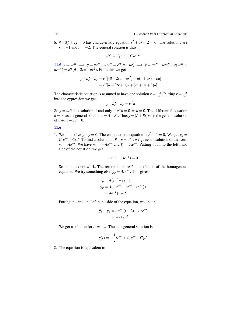6.  $\ddot{y} + 3\dot{y} + 2y = 0$  has characteristic equation  $r^2 + 3r + 2 = 0$ . The solutions are  $r = -1$  and  $r = -2$ . The general solution is thus

$$
y(t) = C_1 e^{-t} + C_2 e^{-2t}
$$

**[11.5](#page-142-0)**  $y = ue^{rt} \implies \dot{y} = \dot{u}e^{rt} + ure^{rt} = e^{rt}(\dot{u} + ur) \implies \ddot{y} = \ddot{u}e^{rt} + \dot{u}re^{rt} + r(\dot{u}e^{rt} + u)e^{rt})$  $ure^{rt}$ ) =  $e^{rt}$  ( $\ddot{u}$  + 2*r* $\dot{u}$  +  $ur^2$ ). From this we get

$$
\ddot{y} + a\dot{y} + by = e^{rt}[(\ddot{u} + 2r\dot{u} + ur^2) + a(\dot{u} + ur) + bu] \\
= e^{rt}[\ddot{u} + (2r + a)\dot{u} + (r^2 + ar + b)u]
$$

The characteristic equation is assumed to have one solution  $r = \frac{-a}{2}$ . Putting  $r = \frac{-a}{2}$ into the eypression we get

$$
\ddot{y} + a\dot{y} + by = e^{rt}\ddot{u}
$$

So  $y = ue^{rt}$  is a solution if and only if  $e^{rt}$   $\ddot{u} = 0 \Leftrightarrow \ddot{u} = 0$ . The differential equation  $\ddot{u} = 0$  has the general solution  $u = A + Bt$ . Thus  $y = (A + Bt)e^{rt}$  is the general solution of  $\ddot{y} + a\dot{y} + b\dot{y} = 0$ .

### [11.6](#page-142-1)

1. We first solve  $\ddot{y} - y = 0$ . The characteristic equation is  $r^2 - 1 = 0$ . We get  $y_h =$  $C_1e^{-t} + C_2e^t$ . To find a solution of  $\ddot{y} - y = e^{-t}$ , we guess on solution of the form  $y_p = Ae^{-t}$ . We have  $\dot{y}_p = -Ae^{-t}$  and  $\ddot{y}_p = Ae^{-t}$ . Putting this into the left hand side of the equation, we get

$$
Ae^{-t} - (Ae^{-t}) = 0
$$

So this does not work. The reason is that  $e^{-t}$  is a solution of the homogenous equation. We try something else:  $y_p = Ate^{-t}$ . This gives

$$
\dot{y}_p = A(e^{-t} - te^{-t})
$$
  
\n
$$
\ddot{y}_p = A(-e^{-t} - (e^{-t} - te^{-t}))
$$
  
\n
$$
= Ae^{-t} (t - 2)
$$

Putting this into the left hand side of the equation, we obtain

$$
\ddot{y}_p - y_p = Ae^{-t} (t - 2) - Ate^{-t} \n= -2Ae^{-t}
$$

We get a solution for  $A = -\frac{1}{2}$ . Thus the general solution is

$$
y(t) = -\frac{1}{2}te^{-t} + C_1e^{-t} + C_2e^{t}
$$

2. The equation is equivalent to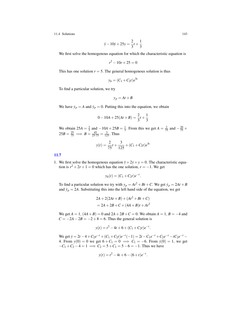$$
\ddot{y} - 10\dot{y} + 25y = \frac{2}{3}t + \frac{1}{3}
$$

We first solve the homogenous equation for which the characteristic equation is

$$
r^2 - 10r + 25 = 0
$$

This has one solution  $r = 5$ . The general homogenous solution is thus

$$
y_h = (C_1 + C_2 t) e^{5t}
$$

To find a particular solution, we try

$$
y_p = At + B
$$

We have  $\dot{y}_p = A$  and  $\ddot{y}_p = 0$ . Putting this into the equation, we obtain

$$
0 - 10A + 25(At + B) = \frac{2}{3}t + \frac{1}{3}
$$

We obtain  $25A = \frac{2}{3}$  and  $-10A + 25B = \frac{1}{3}$ . From this we get  $A = \frac{2}{75}$  and  $-\frac{20}{75}$  +  $25B = \frac{25}{75} \implies B = \frac{45}{25.75} = \frac{3}{125}$ . Thus

$$
y(t) = \frac{2}{75}t + \frac{3}{125} + (C_1 + C_2t)e^{5t}
$$

[11.7](#page-142-2)

1. We first solve the homogenous equation  $\ddot{y} + 2\dot{y} + y = 0$ . The characteristic equation is  $r^2 + 2r + 1 = 0$  which has the one solution,  $r = -1$ . We get

$$
y_h(t) = (C_1 + C_2 t) e^{-t}.
$$

To find a particular solution we try with  $y_p = At^2 + Bt + C$ . We get  $\dot{y}_p = 2At + B$ and  $\ddot{y}_p = 2A$ . Substituting this into the left hand side of the equation, we get

$$
2A + 2(2At + B) + (At2 + Bt + C)
$$
  
= 2A + 2B + C + (4A + B)t + At<sup>2</sup>

We get  $A = 1$ ,  $(4A + B) = 0$  and  $2A + 2B + C = 0$ . We obtain  $A = 1$ ,  $B = -4$  and  $C = -2A - 2B = -2 + 8 = 6$ . Thus the general solution is

$$
y(t) = t^2 - 4t + 6 + (C_1 + C_2 t)e^{-t}.
$$

We get  $\dot{y} = 2t - 4 + C_2e^{-t} + (C_1 + C_2t)e^{-t}(-1) = 2t - C_1e^{-t} + C_2e^{-t} - tC_2e^{-t} -$ 4. From  $y(0) = 0$  we get  $6 + C_1 = 0 \implies C_1 = -6$ . From  $\dot{y}(0) = 1$ , we get  $-C_1 + C_2 - 4 = 1 \implies C_2 = 5 + C_1 = 5 - 6 = -1$ . Thus we have

$$
y(t) = t^2 - 4t + 6 - (6+t)e^{-t}.
$$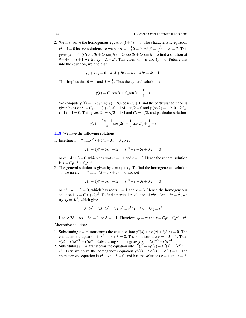2. We first solve the homogenous equation  $\ddot{y} + 4y = 0$ . The characteristic equation  $r^2 + 4 = 0$  has no solutions, so we put  $\alpha = -\frac{1}{2}0 = 0$  and  $\beta = \sqrt{4 - \frac{1}{2}0} = 2$ . This gives  $y_h = e^{\alpha t} (C_1 \cos \beta t + C_2 \sin \beta t) = C_1 \cos 2t + C_2 \sin 2t$ . To find a solution of  $\ddot{y} + 4y = 4t + 1$  we try  $y_p = A + Bt$ . This gives  $\dot{y}_p = B$  and  $\ddot{y}_p = 0$ . Putting this into the equation, we find that

$$
\ddot{y}_p + 4y_p = 0 + 4(A + Bt) = 4A + 4Bt = 4t + 1.
$$

This implies that  $B = 1$  and  $A = \frac{1}{4}$ . Thus the general solution is

$$
y(t) = C_1 \cos 2t + C_2 \sin 2t + \frac{1}{4} + t
$$

We compute  $y'(t) = -2C_1 \sin(2t) + 2C_2 \cos(2t) + 1$ , and the particular solution is given by  $y(\pi/2) = C_1 \cdot (-1) + C_2 \cdot 0 + 1/4 + \pi/2 = 0$  and  $y'(\pi/2) = -2 \cdot 0 + 2C_2$ .  $(-1) + 1 = 0$ . This gives  $C_1 = \pi/2 + 1/4$  and  $C_2 = 1/2$ , and particular solution

$$
y(t) = \frac{2\pi + 1}{4}\cos(2t) + \frac{1}{2}\sin(2t) + \frac{1}{4} + t
$$

[11.8](#page-142-3) We have the following solutions:

1. Inserting  $x = t^r$  into  $t^2 \ddot{x} + 5t\dot{x} + 3x = 0$  gives

$$
r(r-1)t^{r} + 5rt^{r} + 3t^{r} = (r^{2} - r + 5r + 3)t^{r} = 0
$$

or  $r^2 + 4r + 3 = 0$ , which has roots  $r = -1$  and  $r = -3$ . Hence the general solution is  $x = C_1 t^{-1} + C_2 t^{-3}$ .

2. The general solution is given by  $x = x_h + x_p$ . To find the homogeneous solution *x*<sub>*h*</sub>, we insert *x* =  $t^r$  into  $t^2\ddot{x} - 3t\dot{x} + 3x = 0$  and get

$$
r(r-1)t^{r} - 3rt^{r} + 3t^{r} = (r^{2} - r - 3r + 3)t^{r} = 0
$$

or  $r^2 - 4r + 3 = 0$ , which has roots  $r = 1$  and  $r = 3$ . Hence the homogeneous solution is  $x = C_1 t + C_2 t^3$ . To find a particular solution of  $t^2 \ddot{x} - 3t \dot{x} + 3x = t^2$ , we try  $x_p = At^2$ , which gives

$$
A \cdot 2t^2 - 3A \cdot 2t^2 + 3A \cdot t^2 = t^2(A - 3A + 3A) = t^2
$$

Hence  $2A - 6A + 3A = 1$ , or  $A = -1$ . Therefore  $x_p = t^2$  and  $x = C_1 t + C_2 t^3 - t^2$ .

Alternative solution:

- 1. Substituting  $t = e^s$  transforms the equation into  $y''(s) + 4y'(s) + 3y'(s) = 0$ . The characteristic equation is  $r^2 + 4r + 3 = 0$ . The solutions are  $r = -3, -1$ . Thus  $y(s) = C_1 e^{-3t} + C_2 e^{-t}$ . Substituting  $s = \ln t$  gives  $y(t) = C_1 t^{-3} + C_2 t^{-1}$ .
- 2. Substituting  $t = e^s$  transforms the equation into  $y''(s) 4y'(s) + 3y'(s) = (e^s)^2$  $e^{2s}$ . First we solve the homogenous equation  $y''(s) - 5y'(s) + 3y'(s) = 0$ . The characteristic equation is  $r^2 - 4r + 3 = 0$ , and has the solutions  $r = 1$  and  $r = 3$ .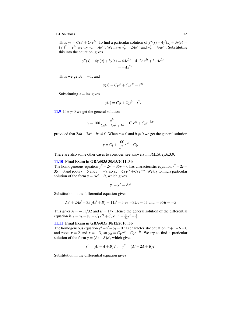Thus  $y_h = C_1 e^s + C_2 e^{3s}$ . To find a particular solution of  $y''(s) - 4y'(s) + 3y(s) = 0$  $(e^{s})^2 = e^{2s}$  we try  $y_p = Ae^{2s}$ . We have  $y'_p = 2Ae^{2s}$  and  $y''_p = 4Ae^{2s}$ . Substituting this into the equation, gives

$$
y''(s) - 4y'(s) + 3y(s) = 4Ae^{2s} - 4 \cdot 2Ae^{2s} + 3 \cdot Ae^{2s}
$$
  
=  $-Ae^{2s}$ 

Thus we get  $A = -1$ , and

$$
y(s) = C_1 e^s + C_2 e^{3s} - e^{2s}
$$

Substituting  $s = \ln t$  gives

$$
y(t) = C_1 t + C_2 t^3 - t^2.
$$

[11.9](#page-142-4) If  $a \neq 0$  we get the general solution

$$
y = 100 \frac{e^{bt}}{2ab - 3a^2 + b^2} + C_1 e^{at} + C_2 e^{-3at}
$$

provided that  $2ab - 3a^2 + b^2 \neq 0$ . When  $a = 0$  and  $b \neq 0$  we get the general solution

$$
y = C_1 + \frac{100}{b^2}e^{bt} + C_2t
$$

There are also some other cases to consider, see answers in FMEA ey.6.3.9.

### [11.10](#page-142-5) Final Exam in GRA6035 30/05/2011, 3b

The homogeneous equation  $y'' + 2y' - 35y = 0$  has characteristic equation  $r^2 + 2r -$ 35 = 0 and roots  $r = 5$  and  $r = -7$ , so  $y_h = C_1 e^{5t} + C_2 e^{-7t}$ . We try to find a particular solution of the form  $y = Ae^{t} + B$ , which gives

$$
y'=y''=Ae^t
$$

Substitution in the differential equation gives

$$
Ae^{t} + 2Ae^{t} - 35(Ae^{t} + B) = 11e^{t} - 5 \Leftrightarrow -32A = 11 \text{ and } -35B = -5
$$

This gives  $A = -11/32$  and  $B = 1/7$ . Hence the general solution of the differential equation is  $y = y_h + y_p = C_1 e^{5t} + C_2 e^{-7t} - \frac{11}{32} e^t + \frac{1}{7}$ 

### [11.11](#page-142-6) Final Exam in GRA6035 10/12/2010, 3b

The homogeneous equation  $y'' + y' - 6y = 0$  has characteristic equation  $r^2 + r - 6 = 0$ and roots  $r = 2$  and  $r = -3$ , so  $y_h = C_1 e^{2t} + C_2 e^{-3t}$ . We try to find a particular solution of the form  $y = (At + B)e^t$ , which gives

$$
y' = (At + A + B)e^{t}
$$
,  $y'' = (At + 2A + B)e^{t}$ 

Substitution in the differential equation gives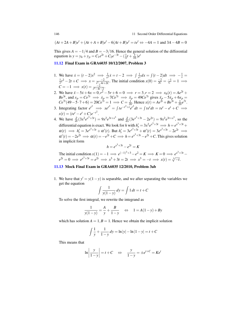$$
(At + 2A + B)e^{t}
$$
 +  $(At + A + B)e^{t}$  -  $6(At + B)e^{t}$  =  $te^{t}$   $\Leftrightarrow$  -4A = 1 and 3A - 4B = 0

This gives  $A = -1/4$  and  $B = -3/16$ . Hence the general solution of the differential equation is  $y = y_h + y_p = C_1 e^{2t} + C_2 e^{-3t} - (\frac{1}{4}t + \frac{3}{16})e^t$ 

# [11.12](#page-142-7) Final Exam in GRA6035 10/12/2007, Problem 3

- 1. We have  $\dot{x} = (t-2)x^2 \implies \frac{1}{x^2}\dot{x} = t-2 \implies \int \frac{1}{x^2}$ We have  $\dot{x} = (t-2)x^2 \implies \frac{1}{x^2} \dot{x} = t-2 \implies \int \frac{1}{x^2} dx = \int (t-2) dt \implies -\frac{1}{x} = \frac{1}{2}t^2 - 2t + C \implies x = \frac{-2}{t^2 - 4t + 2C}$ . The initial condition  $x(0) = \frac{-2}{2C} = \frac{-1}{C} = 1 \implies$  $\frac{-2}{t^2-4t+2C}$ . The initial condition  $x(0) = \frac{-2}{2C} = \frac{-1}{C} = 1 \implies$  $C = -1 \implies x(t) = \frac{-2}{t^2 - 4t - 2}$  $\frac{-2}{t^2-4t-2}$ .
- 2. We have  $\ddot{x} 5\dot{x} + 6x = 0, r^2 5r + 6 = 0 \implies r = 3, r = 2 \implies x_h(t) = Ae^{2t} +$  $Be^{3t}$ , and  $x_p = Ce^{7t} \implies \dot{x}_p = 7Ce^{7t} \implies \ddot{x}_p = 49Ce^{7t}$  gives  $\ddot{x}_p - 5\dot{x}_p + 6x_p = 1$  $Ce^{7t}(49-5\cdot 7+6) = 20Ce^{7t} = 1 \implies C = \frac{1}{20}$ . Hence  $x(t) = Ae^{2t} + Be^{3t} + \frac{1}{20}e^{7t}$ .
- 3. Integrating factor  $e^{t^2} \implies xe^{t^2} = \int te^{-t^2+t}e^{t^2}dt = \int te^t dt = te^t e^t + C \implies$  $x(t) = (te^t - e^t + C)e^{-t^2}$ .
- 4. We have  $\frac{\partial}{\partial t}(3x^2e^{x^3+3t}) = 9x^2e^{3t+x^3}$  and  $\frac{\partial}{\partial x}(3e^{x^3+3t} 2e^{2t}) = 9x^2e^{3t+x^3}$ , so the differential equation is exact. We look for *h* with  $h'_x = 3x^2 e^{x^3 + 3t} \implies h = e^{x^3 + 3t} +$  $\alpha(t) \implies h'_t = 3e^{x^3+3t} + \alpha'(t)$ . But  $h'_t = 3e^{x^3+3t} + \alpha'(t) = 3e^{x^3+3t} - 2e^{2t}$   $\implies$  $\alpha'(t) = -2e^{2t} \implies \alpha(t) = -e^{2t} + C \implies h = e^{x^3 + 3t} - e^{2t} + C$ . This gives solution in implicit form

$$
h = e^{x^3 + 3t} - e^{2t} = K
$$

The initial condition  $x(1) = -1 \implies e^{(-1)^3 + 3} - e^2 = K \implies K = 0 \implies e^{x^3 + 3t}$ *e*<sup>2*t*</sup> = 0  $\implies e^{x^3+3t} = e^{2t} \implies x^3 + 3t = 2t \implies x^3 = -t \implies x(t) = \sqrt[3]{-t}.$ 

# [11.13](#page-142-8) Mock Final Exam in GRA6035 12/2010, Problem 3ab

1. We have that  $y' = y(1-y)$  is separable, and we after separating the variables we get the equation

$$
\int \frac{1}{y(1-y)} dy = \int 1 dt = t + C
$$

To solve the first integral, we rewrite the integrand as

$$
\frac{1}{y(1-y)} = \frac{A}{y} + \frac{B}{1-y} \quad \Leftrightarrow \quad 1 = A(1-y) + By
$$

which has solution  $A = 1, B = 1$ . Hence we obtain the implicit solution

$$
\int \frac{1}{y} + \frac{1}{1-y} dy = \ln|y| - \ln|1 - y| = t + C
$$

This means that

$$
\ln\left|\frac{y}{1-y}\right| = t + C \quad \Leftrightarrow \quad \frac{y}{1-y} = \pm e^{t+C} = Ke^t
$$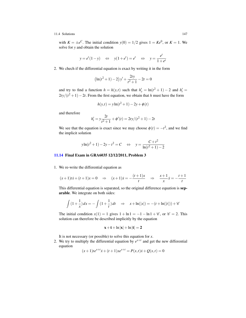with  $K = \pm e^C$ . The initial condition  $y(0) = 1/2$  gives  $1 = Ke^0$ , or  $K = 1$ . We solve for *y* and obtain the solution

$$
y = e^t (1 - y)
$$
  $\Leftrightarrow$   $y(1 + e^t) = e^t$   $\Leftrightarrow$   $y = \frac{e^t}{1 + e^t}$ 

2. We chech if the differential equation is exact by writing it in the form

$$
\left(\ln(t^2+1)-2\right)y' + \frac{2ty}{t^2+1} - 2t = 0
$$

and try to find a function  $h = h(y,t)$  such that  $h'_y = \ln(t^2 + 1) - 2$  and  $h'_t =$  $2ty/(t^2+1)-2t$ . From the first equation, we obtain that *h* must have the form

$$
h(y,t) = y \ln(t^2 + 1) - 2y + \phi(t)
$$

and therefore

$$
h'_t = y \frac{2t}{t^2 + 1} + \phi'(t) = 2ty/(t^2 + 1) - 2t
$$

We see that the equation is exact since we may choose  $\phi(t) = -t^2$ , and we find the implicit solution

$$
y \ln(t^2 + 1) - 2y - t^2 = C \Leftrightarrow y = \frac{C + t^2}{\ln(t^2 + 1) - 2}
$$

# [11.14](#page-142-9) Final Exam in GRA6035 12/12/2011, Problem 3

1. We re-write the differential equation as

$$
(x+1)t\dot{x} + (t+1)x = 0
$$
  $\Rightarrow$   $(x+1)\dot{x} = -\frac{(t+1)x}{t}$   $\Rightarrow$   $\frac{x+1}{x}\dot{x} = -\frac{t+1}{t}$ 

This differential equation is separated, so the original difference equation is separable. We integrate on both sides:

$$
\int (1 + \frac{1}{x}) dx = -\int (1 + \frac{1}{t}) dt \implies x + \ln(|x|) = -(t + \ln(|t|)) + \mathscr{C}
$$

The initial condition  $x(1) = 1$  gives  $1 + \ln 1 = -1 - \ln 1 + \mathcal{C}$ , or  $\mathcal{C} = 2$ . This solution can therefore be described implicitly by the equation

$$
x + t + \ln|x| + \ln|t| = 2
$$

It is not necessary (or possible) to solve this equation for *x*.

2. We try to multiply the differential equation by  $e^{x+t}$  and get the new differential equation

$$
(x+1)te^{x+t}\dot{x} + (t+1)xe^{x+t} = P(x,t)\dot{x} + Q(x,t) = 0
$$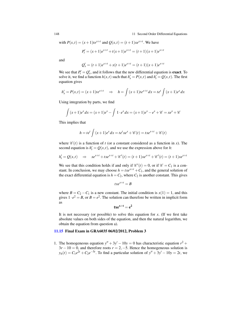with  $P(x,t) = (x+1)te^{x+t}$  and  $Q(x,t) = (t+1)xe^{x+t}$ . We have

$$
P'_t = (x+1)e^{x+t} + t(x+1)e^{x+t} = (t+1)(x+1)e^{x+t}
$$

and

$$
Q'_x = (t+1)e^{x+t} + x(t+1)e^{x+t} = (t+1)(x+1)e^{x+t}
$$

We see that  $P'_t = Q'_x$ , and it follows that the new differential equation is **exact**. To solve it, we find a function  $h(x,t)$  such that  $h'_x = P(x,t)$  and  $h'_t = Q(x,t)$ . The first equation gives

$$
h'_x = P(x,t) = (x+1)te^{x+t} \implies h = \int (x+1)te^{x+t} dx = te^t \int (x+1)e^x dx
$$

Using integration by parts, we find

$$
\int (x+1)e^{x} dx = (x+1)e^{x} - \int 1 \cdot e^{x} dx = (x+1)e^{x} - e^{x} + C = xe^{x} + C
$$

This implies that

$$
h = te^{t} \int (x+1)e^{x} dx = te^{t}xe^{x} + \mathcal{C}(t) = txe^{x+t} + \mathcal{C}(t)
$$

where  $\mathcal{C}(t)$  is a function of *t* (or a constant considered as a function in *x*). The second equation is  $h'_t = Q(x, t)$ , and we use the expression above for *h*:

$$
h'_t = Q(x,t) \Rightarrow xe^{x+t} + txe^{x+t} + \mathcal{C}'(t) = (t+1)xe^{x+t} + \mathcal{C}'(t) = (t+1)xe^{x+t}
$$

We see that this condition holds if and only if  $\mathcal{C}'(t) = 0$ , or if  $\mathcal{C} = C_1$  is a constant. In conclusion, we may choose  $h = txe^{x+t} + C_1$ , and the general solution of the exact differential equation is  $h = C_2$ , where  $C_2$  is another constant. This gives

$$
txe^{x+t}=B
$$

where  $B = C_2 - C_1$  is a new constant. The initial condition is  $x(1) = 1$ , and this gives  $1 \cdot e^2 = B$ , or  $B = e^2$ . The solution can therefore be written in implicit form as

$$
txe^{x+t}=e^2
$$

It is not necessary (or possible) to solve this equation for *. (If we first take* absolute values on both sides of the equation, and then the natural logarithm, we obtain the equation from question a).

### [11.15](#page-143-0) Final Exam in GRA6035 06/02/2012, Problem 3

1. The homogeneous equation  $y'' + 3y' - 10y = 0$  has characteristic equation  $r^2$  +  $3r - 10 = 0$ , and therefore roots  $r = 2, -5$ . Hence the homogeneous solution is  $y_h(t) = C_1 e^{2t} + C_2 e^{-5t}$ . To find a particular solution of  $y'' + 3y' - 10y = 2t$ , we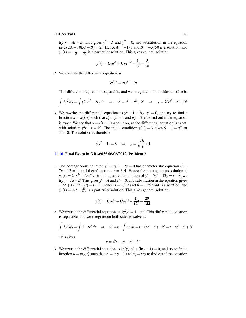try  $y = At + B$ . This gives  $y' = A$  and  $y'' = 0$ , and substitution in the equation gives  $3A - 10(At + B) = 2t$ . Hence  $A = -1/5$  and  $B = -3/50$  is a solution, and  $y_p(t) = -\frac{1}{5}t - \frac{3}{50}$  is a particular solution. This gives general solution

$$
y(t) = C_1 e^{2t} + C_2 e^{-5t} - \frac{1}{5}t - \frac{3}{50}
$$

2. We re-write the differential equation as

$$
3y^2y' = 2te^{t^2} - 2t
$$

This differential equation is separable, and we integrate on both sides to solve it:

$$
\int 3y^2 dy = \int (2te^{t^2} - 2t) dt \implies y^3 = e^{t^2} - t^2 + \mathscr{C} \implies y = \sqrt[3]{e^{t^2} - t^2 + \mathscr{C}}
$$

3. We rewrite the differential equation as  $y^2 - 1 + 2ty \cdot y' = 0$ , and try to find a function  $u = u(y,t)$  such that  $u'_t = y^2 - 1$  and  $u'_y = 2ty$  to find out if the equation is exact. We see that  $u = y^2t - t$  is a solution, so the differential equation is exact, with solution  $y^2t - t = \mathcal{C}$ . The initial condition  $y(1) = 3$  gives  $9 - 1 = \mathcal{C}$ , or  $\mathscr{C} = 8$ . The solution is therefore

$$
t(y^2 - 1) = 8 \quad \Rightarrow \quad y = \sqrt{\frac{8}{t} + 1}
$$

### [11.16](#page-143-1) Final Exam in GRA6035 06/06/2012, Problem 2

1. The homogeneous equation  $y'' - 7y' + 12y = 0$  has characteristic equation  $r^2$  –  $7r + 12 = 0$ , and therefore roots  $r = 3, 4$ . Hence the homogeneous solution is  $y_h(t) = C_1 e^{3t} + C_2 e^{4t}$ . To find a particular solution of  $y'' - 7y' + 12y = t - 3$ , we try  $y = At + B$ . This gives  $y' = A$  and  $y'' = 0$ , and substitution in the equation gives −7*A*+12(*At* +*B*) = *t* −3. Hence *A* = 1/12 and *B* = −29/144 is a solution, and  $y_p(t) = \frac{1}{12}t - \frac{29}{144}$  is a particular solution. This gives general solution

$$
y(t) = C_1 e^{3t} + C_2 e^{4t} + \frac{1}{12}t - \frac{29}{144}
$$

2. We rewrite the differential equation as  $3y^2y' = 1 - te^t$ . This differential equation is separable, and we integrate on both sides to solve it:

$$
\int 3y^2 dy = \int 1 - te^t dt \implies y^3 = t - \int te^t dt = t - (te^t - e^t) + C(t^2 - te^t) + C(t^3 - te^t) = 0
$$

This gives

$$
y = \sqrt[3]{t - te^t + e^t + e^t}
$$

3. We rewrite the differential equation as  $(t/y) \cdot y' + (\ln y - 1) = 0$ , and try to find a function *u* = *u*(*y*,*t*) such that  $u'_t = \ln y - 1$  and  $u'_y = t/y$  to find out if the equation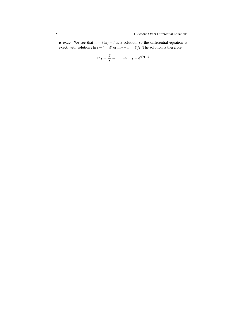is exact. We see that  $u = t \ln y - t$  is a solution, so the differential equation is exact, with solution *t* ln*y*−*t* =  $\mathcal{C}$  or ln*y*−1 =  $\mathcal{C}/t$ . The solution is therefore

$$
\ln y = \frac{\mathscr{C}}{t} + 1 \quad \Rightarrow \quad y = e^{\mathscr{C}/t + 1}
$$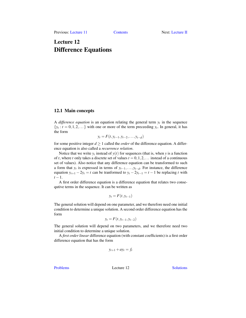# Lecture 12 Difference Equations

# 12.1 Main concepts

A *difference equation* is an equation relating the general term  $y_t$  in the sequence  ${y_t : t = 0, 1, 2, \ldots}$  with one or more of the term preceeding  $y_t$ . In general, it has the form

$$
y_t = F(t, y_{t-1}, y_{t-2}, \dots, y_{t-d})
$$

for some positive integer  $d \ge 1$  called the *order* of the difference equation. A difference equation is also called a *recurrence relation*.

Notice that we write  $y_t$  instead of  $y(t)$  for sequences (that is, when  $y$  is a function of *t*, where *t* only takes a discrete set of values  $t = 0, 1, 2, \ldots$  instead of a continuous set of values). Also notice that any difference equation can be transformed to such a form that  $y_t$  is expressed in terms of  $y_{t-1}, \ldots, y_{t-d}$ . For instance, the difference equation  $y_{t+1} - 2y_t = t$  can be tranformed to  $y_t - 2y_{t-1} = t - 1$  be replacing *t* with  $t-1$ .

A first order difference equation is a difference equation that relates two consequtive terms in the sequence. It can be written as

$$
y_t = F(t, y_{t-1})
$$

The general solution will depend on one parameter, and we therefore need one initial condition to determine a unique solution. A second order difference equation has the form

$$
y_t = F(t, y_{t-1}, y_{t-2})
$$

The general solution will depend on two parameters, and we therefore need two initial condition to determine a unique solution.

A *first order linear* difference equation (with constant coefficients) is a first order difference equation that has the form

$$
y_{t+1} + ay_t = f_t
$$

[Problems](#page-156-0) Lecture 12 [Solutions](#page-157-0)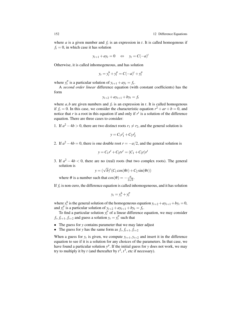where  $a$  is a given number and  $f_t$  is an expression in  $t$ . It is called homogenous if  $f_t = 0$ , in which case it has solution

$$
y_{t+1} + ay_t = 0 \quad \Leftrightarrow \quad y_t = C(-a)^t
$$

Otherwise, it is called inhomogeneous, and has solution

$$
y_t = y_t^h + y_t^p = C(-a)^t + y_t^p
$$

where  $y_t^p$  is a particular solution of  $y_{t+1} + ay_t = f_t$ .

A *second order linear* difference equation (with constant coefficients) has the form

$$
y_{t+2} + ay_{t+1} + by_t = f_t
$$

where  $a$ ,  $b$  are given numbers and  $f$ <sup>*t*</sup> is an expression in *t*. It is called homogenous if  $f_t = 0$ . In this case, we consider the characteristic equation  $r^2 + ar + b = 0$ , and notice that  $r$  is a root in this equation if and only if  $r<sup>t</sup>$  is a solution of the difference equation. There are three cases to consider:

1. If  $a^2 - 4b > 0$ , there are two distinct roots  $r_1 \neq r_2$ , and the general solution is

$$
y = C_1 r_1^t + C_2 r_2^t
$$

2. If  $a^2 - 4b = 0$ , there is one double root  $r = -a/2$ , and the general solution is

$$
y = C_1 r^t + C_2 t r^t = (C_1 + C_2 t) r^t
$$

3. If  $a^2 - 4b < 0$ , there are no (real) roots (but two complex roots). The general solution is

$$
y = (\sqrt{b})^t (C_1 \cos(\theta t) + C_2 \sin(\theta t))
$$

where  $\theta$  is a number such that  $\cos(\theta) = -\frac{a}{2\pi\sqrt{a}}$  $rac{a}{2\sqrt{b}}$ .

If *f<sup>t</sup>* is non-zero, the difference equation is called inhomogeneous, and it has solution

$$
y_t = y_t^h + y_t^p
$$

where  $y_t^h$  is the general solution of the homogeneous equation  $y_{t+2} + ay_{t+1} + by_t = 0$ , and  $y_t^p$  is a particular solution of  $y_{t+2} + ay_{t+1} + by_t = f_t$ .

To find a particular solution  $y_t^p$  of a linear difference equation, we may consider  $f_t, f_{t+1}, f_{t+2}$  and guess a solution  $y_t = y_t^p$  such that

- The guess for *y* contains parameter that we may later adjust
- The guess for *y* has the same form as  $f_t, f_{t+1}, f_{t+2}$

When a guess for  $y_t$  is given, we compute  $y_{t+1}, y_{t+2}$  and insert it in the difference equation to see if it is a solution for any choices of the parameters. In that case, we have found a particular solution  $y^p$ . If the initial guess for *y* does not work, we may try to multiply it by *t* (and thereafter by  $t^2$ ,  $t^3$ , etc if necessary).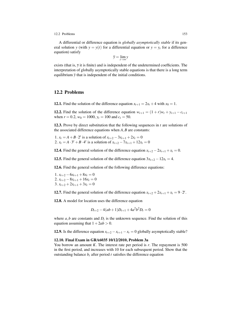### 12.2 Problems 153

A differential or difference equation is *globally asymptotically stable* if its general solution *y* (with  $y = y(t)$  for a differential equation or  $y = y_t$  for a difference equation) satisfy

$$
\overline{y} = \lim_{t \to \infty} y
$$

exists (that is,  $\bar{y}$  it is finite) and is independent of the undetermined coefficients. The interpretation of globally asymptotically stable equations is that there is a long term equilibrium  $\bar{y}$  that is independent of the initial conditions.

# <span id="page-156-0"></span>12.2 Problems

<span id="page-156-1"></span>**12.1.** Find the solution of the difference equation  $x_{t+1} = 2x_t + 4$  with  $x_0 = 1$ .

<span id="page-156-2"></span>12.2. Find the solution of the difference equation  $w_{t+1} = (1 + r)w_t + y_{t+1} - c_{t+1}$ when  $r = 0.2$ ,  $w_0 = 1000$ ,  $y_t = 100$  and  $c_t = 50$ .

<span id="page-156-3"></span>12.3. Prove by direct substitution that the following sequences in *t* are solutions of the associated difference equations when *A*,*B* are constants:

1.  $x_t = A + B \cdot 2^t$  is a solution of  $x_{t+2} - 3x_{t+1} + 2x_t = 0$ 2.  $x_t = A \cdot 3^t + B \cdot 4^t$  is a solution of  $x_{t+2} - 7x_{t+1} + 12x_t = 0$ 

<span id="page-156-4"></span>12.4. Find the general solution of the difference equation  $x_{t+2} - 2x_{t+1} + x_t = 0$ .

<span id="page-156-5"></span>12.5. Find the general solution of the difference equation  $3x_{t+2} - 12x_t = 4$ .

<span id="page-156-6"></span>12.6. Find the general solution of the following difference equations:

1.  $x_{t+2} - 6x_{t+1} + 8x_t = 0$ 2.  $x_{t+2} - 8x_{t+1} + 16x_t = 0$ 3.  $x_{t+2} + 2x_{t+1} + 3x_t = 0$ 

<span id="page-156-7"></span>**12.7.** Find the general solution of the difference equation  $x_{t+2} + 2x_{t+1} + x_t = 9 \cdot 2^t$ .

<span id="page-156-8"></span>12.8. A model for location uses the difference equation

$$
D_{t+2} - 4(ab+1)D_{t+1} + 4a^2b^2D_t = 0
$$

where  $a, b$  are constants and  $D<sub>t</sub>$  is the unknown sequence. Find the solution of this equation assuming that  $1+2ab > 0$ .

<span id="page-156-9"></span>**12.9.** Is the difference equation  $x_{t+2} - x_{t+1} - x_t = 0$  globally asymptotically stable?

### <span id="page-156-10"></span>12.10. Final Exam in GRA6035 10/12/2010, Problem 3a

You borrow an amount *K*. The interest rate per period is *r*. The repayment is 500 in the first period, and increases with 10 for each subsequent period. Show that the outstanding balance  $b_t$  after period  $t$  satisfies the difference equation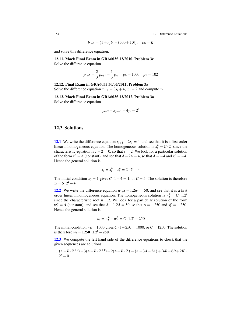154 12 Difference Equations

$$
b_{t+1} = (1+r)b_t - (500+10t), \quad b_0 = K
$$

and solve this difference equation.

<span id="page-157-1"></span>12.11. Mock Final Exam in GRA6035 12/2010, Problem 3c

Solve the difference equation

$$
p_{t+2} = \frac{2}{3} p_{t+1} + \frac{1}{3} p_t, \quad p_0 = 100, \quad p_1 = 102
$$

### <span id="page-157-2"></span>12.12. Final Exam in GRA6035 30/05/2011, Problem 3a

Solve the difference equation  $x_{t+1} = 3x_t + 4$ ,  $x_0 = 2$  and compute  $x_5$ .

<span id="page-157-3"></span>12.13. Mock Final Exam in GRA6035 12/2012, Problem 3a Solve the difference equation

$$
y_{t+2} - 5y_{t+1} + 4y_t = 2^t
$$

# <span id="page-157-0"></span>12.3 Solutions

[12.1](#page-156-1) We write the difference equation  $x_{t+1} - 2x_t = 4$ , and see that it is a first order linear inhomogeneous equation. The homogeneous solution is  $x_t^h = C \cdot 2^t$  since the characteristic equation is  $r - 2 = 0$ , so that  $r = 2$ . We look for a particular solution of the form  $x_t^p = A$  (constant), and see that  $A - 2A = 4$ , so that  $A = -4$  and  $x_t^p = -4$ . Hence the general solution is

$$
x_t = x_t^h + x_t^p = C \cdot 2^t - 4
$$

The initial condition  $x_0 = 1$  gives  $C \cdot 1 - 4 = 1$ , or  $C = 5$ . The solution is therefore  $x_t = 5 \cdot 2^t - 4.$ 

[12.2](#page-156-2) We write the difference equation  $w_{t+1} - 1.2w_t = 50$ , and see that it is a first order linear inhomogeneous equation. The homogeneous solution is  $w_t^h = C \cdot 1.2^t$ since the characteristic root is 1.2. We look for a particular solution of the form  $w_t^p = A$  (constant), and see that  $A - 1.2A = 50$ , so that  $A = -250$  and  $x_t^p = -250$ . Hence the general solution is

$$
w_t = w_t^h + w_t^p = C \cdot 1.2^t - 250
$$

The initial condition  $w_0 = 1000$  gives  $C \cdot 1 - 250 = 1000$ , or  $C = 1250$ . The solution is therefore  $w_t = 1250 \cdot 1.2^t - 250$ .

[12.3](#page-156-3) We compute the left hand side of the difference equations to check that the given sequences are solutions:

1. 
$$
(A+B \cdot 2^{t+2}) - 3(A+B \cdot 2^{t+1}) + 2(A+B \cdot 2^{t}) = (A - 3A + 2A) + (4B - 6B + 2B) \cdot 2^{t} = 0
$$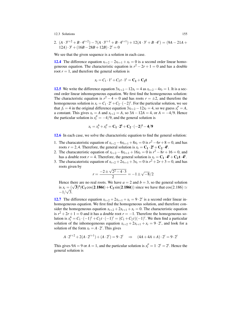2. 
$$
(A \cdot 3^{t+2} + B \cdot 4^{t+2}) - 7(A \cdot 3^{t+1} + B \cdot 4^{t+1}) + 12(A \cdot 3^t + B \cdot 4^t) = (9A - 21A + 12A) \cdot 3^t + (16B - 28B + 12B) \cdot 2^t = 0
$$

We see that the given sequence is a solution in each case.

**[12.4](#page-156-4)** The difference equation  $x_{t+2} - 2x_{t+1} + x_t = 0$  is a second order linear homogeneous equation. The characteristic equation is  $r^2 - 2r + 1 = 0$  and has a double root  $r = 1$ , and therefore the general solution is

$$
x_t = C_1 \cdot 1^t + C_2 t \cdot 1^t = C_1 + C_2 t
$$

**[12.5](#page-156-5)** We write the difference equation  $3x_{t+2} - 12x_t = 4$  as  $x_{t+2} - 4x_t = 1$ . It is a second order linear inhomogeneous equation. We first find the homogeneous solution: The characteristic equation is  $r^2 - 4 = 0$  and has roots  $r = \pm 2$ , and therefore the homogeneous solution is  $x_t = C_1 \cdot 2^t + C_2 \cdot (-2)^t$ . For the particular solution, we see that  $f_t = 4$  in the original difference equation  $3x_{t+2} - 12x_t = 4$ , so we guess  $x_t^p = A$ , a constant. This gives  $x_t = A$  and  $x_{t+2} = A$ , so  $3A - 12A = 4$ , or  $A = -4/9$ . Hence the particular solution is  $x_t^p = -4/9$ , and the general solution is

$$
x_t = x_t^h + x_t^p = \mathbf{C_1} \cdot \mathbf{2^t} + \mathbf{C_2} \cdot (-\mathbf{2})^t - \mathbf{4}/9
$$

[12.6](#page-156-6) In each case, we solve the characteristic equation to find the general solution:

- 1. The characateristic equation of  $x_{t+2} 6x_{t+1} + 8x_t = 0$  is  $r^2 6r + 8 = 0$ , and has roots  $r = 2, 4$ . Therefore, the general solution is  $x_t = C_1 \cdot 2^t + C_2 \cdot 4^t$ .
- 2. The characateristic equation of  $x_{t+2} 8x_{t+1} + 16x_t = 0$  is  $r^2 8r + 16 = 0$ , and has a double root  $r = 4$ . Therefore, the general solution is  $x_t = C_1 \cdot 4^t + C_2 t \cdot 4^t$ .
- 3. The characateristic equation of  $x_{t+2} + 2x_{t+1} + 3x_t = 0$  is  $r^2 + 2r + 3 = 0$ , and has roots given by √

$$
r = \frac{-2 \pm \sqrt{2^2 - 4 \cdot 3}}{2} = -1 \pm \sqrt{-8}/2
$$

Hence there are no real roots. We have  $a = 2$  and  $b = 3$ , so the general solution Hence there are no real roots. We have  $a = 2$  and  $b = 3$ , so the general solution<br>is  $x_t = (\sqrt{3})^t (C_1 \cos(2.186t) + C_2 \sin(2.186t))$  since we have that  $\cos(2.186) \simeq$  $-1/\sqrt{3}$ .

**[12.7](#page-156-7)** The difference equation  $x_{t+2} + 2x_{t+1} + x_t = 9 \cdot 2^t$  is a second order linear inhomogeneous equation. We first find the homogeneous solution, and therefore consider the homogeneous equation  $x_{t+2} + 2x_{t+1} + x_t = 0$ . The characteristic equation is  $r^2 + 2r + 1 = 0$  and it has a double root  $r = -1$ . Therefore the homogeneous solution is  $x_t^h = C_1 \cdot (-1)^t + C_2 t \cdot (-1)^t = (C_1 + C_2 t)(-1)^t$ . We then find a particular solution of the inhomogeneous equation  $x_{t+2} + 2x_{t+1} + x_t = 9 \cdot 2^t$ , and look for a solution of the form  $x_t = A \cdot 2^t$ . This gives

$$
A \cdot 2^{t+2} + 2(A \cdot 2^{t+1}) + (A \cdot 2^t) = 9 \cdot 2^t \implies (4A + 4A + A) \cdot 2^t = 9 \cdot 2^t
$$

This gives  $9A = 9$  or  $A = 1$ , and the particular solution is  $x_t^p = 1 \cdot 2^t = 2^t$ . Hence the general solution is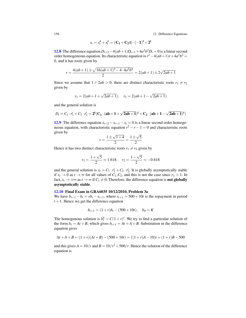156 12 Difference Equations

$$
x_t = x_t^h + x_t^p = (\mathbf{C_1} + \mathbf{C_2} \mathbf{t}) \cdot (-1)^{\mathbf{t}} + 2^{\mathbf{t}}
$$

**[12.8](#page-156-8)** The difference equation  $D_{t+2} - 4(ab+1)D_{t+1} + 4a^2b^2D_t = 0$  is a linear second order homogeneous equation. Its characteristic equation is  $r^2 - 4(ab+1)r + 4a^2b^2 =$ 0, and it has roots given by

$$
r = \frac{4(ab+1) \pm \sqrt{16(ab+1)^2 - 4 \cdot 4a^2b^2}}{2} = 2(ab+1) \pm 2\sqrt{2ab+1}
$$

Since we assume that  $1 + 2ab > 0$ , there are distinct characteristic roots  $r_1 \neq r_2$ given by

$$
r_1 = 2(ab+1+\sqrt{2ab+1}),
$$
  $r_2 = 2(ab+1-\sqrt{2ab+1})$ 

and the general solution is

$$
D_t = C_1 \cdot r_1^t + C_2 \cdot r_2^t = 2^t (C_1 \cdot (ab + 1 + \sqrt{2ab + 1})^t + C_2 \cdot (ab + 1 - \sqrt{2ab + 1})^t)
$$

[12.9](#page-156-9) The difference equation  $x_{t+2} - x_{t+1} - x_t = 0$  is a linear second order homogeneous equation, with characteristic equation  $r^2 - r - 1 = 0$  and characteristic roots given by √ √

$$
r = \frac{1 \pm \sqrt{1+4}}{2} = \frac{1 \pm \sqrt{5}}{2}
$$

Hence it has two distinct characteristic roots  $r_1 \neq r_2$  given by

$$
r_1 = \frac{1+\sqrt{5}}{2} \approx 1.618
$$
,  $r_2 = \frac{1-\sqrt{5}}{2} \approx -0.618$ 

and the general solution is  $x_t = C_1 \cdot r_1^t + C_2 \cdot r_2^t$ . It is globally asymptotically stable if  $x$ <sup>*t*</sup> → 0 as *t* → ∞ for all values of  $C$ <sub>1</sub>, $C$ <sub>2</sub>, and this is not the case since  $r$ <sup>1</sup> > 1. In fact,  $x_t \to \pm \infty$  as  $t \to \infty$  if  $C_1 \neq 0$ . Therefore, the difference equation is **not globally** asymptotically stable.

### [12.10](#page-156-10) Final Exam in GRA6035 10/12/2010, Problem 3a

We have  $b_{t+1} - b_t = rb_t - s_{t+1}$ , where  $s_{t+1} = 500 + 10t$  is the repayment in period  $t + 1$ . Hence we get the difference equation

$$
b_{t+1} = (1+r)b_t - (500+10t), \quad b_0 = K
$$

The homogenous solution is  $b_t^h = C(1+r)^t$ . We try to find a particular solution of the form  $b_t = At + B$ , which gives  $b_{t+1} = At + A + B$ . Substitution in the difference equation gives

$$
At + A + B = (1+r)(At + B) - (500 + 10t) = ((1+r)A - 10)t + (1+r)B - 500
$$

and this gives  $A = 10/r$  and  $B = 10/r^2 + 500/r$ . Hence the solution of the difference equation is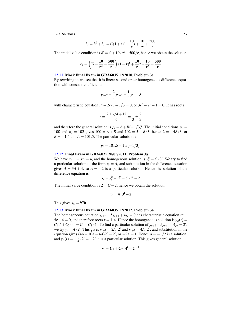$$
b_t = b_t^h + b_t^p = C(1+r)^t + \frac{10}{r}t + \frac{10}{r^2} + \frac{500}{r}
$$

The initial value condition is  $K = C + 10/r^2 + 500/r$ , hence we obtain the solution

$$
b_t = \left(K - \frac{10}{r^2} - \frac{500}{r}\right)(1+r)^t + \frac{10}{r}t + \frac{10}{r^2} + \frac{500}{r}
$$

### [12.11](#page-157-1) Mock Final Exam in GRA6035 12/2010, Problem 3c

By rewriting it, we see that it is linear second order homogeneous difference equation with constant coefficients

$$
p_{t+2} - \frac{2}{3} p_{t+1} - \frac{1}{3} p_t = 0
$$

with characteristic equation  $r^2 - 2r/3 - 1/3 = 0$ , or  $3r^2 - 2r - 1 = 0$ . It has roots

$$
r = \frac{2 \pm \sqrt{4 + 12}}{6} = \frac{1}{3} \pm \frac{2}{3}
$$

and therefore the general solution is  $p_t = A + B(-1/3)^t$ . The initial conditions  $p_0 =$ 100 and  $p_1 = 102$  gives  $100 = A + B$  and  $102 = A - B/3$ , hence  $2 = -4B/3$ , or  $B = -1.5$  and  $A = 101.5$ . The particular solution is

$$
p_t = 101.5 - 1.5(-1/3)^t
$$

### [12.12](#page-157-2) Final Exam in GRA6035 30/05/2011, Problem 3a

We have  $x_{t+1} - 3x_t = 4$ , and the homogenous solution is  $x_t^h = C \cdot 3^t$ . We try to find a particular solution of the form  $x_t = A$ , and substitution in the difference equation gives  $A = 3A + 4$ , so  $A = -2$  is a particular solution. Hence the solution of the difference equation is

$$
x_t = x_t^h + x_t^p = C \cdot 3^t - 2
$$

The initial value condition is  $2 = C - 2$ , hence we obtain the solution

$$
x_t = 4 \cdot 3^t - 2
$$

This gives  $x_5 = 970$ .

### [12.13](#page-157-3) Mock Final Exam in GRA6035 12/2012, Problem 3a

The homogeneous equation  $y_{t+2} - 5y_{t+1} + 4y_t = 0$  has characteristic equation  $r^2$  –  $5r+4 = 0$ , and therefore roots  $r = 1, 4$ . Hence the homogeneous solution is  $y_h(t) =$  $C_1 1^t + C_2 \cdot 4^t = C_1 + C_2 \cdot 4^t$ . To find a particular solution of  $y_{t+2} - 5y_{t+1} + 4y_t = 2^t$ , we try  $y_t = A \cdot 2^t$ . This gives  $y_{t+1} = 2A \cdot 2^t$  and  $y_{t+2} = 4A \cdot 2^t$ , and substitution in the equation gives  $(4A - 10A + 4A)2^t = 2^t$ , or  $-2A = 1$ . Hence  $A = -1/2$  is a solution, and  $y_p(t) = -\frac{1}{2} \cdot 2^t = -2^{t-1}$  is a particular solution. This gives general solution

$$
y_t = \mathbf{C_1} + \mathbf{C_2} \cdot \mathbf{4}^t - \mathbf{2}^{t-1}
$$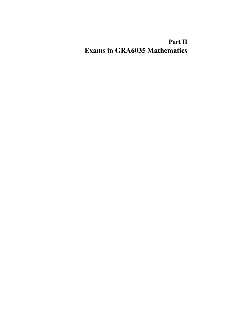# Part II Exams in GRA6035 Mathematics